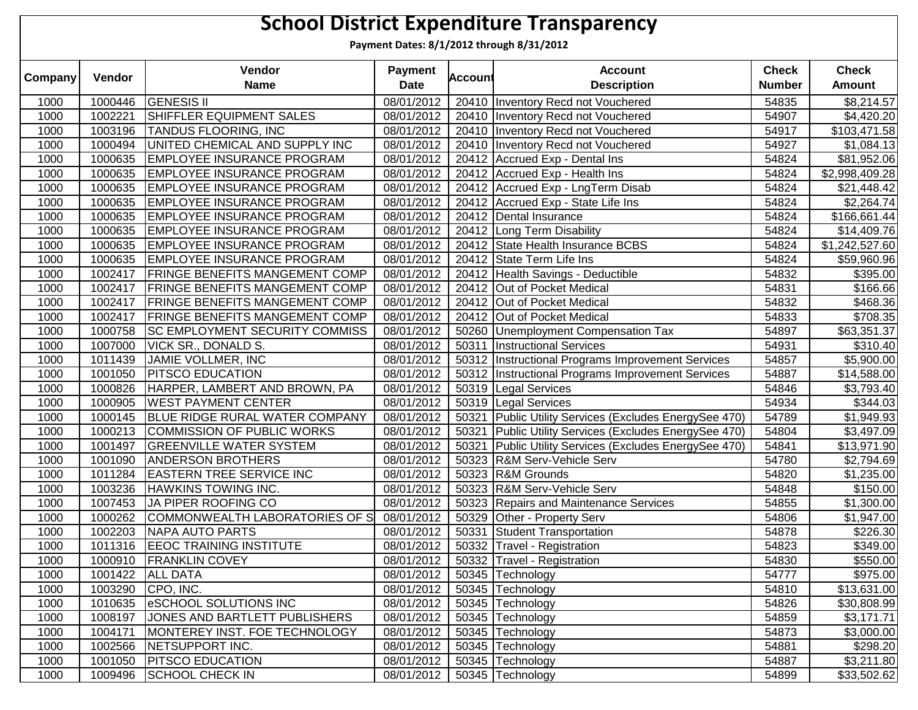|         | <b>School District Expenditure Transparency</b> |                                       |                               |                |                                                    |                               |                               |  |  |  |  |  |
|---------|-------------------------------------------------|---------------------------------------|-------------------------------|----------------|----------------------------------------------------|-------------------------------|-------------------------------|--|--|--|--|--|
|         |                                                 |                                       |                               |                | Payment Dates: 8/1/2012 through 8/31/2012          |                               |                               |  |  |  |  |  |
| Company | Vendor                                          | Vendor<br><b>Name</b>                 | <b>Payment</b><br><b>Date</b> | <b>Account</b> | <b>Account</b><br><b>Description</b>               | <b>Check</b><br><b>Number</b> | <b>Check</b><br><b>Amount</b> |  |  |  |  |  |
|         |                                                 |                                       |                               |                |                                                    |                               |                               |  |  |  |  |  |
| 1000    | 1000446                                         | <b>GENESIS II</b>                     | 08/01/2012                    |                | 20410   Inventory Recd not Vouchered               | 54835                         | \$8,214.57                    |  |  |  |  |  |
| 1000    | 1002221                                         | SHIFFLER EQUIPMENT SALES              | 08/01/2012                    |                | 20410 Inventory Recd not Vouchered                 | 54907                         | \$4,420.20                    |  |  |  |  |  |
| 1000    | 1003196                                         | <b>TANDUS FLOORING, INC</b>           | 08/01/2012                    |                | 20410 Inventory Recd not Vouchered                 | 54917                         | \$103,471.58                  |  |  |  |  |  |
| 1000    | 1000494                                         | UNITED CHEMICAL AND SUPPLY INC        | 08/01/2012                    |                | 20410 Inventory Recd not Vouchered                 | 54927                         | \$1,084.13                    |  |  |  |  |  |
| 1000    | 1000635                                         | <b>EMPLOYEE INSURANCE PROGRAM</b>     | 08/01/2012                    |                | 20412 Accrued Exp - Dental Ins                     | 54824                         | \$81,952.06                   |  |  |  |  |  |
| 1000    | 1000635                                         | <b>EMPLOYEE INSURANCE PROGRAM</b>     | 08/01/2012                    |                | 20412 Accrued Exp - Health Ins                     | 54824                         | \$2,998,409.28                |  |  |  |  |  |
| 1000    | 1000635                                         | <b>EMPLOYEE INSURANCE PROGRAM</b>     | 08/01/2012                    |                | 20412 Accrued Exp - LngTerm Disab                  | 54824                         | \$21,448.42                   |  |  |  |  |  |
| 1000    | 1000635                                         | <b>EMPLOYEE INSURANCE PROGRAM</b>     | 08/01/2012                    |                | 20412 Accrued Exp - State Life Ins                 | 54824                         | \$2,264.74                    |  |  |  |  |  |
| 1000    | 1000635                                         | <b>EMPLOYEE INSURANCE PROGRAM</b>     | 08/01/2012                    |                | 20412   Dental Insurance                           | 54824                         | \$166,661.44                  |  |  |  |  |  |
| 1000    | 1000635                                         | <b>EMPLOYEE INSURANCE PROGRAM</b>     | 08/01/2012                    |                | 20412 Long Term Disability                         | 54824                         | \$14,409.76                   |  |  |  |  |  |
| 1000    | 1000635                                         | <b>EMPLOYEE INSURANCE PROGRAM</b>     | 08/01/2012                    |                | 20412 State Health Insurance BCBS                  | 54824                         | \$1,242,527.60                |  |  |  |  |  |
| 1000    | 1000635                                         | <b>EMPLOYEE INSURANCE PROGRAM</b>     | 08/01/2012                    | 20412          | State Term Life Ins                                | 54824                         | \$59,960.96                   |  |  |  |  |  |
| 1000    | 1002417                                         | <b>FRINGE BENEFITS MANGEMENT COMP</b> | 08/01/2012                    | 20412          | Health Savings - Deductible                        | 54832                         | \$395.00                      |  |  |  |  |  |
| 1000    | 1002417                                         | <b>FRINGE BENEFITS MANGEMENT COMP</b> | 08/01/2012                    |                | 20412 Out of Pocket Medical                        | 54831                         | \$166.66                      |  |  |  |  |  |
| 1000    | 1002417                                         | <b>FRINGE BENEFITS MANGEMENT COMP</b> | 08/01/2012                    |                | 20412 Out of Pocket Medical                        | 54832                         | \$468.36                      |  |  |  |  |  |
| 1000    | 1002417                                         | <b>FRINGE BENEFITS MANGEMENT COMP</b> | 08/01/2012                    |                | 20412 Out of Pocket Medical                        | 54833                         | \$708.35                      |  |  |  |  |  |
| 1000    | 1000758                                         | <b>SC EMPLOYMENT SECURITY COMMISS</b> | 08/01/2012                    |                | 50260 Unemployment Compensation Tax                | 54897                         | \$63,351.37                   |  |  |  |  |  |
| 1000    | 1007000                                         | <b>VICK SR., DONALD S.</b>            | 08/01/2012                    |                | 50311   Instructional Services                     | 54931                         | \$310.40                      |  |  |  |  |  |
| 1000    | 1011439                                         | JAMIE VOLLMER, INC                    | 08/01/2012                    |                | 50312  Instructional Programs Improvement Services | 54857                         | \$5,900.00                    |  |  |  |  |  |
| 1000    | 1001050                                         | <b>PITSCO EDUCATION</b>               | 08/01/2012                    | 50312          | Instructional Programs Improvement Services        | 54887                         | \$14,588.00                   |  |  |  |  |  |
| 1000    | 1000826                                         | HARPER, LAMBERT AND BROWN, PA         | 08/01/2012                    |                | 50319 Legal Services                               | 54846                         | \$3,793.40                    |  |  |  |  |  |
| 1000    | 1000905                                         | <b>WEST PAYMENT CENTER</b>            | 08/01/2012                    |                | 50319 Legal Services                               | 54934                         | \$344.03                      |  |  |  |  |  |
| 1000    | 1000145                                         | BLUE RIDGE RURAL WATER COMPANY        | 08/01/2012                    | 50321          | Public Utility Services (Excludes EnergySee 470)   | 54789                         | \$1,949.93                    |  |  |  |  |  |
| 1000    | 1000213                                         | COMMISSION OF PUBLIC WORKS            | 08/01/2012                    | 50321          | Public Utility Services (Excludes EnergySee 470)   | 54804                         | \$3,497.09                    |  |  |  |  |  |
| 1000    | 1001497                                         | <b>GREENVILLE WATER SYSTEM</b>        | 08/01/2012                    | 50321          | Public Utility Services (Excludes EnergySee 470)   | 54841                         | \$13,971.90                   |  |  |  |  |  |
| 1000    | 1001090                                         | <b>ANDERSON BROTHERS</b>              | 08/01/2012                    | 50323          | <b>R&amp;M Serv-Vehicle Serv</b>                   | 54780                         | \$2,794.69                    |  |  |  |  |  |
| 1000    | 1011284                                         | <b>EASTERN TREE SERVICE INC</b>       | 08/01/2012                    |                | 50323 R&M Grounds                                  | 54820                         | \$1,235.00                    |  |  |  |  |  |
| 1000    | 1003236                                         | <b>HAWKINS TOWING INC.</b>            | 08/01/2012                    |                | 50323 R&M Serv-Vehicle Serv                        | 54848                         | \$150.00                      |  |  |  |  |  |
| 1000    | 1007453                                         | JA PIPER ROOFING CO                   | 08/01/2012                    |                | 50323 Repairs and Maintenance Services             | 54855                         | \$1,300.00                    |  |  |  |  |  |
| 1000    | 1000262                                         | COMMONWEALTH LABORATORIES OF S        | 08/01/2012                    |                | 50329 Other - Property Serv                        | 54806                         | \$1,947.00                    |  |  |  |  |  |
| 1000    |                                                 | 1002203 NAPA AUTO PARTS               |                               |                | 08/01/2012 50331 Student Transportation            | 54878                         | \$226.30                      |  |  |  |  |  |
| 1000    |                                                 | 1011316   EEOC TRAINING INSTITUTE     | 08/01/2012                    |                | 50332 Travel - Registration                        | 54823                         | \$349.00                      |  |  |  |  |  |
| 1000    |                                                 | 1000910 FRANKLIN COVEY                | 08/01/2012                    |                | 50332 Travel - Registration                        | 54830                         | \$550.00                      |  |  |  |  |  |
| 1000    |                                                 | 1001422 ALL DATA                      | 08/01/2012                    |                | 50345 Technology                                   | 54777                         | \$975.00                      |  |  |  |  |  |
| 1000    |                                                 | 1003290 CPO, INC.                     | 08/01/2012                    |                | 50345 Technology                                   | 54810                         | \$13,631.00                   |  |  |  |  |  |
| 1000    | 1010635                                         | <b>eSCHOOL SOLUTIONS INC</b>          | 08/01/2012                    |                | 50345 Technology                                   | 54826                         | \$30,808.99                   |  |  |  |  |  |
| 1000    | 1008197                                         | JONES AND BARTLETT PUBLISHERS         | 08/01/2012                    |                | 50345 Technology                                   | 54859                         | \$3,171.71                    |  |  |  |  |  |
| 1000    | 1004171                                         | MONTEREY INST. FOE TECHNOLOGY         | 08/01/2012                    |                | 50345 Technology                                   | 54873                         | \$3,000.00                    |  |  |  |  |  |
| 1000    | 1002566                                         | <b>NETSUPPORT INC.</b>                | 08/01/2012                    |                | 50345 Technology                                   | 54881                         | \$298.20                      |  |  |  |  |  |
| 1000    | 1001050                                         | <b>PITSCO EDUCATION</b>               | 08/01/2012                    |                | 50345 Technology                                   | 54887                         | \$3,211.80                    |  |  |  |  |  |
|         | 1009496                                         | <b>SCHOOL CHECK IN</b>                |                               |                |                                                    |                               |                               |  |  |  |  |  |
| 1000    |                                                 |                                       | 08/01/2012                    |                | 50345 Technology                                   | 54899                         | \$33,502.62                   |  |  |  |  |  |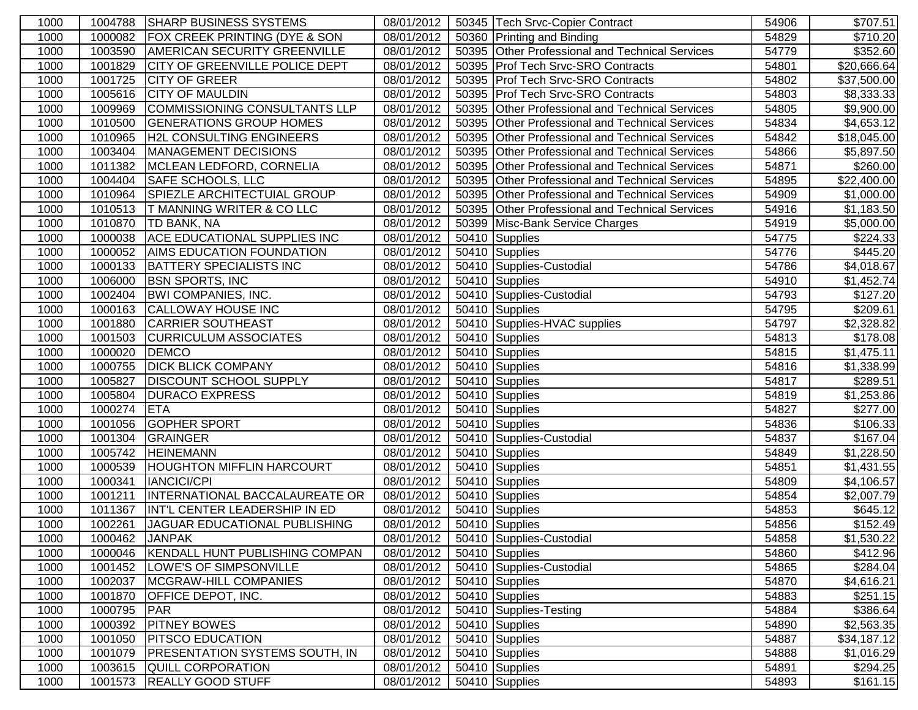| 1000 | 1004788 | <b>SHARP BUSINESS SYSTEMS</b>            | 08/01/2012 | 50345 Tech Srvc-Copier Contract                 | 54906 | \$707.51                |
|------|---------|------------------------------------------|------------|-------------------------------------------------|-------|-------------------------|
| 1000 | 1000082 | <b>FOX CREEK PRINTING (DYE &amp; SON</b> | 08/01/2012 | 50360 Printing and Binding                      | 54829 | \$710.20                |
| 1000 | 1003590 | <b>AMERICAN SECURITY GREENVILLE</b>      | 08/01/2012 | 50395 Other Professional and Technical Services | 54779 | \$352.60                |
| 1000 | 1001829 | <b>CITY OF GREENVILLE POLICE DEPT</b>    | 08/01/2012 | 50395 Prof Tech Srvc-SRO Contracts              | 54801 | \$20,666.64             |
| 1000 | 1001725 | <b>CITY OF GREER</b>                     | 08/01/2012 | 50395 Prof Tech Srvc-SRO Contracts              | 54802 | \$37,500.00             |
| 1000 | 1005616 | <b>CITY OF MAULDIN</b>                   | 08/01/2012 | 50395 Prof Tech Srvc-SRO Contracts              | 54803 | \$8,333.33              |
| 1000 | 1009969 | COMMISSIONING CONSULTANTS LLP            | 08/01/2012 | 50395 Other Professional and Technical Services | 54805 | \$9,900.00              |
| 1000 | 1010500 | <b>GENERATIONS GROUP HOMES</b>           | 08/01/2012 | 50395 Other Professional and Technical Services | 54834 | \$4,653.12              |
| 1000 | 1010965 | <b>H2L CONSULTING ENGINEERS</b>          | 08/01/2012 | 50395 Other Professional and Technical Services | 54842 | \$18,045.00             |
| 1000 | 1003404 | MANAGEMENT DECISIONS                     | 08/01/2012 | 50395 Other Professional and Technical Services | 54866 | \$5,897.50              |
| 1000 | 1011382 | MCLEAN LEDFORD, CORNELIA                 | 08/01/2012 | 50395 Other Professional and Technical Services | 54871 | \$260.00                |
| 1000 | 1004404 | <b>SAFE SCHOOLS, LLC</b>                 | 08/01/2012 | 50395 Other Professional and Technical Services | 54895 | \$22,400.00             |
| 1000 | 1010964 | SPIEZLE ARCHITECTUIAL GROUP              | 08/01/2012 | 50395 Other Professional and Technical Services | 54909 | \$1,000.00              |
| 1000 | 1010513 | <b>T MANNING WRITER &amp; CO LLC</b>     | 08/01/2012 | 50395 Other Professional and Technical Services | 54916 | \$1,183.50              |
| 1000 | 1010870 | <b>TD BANK, NA</b>                       | 08/01/2012 | 50399 Misc-Bank Service Charges                 | 54919 | \$5,000.00              |
| 1000 | 1000038 | <b>ACE EDUCATIONAL SUPPLIES INC</b>      | 08/01/2012 | 50410 Supplies                                  | 54775 | $\overline{$}224.33$    |
| 1000 | 1000052 | <b>AIMS EDUCATION FOUNDATION</b>         | 08/01/2012 | 50410 Supplies                                  | 54776 | \$445.20                |
| 1000 | 1000133 | <b>BATTERY SPECIALISTS INC</b>           | 08/01/2012 | 50410 Supplies-Custodial                        | 54786 | \$4,018.67              |
| 1000 | 1006000 | <b>BSN SPORTS, INC</b>                   | 08/01/2012 | 50410 Supplies                                  | 54910 | $\overline{$}1,452.74$  |
| 1000 | 1002404 | <b>BWI COMPANIES, INC.</b>               | 08/01/2012 | 50410 Supplies-Custodial                        | 54793 | \$127.20                |
| 1000 | 1000163 | <b>CALLOWAY HOUSE INC</b>                | 08/01/2012 | 50410 Supplies                                  | 54795 | \$209.61                |
| 1000 | 1001880 | <b>CARRIER SOUTHEAST</b>                 | 08/01/2012 | 50410 Supplies-HVAC supplies                    | 54797 | \$2,328.82              |
| 1000 | 1001503 | <b>CURRICULUM ASSOCIATES</b>             | 08/01/2012 | 50410 Supplies                                  | 54813 | \$178.08                |
| 1000 | 1000020 | <b>DEMCO</b>                             | 08/01/2012 | 50410 Supplies                                  | 54815 | \$1,475.11              |
| 1000 | 1000755 | <b>DICK BLICK COMPANY</b>                | 08/01/2012 | 50410 Supplies                                  | 54816 | $\overline{\$1,338.99}$ |
| 1000 | 1005827 | <b>DISCOUNT SCHOOL SUPPLY</b>            | 08/01/2012 | 50410 Supplies                                  | 54817 | \$289.51                |
| 1000 | 1005804 | <b>DURACO EXPRESS</b>                    | 08/01/2012 | 50410 Supplies                                  | 54819 | \$1,253.86              |
| 1000 | 1000274 | <b>ETA</b>                               | 08/01/2012 | 50410 Supplies                                  | 54827 | \$277.00                |
| 1000 | 1001056 | <b>GOPHER SPORT</b>                      | 08/01/2012 | 50410 Supplies                                  | 54836 | \$106.33                |
| 1000 | 1001304 | <b>GRAINGER</b>                          | 08/01/2012 | 50410 Supplies-Custodial                        | 54837 | \$167.04                |
| 1000 | 1005742 | <b>HEINEMANN</b>                         | 08/01/2012 | 50410 Supplies                                  | 54849 | \$1,228.50              |
| 1000 | 1000539 | <b>HOUGHTON MIFFLIN HARCOURT</b>         | 08/01/2012 | 50410 Supplies                                  | 54851 | $\overline{$}1,431.55$  |
| 1000 | 1000341 | <b>IANCICI/CPI</b>                       | 08/01/2012 | 50410 Supplies                                  | 54809 | \$4,106.57              |
| 1000 | 1001211 | INTERNATIONAL BACCALAUREATE OR           | 08/01/2012 | 50410 Supplies                                  | 54854 | $\overline{$2,007.79}$  |
| 1000 | 1011367 | INT'L CENTER LEADERSHIP IN ED            | 08/01/2012 | 50410 Supplies                                  | 54853 | \$645.12                |
| 1000 | 1002261 | JAGUAR EDUCATIONAL PUBLISHING            | 08/01/2012 | 50410 Supplies                                  | 54856 | \$152.49                |
| 1000 | 1000462 | <b>JANPAK</b>                            | 08/01/2012 | 50410 Supplies-Custodial                        | 54858 | \$1,530.22              |
| 1000 | 1000046 | KENDALL HUNT PUBLISHING COMPAN           | 08/01/2012 | 50410 Supplies                                  | 54860 | \$412.96                |
| 1000 | 1001452 | LOWE'S OF SIMPSONVILLE                   | 08/01/2012 | 50410 Supplies-Custodial                        | 54865 | \$284.04                |
| 1000 | 1002037 | <b>MCGRAW-HILL COMPANIES</b>             | 08/01/2012 | 50410 Supplies                                  | 54870 | \$4,616.21              |
| 1000 | 1001870 | <b>OFFICE DEPOT, INC.</b>                | 08/01/2012 | $\overline{50}410$ Supplies                     | 54883 | \$251.15                |
| 1000 | 1000795 | PAR                                      | 08/01/2012 | 50410 Supplies-Testing                          | 54884 | \$386.64                |
| 1000 | 1000392 | <b>PITNEY BOWES</b>                      | 08/01/2012 | $\overline{50}410$ Supplies                     | 54890 | \$2,563.35              |
| 1000 | 1001050 | <b>PITSCO EDUCATION</b>                  | 08/01/2012 | 50410 Supplies                                  | 54887 | \$34,187.12             |
| 1000 | 1001079 | <b>PRESENTATION SYSTEMS SOUTH, IN</b>    | 08/01/2012 | 50410 Supplies                                  | 54888 | \$1,016.29              |
| 1000 | 1003615 | <b>QUILL CORPORATION</b>                 | 08/01/2012 | 50410 Supplies                                  | 54891 | \$294.25                |
| 1000 | 1001573 | <b>REALLY GOOD STUFF</b>                 | 08/01/2012 | 50410 Supplies                                  | 54893 | \$161.15                |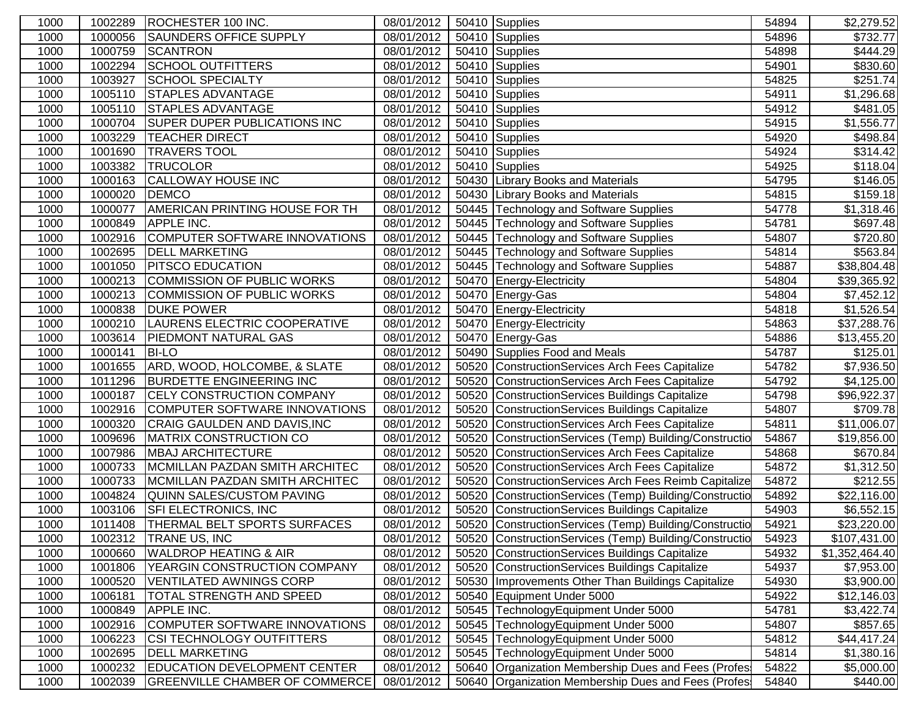| 1000 | 1002289 | ROCHESTER 100 INC.                    | 08/01/2012 | 50410 Supplies                                         | 54894 | \$2,279.52              |
|------|---------|---------------------------------------|------------|--------------------------------------------------------|-------|-------------------------|
| 1000 | 1000056 | <b>SAUNDERS OFFICE SUPPLY</b>         | 08/01/2012 | 50410 Supplies                                         | 54896 | \$732.77                |
| 1000 | 1000759 | <b>SCANTRON</b>                       | 08/01/2012 | 50410 Supplies                                         | 54898 | $\sqrt{$}444.29$        |
| 1000 | 1002294 | <b>SCHOOL OUTFITTERS</b>              | 08/01/2012 | 50410 Supplies                                         | 54901 | \$830.60                |
| 1000 | 1003927 | <b>SCHOOL SPECIALTY</b>               | 08/01/2012 | 50410 Supplies                                         | 54825 | \$251.74                |
| 1000 | 1005110 | <b>STAPLES ADVANTAGE</b>              | 08/01/2012 | 50410 Supplies                                         | 54911 | \$1,296.68              |
| 1000 | 1005110 | <b>STAPLES ADVANTAGE</b>              | 08/01/2012 | 50410 Supplies                                         | 54912 | \$481.05                |
| 1000 | 1000704 | <b>SUPER DUPER PUBLICATIONS INC</b>   | 08/01/2012 | 50410 Supplies                                         | 54915 | \$1,556.77              |
| 1000 | 1003229 | <b>TEACHER DIRECT</b>                 | 08/01/2012 | 50410 Supplies                                         | 54920 | \$498.84                |
| 1000 | 1001690 | <b>TRAVERS TOOL</b>                   | 08/01/2012 | 50410 Supplies                                         | 54924 | \$314.42                |
| 1000 | 1003382 | <b>TRUCOLOR</b>                       | 08/01/2012 | 50410 Supplies                                         | 54925 | \$118.04                |
| 1000 | 1000163 | <b>CALLOWAY HOUSE INC</b>             | 08/01/2012 | 50430 Library Books and Materials                      | 54795 | \$146.05                |
| 1000 | 1000020 | <b>DEMCO</b>                          | 08/01/2012 | 50430 Library Books and Materials                      | 54815 | \$159.18                |
| 1000 | 1000077 | <b>AMERICAN PRINTING HOUSE FOR TH</b> | 08/01/2012 | 50445 Technology and Software Supplies                 | 54778 | \$1,318.46              |
| 1000 | 1000849 | <b>APPLE INC.</b>                     | 08/01/2012 | 50445 Technology and Software Supplies                 | 54781 | $\overline{$}697.48$    |
| 1000 | 1002916 | COMPUTER SOFTWARE INNOVATIONS         | 08/01/2012 | 50445 Technology and Software Supplies                 | 54807 | \$720.80                |
| 1000 | 1002695 | <b>DELL MARKETING</b>                 | 08/01/2012 | 50445 Technology and Software Supplies                 | 54814 | \$563.84                |
| 1000 | 1001050 | <b>PITSCO EDUCATION</b>               | 08/01/2012 | 50445 Technology and Software Supplies                 | 54887 | \$38,804.48             |
| 1000 | 1000213 | COMMISSION OF PUBLIC WORKS            | 08/01/2012 | 50470 Energy-Electricity                               | 54804 | \$39,365.92             |
| 1000 | 1000213 | COMMISSION OF PUBLIC WORKS            | 08/01/2012 | 50470 Energy-Gas                                       | 54804 | \$7,452.12              |
| 1000 | 1000838 | <b>DUKE POWER</b>                     | 08/01/2012 | 50470 Energy-Electricity                               | 54818 | \$1,526.54              |
| 1000 | 1000210 | LAURENS ELECTRIC COOPERATIVE          | 08/01/2012 | 50470 Energy-Electricity                               | 54863 | \$37,288.76             |
| 1000 | 1003614 | <b>PIEDMONT NATURAL GAS</b>           | 08/01/2012 | 50470 Energy-Gas                                       | 54886 | \$13,455.20             |
| 1000 | 1000141 | <b>BI-LO</b>                          | 08/01/2012 | 50490 Supplies Food and Meals                          | 54787 | \$125.01                |
| 1000 | 1001655 | ARD, WOOD, HOLCOMBE, & SLATE          | 08/01/2012 | 50520 ConstructionServices Arch Fees Capitalize        | 54782 | \$7,936.50              |
| 1000 | 1011296 | <b>BURDETTE ENGINEERING INC</b>       | 08/01/2012 | 50520 ConstructionServices Arch Fees Capitalize        | 54792 | \$4,125.00              |
| 1000 | 1000187 | <b>CELY CONSTRUCTION COMPANY</b>      | 08/01/2012 | 50520 ConstructionServices Buildings Capitalize        | 54798 | \$96,922.37             |
| 1000 | 1002916 | COMPUTER SOFTWARE INNOVATIONS         | 08/01/2012 | 50520 ConstructionServices Buildings Capitalize        | 54807 | \$709.78                |
| 1000 | 1000320 | CRAIG GAULDEN AND DAVIS, INC          | 08/01/2012 | 50520 ConstructionServices Arch Fees Capitalize        | 54811 | $\overline{$11,006.07}$ |
| 1000 | 1009696 | <b>MATRIX CONSTRUCTION CO</b>         | 08/01/2012 | 50520 ConstructionServices (Temp) Building/Constructio | 54867 | \$19,856.00             |
| 1000 | 1007986 | <b>MBAJ ARCHITECTURE</b>              | 08/01/2012 | 50520 ConstructionServices Arch Fees Capitalize        | 54868 | \$670.84                |
| 1000 | 1000733 | MCMILLAN PAZDAN SMITH ARCHITEC        | 08/01/2012 | 50520 ConstructionServices Arch Fees Capitalize        | 54872 | $\overline{31,312.50}$  |
| 1000 | 1000733 | MCMILLAN PAZDAN SMITH ARCHITEC        | 08/01/2012 | 50520 ConstructionServices Arch Fees Reimb Capitalize  | 54872 | \$212.55                |
| 1000 | 1004824 | QUINN SALES/CUSTOM PAVING             | 08/01/2012 | 50520 ConstructionServices (Temp) Building/Constructio | 54892 | \$22,116.00             |
| 1000 | 1003106 | <b>SFI ELECTRONICS, INC</b>           | 08/01/2012 | 50520 ConstructionServices Buildings Capitalize        | 54903 | \$6,552.15              |
| 1000 | 1011408 | <b>THERMAL BELT SPORTS SURFACES</b>   | 08/01/2012 | 50520 ConstructionServices (Temp) Building/Constructio | 54921 | \$23,220.00             |
| 1000 | 1002312 | <b>TRANE US, INC</b>                  | 08/01/2012 | 50520 ConstructionServices (Temp) Building/Constructio | 54923 | \$107,431.00            |
| 1000 | 1000660 | <b>WALDROP HEATING &amp; AIR</b>      | 08/01/2012 | 50520 ConstructionServices Buildings Capitalize        | 54932 | \$1,352,464.40          |
| 1000 | 1001806 | <b>YEARGIN CONSTRUCTION COMPANY</b>   | 08/01/2012 | 50520 ConstructionServices Buildings Capitalize        | 54937 | \$7,953.00              |
| 1000 | 1000520 | <b>VENTILATED AWNINGS CORP</b>        | 08/01/2012 | 50530 Improvements Other Than Buildings Capitalize     | 54930 | \$3,900.00              |
| 1000 | 1006181 | <b>TOTAL STRENGTH AND SPEED</b>       | 08/01/2012 | 50540 Equipment Under 5000                             | 54922 | \$12,146.03             |
| 1000 | 1000849 | <b>APPLE INC.</b>                     | 08/01/2012 | 50545 TechnologyEquipment Under 5000                   | 54781 | \$3,422.74              |
| 1000 | 1002916 | COMPUTER SOFTWARE INNOVATIONS         | 08/01/2012 | 50545 TechnologyEquipment Under 5000                   | 54807 | \$857.65                |
| 1000 | 1006223 | <b>CSI TECHNOLOGY OUTFITTERS</b>      | 08/01/2012 | 50545 TechnologyEquipment Under 5000                   | 54812 | \$44,417.24             |
| 1000 | 1002695 | <b>DELL MARKETING</b>                 | 08/01/2012 | 50545 TechnologyEquipment Under 5000                   | 54814 | \$1,380.16              |
| 1000 | 1000232 | <b>EDUCATION DEVELOPMENT CENTER</b>   | 08/01/2012 | 50640 Organization Membership Dues and Fees (Profes)   | 54822 | \$5,000.00              |
| 1000 | 1002039 | GREENVILLE CHAMBER OF COMMERCE        | 08/01/2012 | 50640 Organization Membership Dues and Fees (Profes)   | 54840 | \$440.00                |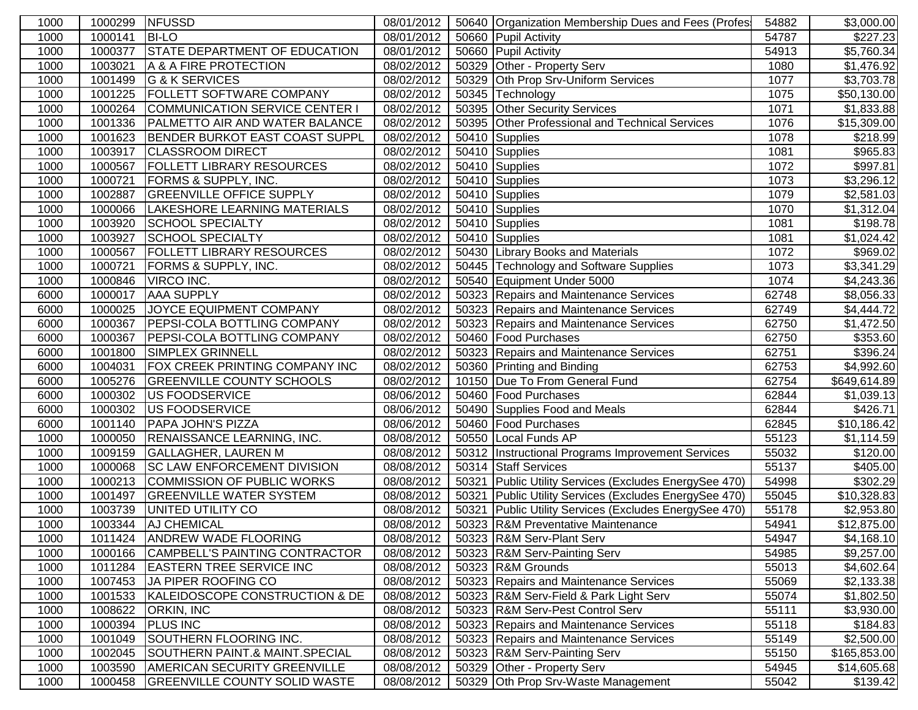| 1000 | 1000299 | <b>NFUSSD</b>                         | 08/01/2012 | 50640 Organization Membership Dues and Fees (Profes    | 54882 | \$3,000.00              |
|------|---------|---------------------------------------|------------|--------------------------------------------------------|-------|-------------------------|
| 1000 | 1000141 | <b>BI-LO</b>                          | 08/01/2012 | 50660 Pupil Activity                                   | 54787 | $\overline{$}227.23$    |
| 1000 | 1000377 | <b>STATE DEPARTMENT OF EDUCATION</b>  | 08/01/2012 | 50660 Pupil Activity                                   | 54913 | \$5,760.34              |
| 1000 | 1003021 | A & A FIRE PROTECTION                 | 08/02/2012 | 50329 Other - Property Serv                            | 1080  | \$1,476.92              |
| 1000 | 1001499 | G & K SERVICES                        | 08/02/2012 | 50329 Oth Prop Srv-Uniform Services                    | 1077  | \$3,703.78              |
| 1000 | 1001225 | <b>FOLLETT SOFTWARE COMPANY</b>       | 08/02/2012 | 50345 Technology                                       | 1075  | \$50,130.00             |
| 1000 | 1000264 | COMMUNICATION SERVICE CENTER I        | 08/02/2012 | 50395 Other Security Services                          | 1071  | \$1,833.88              |
| 1000 | 1001336 | <b>PALMETTO AIR AND WATER BALANCE</b> | 08/02/2012 | 50395 Other Professional and Technical Services        | 1076  | \$15,309.00             |
| 1000 | 1001623 | BENDER BURKOT EAST COAST SUPPL        | 08/02/2012 | 50410 Supplies                                         | 1078  | \$218.99                |
| 1000 | 1003917 | <b>CLASSROOM DIRECT</b>               | 08/02/2012 | 50410 Supplies                                         | 1081  | $\overline{$}965.83$    |
| 1000 | 1000567 | <b>FOLLETT LIBRARY RESOURCES</b>      | 08/02/2012 | 50410 Supplies                                         | 1072  | \$997.81                |
| 1000 | 1000721 | <b>FORMS &amp; SUPPLY, INC.</b>       | 08/02/2012 | 50410 Supplies                                         | 1073  | \$3,296.12              |
| 1000 | 1002887 | <b>GREENVILLE OFFICE SUPPLY</b>       | 08/02/2012 | 50410 Supplies                                         | 1079  | \$2,581.03              |
| 1000 | 1000066 | LAKESHORE LEARNING MATERIALS          | 08/02/2012 | 50410 Supplies                                         | 1070  | \$1,312.04              |
| 1000 | 1003920 | <b>SCHOOL SPECIALTY</b>               | 08/02/2012 | 50410 Supplies                                         | 1081  | \$198.78                |
| 1000 | 1003927 | <b>SCHOOL SPECIALTY</b>               | 08/02/2012 | 50410 Supplies                                         | 1081  | \$1,024.42              |
| 1000 | 1000567 | <b>FOLLETT LIBRARY RESOURCES</b>      | 08/02/2012 | 50430 Library Books and Materials                      | 1072  | \$969.02                |
| 1000 | 1000721 | <b>FORMS &amp; SUPPLY, INC.</b>       | 08/02/2012 | 50445 Technology and Software Supplies                 | 1073  | \$3,341.29              |
| 1000 | 1000846 | <b>VIRCO INC.</b>                     | 08/02/2012 | 50540 Equipment Under 5000                             | 1074  | \$4,243.36              |
| 6000 | 1000017 | <b>AAA SUPPLY</b>                     | 08/02/2012 | 50323 Repairs and Maintenance Services                 | 62748 | \$8,056.33              |
| 6000 | 1000025 | JOYCE EQUIPMENT COMPANY               | 08/02/2012 | 50323 Repairs and Maintenance Services                 | 62749 | \$4,444.72              |
| 6000 | 1000367 | <b>PEPSI-COLA BOTTLING COMPANY</b>    | 08/02/2012 | 50323 Repairs and Maintenance Services                 | 62750 | \$1,472.50              |
| 6000 | 1000367 | <b>PEPSI-COLA BOTTLING COMPANY</b>    | 08/02/2012 | 50460 Food Purchases                                   | 62750 | \$353.60                |
| 6000 | 1001800 | SIMPLEX GRINNELL                      | 08/02/2012 | 50323 Repairs and Maintenance Services                 | 62751 | \$396.24                |
| 6000 | 1004031 | <b>FOX CREEK PRINTING COMPANY INC</b> | 08/02/2012 | 50360 Printing and Binding                             | 62753 | \$4,992.60              |
| 6000 | 1005276 | <b>GREENVILLE COUNTY SCHOOLS</b>      | 08/02/2012 | 10150 Due To From General Fund                         | 62754 | \$649,614.89            |
| 6000 | 1000302 | US FOODSERVICE                        | 08/06/2012 | 50460 Food Purchases                                   | 62844 | \$1,039.13              |
| 6000 | 1000302 | <b>US FOODSERVICE</b>                 | 08/06/2012 | 50490 Supplies Food and Meals                          | 62844 | \$426.71                |
| 6000 | 1001140 | <b>PAPA JOHN'S PIZZA</b>              | 08/06/2012 | 50460 Food Purchases                                   | 62845 | $\overline{$10,186.42}$ |
| 1000 | 1000050 | <b>RENAISSANCE LEARNING, INC.</b>     | 08/08/2012 | 50550 Local Funds AP                                   | 55123 | \$1,114.59              |
| 1000 | 1009159 | <b>GALLAGHER, LAUREN M</b>            | 08/08/2012 | 50312  Instructional Programs Improvement Services     | 55032 | \$120.00                |
| 1000 | 1000068 | <b>SC LAW ENFORCEMENT DIVISION</b>    | 08/08/2012 | 50314 Staff Services                                   | 55137 | \$405.00                |
| 1000 | 1000213 | <b>COMMISSION OF PUBLIC WORKS</b>     | 08/08/2012 | 50321 Public Utility Services (Excludes EnergySee 470) | 54998 | \$302.29                |
| 1000 | 1001497 | <b>GREENVILLE WATER SYSTEM</b>        | 08/08/2012 | 50321 Public Utility Services (Excludes EnergySee 470) | 55045 | \$10,328.83             |
| 1000 | 1003739 | UNITED UTILITY CO                     | 08/08/2012 | 50321 Public Utility Services (Excludes EnergySee 470) | 55178 | \$2,953.80              |
| 1000 | 1003344 | <b>AJ CHEMICAL</b>                    | 08/08/2012 | 50323 R&M Preventative Maintenance                     | 54941 | $\overline{$12,875.00}$ |
| 1000 |         | 1011424 ANDREW WADE FLOORING          | 08/08/2012 | 50323 R&M Serv-Plant Serv                              | 54947 | \$4,168.10              |
| 1000 | 1000166 | CAMPBELL'S PAINTING CONTRACTOR        | 08/08/2012 | 50323 R&M Serv-Painting Serv                           | 54985 | \$9,257.00              |
| 1000 | 1011284 | <b>EASTERN TREE SERVICE INC</b>       | 08/08/2012 | 50323 R&M Grounds                                      | 55013 | \$4,602.64              |
| 1000 | 1007453 | JA PIPER ROOFING CO                   | 08/08/2012 | 50323 Repairs and Maintenance Services                 | 55069 | \$2,133.38              |
| 1000 | 1001533 | KALEIDOSCOPE CONSTRUCTION & DE        | 08/08/2012 | 50323 R&M Serv-Field & Park Light Serv                 | 55074 | \$1,802.50              |
| 1000 | 1008622 | <b>ORKIN, INC</b>                     | 08/08/2012 | 50323 R&M Serv-Pest Control Serv                       | 55111 | \$3,930.00              |
| 1000 | 1000394 | <b>PLUS INC</b>                       | 08/08/2012 | 50323 Repairs and Maintenance Services                 | 55118 | \$184.83                |
| 1000 | 1001049 | SOUTHERN FLOORING INC.                | 08/08/2012 | 50323 Repairs and Maintenance Services                 | 55149 | \$2,500.00              |
| 1000 | 1002045 | SOUTHERN PAINT.& MAINT.SPECIAL        | 08/08/2012 | 50323 R&M Serv-Painting Serv                           | 55150 | \$165,853.00            |
| 1000 | 1003590 | AMERICAN SECURITY GREENVILLE          | 08/08/2012 | 50329 Other - Property Serv                            | 54945 | \$14,605.68             |
| 1000 | 1000458 | <b>GREENVILLE COUNTY SOLID WASTE</b>  | 08/08/2012 | 50329 Oth Prop Srv-Waste Management                    | 55042 | $\overline{$}139.42$    |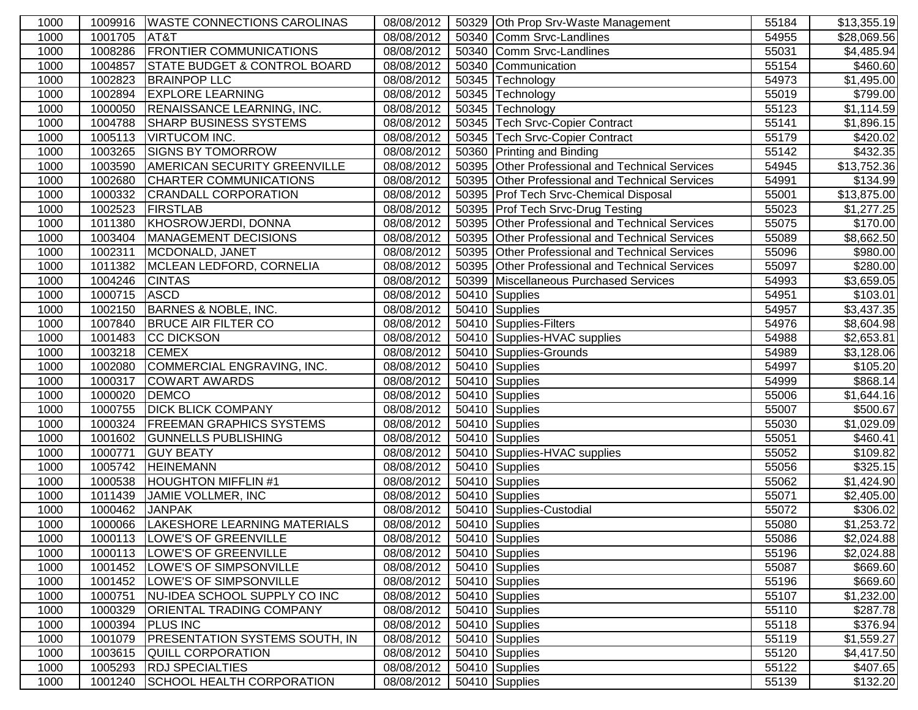| 1000 |         | 1009916   WASTE CONNECTIONS CAROLINAS   | 08/08/2012                | 50329 Oth Prop Srv-Waste Management             | 55184 | \$13,355.19            |
|------|---------|-----------------------------------------|---------------------------|-------------------------------------------------|-------|------------------------|
| 1000 | 1001705 | AT&T                                    | 08/08/2012                | 50340 Comm Srvc-Landlines                       | 54955 | \$28,069.56            |
| 1000 | 1008286 | <b>FRONTIER COMMUNICATIONS</b>          | 08/08/2012                | 50340 Comm Srvc-Landlines                       | 55031 | \$4,485.94             |
| 1000 | 1004857 | <b>STATE BUDGET &amp; CONTROL BOARD</b> | 08/08/2012                | 50340 Communication                             | 55154 | \$460.60               |
| 1000 | 1002823 | <b>BRAINPOP LLC</b>                     | 08/08/2012                | 50345 Technology                                | 54973 | \$1,495.00             |
| 1000 | 1002894 | <b>EXPLORE LEARNING</b>                 | 08/08/2012                | 50345 Technology                                | 55019 | \$799.00               |
| 1000 | 1000050 | <b>RENAISSANCE LEARNING, INC.</b>       | 08/08/2012                | 50345 Technology                                | 55123 | \$1,114.59             |
| 1000 | 1004788 | <b>SHARP BUSINESS SYSTEMS</b>           | 08/08/2012                | 50345   Tech Srvc-Copier Contract               | 55141 | \$1,896.15             |
| 1000 | 1005113 | <b>VIRTUCOM INC.</b>                    | 08/08/2012                | 50345 Tech Srvc-Copier Contract                 | 55179 | \$420.02               |
| 1000 | 1003265 | <b>SIGNS BY TOMORROW</b>                | 08/08/2012                | 50360 Printing and Binding                      | 55142 | \$432.35               |
| 1000 | 1003590 | <b>AMERICAN SECURITY GREENVILLE</b>     | 08/08/2012                | 50395 Other Professional and Technical Services | 54945 | \$13,752.36            |
| 1000 | 1002680 | CHARTER COMMUNICATIONS                  | 08/08/2012                | 50395 Other Professional and Technical Services | 54991 | \$134.99               |
| 1000 | 1000332 | <b>CRANDALL CORPORATION</b>             | 08/08/2012                | 50395 Prof Tech Srvc-Chemical Disposal          | 55001 | \$13,875.00            |
| 1000 | 1002523 | <b>FIRSTLAB</b>                         | 08/08/2012                | 50395 Prof Tech Srvc-Drug Testing               | 55023 | $\overline{31,277.25}$ |
| 1000 | 1011380 | KHOSROWJERDI, DONNA                     | 08/08/2012                | 50395 Other Professional and Technical Services | 55075 | \$170.00               |
| 1000 | 1003404 | MANAGEMENT DECISIONS                    | 08/08/2012                | 50395 Other Professional and Technical Services | 55089 | \$8,662.50             |
| 1000 | 1002311 | MCDONALD, JANET                         | 08/08/2012                | 50395 Other Professional and Technical Services | 55096 | \$980.00               |
| 1000 | 1011382 | MCLEAN LEDFORD, CORNELIA                | 08/08/2012                | 50395 Other Professional and Technical Services | 55097 | \$280.00               |
| 1000 | 1004246 | <b>CINTAS</b>                           | 08/08/2012                | 50399 Miscellaneous Purchased Services          | 54993 | $\overline{$3,659.05}$ |
| 1000 | 1000715 | ASCD                                    | 08/08/2012                | 50410 Supplies                                  | 54951 | \$103.01               |
| 1000 | 1002150 | <b>BARNES &amp; NOBLE, INC.</b>         | 08/08/2012                | 50410 Supplies                                  | 54957 | \$3,437.35             |
| 1000 | 1007840 | <b>BRUCE AIR FILTER CO</b>              | 08/08/2012                | 50410 Supplies-Filters                          | 54976 | \$8,604.98             |
| 1000 | 1001483 | <b>CC DICKSON</b>                       | 08/08/2012                | 50410 Supplies-HVAC supplies                    | 54988 | \$2,653.81             |
| 1000 | 1003218 | <b>CEMEX</b>                            | 08/08/2012                | 50410 Supplies-Grounds                          | 54989 | \$3,128.06             |
| 1000 | 1002080 | COMMERCIAL ENGRAVING, INC.              | 08/08/2012                | 50410 Supplies                                  | 54997 | \$105.20               |
| 1000 | 1000317 | <b>COWART AWARDS</b>                    | 08/08/2012                | 50410 Supplies                                  | 54999 | \$868.14               |
| 1000 | 1000020 | <b>DEMCO</b>                            | 08/08/2012                | 50410 Supplies                                  | 55006 | \$1,644.16             |
| 1000 | 1000755 | <b>DICK BLICK COMPANY</b>               | 08/08/2012                | 50410 Supplies                                  | 55007 | \$500.67               |
| 1000 | 1000324 | <b>FREEMAN GRAPHICS SYSTEMS</b>         | 08/08/2012                | 50410 Supplies                                  | 55030 | \$1,029.09             |
| 1000 | 1001602 | <b>GUNNELLS PUBLISHING</b>              | 08/08/2012                | 50410 Supplies                                  | 55051 | $\overline{$}460.41$   |
| 1000 | 1000771 | <b>GUY BEATY</b>                        | 08/08/2012                | 50410 Supplies-HVAC supplies                    | 55052 | \$109.82               |
| 1000 | 1005742 | <b>HEINEMANN</b>                        | 08/08/2012                | 50410 Supplies                                  | 55056 | \$325.15               |
| 1000 | 1000538 | <b>HOUGHTON MIFFLIN#1</b>               | 08/08/2012                | 50410 Supplies                                  | 55062 | \$1,424.90             |
| 1000 | 1011439 | JAMIE VOLLMER, INC                      | 08/08/2012                | 50410 Supplies                                  | 55071 | \$2,405.00             |
| 1000 | 1000462 | <b>JANPAK</b>                           | 08/08/2012                | 50410 Supplies-Custodial                        | 55072 | \$306.02               |
| 1000 | 1000066 | LAKESHORE LEARNING MATERIALS            | 08/08/2012                | 50410 Supplies                                  | 55080 | $\overline{$1,253.72}$ |
| 1000 |         | 1000113  LOWE'S OF GREENVILLE           | 08/08/2012 50410 Supplies |                                                 | 55086 | \$2,024.88             |
| 1000 | 1000113 | LOWE'S OF GREENVILLE                    | 08/08/2012                | 50410 Supplies                                  | 55196 | \$2,024.88             |
| 1000 | 1001452 | LOWE'S OF SIMPSONVILLE                  | 08/08/2012                | 50410 Supplies                                  | 55087 | \$669.60               |
| 1000 | 1001452 | LOWE'S OF SIMPSONVILLE                  | 08/08/2012                | 50410 Supplies                                  | 55196 | \$669.60               |
| 1000 | 1000751 | NU-IDEA SCHOOL SUPPLY CO INC            | 08/08/2012                | 50410 Supplies                                  | 55107 | \$1,232.00             |
| 1000 | 1000329 | <b>ORIENTAL TRADING COMPANY</b>         | 08/08/2012                | 50410 Supplies                                  | 55110 | \$287.78               |
| 1000 | 1000394 | <b>PLUS INC</b>                         | 08/08/2012                | 50410 Supplies                                  | 55118 | \$376.94               |
| 1000 | 1001079 | <b>PRESENTATION SYSTEMS SOUTH, IN</b>   | 08/08/2012                | 50410 Supplies                                  | 55119 | \$1,559.27             |
| 1000 | 1003615 | <b>QUILL CORPORATION</b>                | 08/08/2012                | 50410 Supplies                                  | 55120 | \$4,417.50             |
| 1000 | 1005293 | <b>RDJ SPECIALTIES</b>                  | 08/08/2012                | 50410 Supplies                                  | 55122 | \$407.65               |
| 1000 | 1001240 | SCHOOL HEALTH CORPORATION               | 08/08/2012                | 50410 Supplies                                  | 55139 | \$132.20               |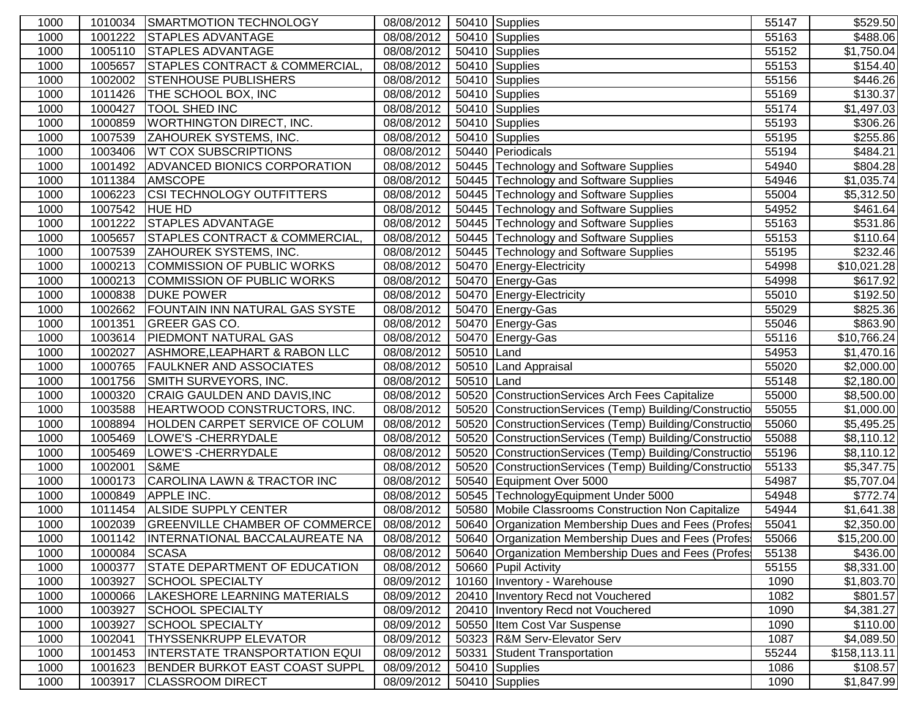| 1000 | 1010034 | <b>SMARTMOTION TECHNOLOGY</b>            | 08/08/2012 |            | 50410 Supplies                                         | 55147 | \$529.50                |
|------|---------|------------------------------------------|------------|------------|--------------------------------------------------------|-------|-------------------------|
| 1000 | 1001222 | <b>STAPLES ADVANTAGE</b>                 | 08/08/2012 |            | 50410 Supplies                                         | 55163 | \$488.06                |
| 1000 | 1005110 | <b>STAPLES ADVANTAGE</b>                 | 08/08/2012 |            | 50410 Supplies                                         | 55152 | \$1,750.04              |
| 1000 | 1005657 | STAPLES CONTRACT & COMMERCIAL,           | 08/08/2012 |            | 50410 Supplies                                         | 55153 | \$154.40                |
| 1000 | 1002002 | <b>STENHOUSE PUBLISHERS</b>              | 08/08/2012 |            | 50410 Supplies                                         | 55156 | \$446.26                |
| 1000 | 1011426 | THE SCHOOL BOX, INC                      | 08/08/2012 |            | 50410 Supplies                                         | 55169 | \$130.37                |
| 1000 | 1000427 | <b>TOOL SHED INC</b>                     | 08/08/2012 |            | 50410 Supplies                                         | 55174 | \$1,497.03              |
| 1000 | 1000859 | <b>WORTHINGTON DIRECT, INC.</b>          | 08/08/2012 |            | 50410 Supplies                                         | 55193 | \$306.26                |
| 1000 | 1007539 | <b>ZAHOUREK SYSTEMS, INC.</b>            | 08/08/2012 |            | 50410 Supplies                                         | 55195 | \$255.86                |
| 1000 | 1003406 | <b>WT COX SUBSCRIPTIONS</b>              | 08/08/2012 |            | 50440 Periodicals                                      | 55194 | \$484.21                |
| 1000 | 1001492 | <b>ADVANCED BIONICS CORPORATION</b>      | 08/08/2012 |            | 50445 Technology and Software Supplies                 | 54940 | \$804.28                |
| 1000 | 1011384 | <b>AMSCOPE</b>                           | 08/08/2012 |            | 50445 Technology and Software Supplies                 | 54946 | \$1,035.74              |
| 1000 | 1006223 | <b>CSI TECHNOLOGY OUTFITTERS</b>         | 08/08/2012 |            | 50445 Technology and Software Supplies                 | 55004 | $\overline{$}5,312.50$  |
| 1000 | 1007542 | <b>HUE HD</b>                            | 08/08/2012 |            | 50445 Technology and Software Supplies                 | 54952 | \$461.64                |
| 1000 | 1001222 | <b>STAPLES ADVANTAGE</b>                 | 08/08/2012 |            | 50445 Technology and Software Supplies                 | 55163 | $\overline{$}531.86$    |
| 1000 | 1005657 | <b>STAPLES CONTRACT &amp; COMMERCIAL</b> | 08/08/2012 |            | 50445 Technology and Software Supplies                 | 55153 | \$110.64                |
| 1000 | 1007539 | <b>ZAHOUREK SYSTEMS, INC.</b>            | 08/08/2012 |            | 50445 Technology and Software Supplies                 | 55195 | \$232.46                |
| 1000 | 1000213 | COMMISSION OF PUBLIC WORKS               | 08/08/2012 |            | 50470 Energy-Electricity                               | 54998 | $\overline{$10,021.28}$ |
| 1000 | 1000213 | COMMISSION OF PUBLIC WORKS               | 08/08/2012 |            | 50470 Energy-Gas                                       | 54998 | \$617.92                |
| 1000 | 1000838 | <b>DUKE POWER</b>                        | 08/08/2012 |            | 50470 Energy-Electricity                               | 55010 | \$192.50                |
| 1000 | 1002662 | <b>FOUNTAIN INN NATURAL GAS SYSTE</b>    | 08/08/2012 |            | 50470 Energy-Gas                                       | 55029 | $\overline{$825.36}$    |
| 1000 | 1001351 | <b>GREER GAS CO.</b>                     | 08/08/2012 |            | 50470 Energy-Gas                                       | 55046 | \$863.90                |
| 1000 | 1003614 | <b>PIEDMONT NATURAL GAS</b>              | 08/08/2012 |            | 50470 Energy-Gas                                       | 55116 | \$10,766.24             |
| 1000 | 1002027 | <b>ASHMORE, LEAPHART &amp; RABON LLC</b> | 08/08/2012 | 50510 Land |                                                        | 54953 | \$1,470.16              |
| 1000 | 1000765 | <b>FAULKNER AND ASSOCIATES</b>           | 08/08/2012 |            | 50510 Land Appraisal                                   | 55020 | \$2,000.00              |
| 1000 | 1001756 | SMITH SURVEYORS, INC.                    | 08/08/2012 | 50510 Land |                                                        | 55148 | \$2,180.00              |
| 1000 | 1000320 | CRAIG GAULDEN AND DAVIS, INC             | 08/08/2012 |            | 50520 ConstructionServices Arch Fees Capitalize        | 55000 | \$8,500.00              |
| 1000 | 1003588 | HEARTWOOD CONSTRUCTORS, INC.             | 08/08/2012 |            | 50520 ConstructionServices (Temp) Building/Constructio | 55055 | \$1,000.00              |
| 1000 | 1008894 | HOLDEN CARPET SERVICE OF COLUM           | 08/08/2012 |            | 50520 ConstructionServices (Temp) Building/Constructio | 55060 | \$5,495.25              |
| 1000 | 1005469 | LOWE'S - CHERRYDALE                      | 08/08/2012 |            | 50520 ConstructionServices (Temp) Building/Constructio | 55088 | \$8,110.12              |
| 1000 | 1005469 | LOWE'S - CHERRYDALE                      | 08/08/2012 |            | 50520 ConstructionServices (Temp) Building/Constructio | 55196 | \$8,110.12              |
| 1000 | 1002001 | S&ME                                     | 08/08/2012 |            | 50520 ConstructionServices (Temp) Building/Constructio | 55133 | \$5,347.75              |
| 1000 | 1000173 | CAROLINA LAWN & TRACTOR INC              | 08/08/2012 |            | 50540 Equipment Over 5000                              | 54987 | $\overline{$}5,707.04$  |
| 1000 | 1000849 | <b>APPLE INC.</b>                        | 08/08/2012 |            | 50545 TechnologyEquipment Under 5000                   | 54948 | \$772.74                |
| 1000 | 1011454 | <b>ALSIDE SUPPLY CENTER</b>              | 08/08/2012 |            | 50580 Mobile Classrooms Construction Non Capitalize    | 54944 | \$1,641.38              |
| 1000 | 1002039 | <b>GREENVILLE CHAMBER OF COMMERCE</b>    | 08/08/2012 |            | 50640 Organization Membership Dues and Fees (Profes    | 55041 | \$2,350.00              |
| 1000 | 1001142 | <b>INTERNATIONAL BACCALAUREATE NA</b>    | 08/08/2012 |            | 50640 Organization Membership Dues and Fees (Profes    | 55066 | \$15,200.00             |
| 1000 | 1000084 | <b>SCASA</b>                             | 08/08/2012 |            | 50640 Organization Membership Dues and Fees (Profes)   | 55138 | \$436.00                |
| 1000 | 1000377 | <b>STATE DEPARTMENT OF EDUCATION</b>     | 08/08/2012 |            | 50660 Pupil Activity                                   | 55155 | \$8,331.00              |
| 1000 | 1003927 | <b>SCHOOL SPECIALTY</b>                  | 08/09/2012 |            | 10160   Inventory - Warehouse                          | 1090  | \$1,803.70              |
| 1000 | 1000066 | LAKESHORE LEARNING MATERIALS             | 08/09/2012 |            | 20410 Inventory Recd not Vouchered                     | 1082  | \$801.57                |
| 1000 | 1003927 | <b>SCHOOL SPECIALTY</b>                  | 08/09/2012 |            | 20410 Inventory Recd not Vouchered                     | 1090  | \$4,381.27              |
| 1000 | 1003927 | <b>SCHOOL SPECIALTY</b>                  | 08/09/2012 |            | 50550 Item Cost Var Suspense                           | 1090  | \$110.00                |
| 1000 | 1002041 | <b>THYSSENKRUPP ELEVATOR</b>             | 08/09/2012 |            | 50323 R&M Serv-Elevator Serv                           | 1087  | \$4,089.50              |
| 1000 | 1001453 | <b>INTERSTATE TRANSPORTATION EQUI</b>    | 08/09/2012 | 50331      | <b>Student Transportation</b>                          | 55244 | \$158, 113.11           |
| 1000 | 1001623 | <b>BENDER BURKOT EAST COAST SUPPL</b>    | 08/09/2012 |            | 50410 Supplies                                         | 1086  | \$108.57                |
| 1000 | 1003917 | <b>CLASSROOM DIRECT</b>                  | 08/09/2012 |            | 50410 Supplies                                         | 1090  | \$1,847.99              |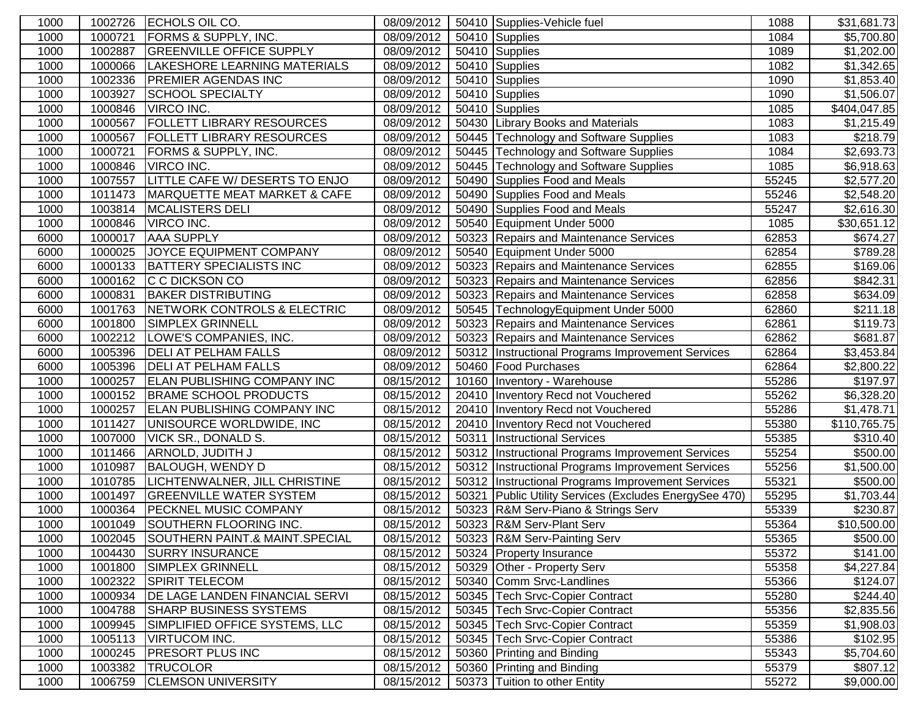| 1000 | 1002726 | ECHOLS OIL CO.                        | 08/09/2012 |       | 50410 Supplies-Vehicle fuel                            | 1088  | \$31,681.73            |
|------|---------|---------------------------------------|------------|-------|--------------------------------------------------------|-------|------------------------|
| 1000 | 1000721 | <b>FORMS &amp; SUPPLY, INC.</b>       | 08/09/2012 |       | 50410 Supplies                                         | 1084  | \$5,700.80             |
| 1000 | 1002887 | <b>GREENVILLE OFFICE SUPPLY</b>       | 08/09/2012 |       | 50410 Supplies                                         | 1089  | \$1,202.00             |
| 1000 | 1000066 | LAKESHORE LEARNING MATERIALS          | 08/09/2012 |       | 50410 Supplies                                         | 1082  | \$1,342.65             |
| 1000 | 1002336 | <b>PREMIER AGENDAS INC</b>            | 08/09/2012 |       | 50410 Supplies                                         | 1090  | \$1,853.40             |
| 1000 | 1003927 | <b>SCHOOL SPECIALTY</b>               | 08/09/2012 |       | 50410 Supplies                                         | 1090  | \$1,506.07             |
| 1000 | 1000846 | VIRCO INC.                            | 08/09/2012 |       | 50410 Supplies                                         | 1085  | \$404,047.85           |
| 1000 | 1000567 | <b>FOLLETT LIBRARY RESOURCES</b>      | 08/09/2012 |       | 50430 Library Books and Materials                      | 1083  | \$1,215.49             |
| 1000 | 1000567 | <b>FOLLETT LIBRARY RESOURCES</b>      | 08/09/2012 |       | 50445 Technology and Software Supplies                 | 1083  | \$218.79               |
| 1000 | 1000721 | FORMS & SUPPLY, INC.                  | 08/09/2012 |       | 50445 Technology and Software Supplies                 | 1084  | \$2,693.73             |
| 1000 | 1000846 | VIRCO INC.                            | 08/09/2012 |       | 50445 Technology and Software Supplies                 | 1085  | \$6,918.63             |
| 1000 | 1007557 | <b>LITTLE CAFE W/ DESERTS TO ENJO</b> | 08/09/2012 |       | 50490 Supplies Food and Meals                          | 55245 | \$2,577.20             |
| 1000 | 1011473 | MARQUETTE MEAT MARKET & CAFE          | 08/09/2012 |       | 50490 Supplies Food and Meals                          | 55246 | \$2,548.20             |
| 1000 | 1003814 | <b>MCALISTERS DELI</b>                | 08/09/2012 |       | 50490 Supplies Food and Meals                          | 55247 | $\overline{$}2,616.30$ |
| 1000 | 1000846 | VIRCO INC.                            | 08/09/2012 |       | 50540 Equipment Under 5000                             | 1085  | \$30,651.12            |
| 6000 | 1000017 | <b>AAA SUPPLY</b>                     | 08/09/2012 |       | 50323 Repairs and Maintenance Services                 | 62853 | $\overline{$}674.27$   |
| 6000 | 1000025 | JOYCE EQUIPMENT COMPANY               | 08/09/2012 |       | 50540 Equipment Under 5000                             | 62854 | $\overline{$}789.28$   |
| 6000 | 1000133 | <b>BATTERY SPECIALISTS INC</b>        | 08/09/2012 |       | 50323 Repairs and Maintenance Services                 | 62855 | \$169.06               |
| 6000 | 1000162 | C C DICKSON CO                        | 08/09/2012 |       | 50323 Repairs and Maintenance Services                 | 62856 | $\overline{$842.31}$   |
| 6000 | 1000831 | <b>BAKER DISTRIBUTING</b>             | 08/09/2012 |       | 50323 Repairs and Maintenance Services                 | 62858 | \$634.09               |
| 6000 | 1001763 | NETWORK CONTROLS & ELECTRIC           | 08/09/2012 |       | 50545 TechnologyEquipment Under 5000                   | 62860 | \$211.18               |
| 6000 | 1001800 | <b>SIMPLEX GRINNELL</b>               | 08/09/2012 |       | 50323 Repairs and Maintenance Services                 | 62861 | $\overline{$}119.73$   |
| 6000 | 1002212 | LOWE'S COMPANIES, INC.                | 08/09/2012 |       | 50323 Repairs and Maintenance Services                 | 62862 | \$681.87               |
| 6000 | 1005396 | <b>DELI AT PELHAM FALLS</b>           | 08/09/2012 |       | 50312 Instructional Programs Improvement Services      | 62864 | \$3,453.84             |
| 6000 | 1005396 | <b>DELI AT PELHAM FALLS</b>           | 08/09/2012 |       | 50460 Food Purchases                                   | 62864 | \$2,800.22             |
| 1000 | 1000257 | <b>ELAN PUBLISHING COMPANY INC</b>    | 08/15/2012 | 10160 | Inventory - Warehouse                                  | 55286 | \$197.97               |
| 1000 | 1000152 | <b>BRAME SCHOOL PRODUCTS</b>          | 08/15/2012 | 20410 | Inventory Recd not Vouchered                           | 55262 | \$6,328.20             |
| 1000 | 1000257 | <b>ELAN PUBLISHING COMPANY INC</b>    | 08/15/2012 | 20410 | Inventory Recd not Vouchered                           | 55286 | \$1,478.71             |
| 1000 | 1011427 | UNISOURCE WORLDWIDE, INC              | 08/15/2012 | 20410 | Inventory Recd not Vouchered                           | 55380 | \$110,765.75           |
| 1000 | 1007000 | <b>VICK SR., DONALD S.</b>            | 08/15/2012 | 50311 | <b>Instructional Services</b>                          | 55385 | \$310.40               |
| 1000 | 1011466 | ARNOLD, JUDITH J                      | 08/15/2012 |       | 50312 Instructional Programs Improvement Services      | 55254 | \$500.00               |
| 1000 | 1010987 | <b>BALOUGH, WENDY D</b>               | 08/15/2012 |       | 50312   Instructional Programs Improvement Services    | 55256 | \$1,500.00             |
| 1000 | 1010785 | LICHTENWALNER, JILL CHRISTINE         | 08/15/2012 |       | 50312   Instructional Programs Improvement Services    | 55321 | \$500.00               |
| 1000 | 1001497 | <b>GREENVILLE WATER SYSTEM</b>        | 08/15/2012 |       | 50321 Public Utility Services (Excludes EnergySee 470) | 55295 | \$1,703.44             |
| 1000 | 1000364 | <b>PECKNEL MUSIC COMPANY</b>          | 08/15/2012 |       | 50323 R&M Serv-Piano & Strings Serv                    | 55339 | \$230.87               |
| 1000 | 1001049 | <b>SOUTHERN FLOORING INC.</b>         | 08/15/2012 |       | 50323 R&M Serv-Plant Serv                              | 55364 | \$10,500.00            |
| 1000 | 1002045 | SOUTHERN PAINT.& MAINT.SPECIAL        | 08/15/2012 |       | 50323 R&M Serv-Painting Serv                           | 55365 | \$500.00               |
| 1000 | 1004430 | <b>SURRY INSURANCE</b>                | 08/15/2012 |       | 50324 Property Insurance                               | 55372 | \$141.00               |
| 1000 | 1001800 | <b>SIMPLEX GRINNELL</b>               | 08/15/2012 |       | 50329 Other - Property Serv                            | 55358 | \$4,227.84             |
| 1000 | 1002322 | <b>SPIRIT TELECOM</b>                 | 08/15/2012 |       | 50340 Comm Srvc-Landlines                              | 55366 | \$124.07               |
| 1000 | 1000934 | <b>DE LAGE LANDEN FINANCIAL SERVI</b> | 08/15/2012 |       | 50345 Tech Srvc-Copier Contract                        | 55280 | \$244.40               |
| 1000 | 1004788 | <b>SHARP BUSINESS SYSTEMS</b>         | 08/15/2012 |       | 50345 Tech Srvc-Copier Contract                        | 55356 | \$2,835.56             |
| 1000 | 1009945 | SIMPLIFIED OFFICE SYSTEMS, LLC        | 08/15/2012 |       | 50345 Tech Srvc-Copier Contract                        | 55359 | \$1,908.03             |
| 1000 | 1005113 | <b>VIRTUCOM INC.</b>                  | 08/15/2012 |       | 50345 Tech Srvc-Copier Contract                        | 55386 | \$102.95               |
| 1000 | 1000245 | <b>PRESORT PLUS INC</b>               | 08/15/2012 |       | 50360 Printing and Binding                             | 55343 | \$5,704.60             |
| 1000 | 1003382 | <b>TRUCOLOR</b>                       | 08/15/2012 |       | 50360 Printing and Binding                             | 55379 | \$807.12               |
| 1000 | 1006759 | <b>CLEMSON UNIVERSITY</b>             | 08/15/2012 |       | 50373 Tuition to other Entity                          | 55272 | \$9,000.00             |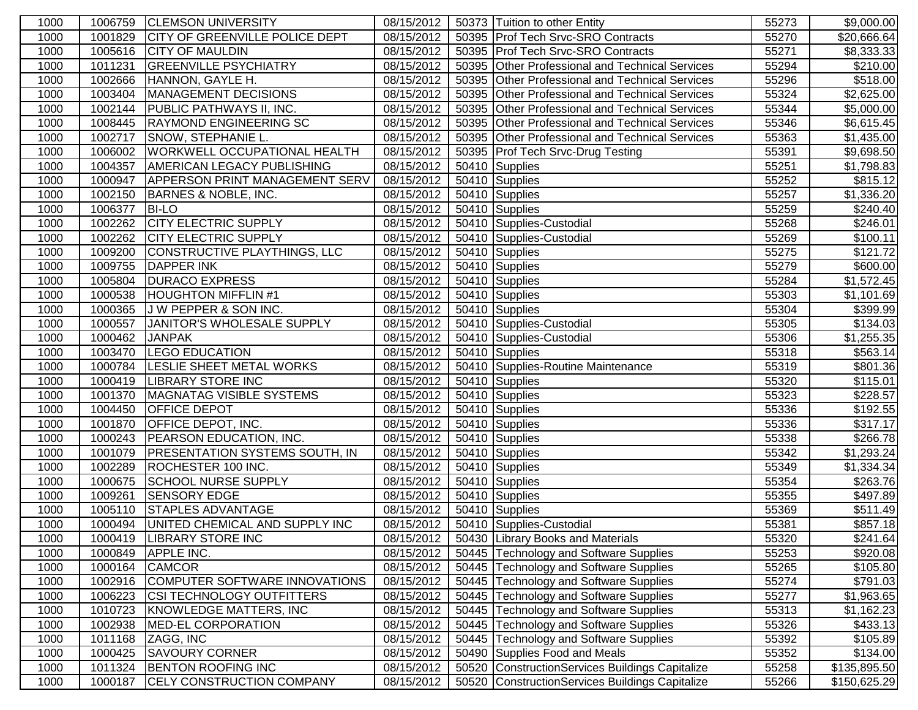| 1000 | 1006759 | <b>CLEMSON UNIVERSITY</b>             | 08/15/2012 |       | 50373 Tuition to other Entity                   | 55273 | \$9,000.00           |
|------|---------|---------------------------------------|------------|-------|-------------------------------------------------|-------|----------------------|
| 1000 | 1001829 | <b>CITY OF GREENVILLE POLICE DEPT</b> | 08/15/2012 |       | 50395 Prof Tech Srvc-SRO Contracts              | 55270 | \$20,666.64          |
| 1000 | 1005616 | <b>CITY OF MAULDIN</b>                | 08/15/2012 |       | 50395 Prof Tech Srvc-SRO Contracts              | 55271 | \$8,333.33           |
| 1000 | 1011231 | <b>GREENVILLE PSYCHIATRY</b>          | 08/15/2012 |       | 50395 Other Professional and Technical Services | 55294 | \$210.00             |
| 1000 | 1002666 | HANNON, GAYLE H.                      | 08/15/2012 |       | 50395 Other Professional and Technical Services | 55296 | \$518.00             |
| 1000 | 1003404 | MANAGEMENT DECISIONS                  | 08/15/2012 |       | 50395 Other Professional and Technical Services | 55324 | \$2,625.00           |
| 1000 | 1002144 | <b>PUBLIC PATHWAYS II, INC.</b>       | 08/15/2012 | 50395 | Other Professional and Technical Services       | 55344 | \$5,000.00           |
| 1000 | 1008445 | <b>RAYMOND ENGINEERING SC</b>         | 08/15/2012 | 50395 | Other Professional and Technical Services       | 55346 | \$6,615.45           |
| 1000 | 1002717 | SNOW, STEPHANIE L.                    | 08/15/2012 |       | 50395 Other Professional and Technical Services | 55363 | \$1,435.00           |
| 1000 | 1006002 | WORKWELL OCCUPATIONAL HEALTH          | 08/15/2012 |       | 50395 Prof Tech Srvc-Drug Testing               | 55391 | \$9,698.50           |
| 1000 | 1004357 | AMERICAN LEGACY PUBLISHING            | 08/15/2012 |       | 50410 Supplies                                  | 55251 | \$1,798.83           |
| 1000 | 1000947 | <b>APPERSON PRINT MANAGEMENT SERV</b> | 08/15/2012 |       | 50410 Supplies                                  | 55252 | \$815.12             |
| 1000 | 1002150 | BARNES & NOBLE, INC.                  | 08/15/2012 |       | 50410 Supplies                                  | 55257 | \$1,336.20           |
| 1000 | 1006377 | <b>BI-LO</b>                          | 08/15/2012 |       | 50410 Supplies                                  | 55259 | \$240.40]            |
| 1000 | 1002262 | <b>CITY ELECTRIC SUPPLY</b>           | 08/15/2012 |       | 50410 Supplies-Custodial                        | 55268 | \$246.01             |
| 1000 | 1002262 | <b>CITY ELECTRIC SUPPLY</b>           | 08/15/2012 |       | 50410 Supplies-Custodial                        | 55269 | \$100.11             |
| 1000 | 1009200 | CONSTRUCTIVE PLAYTHINGS, LLC          | 08/15/2012 |       | 50410 Supplies                                  | 55275 | \$121.72             |
| 1000 | 1009755 | <b>DAPPER INK</b>                     | 08/15/2012 |       | 50410 Supplies                                  | 55279 | \$600.00             |
| 1000 | 1005804 | <b>DURACO EXPRESS</b>                 | 08/15/2012 |       | 50410 Supplies                                  | 55284 | \$1,572.45           |
| 1000 | 1000538 | <b>HOUGHTON MIFFLIN#1</b>             | 08/15/2012 |       | 50410 Supplies                                  | 55303 | \$1,101.69           |
| 1000 | 1000365 | J W PEPPER & SON INC.                 | 08/15/2012 |       | 50410 Supplies                                  | 55304 | \$399.99             |
| 1000 | 1000557 | JANITOR'S WHOLESALE SUPPLY            | 08/15/2012 |       | 50410 Supplies-Custodial                        | 55305 | \$134.03             |
| 1000 | 1000462 | <b>JANPAK</b>                         | 08/15/2012 |       | 50410 Supplies-Custodial                        | 55306 | \$1,255.35           |
| 1000 | 1003470 | <b>LEGO EDUCATION</b>                 | 08/15/2012 |       | 50410 Supplies                                  | 55318 | $\overline{$}563.14$ |
| 1000 | 1000784 | <b>LESLIE SHEET METAL WORKS</b>       | 08/15/2012 |       | 50410 Supplies-Routine Maintenance              | 55319 | \$801.36             |
| 1000 | 1000419 | <b>LIBRARY STORE INC</b>              | 08/15/2012 |       | 50410 Supplies                                  | 55320 | \$115.01             |
| 1000 | 1001370 | MAGNATAG VISIBLE SYSTEMS              | 08/15/2012 |       | 50410 Supplies                                  | 55323 | \$228.57             |
| 1000 | 1004450 | <b>OFFICE DEPOT</b>                   | 08/15/2012 |       | 50410 Supplies                                  | 55336 | \$192.55             |
| 1000 | 1001870 | <b>OFFICE DEPOT, INC.</b>             | 08/15/2012 |       | 50410 Supplies                                  | 55336 | \$317.17             |
| 1000 | 1000243 | <b>PEARSON EDUCATION, INC.</b>        | 08/15/2012 |       | 50410 Supplies                                  | 55338 | \$266.78             |
| 1000 | 1001079 | <b>PRESENTATION SYSTEMS SOUTH, IN</b> | 08/15/2012 |       | 50410 Supplies                                  | 55342 | \$1,293.24           |
| 1000 | 1002289 | ROCHESTER 100 INC.                    | 08/15/2012 |       | 50410 Supplies                                  | 55349 | \$1,334.34           |
| 1000 | 1000675 | <b>SCHOOL NURSE SUPPLY</b>            | 08/15/2012 |       | 50410 Supplies                                  | 55354 | \$263.76             |
| 1000 | 1009261 | <b>SENSORY EDGE</b>                   | 08/15/2012 |       | 50410 Supplies                                  | 55355 | $\sqrt{$497.89}$     |
| 1000 | 1005110 | <b>STAPLES ADVANTAGE</b>              | 08/15/2012 |       | 50410 Supplies                                  | 55369 | \$511.49             |
| 1000 | 1000494 | UNITED CHEMICAL AND SUPPLY INC        | 08/15/2012 |       | 50410 Supplies-Custodial                        | 55381 | $\overline{$857.18}$ |
| 1000 | 1000419 | <b>LIBRARY STORE INC</b>              | 08/15/2012 |       | 50430 Library Books and Materials               | 55320 | \$241.64             |
| 1000 | 1000849 | APPLE INC.                            | 08/15/2012 |       | 50445 Technology and Software Supplies          | 55253 | \$920.08             |
| 1000 | 1000164 | <b>CAMCOR</b>                         | 08/15/2012 |       | 50445 Technology and Software Supplies          | 55265 | \$105.80             |
| 1000 | 1002916 | COMPUTER SOFTWARE INNOVATIONS         | 08/15/2012 |       | 50445 Technology and Software Supplies          | 55274 | \$791.03             |
| 1000 | 1006223 | <b>CSI TECHNOLOGY OUTFITTERS</b>      | 08/15/2012 |       | 50445 Technology and Software Supplies          | 55277 | \$1,963.65           |
| 1000 | 1010723 | KNOWLEDGE MATTERS, INC                | 08/15/2012 |       | 50445 Technology and Software Supplies          | 55313 | \$1,162.23           |
| 1000 | 1002938 | MED-EL CORPORATION                    | 08/15/2012 |       | 50445 Technology and Software Supplies          | 55326 | \$433.13             |
| 1000 | 1011168 | ZAGG, INC                             | 08/15/2012 |       | 50445 Technology and Software Supplies          | 55392 | \$105.89             |
| 1000 | 1000425 | <b>SAVOURY CORNER</b>                 | 08/15/2012 |       | 50490 Supplies Food and Meals                   | 55352 | \$134.00             |
| 1000 | 1011324 | <b>BENTON ROOFING INC</b>             | 08/15/2012 |       | 50520 ConstructionServices Buildings Capitalize | 55258 | \$135,895.50         |
| 1000 | 1000187 | <b>CELY CONSTRUCTION COMPANY</b>      | 08/15/2012 |       | 50520 ConstructionServices Buildings Capitalize | 55266 | \$150,625.29         |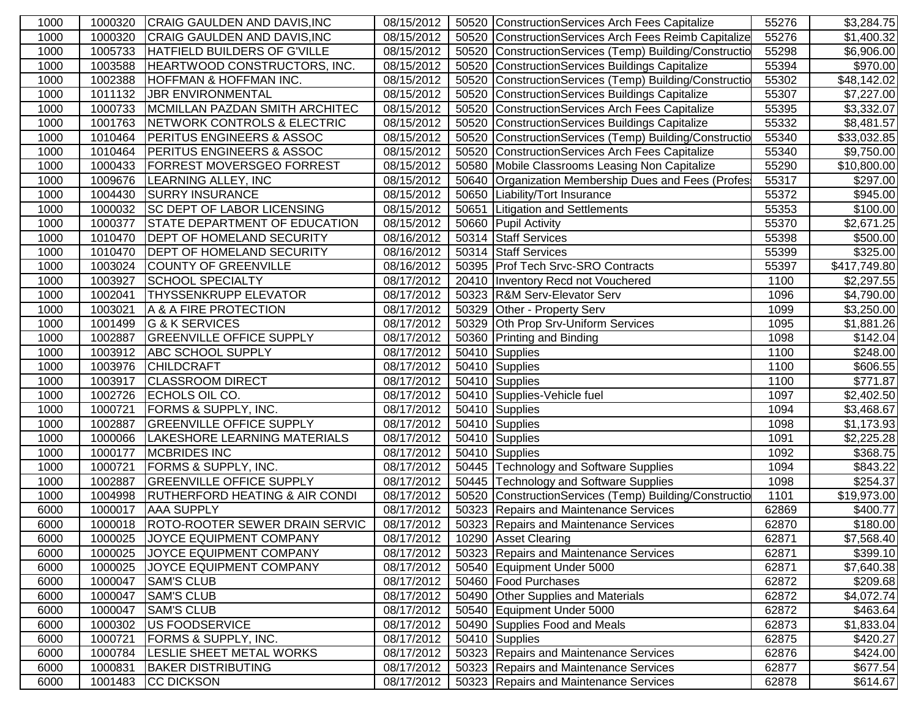| 1000 | 1000320 | <b>CRAIG GAULDEN AND DAVIS, INC</b>       | 08/15/2012 | 50520 ConstructionServices Arch Fees Capitalize        | 55276 | \$3,284.75             |
|------|---------|-------------------------------------------|------------|--------------------------------------------------------|-------|------------------------|
| 1000 | 1000320 | CRAIG GAULDEN AND DAVIS, INC              | 08/15/2012 | 50520 ConstructionServices Arch Fees Reimb Capitalize  | 55276 | \$1,400.32             |
| 1000 | 1005733 | HATFIELD BUILDERS OF G'VILLE              | 08/15/2012 | 50520 ConstructionServices (Temp) Building/Constructio | 55298 | \$6,906.00             |
| 1000 | 1003588 | HEARTWOOD CONSTRUCTORS, INC.              | 08/15/2012 | 50520 ConstructionServices Buildings Capitalize        | 55394 | \$970.00               |
| 1000 | 1002388 | <b>HOFFMAN &amp; HOFFMAN INC.</b>         | 08/15/2012 | 50520 ConstructionServices (Temp) Building/Constructio | 55302 | \$48,142.02            |
| 1000 | 1011132 | <b>JBR ENVIRONMENTAL</b>                  | 08/15/2012 | 50520 ConstructionServices Buildings Capitalize        | 55307 | \$7,227.00             |
| 1000 | 1000733 | MCMILLAN PAZDAN SMITH ARCHITEC            | 08/15/2012 | 50520 ConstructionServices Arch Fees Capitalize        | 55395 | \$3,332.07             |
| 1000 | 1001763 | NETWORK CONTROLS & ELECTRIC               | 08/15/2012 | 50520 ConstructionServices Buildings Capitalize        | 55332 | \$8,481.57             |
| 1000 | 1010464 | <b>PERITUS ENGINEERS &amp; ASSOC</b>      | 08/15/2012 | 50520 ConstructionServices (Temp) Building/Constructio | 55340 | \$33,032.85            |
| 1000 | 1010464 | <b>PERITUS ENGINEERS &amp; ASSOC</b>      | 08/15/2012 | 50520 ConstructionServices Arch Fees Capitalize        | 55340 | \$9,750.00             |
| 1000 | 1000433 | <b>FORREST MOVERSGEO FORREST</b>          | 08/15/2012 | 50580 Mobile Classrooms Leasing Non Capitalize         | 55290 | \$10,800.00            |
| 1000 | 1009676 | LEARNING ALLEY, INC                       | 08/15/2012 | 50640 Organization Membership Dues and Fees (Profes    | 55317 | $\overline{$}297.00$   |
| 1000 | 1004430 | <b>SURRY INSURANCE</b>                    | 08/15/2012 | 50650 Liability/Tort Insurance                         | 55372 | \$945.00               |
| 1000 | 1000032 | <b>SC DEPT OF LABOR LICENSING</b>         | 08/15/2012 | 50651 Litigation and Settlements                       | 55353 | \$100.00               |
| 1000 | 1000377 | <b>STATE DEPARTMENT OF EDUCATION</b>      | 08/15/2012 | 50660 Pupil Activity                                   | 55370 | \$2,671.25             |
| 1000 | 1010470 | <b>DEPT OF HOMELAND SECURITY</b>          | 08/16/2012 | 50314 Staff Services                                   | 55398 | \$500.00               |
| 1000 | 1010470 | <b>DEPT OF HOMELAND SECURITY</b>          | 08/16/2012 | 50314 Staff Services                                   | 55399 | \$325.00               |
| 1000 | 1003024 | <b>COUNTY OF GREENVILLE</b>               | 08/16/2012 | 50395 Prof Tech Srvc-SRO Contracts                     | 55397 | \$417,749.80           |
| 1000 | 1003927 | <b>SCHOOL SPECIALTY</b>                   | 08/17/2012 | 20410 Inventory Recd not Vouchered                     | 1100  | \$2,297.55             |
| 1000 | 1002041 | <b>THYSSENKRUPP ELEVATOR</b>              | 08/17/2012 | 50323 R&M Serv-Elevator Serv                           | 1096  | \$4,790.00             |
| 1000 | 1003021 | A & A FIRE PROTECTION                     | 08/17/2012 | 50329 Other - Property Serv                            | 1099  | \$3,250.00             |
| 1000 | 1001499 | G & K SERVICES                            | 08/17/2012 | 50329 Oth Prop Srv-Uniform Services                    | 1095  | $\overline{$}1,881.26$ |
| 1000 | 1002887 | <b>GREENVILLE OFFICE SUPPLY</b>           | 08/17/2012 | 50360 Printing and Binding                             | 1098  | \$142.04               |
| 1000 | 1003912 | <b>ABC SCHOOL SUPPLY</b>                  | 08/17/2012 | 50410 Supplies                                         | 1100  | $\sqrt{$248.00}$       |
| 1000 | 1003976 | <b>CHILDCRAFT</b>                         | 08/17/2012 | 50410 Supplies                                         | 1100  | \$606.55               |
| 1000 | 1003917 | <b>CLASSROOM DIRECT</b>                   | 08/17/2012 | 50410 Supplies                                         | 1100  | \$771.87               |
| 1000 | 1002726 | ECHOLS OIL CO.                            | 08/17/2012 | 50410 Supplies-Vehicle fuel                            | 1097  | $\overline{$2,402.50}$ |
| 1000 | 1000721 | <b>FORMS &amp; SUPPLY, INC.</b>           | 08/17/2012 | 50410 Supplies                                         | 1094  | \$3,468.67             |
| 1000 | 1002887 | <b>GREENVILLE OFFICE SUPPLY</b>           | 08/17/2012 | 50410 Supplies                                         | 1098  | \$1,173.93             |
| 1000 | 1000066 | LAKESHORE LEARNING MATERIALS              | 08/17/2012 | 50410 Supplies                                         | 1091  | \$2,225.28             |
| 1000 | 1000177 | <b>MCBRIDES INC</b>                       | 08/17/2012 | 50410 Supplies                                         | 1092  | \$368.75               |
| 1000 | 1000721 | <b>FORMS &amp; SUPPLY, INC.</b>           | 08/17/2012 | 50445 Technology and Software Supplies                 | 1094  | 3843.22                |
| 1000 | 1002887 | <b>GREENVILLE OFFICE SUPPLY</b>           | 08/17/2012 | 50445 Technology and Software Supplies                 | 1098  | \$254.37               |
| 1000 | 1004998 | <b>RUTHERFORD HEATING &amp; AIR CONDI</b> | 08/17/2012 | 50520 ConstructionServices (Temp) Building/Constructio | 1101  | \$19,973.00            |
| 6000 | 1000017 | <b>AAA SUPPLY</b>                         | 08/17/2012 | 50323 Repairs and Maintenance Services                 | 62869 | $\overline{$}400.77$   |
| 6000 | 1000018 | <b>ROTO-ROOTER SEWER DRAIN SERVIC</b>     | 08/17/2012 | 50323 Repairs and Maintenance Services                 | 62870 | \$180.00               |
| 6000 | 1000025 | JOYCE EQUIPMENT COMPANY                   | 08/17/2012 | 10290 Asset Clearing                                   | 62871 | \$7,568.40             |
| 6000 | 1000025 | <b>JOYCE EQUIPMENT COMPANY</b>            | 08/17/2012 | 50323 Repairs and Maintenance Services                 | 62871 | \$399.10               |
| 6000 | 1000025 | <b>JOYCE EQUIPMENT COMPANY</b>            | 08/17/2012 | 50540 Equipment Under 5000                             | 62871 | \$7,640.38             |
| 6000 | 1000047 | <b>SAM'S CLUB</b>                         | 08/17/2012 | 50460 Food Purchases                                   | 62872 | \$209.68               |
| 6000 | 1000047 | <b>SAM'S CLUB</b>                         | 08/17/2012 | 50490 Other Supplies and Materials                     | 62872 | \$4,072.74             |
| 6000 | 1000047 | <b>SAM'S CLUB</b>                         | 08/17/2012 | 50540 Equipment Under 5000                             | 62872 | \$463.64               |
| 6000 | 1000302 | US FOODSERVICE                            | 08/17/2012 | 50490 Supplies Food and Meals                          | 62873 | \$1,833.04             |
| 6000 | 1000721 | <b>FORMS &amp; SUPPLY, INC.</b>           | 08/17/2012 | $\overline{504}$ 10 Supplies                           | 62875 | \$420.27               |
| 6000 | 1000784 | LESLIE SHEET METAL WORKS                  | 08/17/2012 | 50323 Repairs and Maintenance Services                 | 62876 | \$424.00               |
| 6000 | 1000831 | <b>BAKER DISTRIBUTING</b>                 | 08/17/2012 | 50323 Repairs and Maintenance Services                 | 62877 | \$677.54               |
| 6000 | 1001483 | CC DICKSON                                | 08/17/2012 | 50323 Repairs and Maintenance Services                 | 62878 | \$614.67               |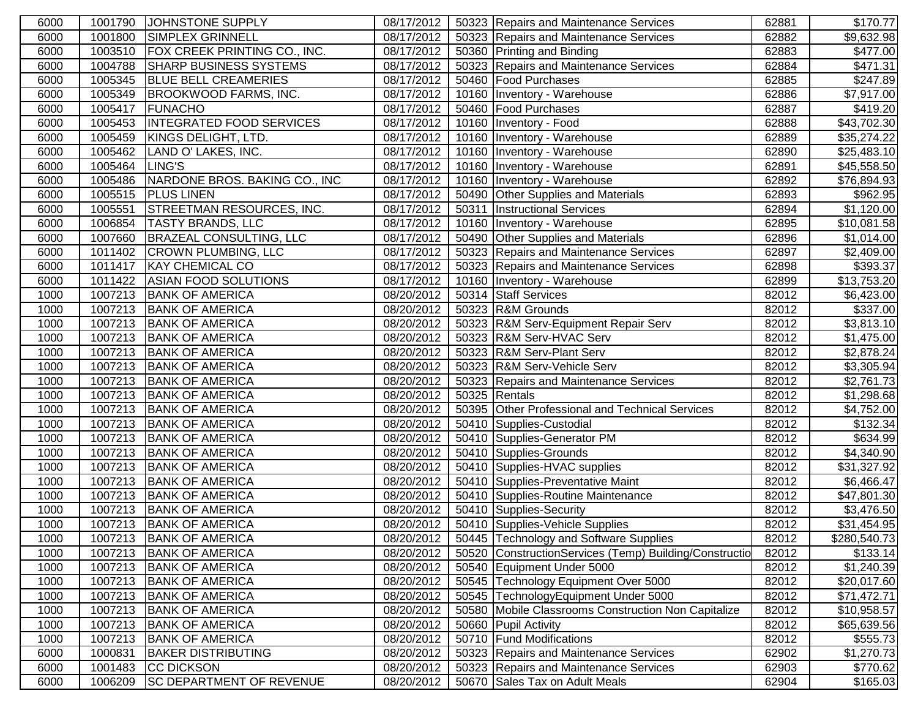| 6000 | 1001790        | JOHNSTONE SUPPLY                      | 08/17/2012 | 50323 Repairs and Maintenance Services                 | 62881 | \$170.77             |
|------|----------------|---------------------------------------|------------|--------------------------------------------------------|-------|----------------------|
| 6000 | 1001800        | <b>SIMPLEX GRINNELL</b>               | 08/17/2012 | 50323 Repairs and Maintenance Services                 | 62882 | \$9,632.98           |
| 6000 |                | 1003510 FOX CREEK PRINTING CO., INC.  | 08/17/2012 | 50360 Printing and Binding                             | 62883 | \$477.00             |
| 6000 | 1004788        | <b>SHARP BUSINESS SYSTEMS</b>         | 08/17/2012 | 50323 Repairs and Maintenance Services                 | 62884 | $\overline{$}471.31$ |
| 6000 | 1005345        | <b>BLUE BELL CREAMERIES</b>           | 08/17/2012 | 50460 Food Purchases                                   | 62885 | \$247.89             |
| 6000 | 1005349        | <b>BROOKWOOD FARMS, INC.</b>          | 08/17/2012 | 10160 Inventory - Warehouse                            | 62886 | \$7,917.00           |
| 6000 | 1005417        | <b>FUNACHO</b>                        | 08/17/2012 | 50460 Food Purchases                                   | 62887 | \$419.20             |
| 6000 | 1005453        | <b>INTEGRATED FOOD SERVICES</b>       | 08/17/2012 | 10160 Inventory - Food                                 | 62888 | \$43,702.30          |
| 6000 | 1005459        | KINGS DELIGHT, LTD.                   | 08/17/2012 | 10160   Inventory - Warehouse                          | 62889 | \$35,274.22          |
| 6000 | 1005462        | LAND O' LAKES, INC.                   | 08/17/2012 | 10160   Inventory - Warehouse                          | 62890 | \$25,483.10          |
| 6000 | 1005464 LING'S |                                       | 08/17/2012 | 10160   Inventory - Warehouse                          | 62891 | \$45,558.50          |
| 6000 |                | 1005486 NARDONE BROS. BAKING CO., INC | 08/17/2012 | 10160 Inventory - Warehouse                            | 62892 | \$76,894.93          |
| 6000 | 1005515        | <b>PLUS LINEN</b>                     | 08/17/2012 | 50490 Other Supplies and Materials                     | 62893 | \$962.95             |
| 6000 | 1005551        | <b>STREETMAN RESOURCES, INC.</b>      | 08/17/2012 | 50311   Instructional Services                         | 62894 | \$1,120.00           |
| 6000 | 1006854        | <b>TASTY BRANDS, LLC</b>              | 08/17/2012 | 10160   Inventory - Warehouse                          | 62895 | \$10,081.58          |
| 6000 | 1007660        | BRAZEAL CONSULTING, LLC               | 08/17/2012 | 50490 Other Supplies and Materials                     | 62896 | \$1,014.00           |
| 6000 | 1011402        | <b>CROWN PLUMBING, LLC</b>            | 08/17/2012 | 50323 Repairs and Maintenance Services                 | 62897 | \$2,409.00           |
| 6000 | 1011417        | <b>KAY CHEMICAL CO</b>                | 08/17/2012 | 50323 Repairs and Maintenance Services                 | 62898 | \$393.37             |
| 6000 | 1011422        | ASIAN FOOD SOLUTIONS                  | 08/17/2012 | 10160   Inventory - Warehouse                          | 62899 | \$13,753.20          |
| 1000 | 1007213        | <b>BANK OF AMERICA</b>                | 08/20/2012 | 50314 Staff Services                                   | 82012 | \$6,423.00           |
| 1000 | 1007213        | <b>BANK OF AMERICA</b>                | 08/20/2012 | 50323 R&M Grounds                                      | 82012 | \$337.00             |
| 1000 | 1007213        | <b>BANK OF AMERICA</b>                | 08/20/2012 | 50323 R&M Serv-Equipment Repair Serv                   | 82012 | \$3,813.10           |
| 1000 | 1007213        | <b>BANK OF AMERICA</b>                | 08/20/2012 | 50323 R&M Serv-HVAC Serv                               | 82012 | \$1,475.00           |
| 1000 | 1007213        | <b>BANK OF AMERICA</b>                | 08/20/2012 | 50323 R&M Serv-Plant Serv                              | 82012 | \$2,878.24           |
| 1000 | 1007213        | <b>BANK OF AMERICA</b>                | 08/20/2012 | 50323 R&M Serv-Vehicle Serv                            | 82012 | \$3,305.94           |
| 1000 | 1007213        | <b>BANK OF AMERICA</b>                | 08/20/2012 | 50323 Repairs and Maintenance Services                 | 82012 | \$2,761.73           |
| 1000 | 1007213        | <b>BANK OF AMERICA</b>                | 08/20/2012 | 50325 Rentals                                          | 82012 | \$1,298.68           |
| 1000 | 1007213        | <b>BANK OF AMERICA</b>                | 08/20/2012 | 50395 Other Professional and Technical Services        | 82012 | \$4,752.00           |
| 1000 | 1007213        | <b>BANK OF AMERICA</b>                | 08/20/2012 | 50410 Supplies-Custodial                               | 82012 | \$132.34             |
| 1000 | 1007213        | <b>BANK OF AMERICA</b>                | 08/20/2012 | 50410 Supplies-Generator PM                            | 82012 | \$634.99             |
| 1000 | 1007213        | <b>BANK OF AMERICA</b>                | 08/20/2012 | 50410 Supplies-Grounds                                 | 82012 | \$4,340.90           |
| 1000 | 1007213        | <b>BANK OF AMERICA</b>                | 08/20/2012 | 50410 Supplies-HVAC supplies                           | 82012 | \$31,327.92          |
| 1000 | 1007213        | <b>BANK OF AMERICA</b>                | 08/20/2012 | 50410 Supplies-Preventative Maint                      | 82012 | \$6,466.47           |
| 1000 | 1007213        | <b>BANK OF AMERICA</b>                | 08/20/2012 | 50410 Supplies-Routine Maintenance                     | 82012 | \$47,801.30          |
| 1000 | 1007213        | <b>BANK OF AMERICA</b>                | 08/20/2012 | 50410 Supplies-Security                                | 82012 | \$3,476.50           |
| 1000 | 1007213        | <b>BANK OF AMERICA</b>                | 08/20/2012 | 50410 Supplies-Vehicle Supplies                        | 82012 | \$31,454.95          |
| 1000 |                | 1007213 BANK OF AMERICA               |            | 08/20/2012   50445   Technology and Software Supplies  | 82012 | \$280,540.73         |
| 1000 | 1007213        | <b>BANK OF AMERICA</b>                | 08/20/2012 | 50520 ConstructionServices (Temp) Building/Constructio | 82012 | \$133.14             |
| 1000 | 1007213        | <b>BANK OF AMERICA</b>                | 08/20/2012 | 50540 Equipment Under 5000                             | 82012 | \$1,240.39           |
| 1000 | 1007213        | <b>BANK OF AMERICA</b>                | 08/20/2012 | 50545 Technology Equipment Over 5000                   | 82012 | \$20,017.60          |
| 1000 | 1007213        | <b>BANK OF AMERICA</b>                | 08/20/2012 | 50545 TechnologyEquipment Under 5000                   | 82012 | \$71,472.71          |
| 1000 | 1007213        | <b>BANK OF AMERICA</b>                | 08/20/2012 | 50580   Mobile Classrooms Construction Non Capitalize  | 82012 | \$10,958.57          |
| 1000 | 1007213        | <b>BANK OF AMERICA</b>                | 08/20/2012 | 50660 Pupil Activity                                   | 82012 | \$65,639.56          |
| 1000 | 1007213        | <b>BANK OF AMERICA</b>                | 08/20/2012 | 50710 Fund Modifications                               | 82012 | \$555.73             |
| 6000 | 1000831        | <b>BAKER DISTRIBUTING</b>             | 08/20/2012 | 50323 Repairs and Maintenance Services                 | 62902 | \$1,270.73           |
| 6000 | 1001483        | <b>CC DICKSON</b>                     | 08/20/2012 | 50323 Repairs and Maintenance Services                 | 62903 | \$770.62             |
| 6000 | 1006209        | <b>SC DEPARTMENT OF REVENUE</b>       | 08/20/2012 | 50670 Sales Tax on Adult Meals                         | 62904 | \$165.03             |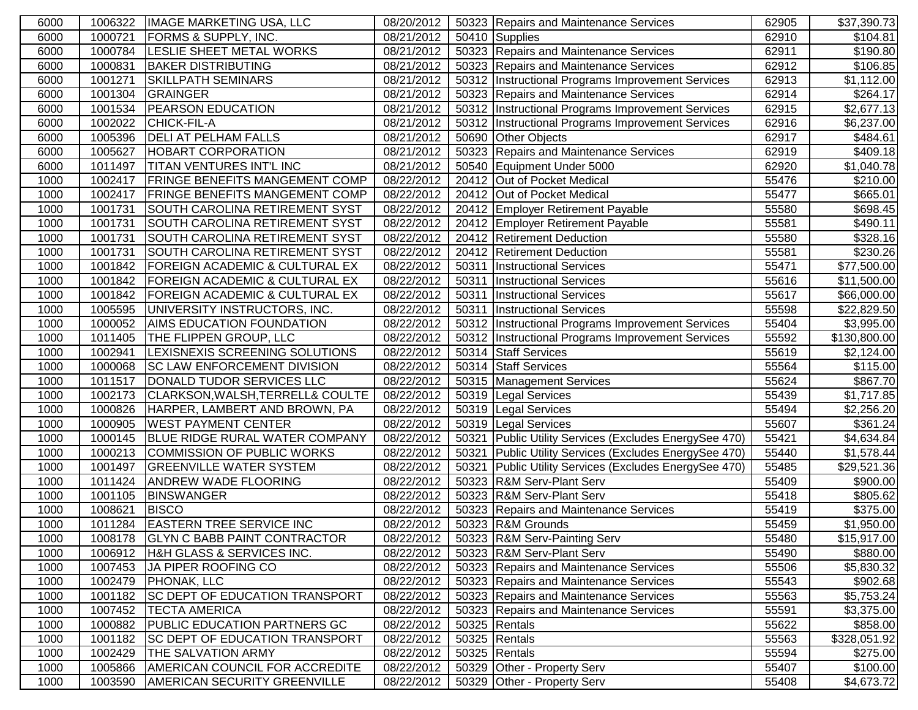| 6000 | 1006322 | <b>IMAGE MARKETING USA, LLC</b>           | 08/20/2012 |       | 50323 Repairs and Maintenance Services                 | 62905 | \$37,390.73  |
|------|---------|-------------------------------------------|------------|-------|--------------------------------------------------------|-------|--------------|
| 6000 | 1000721 | <b>FORMS &amp; SUPPLY, INC.</b>           | 08/21/2012 |       | 50410 Supplies                                         | 62910 | \$104.81     |
| 6000 | 1000784 | LESLIE SHEET METAL WORKS                  | 08/21/2012 |       | 50323 Repairs and Maintenance Services                 | 62911 | \$190.80     |
| 6000 | 1000831 | <b>BAKER DISTRIBUTING</b>                 | 08/21/2012 |       | 50323 Repairs and Maintenance Services                 | 62912 | \$106.85     |
| 6000 | 1001271 | <b>SKILLPATH SEMINARS</b>                 | 08/21/2012 |       | 50312 Instructional Programs Improvement Services      | 62913 | \$1,112.00   |
| 6000 | 1001304 | GRAINGER                                  | 08/21/2012 |       | 50323 Repairs and Maintenance Services                 | 62914 | \$264.17     |
| 6000 | 1001534 | <b>PEARSON EDUCATION</b>                  | 08/21/2012 |       | 50312   Instructional Programs Improvement Services    | 62915 | \$2,677.13   |
| 6000 | 1002022 | <b>CHICK-FIL-A</b>                        | 08/21/2012 |       | 50312   Instructional Programs Improvement Services    | 62916 | \$6,237.00   |
| 6000 | 1005396 | <b>DELI AT PELHAM FALLS</b>               | 08/21/2012 |       | 50690 Other Objects                                    | 62917 | \$484.61     |
| 6000 | 1005627 | <b>HOBART CORPORATION</b>                 | 08/21/2012 |       | 50323 Repairs and Maintenance Services                 | 62919 | \$409.18     |
| 6000 | 1011497 | <b>TITAN VENTURES INT'L INC</b>           | 08/21/2012 |       | 50540 Equipment Under 5000                             | 62920 | \$1,040.78   |
| 1000 | 1002417 | <b>FRINGE BENEFITS MANGEMENT COMP</b>     | 08/22/2012 |       | 20412 Out of Pocket Medical                            | 55476 | \$210.00     |
| 1000 | 1002417 | <b>FRINGE BENEFITS MANGEMENT COMP</b>     | 08/22/2012 |       | 20412 Out of Pocket Medical                            | 55477 | \$665.01     |
| 1000 | 1001731 | SOUTH CAROLINA RETIREMENT SYST            | 08/22/2012 |       | 20412 Employer Retirement Payable                      | 55580 | \$698.45     |
| 1000 | 1001731 | SOUTH CAROLINA RETIREMENT SYST            | 08/22/2012 |       | 20412 Employer Retirement Payable                      | 55581 | \$490.11     |
| 1000 | 1001731 | SOUTH CAROLINA RETIREMENT SYST            | 08/22/2012 |       | 20412 Retirement Deduction                             | 55580 | \$328.16     |
| 1000 | 1001731 | SOUTH CAROLINA RETIREMENT SYST            | 08/22/2012 |       | 20412   Retirement Deduction                           | 55581 | \$230.26     |
| 1000 | 1001842 | <b>FOREIGN ACADEMIC &amp; CULTURAL EX</b> | 08/22/2012 |       | 50311   Instructional Services                         | 55471 | \$77,500.00  |
| 1000 | 1001842 | <b>FOREIGN ACADEMIC &amp; CULTURAL EX</b> | 08/22/2012 | 50311 | <b>Instructional Services</b>                          | 55616 | \$11,500.00  |
| 1000 | 1001842 | <b>FOREIGN ACADEMIC &amp; CULTURAL EX</b> | 08/22/2012 |       | 50311 Instructional Services                           | 55617 | \$66,000.00  |
| 1000 | 1005595 | UNIVERSITY INSTRUCTORS, INC.              | 08/22/2012 | 50311 | <b>Instructional Services</b>                          | 55598 | \$22,829.50  |
| 1000 | 1000052 | <b>AIMS EDUCATION FOUNDATION</b>          | 08/22/2012 |       | 50312   Instructional Programs Improvement Services    | 55404 | \$3,995.00   |
| 1000 | 1011405 | THE FLIPPEN GROUP, LLC                    | 08/22/2012 |       | 50312  Instructional Programs Improvement Services     | 55592 | \$130,800.00 |
| 1000 | 1002941 | LEXISNEXIS SCREENING SOLUTIONS            | 08/22/2012 |       | 50314 Staff Services                                   | 55619 | \$2,124.00   |
| 1000 | 1000068 | <b>SC LAW ENFORCEMENT DIVISION</b>        | 08/22/2012 |       | 50314 Staff Services                                   | 55564 | \$115.00     |
| 1000 | 1011517 | DONALD TUDOR SERVICES LLC                 | 08/22/2012 |       | 50315 Management Services                              | 55624 | \$867.70     |
| 1000 | 1002173 | CLARKSON, WALSH, TERRELL& COULTE          | 08/22/2012 |       | 50319 Legal Services                                   | 55439 | \$1,717.85   |
| 1000 | 1000826 | HARPER, LAMBERT AND BROWN, PA             | 08/22/2012 |       | 50319   Legal Services                                 | 55494 | \$2,256.20   |
| 1000 | 1000905 | <b>WEST PAYMENT CENTER</b>                | 08/22/2012 |       | 50319 Legal Services                                   | 55607 | \$361.24     |
| 1000 | 1000145 | BLUE RIDGE RURAL WATER COMPANY            | 08/22/2012 |       | 50321 Public Utility Services (Excludes EnergySee 470) | 55421 | \$4,634.84   |
| 1000 | 1000213 | COMMISSION OF PUBLIC WORKS                | 08/22/2012 |       | 50321 Public Utility Services (Excludes EnergySee 470) | 55440 | \$1,578.44   |
| 1000 | 1001497 | <b>GREENVILLE WATER SYSTEM</b>            | 08/22/2012 |       | 50321 Public Utility Services (Excludes EnergySee 470) | 55485 | \$29,521.36  |
| 1000 | 1011424 | <b>ANDREW WADE FLOORING</b>               | 08/22/2012 |       | 50323 R&M Serv-Plant Serv                              | 55409 | \$900.00     |
| 1000 | 1001105 | <b>BINSWANGER</b>                         | 08/22/2012 |       | 50323 R&M Serv-Plant Serv                              | 55418 | \$805.62     |
| 1000 | 1008621 | <b>BISCO</b>                              | 08/22/2012 |       | 50323 Repairs and Maintenance Services                 | 55419 | \$375.00     |
| 1000 | 1011284 | <b>EASTERN TREE SERVICE INC</b>           | 08/22/2012 |       | 50323 R&M Grounds                                      | 55459 | \$1,950.00   |
| 1000 |         | 1008178 GLYN C BABB PAINT CONTRACTOR      |            |       | 08/22/2012   50323 R&M Serv-Painting Serv              | 55480 | \$15,917.00  |
| 1000 | 1006912 | <b>H&amp;H GLASS &amp; SERVICES INC.</b>  | 08/22/2012 |       | 50323 R&M Serv-Plant Serv                              | 55490 | \$880.00     |
| 1000 | 1007453 | <b>JA PIPER ROOFING CO</b>                | 08/22/2012 |       | 50323 Repairs and Maintenance Services                 | 55506 | \$5,830.32   |
| 1000 | 1002479 | <b>PHONAK, LLC</b>                        | 08/22/2012 |       | 50323 Repairs and Maintenance Services                 | 55543 | \$902.68     |
| 1000 | 1001182 | <b>SC DEPT OF EDUCATION TRANSPORT</b>     | 08/22/2012 |       | 50323 Repairs and Maintenance Services                 | 55563 | \$5,753.24   |
| 1000 | 1007452 | <b>TECTA AMERICA</b>                      | 08/22/2012 |       | 50323 Repairs and Maintenance Services                 | 55591 | \$3,375.00   |
| 1000 | 1000882 | <b>PUBLIC EDUCATION PARTNERS GC</b>       | 08/22/2012 |       | 50325 Rentals                                          | 55622 | \$858.00     |
| 1000 | 1001182 | <b>SC DEPT OF EDUCATION TRANSPORT</b>     | 08/22/2012 |       | 50325 Rentals                                          | 55563 | \$328,051.92 |
| 1000 | 1002429 | <b>THE SALVATION ARMY</b>                 | 08/22/2012 |       | 50325 Rentals                                          | 55594 | \$275.00     |
| 1000 | 1005866 | AMERICAN COUNCIL FOR ACCREDITE            | 08/22/2012 |       | 50329 Other - Property Serv                            | 55407 | \$100.00     |
| 1000 | 1003590 | <b>AMERICAN SECURITY GREENVILLE</b>       | 08/22/2012 |       | 50329 Other - Property Serv                            | 55408 | \$4,673.72   |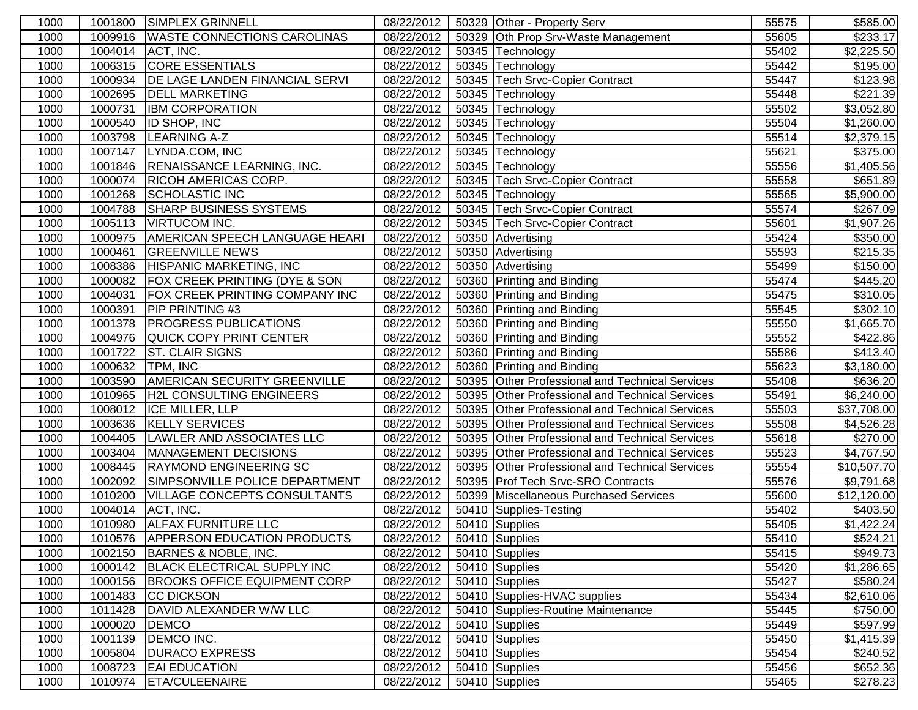| 1000 | 1001800 | <b>SIMPLEX GRINNELL</b>               | 08/22/2012 | 50329 Other - Property Serv                     | 55575 | \$585.00             |
|------|---------|---------------------------------------|------------|-------------------------------------------------|-------|----------------------|
| 1000 | 1009916 | <b>WASTE CONNECTIONS CAROLINAS</b>    | 08/22/2012 | 50329 Oth Prop Srv-Waste Management             | 55605 | \$233.17             |
| 1000 | 1004014 | ACT, INC.                             | 08/22/2012 | 50345 Technology                                | 55402 | \$2,225.50           |
| 1000 | 1006315 | <b>CORE ESSENTIALS</b>                | 08/22/2012 | 50345 Technology                                | 55442 | \$195.00             |
| 1000 | 1000934 | <b>DE LAGE LANDEN FINANCIAL SERVI</b> | 08/22/2012 | 50345   Tech Srvc-Copier Contract               | 55447 | \$123.98             |
| 1000 | 1002695 | <b>DELL MARKETING</b>                 | 08/22/2012 | 50345 Technology                                | 55448 | \$221.39             |
| 1000 | 1000731 | <b>IBM CORPORATION</b>                | 08/22/2012 | 50345 Technology                                | 55502 | \$3,052.80           |
| 1000 | 1000540 | <b>ID SHOP, INC</b>                   | 08/22/2012 | 50345 Technology                                | 55504 | \$1,260.00           |
| 1000 | 1003798 | LEARNING A-Z                          | 08/22/2012 | 50345 Technology                                | 55514 | \$2,379.15           |
| 1000 | 1007147 | LYNDA.COM, INC                        | 08/22/2012 | 50345 Technology                                | 55621 | $\overline{$}375.00$ |
| 1000 | 1001846 | <b>RENAISSANCE LEARNING, INC.</b>     | 08/22/2012 | 50345 Technology                                | 55556 | \$1,405.56           |
| 1000 | 1000074 | <b>RICOH AMERICAS CORP.</b>           | 08/22/2012 | 50345 Tech Srvc-Copier Contract                 | 55558 | $\overline{$}651.89$ |
| 1000 | 1001268 | SCHOLASTIC INC                        | 08/22/2012 | 50345 Technology                                | 55565 | \$5,900.00           |
| 1000 | 1004788 | <b>SHARP BUSINESS SYSTEMS</b>         | 08/22/2012 | 50345 Tech Srvc-Copier Contract                 | 55574 | \$267.09             |
| 1000 | 1005113 | <b>VIRTUCOM INC.</b>                  | 08/22/2012 | 50345 Tech Srvc-Copier Contract                 | 55601 | \$1,907.26           |
| 1000 | 1000975 | <b>AMERICAN SPEECH LANGUAGE HEARI</b> | 08/22/2012 | 50350 Advertising                               | 55424 | \$350.00             |
| 1000 | 1000461 | <b>GREENVILLE NEWS</b>                | 08/22/2012 | 50350 Advertising                               | 55593 | $\overline{$}215.35$ |
| 1000 | 1008386 | HISPANIC MARKETING, INC               | 08/22/2012 | 50350 Advertising                               | 55499 | \$150.00             |
| 1000 | 1000082 | FOX CREEK PRINTING (DYE & SON         | 08/22/2012 | 50360 Printing and Binding                      | 55474 | \$445.20             |
| 1000 | 1004031 | <b>FOX CREEK PRINTING COMPANY INC</b> | 08/22/2012 | 50360 Printing and Binding                      | 55475 | $\overline{$}310.05$ |
| 1000 | 1000391 | <b>PIP PRINTING #3</b>                | 08/22/2012 | 50360 Printing and Binding                      | 55545 | \$302.10             |
| 1000 | 1001378 | <b>PROGRESS PUBLICATIONS</b>          | 08/22/2012 | 50360 Printing and Binding                      | 55550 | \$1,665.70           |
| 1000 | 1004976 | QUICK COPY PRINT CENTER               | 08/22/2012 | 50360 Printing and Binding                      | 55552 | \$422.86             |
| 1000 | 1001722 | <b>ST. CLAIR SIGNS</b>                | 08/22/2012 | 50360 Printing and Binding                      | 55586 | \$413.40             |
| 1000 | 1000632 | TPM, INC                              | 08/22/2012 | 50360 Printing and Binding                      | 55623 | \$3,180.00           |
| 1000 | 1003590 | AMERICAN SECURITY GREENVILLE          | 08/22/2012 | 50395 Other Professional and Technical Services | 55408 | \$636.20             |
| 1000 | 1010965 | <b>H2L CONSULTING ENGINEERS</b>       | 08/22/2012 | 50395 Other Professional and Technical Services | 55491 | \$6,240.00           |
| 1000 | 1008012 | <b>ICE MILLER, LLP</b>                | 08/22/2012 | 50395 Other Professional and Technical Services | 55503 | \$37,708.00          |
| 1000 | 1003636 | <b>KELLY SERVICES</b>                 | 08/22/2012 | 50395 Other Professional and Technical Services | 55508 | \$4,526.28           |
| 1000 | 1004405 | LAWLER AND ASSOCIATES LLC             | 08/22/2012 | 50395 Other Professional and Technical Services | 55618 | \$270.00             |
| 1000 | 1003404 | MANAGEMENT DECISIONS                  | 08/22/2012 | 50395 Other Professional and Technical Services | 55523 | \$4,767.50           |
| 1000 | 1008445 | <b>RAYMOND ENGINEERING SC</b>         | 08/22/2012 | 50395 Other Professional and Technical Services | 55554 | \$10,507.70          |
| 1000 | 1002092 | SIMPSONVILLE POLICE DEPARTMENT        | 08/22/2012 | 50395 Prof Tech Srvc-SRO Contracts              | 55576 | \$9,791.68           |
| 1000 | 1010200 | <b>VILLAGE CONCEPTS CONSULTANTS</b>   | 08/22/2012 | 50399 Miscellaneous Purchased Services          | 55600 | \$12,120.00          |
| 1000 | 1004014 | ACT, INC.                             | 08/22/2012 | 50410 Supplies-Testing                          | 55402 | \$403.50             |
| 1000 | 1010980 | <b>ALFAX FURNITURE LLC</b>            | 08/22/2012 | 50410 Supplies                                  | 55405 | \$1,422.24           |
| 1000 |         | 1010576 APPERSON EDUCATION PRODUCTS   | 08/22/2012 | 50410 Supplies                                  | 55410 | \$524.21             |
| 1000 | 1002150 | BARNES & NOBLE, INC.                  | 08/22/2012 | 50410 Supplies                                  | 55415 | \$949.73             |
| 1000 | 1000142 | <b>BLACK ELECTRICAL SUPPLY INC</b>    | 08/22/2012 | 50410 Supplies                                  | 55420 | \$1,286.65           |
| 1000 | 1000156 | <b>BROOKS OFFICE EQUIPMENT CORP</b>   | 08/22/2012 | 50410 Supplies                                  | 55427 | \$580.24             |
| 1000 | 1001483 | <b>CC DICKSON</b>                     | 08/22/2012 | 50410 Supplies-HVAC supplies                    | 55434 | \$2,610.06           |
| 1000 | 1011428 | DAVID ALEXANDER W/W LLC               | 08/22/2012 | 50410 Supplies-Routine Maintenance              | 55445 | \$750.00             |
| 1000 | 1000020 | <b>DEMCO</b>                          | 08/22/2012 | 50410 Supplies                                  | 55449 | \$597.99             |
| 1000 | 1001139 | DEMCO INC.                            | 08/22/2012 | 50410 Supplies                                  | 55450 | \$1,415.39           |
| 1000 | 1005804 | <b>DURACO EXPRESS</b>                 | 08/22/2012 | 50410 Supplies                                  | 55454 | \$240.52             |
| 1000 | 1008723 | <b>EAI EDUCATION</b>                  | 08/22/2012 | 50410 Supplies                                  | 55456 | \$652.36             |
| 1000 | 1010974 | <b>ETA/CULEENAIRE</b>                 | 08/22/2012 | 50410 Supplies                                  | 55465 | $\overline{$278.23}$ |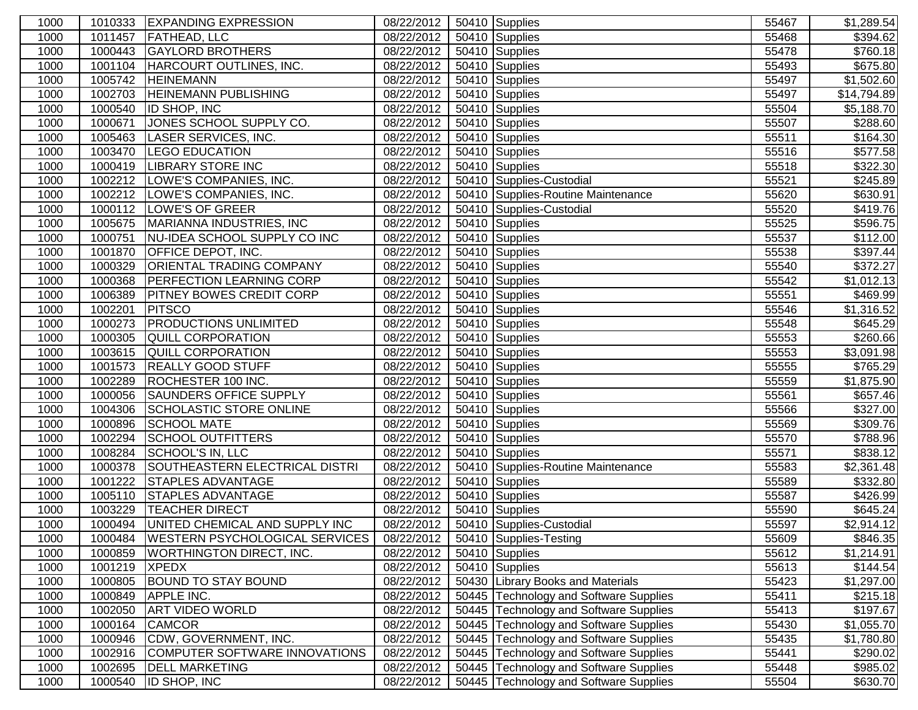| 1000 |         | 1010333 EXPANDING EXPRESSION                | 08/22/2012 | 50410 Supplies                         | 55467 | \$1,289.54             |
|------|---------|---------------------------------------------|------------|----------------------------------------|-------|------------------------|
| 1000 | 1011457 | <b>FATHEAD, LLC</b>                         | 08/22/2012 | 50410 Supplies                         | 55468 | \$394.62               |
| 1000 | 1000443 | <b>GAYLORD BROTHERS</b>                     | 08/22/2012 | 50410 Supplies                         | 55478 | \$760.18               |
| 1000 | 1001104 | HARCOURT OUTLINES, INC.                     | 08/22/2012 | 50410 Supplies                         | 55493 | \$675.80               |
| 1000 | 1005742 | <b>HEINEMANN</b>                            | 08/22/2012 | $\overline{50410}$ Supplies            | 55497 | \$1,502.60             |
| 1000 | 1002703 | <b>HEINEMANN PUBLISHING</b>                 | 08/22/2012 | 50410 Supplies                         | 55497 | \$14,794.89            |
| 1000 | 1000540 | <b>ID SHOP, INC</b>                         | 08/22/2012 | 50410 Supplies                         | 55504 | \$5,188.70             |
| 1000 | 1000671 | JONES SCHOOL SUPPLY CO.                     | 08/22/2012 | 50410 Supplies                         | 55507 | \$288.60               |
| 1000 | 1005463 | LASER SERVICES, INC.                        | 08/22/2012 | 50410 Supplies                         | 55511 | \$164.30               |
| 1000 | 1003470 | <b>LEGO EDUCATION</b>                       | 08/22/2012 | 50410 Supplies                         | 55516 | \$577.58               |
| 1000 |         | 1000419  LIBRARY STORE INC                  | 08/22/2012 | 50410 Supplies                         | 55518 | \$322.30               |
| 1000 | 1002212 | LOWE'S COMPANIES, INC.                      | 08/22/2012 | 50410 Supplies-Custodial               | 55521 | \$245.89               |
| 1000 |         | 1002212  LOWE'S COMPANIES, INC.             | 08/22/2012 | 50410 Supplies-Routine Maintenance     | 55620 | \$630.91               |
| 1000 |         | 1000112  LOWE'S OF GREER                    | 08/22/2012 | 50410 Supplies-Custodial               | 55520 | \$419.76               |
| 1000 | 1005675 | MARIANNA INDUSTRIES, INC                    | 08/22/2012 | 50410 Supplies                         | 55525 | \$596.75               |
| 1000 | 1000751 | NU-IDEA SCHOOL SUPPLY CO INC                | 08/22/2012 | 50410 Supplies                         | 55537 | $\overline{$}112.00$   |
| 1000 | 1001870 | <b>OFFICE DEPOT, INC.</b>                   | 08/22/2012 | 50410 Supplies                         | 55538 | \$397.44               |
| 1000 | 1000329 | <b>ORIENTAL TRADING COMPANY</b>             | 08/22/2012 | 50410 Supplies                         | 55540 | \$372.27               |
| 1000 | 1000368 | <b>PERFECTION LEARNING CORP</b>             | 08/22/2012 | 50410 Supplies                         | 55542 | $\overline{$1,012.13}$ |
| 1000 | 1006389 | <b>PITNEY BOWES CREDIT CORP</b>             | 08/22/2012 | 50410 Supplies                         | 55551 | $\sqrt{$469.99}$       |
| 1000 | 1002201 | <b>PITSCO</b>                               | 08/22/2012 | 50410 Supplies                         | 55546 | $\overline{$1,316.52}$ |
| 1000 | 1000273 | <b>PRODUCTIONS UNLIMITED</b>                | 08/22/2012 | 50410 Supplies                         | 55548 | $\overline{$}645.29$   |
| 1000 | 1000305 | <b>QUILL CORPORATION</b>                    | 08/22/2012 | 50410 Supplies                         | 55553 | \$260.66               |
| 1000 | 1003615 | <b>QUILL CORPORATION</b>                    | 08/22/2012 | 50410 Supplies                         | 55553 | \$3,091.98             |
| 1000 | 1001573 | <b>REALLY GOOD STUFF</b>                    | 08/22/2012 | 50410 Supplies                         | 55555 | \$765.29               |
| 1000 | 1002289 | ROCHESTER 100 INC.                          | 08/22/2012 | 50410 Supplies                         | 55559 | \$1,875.90             |
| 1000 | 1000056 | <b>SAUNDERS OFFICE SUPPLY</b>               | 08/22/2012 | 50410 Supplies                         | 55561 | \$657.46               |
| 1000 | 1004306 | <b>SCHOLASTIC STORE ONLINE</b>              | 08/22/2012 | 50410 Supplies                         | 55566 | \$327.00               |
| 1000 | 1000896 | <b>SCHOOL MATE</b>                          | 08/22/2012 | 50410 Supplies                         | 55569 | \$309.76               |
| 1000 | 1002294 | <b>SCHOOL OUTFITTERS</b>                    | 08/22/2012 | 50410 Supplies                         | 55570 | \$788.96               |
| 1000 | 1008284 | SCHOOL'S IN, LLC                            | 08/22/2012 | 50410 Supplies                         | 55571 | \$838.12               |
| 1000 | 1000378 | SOUTHEASTERN ELECTRICAL DISTRI              | 08/22/2012 | 50410 Supplies-Routine Maintenance     | 55583 | $\overline{$}2,361.48$ |
| 1000 | 1001222 | <b>STAPLES ADVANTAGE</b>                    | 08/22/2012 | 50410 Supplies                         | 55589 | \$332.80               |
| 1000 | 1005110 | <b>STAPLES ADVANTAGE</b>                    | 08/22/2012 | 50410 Supplies                         | 55587 | \$426.99               |
| 1000 | 1003229 | <b>TEACHER DIRECT</b>                       | 08/22/2012 | 50410 Supplies                         | 55590 | \$645.24               |
| 1000 | 1000494 | UNITED CHEMICAL AND SUPPLY INC              | 08/22/2012 | 50410 Supplies-Custodial               | 55597 | $\overline{$2,914.12}$ |
| 1000 | 1000484 | WESTERN PSYCHOLOGICAL SERVICES   08/22/2012 |            | 50410 Supplies-Testing                 | 55609 | \$846.35               |
| 1000 | 1000859 | <b>WORTHINGTON DIRECT, INC.</b>             | 08/22/2012 | 50410 Supplies                         | 55612 | \$1,214.91             |
| 1000 | 1001219 | <b>XPEDX</b>                                | 08/22/2012 | 50410 Supplies                         | 55613 | \$144.54               |
| 1000 | 1000805 | <b>BOUND TO STAY BOUND</b>                  | 08/22/2012 | 50430 Library Books and Materials      | 55423 | \$1,297.00             |
| 1000 | 1000849 | <b>APPLE INC.</b>                           | 08/22/2012 | 50445 Technology and Software Supplies | 55411 | \$215.18               |
| 1000 | 1002050 | <b>ART VIDEO WORLD</b>                      | 08/22/2012 | 50445 Technology and Software Supplies | 55413 | \$197.67               |
| 1000 | 1000164 | <b>CAMCOR</b>                               | 08/22/2012 | 50445 Technology and Software Supplies | 55430 | \$1,055.70             |
| 1000 | 1000946 | CDW, GOVERNMENT, INC.                       | 08/22/2012 | 50445 Technology and Software Supplies | 55435 | \$1,780.80             |
| 1000 | 1002916 | COMPUTER SOFTWARE INNOVATIONS               | 08/22/2012 | 50445 Technology and Software Supplies | 55441 | \$290.02               |
| 1000 | 1002695 | <b>DELL MARKETING</b>                       | 08/22/2012 | 50445 Technology and Software Supplies | 55448 | \$985.02               |
| 1000 | 1000540 | <b>ID SHOP, INC</b>                         | 08/22/2012 | 50445 Technology and Software Supplies | 55504 | \$630.70               |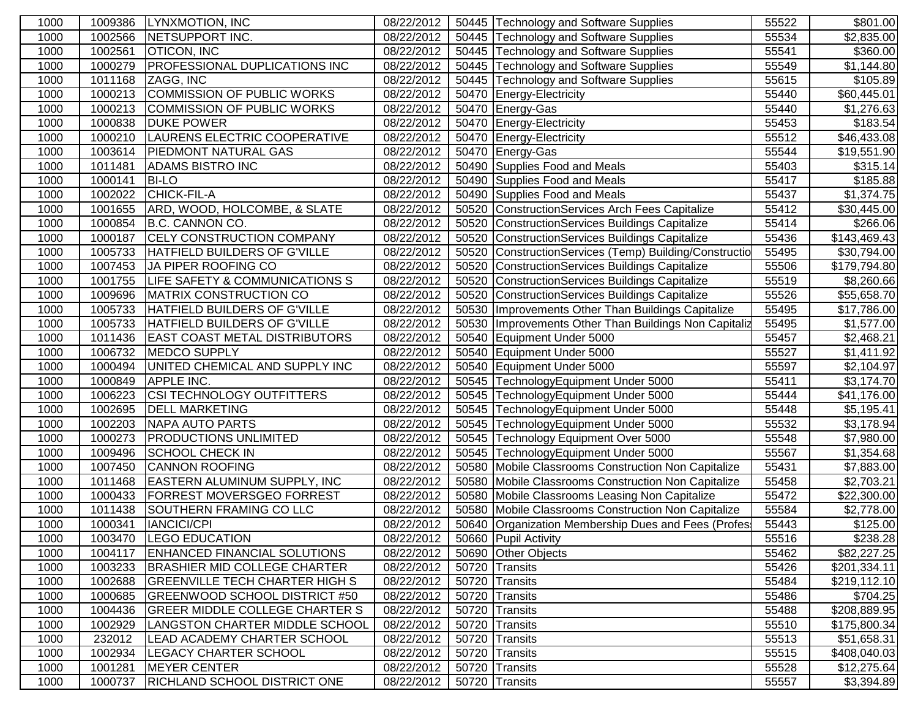| 1000 | 1009386 | LYNXMOTION, INC                       | 08/22/2012 |       | 50445 Technology and Software Supplies                 | 55522 | \$801.00                |
|------|---------|---------------------------------------|------------|-------|--------------------------------------------------------|-------|-------------------------|
| 1000 | 1002566 | <b>NETSUPPORT INC.</b>                | 08/22/2012 |       | 50445 Technology and Software Supplies                 | 55534 | \$2,835.00              |
| 1000 | 1002561 | <b>OTICON, INC</b>                    | 08/22/2012 |       | 50445 Technology and Software Supplies                 | 55541 | \$360.00                |
| 1000 | 1000279 | <b>PROFESSIONAL DUPLICATIONS INC</b>  | 08/22/2012 |       | 50445 Technology and Software Supplies                 | 55549 | \$1,144.80              |
| 1000 | 1011168 | ZAGG, INC                             | 08/22/2012 |       | 50445 Technology and Software Supplies                 | 55615 | \$105.89                |
| 1000 | 1000213 | COMMISSION OF PUBLIC WORKS            | 08/22/2012 |       | 50470 Energy-Electricity                               | 55440 | \$60,445.01             |
| 1000 | 1000213 | COMMISSION OF PUBLIC WORKS            | 08/22/2012 |       | 50470 Energy-Gas                                       | 55440 | \$1,276.63              |
| 1000 | 1000838 | <b>DUKE POWER</b>                     | 08/22/2012 |       | 50470 Energy-Electricity                               | 55453 | \$183.54                |
| 1000 | 1000210 | LAURENS ELECTRIC COOPERATIVE          | 08/22/2012 |       | 50470 Energy-Electricity                               | 55512 | \$46,433.08             |
| 1000 | 1003614 | <b>PIEDMONT NATURAL GAS</b>           | 08/22/2012 |       | 50470 Energy-Gas                                       | 55544 | \$19,551.90             |
| 1000 | 1011481 | <b>ADAMS BISTRO INC</b>               | 08/22/2012 |       | 50490 Supplies Food and Meals                          | 55403 | \$315.14                |
| 1000 | 1000141 | <b>BI-LO</b>                          | 08/22/2012 |       | 50490 Supplies Food and Meals                          | 55417 | \$185.88                |
| 1000 | 1002022 | CHICK-FIL-A                           | 08/22/2012 |       | 50490 Supplies Food and Meals                          | 55437 | \$1,374.75              |
| 1000 | 1001655 | ARD, WOOD, HOLCOMBE, & SLATE          | 08/22/2012 |       | 50520 ConstructionServices Arch Fees Capitalize        | 55412 | \$30,445.00             |
| 1000 | 1000854 | B.C. CANNON CO.                       | 08/22/2012 |       | 50520 ConstructionServices Buildings Capitalize        | 55414 | \$266.06                |
| 1000 | 1000187 | <b>CELY CONSTRUCTION COMPANY</b>      | 08/22/2012 |       | 50520 ConstructionServices Buildings Capitalize        | 55436 | \$143,469.43            |
| 1000 | 1005733 | HATFIELD BUILDERS OF G'VILLE          | 08/22/2012 |       | 50520 ConstructionServices (Temp) Building/Constructio | 55495 | \$30,794.00             |
| 1000 | 1007453 | JA PIPER ROOFING CO                   | 08/22/2012 |       | 50520 ConstructionServices Buildings Capitalize        | 55506 | \$179,794.80            |
| 1000 | 1001755 | LIFE SAFETY & COMMUNICATIONS S        | 08/22/2012 |       | 50520 ConstructionServices Buildings Capitalize        | 55519 | \$8,260.66              |
| 1000 | 1009696 | <b>MATRIX CONSTRUCTION CO</b>         | 08/22/2012 |       | 50520 ConstructionServices Buildings Capitalize        | 55526 | \$55,658.70             |
| 1000 | 1005733 | HATFIELD BUILDERS OF G'VILLE          | 08/22/2012 |       | 50530   Improvements Other Than Buildings Capitalize   | 55495 | \$17,786.00             |
| 1000 | 1005733 | HATFIELD BUILDERS OF G'VILLE          | 08/22/2012 | 50530 | Improvements Other Than Buildings Non Capitaliz        | 55495 | \$1,577.00              |
| 1000 | 1011436 | <b>EAST COAST METAL DISTRIBUTORS</b>  | 08/22/2012 |       | 50540 Equipment Under 5000                             | 55457 | \$2,468.21              |
| 1000 | 1006732 | <b>MEDCO SUPPLY</b>                   | 08/22/2012 |       | 50540 Equipment Under 5000                             | 55527 | \$1,411.92              |
| 1000 | 1000494 | UNITED CHEMICAL AND SUPPLY INC        | 08/22/2012 |       | 50540 Equipment Under 5000                             | 55597 | \$2,104.97              |
| 1000 | 1000849 | <b>APPLE INC.</b>                     | 08/22/2012 |       | 50545 TechnologyEquipment Under 5000                   | 55411 | \$3,174.70              |
| 1000 | 1006223 | <b>CSI TECHNOLOGY OUTFITTERS</b>      | 08/22/2012 |       | 50545 TechnologyEquipment Under 5000                   | 55444 | \$41,176.00             |
| 1000 | 1002695 | <b>DELL MARKETING</b>                 | 08/22/2012 |       | 50545 TechnologyEquipment Under 5000                   | 55448 | \$5,195.41              |
| 1000 | 1002203 | NAPA AUTO PARTS                       | 08/22/2012 |       | 50545 TechnologyEquipment Under 5000                   | 55532 | \$3,178.94              |
| 1000 | 1000273 | <b>PRODUCTIONS UNLIMITED</b>          | 08/22/2012 |       | 50545 Technology Equipment Over 5000                   | 55548 | \$7,980.00              |
| 1000 | 1009496 | <b>SCHOOL CHECK IN</b>                | 08/22/2012 |       | 50545 TechnologyEquipment Under 5000                   | 55567 | \$1,354.68              |
| 1000 | 1007450 | <b>CANNON ROOFING</b>                 | 08/22/2012 |       | 50580 Mobile Classrooms Construction Non Capitalize    | 55431 | \$7,883.00              |
| 1000 | 1011468 | <b>EASTERN ALUMINUM SUPPLY, INC</b>   | 08/22/2012 |       | 50580 Mobile Classrooms Construction Non Capitalize    | 55458 | \$2,703.21              |
| 1000 | 1000433 | <b>FORREST MOVERSGEO FORREST</b>      | 08/22/2012 |       | 50580 Mobile Classrooms Leasing Non Capitalize         | 55472 | \$22,300.00             |
| 1000 | 1011438 | SOUTHERN FRAMING CO LLC               | 08/22/2012 |       | 50580 Mobile Classrooms Construction Non Capitalize    | 55584 | \$2,778.00              |
| 1000 | 1000341 | <b>IANCICI/CPI</b>                    | 08/22/2012 |       | 50640 Organization Membership Dues and Fees (Profes    | 55443 | \$125.00                |
| 1000 |         | 1003470 LEGO EDUCATION                | 08/22/2012 |       | 50660 Pupil Activity                                   | 55516 | \$238.28                |
| 1000 | 1004117 | <b>ENHANCED FINANCIAL SOLUTIONS</b>   | 08/22/2012 |       | 50690 Other Objects                                    | 55462 | \$82,227.25             |
| 1000 | 1003233 | <b>BRASHIER MID COLLEGE CHARTER</b>   | 08/22/2012 |       | 50720 Transits                                         | 55426 | \$201,334.11            |
| 1000 | 1002688 | <b>GREENVILLE TECH CHARTER HIGH S</b> | 08/22/2012 |       | 50720 Transits                                         | 55484 | \$219,112.10            |
| 1000 | 1000685 | <b>GREENWOOD SCHOOL DISTRICT #50</b>  | 08/22/2012 |       | 50720 Transits                                         | 55486 | \$704.25                |
| 1000 | 1004436 | <b>GREER MIDDLE COLLEGE CHARTER S</b> | 08/22/2012 |       | 50720 Transits                                         | 55488 | \$208,889.95            |
| 1000 | 1002929 | LANGSTON CHARTER MIDDLE SCHOOL        | 08/22/2012 |       | 50720 Transits                                         | 55510 | \$175,800.34            |
| 1000 | 232012  | <b>LEAD ACADEMY CHARTER SCHOOL</b>    | 08/22/2012 |       | 50720 Transits                                         | 55513 | \$51,658.31             |
| 1000 | 1002934 | <b>LEGACY CHARTER SCHOOL</b>          | 08/22/2012 |       | 50720 Transits                                         | 55515 | \$408,040.03            |
| 1000 | 1001281 | <b>MEYER CENTER</b>                   | 08/22/2012 |       | 50720 Transits                                         | 55528 | \$12,275.64             |
| 1000 | 1000737 | <b>RICHLAND SCHOOL DISTRICT ONE</b>   | 08/22/2012 |       | 50720 Transits                                         | 55557 | $\overline{\$3,394.89}$ |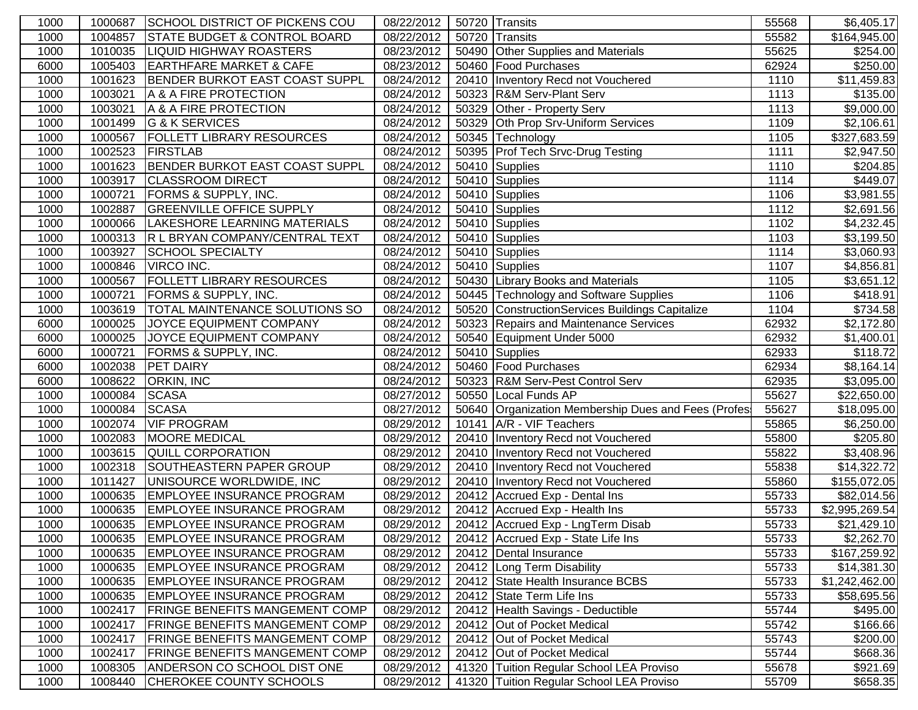| 1000 | 1000687 | SCHOOL DISTRICT OF PICKENS COU          | 08/22/2012 | 50720 Transits                                      | 55568 | \$6,405.17               |
|------|---------|-----------------------------------------|------------|-----------------------------------------------------|-------|--------------------------|
| 1000 | 1004857 | <b>STATE BUDGET &amp; CONTROL BOARD</b> | 08/22/2012 | 50720 Transits                                      | 55582 | \$164,945.00             |
| 1000 | 1010035 | <b>LIQUID HIGHWAY ROASTERS</b>          | 08/23/2012 | 50490 Other Supplies and Materials                  | 55625 | \$254.00                 |
| 6000 | 1005403 | <b>EARTHFARE MARKET &amp; CAFE</b>      | 08/23/2012 | 50460 Food Purchases                                | 62924 | \$250.00                 |
| 1000 | 1001623 | BENDER BURKOT EAST COAST SUPPL          | 08/24/2012 | 20410 Inventory Recd not Vouchered                  | 1110  | \$11,459.83              |
| 1000 | 1003021 | A & A FIRE PROTECTION                   | 08/24/2012 | 50323 R&M Serv-Plant Serv                           | 1113  | \$135.00                 |
| 1000 | 1003021 | A & A FIRE PROTECTION                   | 08/24/2012 | 50329 Other - Property Serv                         | 1113  | \$9,000.00               |
| 1000 | 1001499 | G & K SERVICES                          | 08/24/2012 | 50329 Oth Prop Srv-Uniform Services                 | 1109  | \$2,106.61               |
| 1000 | 1000567 | <b>FOLLETT LIBRARY RESOURCES</b>        | 08/24/2012 | 50345 Technology                                    | 1105  | $\overline{$}327,683.59$ |
| 1000 | 1002523 | <b>FIRSTLAB</b>                         | 08/24/2012 | 50395 Prof Tech Srvc-Drug Testing                   | 1111  | \$2,947.50               |
| 1000 | 1001623 | BENDER BURKOT EAST COAST SUPPL          | 08/24/2012 | 50410 Supplies                                      | 1110  | \$204.85                 |
| 1000 | 1003917 | <b>CLASSROOM DIRECT</b>                 | 08/24/2012 | 50410 Supplies                                      | 1114  | $\sqrt{3}449.07$         |
| 1000 | 1000721 | <b>FORMS &amp; SUPPLY, INC.</b>         | 08/24/2012 | 50410 Supplies                                      | 1106  | \$3,981.55               |
| 1000 | 1002887 | <b>GREENVILLE OFFICE SUPPLY</b>         | 08/24/2012 | 50410 Supplies                                      | 1112  | \$2,691.56               |
| 1000 | 1000066 | LAKESHORE LEARNING MATERIALS            | 08/24/2012 | 50410 Supplies                                      | 1102  | \$4,232.45               |
| 1000 | 1000313 | R L BRYAN COMPANY/CENTRAL TEXT          | 08/24/2012 | 50410 Supplies                                      | 1103  | \$3,199.50               |
| 1000 | 1003927 | <b>SCHOOL SPECIALTY</b>                 | 08/24/2012 | 50410 Supplies                                      | 1114  | \$3,060.93               |
| 1000 | 1000846 | VIRCO INC.                              | 08/24/2012 | 50410 Supplies                                      | 1107  | \$4,856.81               |
| 1000 | 1000567 | <b>FOLLETT LIBRARY RESOURCES</b>        | 08/24/2012 | 50430 Library Books and Materials                   | 1105  | \$3,651.12               |
| 1000 | 1000721 | <b>FORMS &amp; SUPPLY, INC.</b>         | 08/24/2012 | 50445 Technology and Software Supplies              | 1106  | $\sqrt{$418.91}$         |
| 1000 | 1003619 | <b>TOTAL MAINTENANCE SOLUTIONS SO</b>   | 08/24/2012 | 50520 ConstructionServices Buildings Capitalize     | 1104  | \$734.58                 |
| 6000 | 1000025 | JOYCE EQUIPMENT COMPANY                 | 08/24/2012 | 50323 Repairs and Maintenance Services              | 62932 | \$2,172.80               |
| 6000 | 1000025 | JOYCE EQUIPMENT COMPANY                 | 08/24/2012 | 50540 Equipment Under 5000                          | 62932 | \$1,400.01               |
| 6000 | 1000721 | <b>FORMS &amp; SUPPLY, INC.</b>         | 08/24/2012 | 50410 Supplies                                      | 62933 | \$118.72                 |
| 6000 | 1002038 | <b>PET DAIRY</b>                        | 08/24/2012 | 50460 Food Purchases                                | 62934 | \$8,164.14               |
| 6000 | 1008622 | <b>ORKIN, INC</b>                       | 08/24/2012 | 50323 R&M Serv-Pest Control Serv                    | 62935 | \$3,095.00               |
| 1000 | 1000084 | <b>SCASA</b>                            | 08/27/2012 | 50550 Local Funds AP                                | 55627 | \$22,650.00              |
| 1000 | 1000084 | <b>SCASA</b>                            | 08/27/2012 | 50640 Organization Membership Dues and Fees (Profes | 55627 | \$18,095.00              |
| 1000 | 1002074 | <b>VIF PROGRAM</b>                      | 08/29/2012 | 10141 A/R - VIF Teachers                            | 55865 | \$6,250.00               |
| 1000 | 1002083 | <b>MOORE MEDICAL</b>                    | 08/29/2012 | 20410 Inventory Recd not Vouchered                  | 55800 | \$205.80                 |
| 1000 | 1003615 | <b>QUILL CORPORATION</b>                | 08/29/2012 | 20410   Inventory Recd not Vouchered                | 55822 | \$3,408.96               |
| 1000 | 1002318 | <b>SOUTHEASTERN PAPER GROUP</b>         | 08/29/2012 | 20410 Inventory Recd not Vouchered                  | 55838 | \$14,322.72              |
| 1000 | 1011427 | UNISOURCE WORLDWIDE, INC                | 08/29/2012 | 20410   Inventory Recd not Vouchered                | 55860 | \$155,072.05             |
| 1000 | 1000635 | <b>EMPLOYEE INSURANCE PROGRAM</b>       | 08/29/2012 | 20412 Accrued Exp - Dental Ins                      | 55733 | \$82,014.56              |
| 1000 | 1000635 | <b>EMPLOYEE INSURANCE PROGRAM</b>       | 08/29/2012 | 20412 Accrued Exp - Health Ins                      | 55733 | \$2,995,269.54           |
| 1000 | 1000635 | <b>EMPLOYEE INSURANCE PROGRAM</b>       | 08/29/2012 | 20412 Accrued Exp - LngTerm Disab                   | 55733 | \$21,429.10              |
| 1000 |         | 1000635 EMPLOYEE INSURANCE PROGRAM      | 08/29/2012 | 20412 Accrued Exp - State Life Ins                  | 55733 | \$2,262.70               |
| 1000 | 1000635 | <b>EMPLOYEE INSURANCE PROGRAM</b>       | 08/29/2012 | 20412 Dental Insurance                              | 55733 | \$167,259.92             |
| 1000 | 1000635 | <b>EMPLOYEE INSURANCE PROGRAM</b>       | 08/29/2012 | 20412 Long Term Disability                          | 55733 | \$14,381.30              |
| 1000 | 1000635 | <b>EMPLOYEE INSURANCE PROGRAM</b>       | 08/29/2012 | 20412 State Health Insurance BCBS                   | 55733 | \$1,242,462.00           |
| 1000 | 1000635 | <b>EMPLOYEE INSURANCE PROGRAM</b>       | 08/29/2012 | 20412 State Term Life Ins                           | 55733 | \$58,695.56              |
| 1000 | 1002417 | <b>FRINGE BENEFITS MANGEMENT COMP</b>   | 08/29/2012 | 20412 Health Savings - Deductible                   | 55744 | \$495.00                 |
| 1000 | 1002417 | <b>FRINGE BENEFITS MANGEMENT COMP</b>   | 08/29/2012 | 20412 Out of Pocket Medical                         | 55742 | \$166.66                 |
| 1000 | 1002417 | <b>FRINGE BENEFITS MANGEMENT COMP</b>   | 08/29/2012 | 20412 Out of Pocket Medical                         | 55743 | \$200.00                 |
| 1000 | 1002417 | <b>FRINGE BENEFITS MANGEMENT COMP</b>   | 08/29/2012 | 20412 Out of Pocket Medical                         | 55744 | \$668.36                 |
| 1000 | 1008305 | ANDERSON CO SCHOOL DIST ONE             | 08/29/2012 | 41320 Tuition Regular School LEA Proviso            | 55678 | \$921.69                 |
| 1000 | 1008440 | CHEROKEE COUNTY SCHOOLS                 | 08/29/2012 | 41320 Tuition Regular School LEA Proviso            | 55709 | \$658.35                 |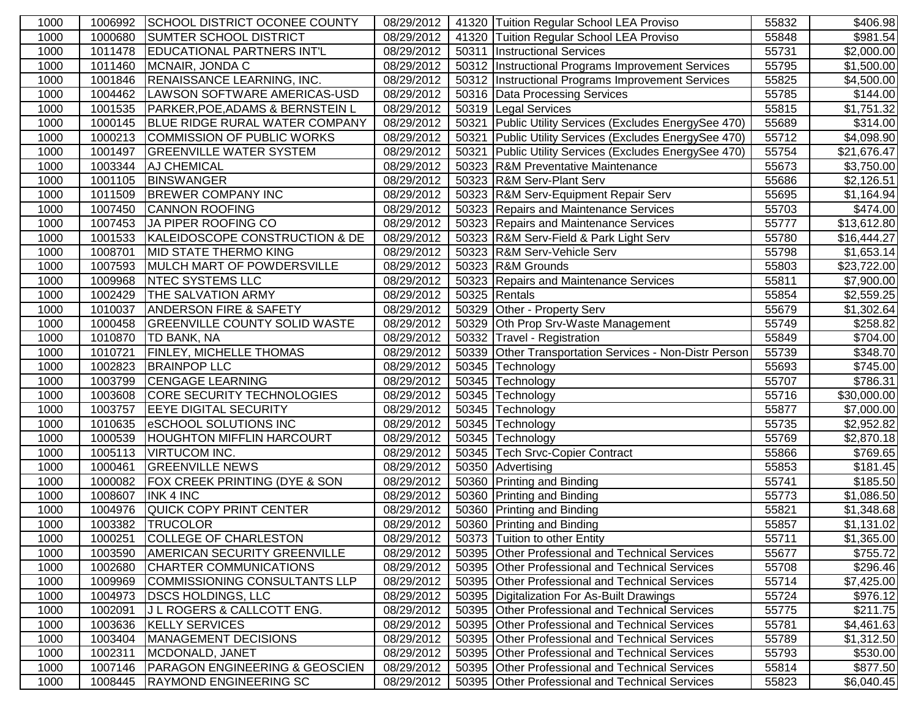| 1000 | 1006992 | SCHOOL DISTRICT OCONEE COUNTY               | 08/29/2012 |       | 41320 Tuition Regular School LEA Proviso               | 55832 | \$406.98                |
|------|---------|---------------------------------------------|------------|-------|--------------------------------------------------------|-------|-------------------------|
| 1000 | 1000680 | <b>SUMTER SCHOOL DISTRICT</b>               | 08/29/2012 |       | 41320 Tuition Regular School LEA Proviso               | 55848 | \$981.54                |
| 1000 | 1011478 | <b>EDUCATIONAL PARTNERS INT'L</b>           | 08/29/2012 | 50311 | <b>Instructional Services</b>                          | 55731 | \$2,000.00              |
| 1000 | 1011460 | MCNAIR, JONDA C                             | 08/29/2012 |       | 50312 Instructional Programs Improvement Services      | 55795 | \$1,500.00              |
| 1000 | 1001846 | RENAISSANCE LEARNING, INC.                  | 08/29/2012 |       | 50312   Instructional Programs Improvement Services    | 55825 | \$4,500.00              |
| 1000 | 1004462 | LAWSON SOFTWARE AMERICAS-USD                | 08/29/2012 |       | 50316 Data Processing Services                         | 55785 | \$144.00                |
| 1000 | 1001535 | <b>PARKER, POE, ADAMS &amp; BERNSTEIN L</b> | 08/29/2012 |       | 50319 Legal Services                                   | 55815 | \$1,751.32              |
| 1000 | 1000145 | <b>BLUE RIDGE RURAL WATER COMPANY</b>       | 08/29/2012 |       | 50321 Public Utility Services (Excludes EnergySee 470) | 55689 | \$314.00                |
| 1000 | 1000213 | COMMISSION OF PUBLIC WORKS                  | 08/29/2012 |       | 50321 Public Utility Services (Excludes EnergySee 470) | 55712 | \$4,098.90              |
| 1000 | 1001497 | <b>GREENVILLE WATER SYSTEM</b>              | 08/29/2012 | 50321 | Public Utility Services (Excludes EnergySee 470)       | 55754 | \$21,676.47             |
| 1000 | 1003344 | AJ CHEMICAL                                 | 08/29/2012 |       | 50323 R&M Preventative Maintenance                     | 55673 | \$3,750.00              |
| 1000 | 1001105 | <b>BINSWANGER</b>                           | 08/29/2012 |       | 50323 R&M Serv-Plant Serv                              | 55686 | \$2,126.51              |
| 1000 | 1011509 | <b>BREWER COMPANY INC</b>                   | 08/29/2012 |       | 50323 R&M Serv-Equipment Repair Serv                   | 55695 | \$1,164.94              |
| 1000 | 1007450 | <b>CANNON ROOFING</b>                       | 08/29/2012 |       | 50323 Repairs and Maintenance Services                 | 55703 | \$474.00                |
| 1000 | 1007453 | JA PIPER ROOFING CO                         | 08/29/2012 |       | 50323 Repairs and Maintenance Services                 | 55777 | \$13,612.80             |
| 1000 | 1001533 | KALEIDOSCOPE CONSTRUCTION & DE              | 08/29/2012 |       | 50323 R&M Serv-Field & Park Light Serv                 | 55780 | \$16,444.27             |
| 1000 | 1008701 | MID STATE THERMO KING                       | 08/29/2012 |       | 50323 R&M Serv-Vehicle Serv                            | 55798 | \$1,653.14              |
| 1000 | 1007593 | MULCH MART OF POWDERSVILLE                  | 08/29/2012 |       | 50323 R&M Grounds                                      | 55803 | \$23,722.00             |
| 1000 | 1009968 | <b>NTEC SYSTEMS LLC</b>                     | 08/29/2012 |       | 50323 Repairs and Maintenance Services                 | 55811 | \$7,900.00              |
| 1000 | 1002429 | <b>THE SALVATION ARMY</b>                   | 08/29/2012 |       | 50325 Rentals                                          | 55854 | \$2,559.25              |
| 1000 | 1010037 | <b>ANDERSON FIRE &amp; SAFETY</b>           | 08/29/2012 |       | 50329 Other - Property Serv                            | 55679 | \$1,302.64              |
| 1000 | 1000458 | <b>GREENVILLE COUNTY SOLID WASTE</b>        | 08/29/2012 |       | 50329 Oth Prop Srv-Waste Management                    | 55749 | \$258.82                |
| 1000 | 1010870 | <b>TD BANK, NA</b>                          | 08/29/2012 |       | 50332 Travel - Registration                            | 55849 | \$704.00                |
| 1000 | 1010721 | <b>FINLEY, MICHELLE THOMAS</b>              | 08/29/2012 |       | 50339 Other Transportation Services - Non-Distr Person | 55739 | $\overline{$}348.70$    |
| 1000 | 1002823 | <b>BRAINPOP LLC</b>                         | 08/29/2012 | 50345 | Technology                                             | 55693 | \$745.00                |
| 1000 | 1003799 | <b>CENGAGE LEARNING</b>                     | 08/29/2012 |       | 50345 Technology                                       | 55707 | \$786.31                |
| 1000 | 1003608 | <b>CORE SECURITY TECHNOLOGIES</b>           | 08/29/2012 |       | 50345 Technology                                       | 55716 | $\overline{$30,000.00}$ |
| 1000 | 1003757 | <b>EEYE DIGITAL SECURITY</b>                | 08/29/2012 |       | 50345 Technology                                       | 55877 | \$7,000.00              |
| 1000 | 1010635 | <b>eSCHOOL SOLUTIONS INC</b>                | 08/29/2012 |       | 50345 Technology                                       | 55735 | \$2,952.82              |
| 1000 | 1000539 | <b>HOUGHTON MIFFLIN HARCOURT</b>            | 08/29/2012 |       | 50345 Technology                                       | 55769 | \$2,870.18              |
| 1000 | 1005113 | <b>VIRTUCOM INC.</b>                        | 08/29/2012 |       | 50345 Tech Srvc-Copier Contract                        | 55866 | \$769.65                |
| 1000 | 1000461 | <b>GREENVILLE NEWS</b>                      | 08/29/2012 |       | 50350 Advertising                                      | 55853 | \$181.45                |
| 1000 | 1000082 | FOX CREEK PRINTING (DYE & SON               | 08/29/2012 |       | 50360 Printing and Binding                             | 55741 | \$185.50                |
| 1000 | 1008607 | <b>INK 4 INC</b>                            | 08/29/2012 |       | 50360 Printing and Binding                             | 55773 | \$1,086.50              |
| 1000 | 1004976 | QUICK COPY PRINT CENTER                     | 08/29/2012 |       | 50360 Printing and Binding                             | 55821 | \$1,348.68              |
| 1000 | 1003382 | <b>TRUCOLOR</b>                             | 08/29/2012 |       | 50360 Printing and Binding                             | 55857 | \$1,131.02              |
| 1000 | 1000251 | <b>COLLEGE OF CHARLESTON</b>                | 08/29/2012 |       | 50373 Tuition to other Entity                          | 55711 | \$1,365.00              |
| 1000 | 1003590 | <b>AMERICAN SECURITY GREENVILLE</b>         | 08/29/2012 |       | 50395 Other Professional and Technical Services        | 55677 | \$755.72                |
| 1000 | 1002680 | CHARTER COMMUNICATIONS                      | 08/29/2012 |       | 50395 Other Professional and Technical Services        | 55708 | \$296.46                |
| 1000 | 1009969 | COMMISSIONING CONSULTANTS LLP               | 08/29/2012 |       | 50395 Other Professional and Technical Services        | 55714 | \$7,425.00              |
| 1000 | 1004973 | <b>DSCS HOLDINGS, LLC</b>                   | 08/29/2012 |       | 50395   Digitalization For As-Built Drawings           | 55724 | \$976.12                |
| 1000 | 1002091 | <b>J L ROGERS &amp; CALLCOTT ENG.</b>       | 08/29/2012 |       | 50395 Other Professional and Technical Services        | 55775 | \$211.75                |
| 1000 | 1003636 | <b>KELLY SERVICES</b>                       | 08/29/2012 |       | 50395 Other Professional and Technical Services        | 55781 | \$4,461.63              |
| 1000 | 1003404 | MANAGEMENT DECISIONS                        | 08/29/2012 |       | 50395 Other Professional and Technical Services        | 55789 | \$1,312.50              |
| 1000 | 1002311 | MCDONALD, JANET                             | 08/29/2012 |       | 50395 Other Professional and Technical Services        | 55793 | \$530.00                |
| 1000 | 1007146 | <b>PARAGON ENGINEERING &amp; GEOSCIEN</b>   | 08/29/2012 |       | 50395 Other Professional and Technical Services        | 55814 | \$877.50                |
| 1000 |         | 1008445 RAYMOND ENGINEERING SC              | 08/29/2012 |       | 50395 Other Professional and Technical Services        | 55823 | \$6,040.45              |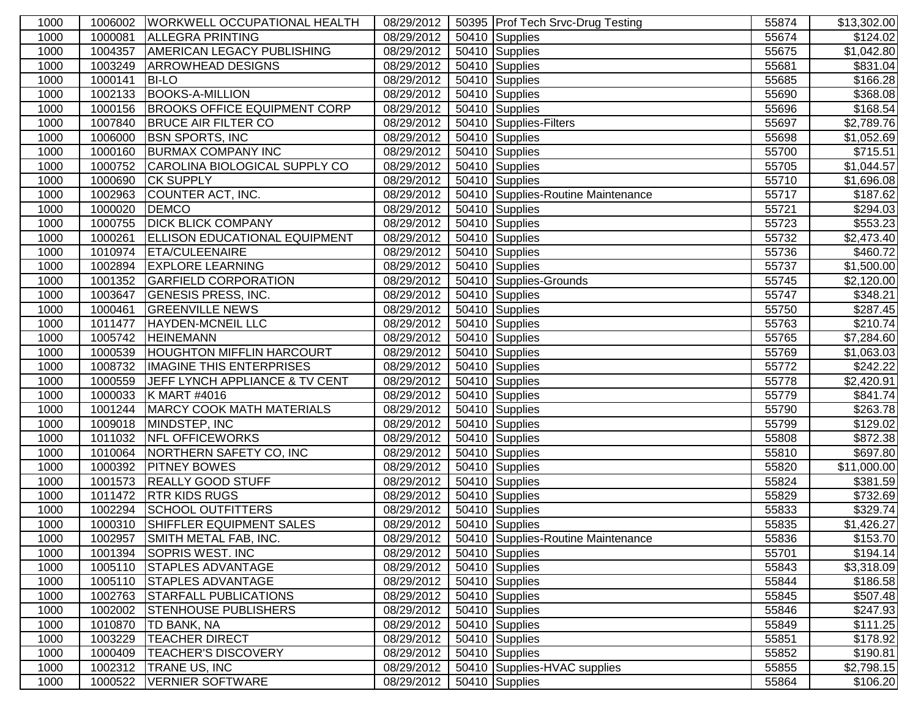| 1000 |         | 1006002  WORKWELL OCCUPATIONAL HEALTH | 08/29/2012 | 50395 Prof Tech Srvc-Drug Testing                 | 55874 | \$13,302.00             |
|------|---------|---------------------------------------|------------|---------------------------------------------------|-------|-------------------------|
| 1000 | 1000081 | <b>ALLEGRA PRINTING</b>               | 08/29/2012 | 50410 Supplies                                    | 55674 | \$124.02                |
| 1000 | 1004357 | <b>AMERICAN LEGACY PUBLISHING</b>     | 08/29/2012 | 50410 Supplies                                    | 55675 | \$1,042.80              |
| 1000 | 1003249 | <b>ARROWHEAD DESIGNS</b>              | 08/29/2012 | 50410 Supplies                                    | 55681 | \$831.04                |
| 1000 | 1000141 | <b>BI-LO</b>                          | 08/29/2012 | 50410 Supplies                                    | 55685 | \$166.28                |
| 1000 | 1002133 | <b>BOOKS-A-MILLION</b>                | 08/29/2012 | 50410 Supplies                                    | 55690 | \$368.08                |
| 1000 | 1000156 | <b>BROOKS OFFICE EQUIPMENT CORP</b>   | 08/29/2012 | 50410 Supplies                                    | 55696 | $\overline{$}168.54$    |
| 1000 | 1007840 | <b>BRUCE AIR FILTER CO</b>            | 08/29/2012 | 50410 Supplies-Filters                            | 55697 | \$2,789.76              |
| 1000 | 1006000 | <b>BSN SPORTS, INC</b>                | 08/29/2012 | 50410 Supplies                                    | 55698 | \$1,052.69              |
| 1000 | 1000160 | <b>BURMAX COMPANY INC</b>             | 08/29/2012 | 50410 Supplies                                    | 55700 | \$715.51                |
| 1000 | 1000752 | CAROLINA BIOLOGICAL SUPPLY CO         | 08/29/2012 | 50410 Supplies                                    | 55705 | \$1,044.57              |
| 1000 | 1000690 | <b>CK SUPPLY</b>                      | 08/29/2012 | 50410 Supplies                                    | 55710 | \$1,696.08              |
| 1000 | 1002963 | COUNTER ACT, INC.                     | 08/29/2012 | 50410 Supplies-Routine Maintenance                | 55717 | $\overline{$}187.62$    |
| 1000 | 1000020 | <b>DEMCO</b>                          | 08/29/2012 | 50410 Supplies                                    | 55721 | \$294.03                |
| 1000 | 1000755 | <b>DICK BLICK COMPANY</b>             | 08/29/2012 | 50410 Supplies                                    | 55723 | $\overline{$}553.23$    |
| 1000 | 1000261 | <b>ELLISON EDUCATIONAL EQUIPMENT</b>  | 08/29/2012 | 50410 Supplies                                    | 55732 | \$2,473.40              |
| 1000 | 1010974 | <b>ETA/CULEENAIRE</b>                 | 08/29/2012 | 50410 Supplies                                    | 55736 | \$460.72                |
| 1000 | 1002894 | <b>EXPLORE LEARNING</b>               | 08/29/2012 | 50410 Supplies                                    | 55737 | \$1,500.00              |
| 1000 | 1001352 | <b>GARFIELD CORPORATION</b>           | 08/29/2012 | 50410 Supplies-Grounds                            | 55745 | \$2,120.00              |
| 1000 | 1003647 | <b>GENESIS PRESS, INC.</b>            | 08/29/2012 | 50410 Supplies                                    | 55747 | \$348.21                |
| 1000 | 1000461 | <b>GREENVILLE NEWS</b>                | 08/29/2012 | 50410 Supplies                                    | 55750 | \$287.45                |
| 1000 | 1011477 | <b>HAYDEN-MCNEIL LLC</b>              | 08/29/2012 | 50410 Supplies                                    | 55763 | \$210.74                |
| 1000 | 1005742 | <b>HEINEMANN</b>                      | 08/29/2012 | 50410 Supplies                                    | 55765 | \$7,284.60              |
| 1000 | 1000539 | <b>HOUGHTON MIFFLIN HARCOURT</b>      | 08/29/2012 | 50410 Supplies                                    | 55769 | \$1,063.03              |
| 1000 | 1008732 | <b>IMAGINE THIS ENTERPRISES</b>       | 08/29/2012 | 50410 Supplies                                    | 55772 | \$242.22                |
| 1000 | 1000559 | JEFF LYNCH APPLIANCE & TV CENT        | 08/29/2012 | 50410 Supplies                                    | 55778 | \$2,420.91              |
| 1000 | 1000033 | K MART #4016                          | 08/29/2012 | 50410 Supplies                                    | 55779 | \$841.74                |
| 1000 | 1001244 | <b>MARCY COOK MATH MATERIALS</b>      | 08/29/2012 | 50410 Supplies                                    | 55790 | $\overline{$}263.78$    |
| 1000 | 1009018 | MINDSTEP, INC                         | 08/29/2012 | 50410 Supplies                                    | 55799 | \$129.02                |
| 1000 | 1011032 | <b>NFL OFFICEWORKS</b>                | 08/29/2012 | 50410 Supplies                                    | 55808 | \$872.38                |
| 1000 | 1010064 | NORTHERN SAFETY CO, INC               | 08/29/2012 | 50410 Supplies                                    | 55810 | \$697.80                |
| 1000 | 1000392 | <b>PITNEY BOWES</b>                   | 08/29/2012 | 50410 Supplies                                    | 55820 | $\overline{$11,000.00}$ |
| 1000 | 1001573 | <b>REALLY GOOD STUFF</b>              | 08/29/2012 | 50410 Supplies                                    | 55824 | \$381.59                |
| 1000 | 1011472 | <b>RTR KIDS RUGS</b>                  | 08/29/2012 | 50410 Supplies                                    | 55829 | \$732.69                |
| 1000 | 1002294 | <b>SCHOOL OUTFITTERS</b>              | 08/29/2012 | 50410 Supplies                                    | 55833 | \$329.74                |
| 1000 | 1000310 | SHIFFLER EQUIPMENT SALES              | 08/29/2012 | 50410 Supplies                                    | 55835 | \$1,426.27              |
| 1000 |         | 1002957 SMITH METAL FAB, INC.         |            | 08/29/2012   50410   Supplies-Routine Maintenance | 55836 | \$153.70                |
| 1000 | 1001394 | SOPRIS WEST. INC                      | 08/29/2012 | 50410 Supplies                                    | 55701 | \$194.14                |
| 1000 | 1005110 | <b>STAPLES ADVANTAGE</b>              | 08/29/2012 | 50410 Supplies                                    | 55843 | \$3,318.09              |
| 1000 | 1005110 | <b>STAPLES ADVANTAGE</b>              | 08/29/2012 | 50410 Supplies                                    | 55844 | \$186.58                |
| 1000 | 1002763 | <b>STARFALL PUBLICATIONS</b>          | 08/29/2012 | 50410 Supplies                                    | 55845 | \$507.48                |
| 1000 | 1002002 | <b>STENHOUSE PUBLISHERS</b>           | 08/29/2012 | 50410 Supplies                                    | 55846 | \$247.93                |
| 1000 | 1010870 | <b>TD BANK, NA</b>                    | 08/29/2012 | 50410 Supplies                                    | 55849 | \$111.25                |
| 1000 | 1003229 | <b>TEACHER DIRECT</b>                 | 08/29/2012 | 50410 Supplies                                    | 55851 | \$178.92                |
| 1000 | 1000409 | <b>TEACHER'S DISCOVERY</b>            | 08/29/2012 | 50410 Supplies                                    | 55852 | \$190.81                |
| 1000 | 1002312 | <b>TRANE US, INC</b>                  | 08/29/2012 | 50410 Supplies-HVAC supplies                      | 55855 | \$2,798.15              |
| 1000 | 1000522 | VERNIER SOFTWARE                      | 08/29/2012 | 50410 Supplies                                    | 55864 | \$106.20                |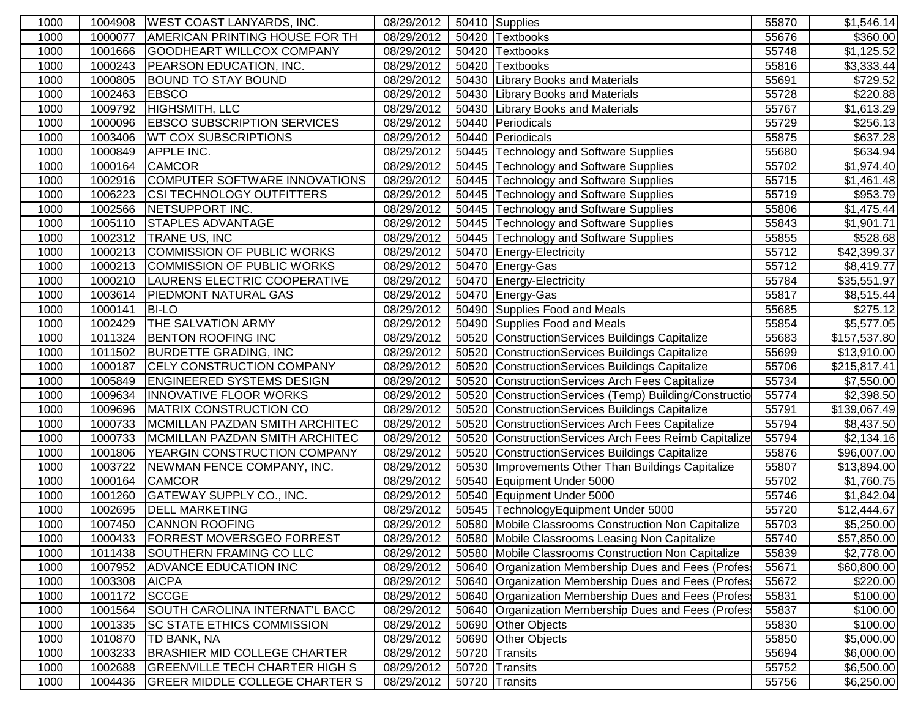| 1000 | 1004908 | <b>WEST COAST LANYARDS, INC.</b>      | 08/29/2012 | 50410 Supplies                                         | 55870 | \$1,546.14             |
|------|---------|---------------------------------------|------------|--------------------------------------------------------|-------|------------------------|
| 1000 | 1000077 | <b>AMERICAN PRINTING HOUSE FOR TH</b> | 08/29/2012 | 50420 Textbooks                                        | 55676 | \$360.00               |
| 1000 | 1001666 | GOODHEART WILLCOX COMPANY             | 08/29/2012 | 50420 Textbooks                                        | 55748 | \$1,125.52             |
| 1000 | 1000243 | <b>PEARSON EDUCATION, INC.</b>        | 08/29/2012 | 50420 Textbooks                                        | 55816 | \$3,333.44             |
| 1000 | 1000805 | <b>BOUND TO STAY BOUND</b>            | 08/29/2012 | 50430 Library Books and Materials                      | 55691 | \$729.52               |
| 1000 | 1002463 | <b>EBSCO</b>                          | 08/29/2012 | 50430 Library Books and Materials                      | 55728 | \$220.88               |
| 1000 | 1009792 | HIGHSMITH, LLC                        | 08/29/2012 | 50430 Library Books and Materials                      | 55767 | \$1,613.29             |
| 1000 | 1000096 | <b>EBSCO SUBSCRIPTION SERVICES</b>    | 08/29/2012 | 50440 Periodicals                                      | 55729 | \$256.13               |
| 1000 | 1003406 | <b>WT COX SUBSCRIPTIONS</b>           | 08/29/2012 | 50440 Periodicals                                      | 55875 | \$637.28               |
| 1000 | 1000849 | <b>APPLE INC.</b>                     | 08/29/2012 | 50445 Technology and Software Supplies                 | 55680 | \$634.94               |
| 1000 | 1000164 | <b>CAMCOR</b>                         | 08/29/2012 | 50445 Technology and Software Supplies                 | 55702 | $\overline{$}1,974.40$ |
| 1000 | 1002916 | COMPUTER SOFTWARE INNOVATIONS         | 08/29/2012 | 50445 Technology and Software Supplies                 | 55715 | \$1,461.48             |
| 1000 | 1006223 | <b>CSI TECHNOLOGY OUTFITTERS</b>      | 08/29/2012 | 50445 Technology and Software Supplies                 | 55719 | \$953.79               |
| 1000 | 1002566 | <b>NETSUPPORT INC.</b>                | 08/29/2012 | 50445 Technology and Software Supplies                 | 55806 | \$1,475.44             |
| 1000 | 1005110 | <b>STAPLES ADVANTAGE</b>              | 08/29/2012 | 50445 Technology and Software Supplies                 | 55843 | \$1,901.71             |
| 1000 | 1002312 | <b>TRANE US, INC</b>                  | 08/29/2012 | 50445 Technology and Software Supplies                 | 55855 | \$528.68               |
| 1000 | 1000213 | COMMISSION OF PUBLIC WORKS            | 08/29/2012 | 50470 Energy-Electricity                               | 55712 | \$42,399.37            |
| 1000 | 1000213 | COMMISSION OF PUBLIC WORKS            | 08/29/2012 | 50470 Energy-Gas                                       | 55712 | \$8,419.77             |
| 1000 | 1000210 | LAURENS ELECTRIC COOPERATIVE          | 08/29/2012 | 50470 Energy-Electricity                               | 55784 | \$35,551.97            |
| 1000 | 1003614 | <b>PIEDMONT NATURAL GAS</b>           | 08/29/2012 | 50470 Energy-Gas                                       | 55817 | \$8,515.44             |
| 1000 | 1000141 | <b>BI-LO</b>                          | 08/29/2012 | 50490 Supplies Food and Meals                          | 55685 | \$275.12               |
| 1000 | 1002429 | <b>THE SALVATION ARMY</b>             | 08/29/2012 | 50490 Supplies Food and Meals                          | 55854 | \$5,577.05             |
| 1000 | 1011324 | <b>BENTON ROOFING INC</b>             | 08/29/2012 | 50520 ConstructionServices Buildings Capitalize        | 55683 | \$157,537.80           |
| 1000 | 1011502 | <b>BURDETTE GRADING, INC</b>          | 08/29/2012 | 50520 ConstructionServices Buildings Capitalize        | 55699 | \$13,910.00            |
| 1000 | 1000187 | <b>CELY CONSTRUCTION COMPANY</b>      | 08/29/2012 | 50520 ConstructionServices Buildings Capitalize        | 55706 | \$215,817.41           |
| 1000 | 1005849 | <b>ENGINEERED SYSTEMS DESIGN</b>      | 08/29/2012 | 50520 ConstructionServices Arch Fees Capitalize        | 55734 | \$7,550.00             |
| 1000 | 1009634 | <b>INNOVATIVE FLOOR WORKS</b>         | 08/29/2012 | 50520 ConstructionServices (Temp) Building/Constructio | 55774 | \$2,398.50             |
| 1000 | 1009696 | MATRIX CONSTRUCTION CO                | 08/29/2012 | 50520 ConstructionServices Buildings Capitalize        | 55791 | \$139,067.49           |
| 1000 | 1000733 | MCMILLAN PAZDAN SMITH ARCHITEC        | 08/29/2012 | 50520 ConstructionServices Arch Fees Capitalize        | 55794 | \$8,437.50             |
| 1000 | 1000733 | MCMILLAN PAZDAN SMITH ARCHITEC        | 08/29/2012 | 50520 ConstructionServices Arch Fees Reimb Capitalize  | 55794 | \$2,134.16             |
| 1000 | 1001806 | <b>YEARGIN CONSTRUCTION COMPANY</b>   | 08/29/2012 | 50520 ConstructionServices Buildings Capitalize        | 55876 | \$96,007.00            |
| 1000 | 1003722 | NEWMAN FENCE COMPANY, INC.            | 08/29/2012 | 50530   Improvements Other Than Buildings Capitalize   | 55807 | \$13,894.00            |
| 1000 | 1000164 | <b>CAMCOR</b>                         | 08/29/2012 | 50540 Equipment Under 5000                             | 55702 | \$1,760.75             |
| 1000 | 1001260 | <b>GATEWAY SUPPLY CO., INC.</b>       | 08/29/2012 | 50540 Equipment Under 5000                             | 55746 | \$1,842.04             |
| 1000 | 1002695 | <b>DELL MARKETING</b>                 | 08/29/2012 | 50545 TechnologyEquipment Under 5000                   | 55720 | \$12,444.67            |
| 1000 | 1007450 | <b>CANNON ROOFING</b>                 | 08/29/2012 | 50580 Mobile Classrooms Construction Non Capitalize    | 55703 | \$5,250.00             |
| 1000 | 1000433 | <b>FORREST MOVERSGEO FORREST</b>      | 08/29/2012 | 50580 Mobile Classrooms Leasing Non Capitalize         | 55740 | \$57,850.00            |
| 1000 | 1011438 | SOUTHERN FRAMING CO LLC               | 08/29/2012 | 50580   Mobile Classrooms Construction Non Capitalize  | 55839 | \$2,778.00             |
| 1000 | 1007952 | <b>ADVANCE EDUCATION INC</b>          | 08/29/2012 | 50640 Organization Membership Dues and Fees (Profes    | 55671 | \$60,800.00            |
| 1000 | 1003308 | <b>AICPA</b>                          | 08/29/2012 | 50640 Organization Membership Dues and Fees (Profes    | 55672 | \$220.00               |
| 1000 | 1001172 | SCCGE                                 | 08/29/2012 | 50640 Organization Membership Dues and Fees (Profes    | 55831 | \$100.00               |
| 1000 | 1001564 | SOUTH CAROLINA INTERNAT'L BACC        | 08/29/2012 | 50640 Organization Membership Dues and Fees (Profes)   | 55837 | \$100.00               |
| 1000 | 1001335 | <b>SC STATE ETHICS COMMISSION</b>     | 08/29/2012 | 50690 Other Objects                                    | 55830 | \$100.00               |
| 1000 | 1010870 | <b>TD BANK, NA</b>                    | 08/29/2012 | 50690 Other Objects                                    | 55850 | \$5,000.00             |
| 1000 | 1003233 | BRASHIER MID COLLEGE CHARTER          | 08/29/2012 | 50720 Transits                                         | 55694 | \$6,000.00             |
| 1000 | 1002688 | <b>GREENVILLE TECH CHARTER HIGH S</b> | 08/29/2012 | 50720 Transits                                         | 55752 | \$6,500.00             |
| 1000 | 1004436 | <b>GREER MIDDLE COLLEGE CHARTER S</b> | 08/29/2012 | 50720 Transits                                         | 55756 | \$6,250.00             |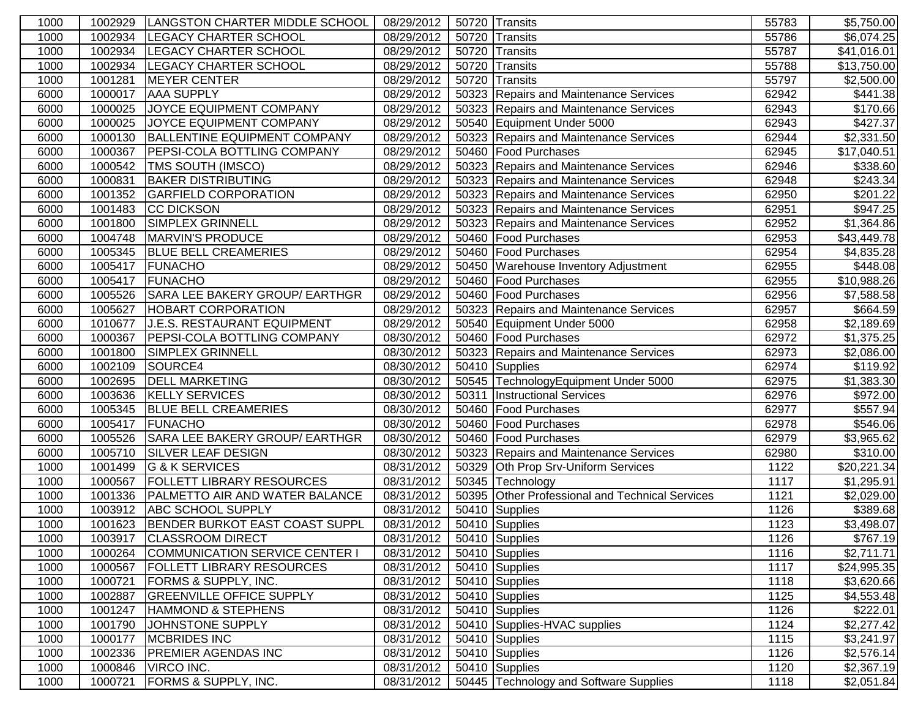| 1000 | 1002929 | LANGSTON CHARTER MIDDLE SCHOOL        | 08/29/2012                | 50720 Transits                                  | 55783 | \$5,750.00           |
|------|---------|---------------------------------------|---------------------------|-------------------------------------------------|-------|----------------------|
| 1000 | 1002934 | <b>LEGACY CHARTER SCHOOL</b>          | 08/29/2012                | 50720 Transits                                  | 55786 | \$6,074.25           |
| 1000 | 1002934 | <b>LEGACY CHARTER SCHOOL</b>          | 08/29/2012                | 50720 Transits                                  | 55787 | \$41,016.01          |
| 1000 | 1002934 | <b>LEGACY CHARTER SCHOOL</b>          | 08/29/2012                | 50720 Transits                                  | 55788 | \$13,750.00          |
| 1000 | 1001281 | <b>MEYER CENTER</b>                   | 08/29/2012                | 50720 Transits                                  | 55797 | \$2,500.00           |
| 6000 | 1000017 | <b>AAA SUPPLY</b>                     | 08/29/2012                | 50323 Repairs and Maintenance Services          | 62942 | \$441.38             |
| 6000 | 1000025 | JOYCE EQUIPMENT COMPANY               | 08/29/2012                | 50323 Repairs and Maintenance Services          | 62943 | \$170.66             |
| 6000 | 1000025 | <b>JOYCE EQUIPMENT COMPANY</b>        | 08/29/2012                | 50540 Equipment Under 5000                      | 62943 | \$427.37             |
| 6000 | 1000130 | <b>BALLENTINE EQUIPMENT COMPANY</b>   | 08/29/2012                | 50323 Repairs and Maintenance Services          | 62944 | \$2,331.50           |
| 6000 | 1000367 | <b>PEPSI-COLA BOTTLING COMPANY</b>    | 08/29/2012                | 50460 Food Purchases                            | 62945 | \$17,040.51          |
| 6000 | 1000542 | <b>TMS SOUTH (IMSCO)</b>              | 08/29/2012                | 50323 Repairs and Maintenance Services          | 62946 | \$338.60             |
| 6000 | 1000831 | <b>BAKER DISTRIBUTING</b>             | 08/29/2012                | 50323 Repairs and Maintenance Services          | 62948 | $\overline{$}243.34$ |
| 6000 | 1001352 | <b>GARFIELD CORPORATION</b>           | 08/29/2012                | 50323 Repairs and Maintenance Services          | 62950 | \$201.22             |
| 6000 | 1001483 | <b>CC DICKSON</b>                     | 08/29/2012                | 50323 Repairs and Maintenance Services          | 62951 | \$947.25             |
| 6000 | 1001800 | <b>SIMPLEX GRINNELL</b>               | 08/29/2012                | 50323 Repairs and Maintenance Services          | 62952 | \$1,364.86           |
| 6000 | 1004748 | MARVIN'S PRODUCE                      | 08/29/2012                | 50460 Food Purchases                            | 62953 | \$43,449.78          |
| 6000 | 1005345 | <b>BLUE BELL CREAMERIES</b>           | 08/29/2012                | 50460   Food Purchases                          | 62954 | \$4,835.28           |
| 6000 | 1005417 | <b>FUNACHO</b>                        | 08/29/2012                | 50450   Warehouse Inventory Adjustment          | 62955 | \$448.08             |
| 6000 | 1005417 | FUNACHO                               | 08/29/2012                | 50460 Food Purchases                            | 62955 | \$10,988.26          |
| 6000 | 1005526 | SARA LEE BAKERY GROUP/ EARTHGR        | 08/29/2012                | 50460 Food Purchases                            | 62956 | \$7,588.58           |
| 6000 | 1005627 | <b>HOBART CORPORATION</b>             | 08/29/2012                | 50323 Repairs and Maintenance Services          | 62957 | \$664.59             |
| 6000 | 1010677 | <b>J.E.S. RESTAURANT EQUIPMENT</b>    | 08/29/2012                | 50540 Equipment Under 5000                      | 62958 | \$2,189.69           |
| 6000 | 1000367 | <b>PEPSI-COLA BOTTLING COMPANY</b>    | 08/30/2012                | 50460 Food Purchases                            | 62972 | \$1,375.25           |
| 6000 | 1001800 | <b>SIMPLEX GRINNELL</b>               | 08/30/2012                | 50323 Repairs and Maintenance Services          | 62973 | \$2,086.00           |
| 6000 | 1002109 | SOURCE4                               | 08/30/2012                | 50410 Supplies                                  | 62974 | \$119.92             |
| 6000 | 1002695 | <b>DELL MARKETING</b>                 | 08/30/2012                | 50545 TechnologyEquipment Under 5000            | 62975 | \$1,383.30           |
| 6000 | 1003636 | <b>KELLY SERVICES</b>                 | 08/30/2012                | 50311 Instructional Services                    | 62976 | \$972.00             |
| 6000 | 1005345 | <b>BLUE BELL CREAMERIES</b>           | 08/30/2012                | 50460 Food Purchases                            | 62977 | \$557.94             |
| 6000 | 1005417 | <b>FUNACHO</b>                        | 08/30/2012                | 50460 Food Purchases                            | 62978 | \$546.06             |
| 6000 | 1005526 | SARA LEE BAKERY GROUP/ EARTHGR        | 08/30/2012                | 50460 Food Purchases                            | 62979 | \$3,965.62           |
| 6000 | 1005710 | <b>SILVER LEAF DESIGN</b>             | 08/30/2012                | 50323 Repairs and Maintenance Services          | 62980 | \$310.00             |
| 1000 | 1001499 | <b>G &amp; K SERVICES</b>             | 08/31/2012                | 50329 Oth Prop Srv-Uniform Services             | 1122  | \$20,221.34          |
| 1000 | 1000567 | <b>FOLLETT LIBRARY RESOURCES</b>      | 08/31/2012                | 50345 Technology                                | 1117  | \$1,295.91           |
| 1000 | 1001336 | <b>PALMETTO AIR AND WATER BALANCE</b> | 08/31/2012                | 50395 Other Professional and Technical Services | 1121  | \$2,029.00           |
| 1000 | 1003912 | <b>ABC SCHOOL SUPPLY</b>              | 08/31/2012                | 50410 Supplies                                  | 1126  | \$389.68             |
| 1000 | 1001623 | BENDER BURKOT EAST COAST SUPPL        | 08/31/2012                | 50410 Supplies                                  | 1123  | \$3,498.07           |
| 1000 |         | 1003917 CLASSROOM DIRECT              | 08/31/2012 50410 Supplies |                                                 | 1126  | \$767.19             |
| 1000 | 1000264 | COMMUNICATION SERVICE CENTER I        | 08/31/2012                | 50410 Supplies                                  | 1116  | \$2,711.71           |
| 1000 | 1000567 | <b>FOLLETT LIBRARY RESOURCES</b>      | 08/31/2012                | 50410 Supplies                                  | 1117  | \$24,995.35          |
| 1000 | 1000721 | <b>FORMS &amp; SUPPLY, INC.</b>       | 08/31/2012                | 50410 Supplies                                  | 1118  | \$3,620.66           |
| 1000 | 1002887 | <b>GREENVILLE OFFICE SUPPLY</b>       | 08/31/2012                | 50410 Supplies                                  | 1125  | \$4,553.48           |
| 1000 | 1001247 | <b>HAMMOND &amp; STEPHENS</b>         | 08/31/2012                | 50410 Supplies                                  | 1126  | \$222.01             |
| 1000 | 1001790 | JOHNSTONE SUPPLY                      | 08/31/2012                | 50410 Supplies-HVAC supplies                    | 1124  | \$2,277.42           |
| 1000 | 1000177 | <b>MCBRIDES INC</b>                   | 08/31/2012                | 50410 Supplies                                  | 1115  | \$3,241.97           |
| 1000 | 1002336 | <b>PREMIER AGENDAS INC</b>            | 08/31/2012                | 50410 Supplies                                  | 1126  | \$2,576.14           |
| 1000 | 1000846 | <b>VIRCO INC.</b>                     | 08/31/2012                | 50410 Supplies                                  | 1120  | \$2,367.19           |
| 1000 | 1000721 | <b>FORMS &amp; SUPPLY, INC.</b>       | 08/31/2012                | 50445 Technology and Software Supplies          | 1118  | \$2,051.84           |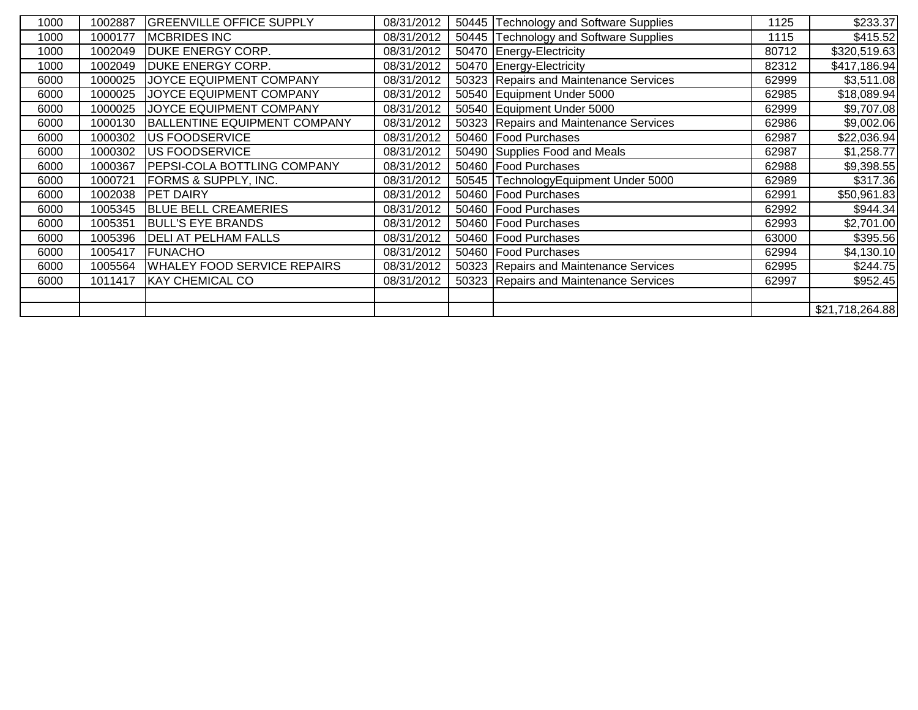| 1000 | 1002887 | <b>GREENVILLE OFFICE SUPPLY</b>    | 08/31/2012 | 50445 Technology and Software Supplies | 1125  | \$233.37        |
|------|---------|------------------------------------|------------|----------------------------------------|-------|-----------------|
| 1000 | 1000177 | <b>MCBRIDES INC</b>                | 08/31/2012 | 50445 Technology and Software Supplies | 1115  | \$415.52        |
| 1000 | 1002049 | <b>DUKE ENERGY CORP.</b>           | 08/31/2012 | 50470 Energy-Electricity               | 80712 | \$320,519.63    |
| 1000 | 1002049 | <b>DUKE ENERGY CORP.</b>           | 08/31/2012 | 50470 Energy-Electricity               | 82312 | \$417,186.94    |
| 6000 | 1000025 | JOYCE EQUIPMENT COMPANY            | 08/31/2012 | 50323 Repairs and Maintenance Services | 62999 | \$3,511.08      |
| 6000 | 1000025 | <b>JOYCE EQUIPMENT COMPANY</b>     | 08/31/2012 | 50540 Equipment Under 5000             | 62985 | \$18,089.94     |
| 6000 | 1000025 | JOYCE EQUIPMENT COMPANY            | 08/31/2012 | 50540 Equipment Under 5000             | 62999 | \$9,707.08      |
| 6000 | 1000130 | BALLENTINE EQUIPMENT COMPANY       | 08/31/2012 | 50323 Repairs and Maintenance Services | 62986 | \$9,002.06      |
| 6000 | 1000302 | <b>US FOODSERVICE</b>              | 08/31/2012 | 50460 Food Purchases                   | 62987 | \$22,036.94     |
| 6000 | 1000302 | <b>US FOODSERVICE</b>              | 08/31/2012 | 50490 Supplies Food and Meals          | 62987 | \$1,258.77      |
| 6000 | 1000367 | <b>PEPSI-COLA BOTTLING COMPANY</b> | 08/31/2012 | 50460 Food Purchases                   | 62988 | \$9,398.55      |
| 6000 | 1000721 | <b>FORMS &amp; SUPPLY, INC.</b>    | 08/31/2012 | 50545 TechnologyEquipment Under 5000   | 62989 | \$317.36        |
| 6000 | 1002038 | <b>PET DAIRY</b>                   | 08/31/2012 | 50460 Food Purchases                   | 62991 | \$50,961.83     |
| 6000 | 1005345 | <b>BLUE BELL CREAMERIES</b>        | 08/31/2012 | 50460 Food Purchases                   | 62992 | \$944.34        |
| 6000 | 1005351 | <b>BULL'S EYE BRANDS</b>           | 08/31/2012 | 50460 Food Purchases                   | 62993 | \$2,701.00      |
| 6000 | 1005396 | <b>DELI AT PELHAM FALLS</b>        | 08/31/2012 | 50460 Food Purchases                   | 63000 | \$395.56        |
| 6000 | 1005417 | <b>FUNACHO</b>                     | 08/31/2012 | 50460 Food Purchases                   | 62994 | \$4,130.10      |
| 6000 | 1005564 | <b>WHALEY FOOD SERVICE REPAIRS</b> | 08/31/2012 | 50323 Repairs and Maintenance Services | 62995 | \$244.75        |
| 6000 | 1011417 | <b>KAY CHEMICAL CO</b>             | 08/31/2012 | 50323 Repairs and Maintenance Services | 62997 | \$952.45        |
|      |         |                                    |            |                                        |       |                 |
|      |         |                                    |            |                                        |       | \$21,718,264.88 |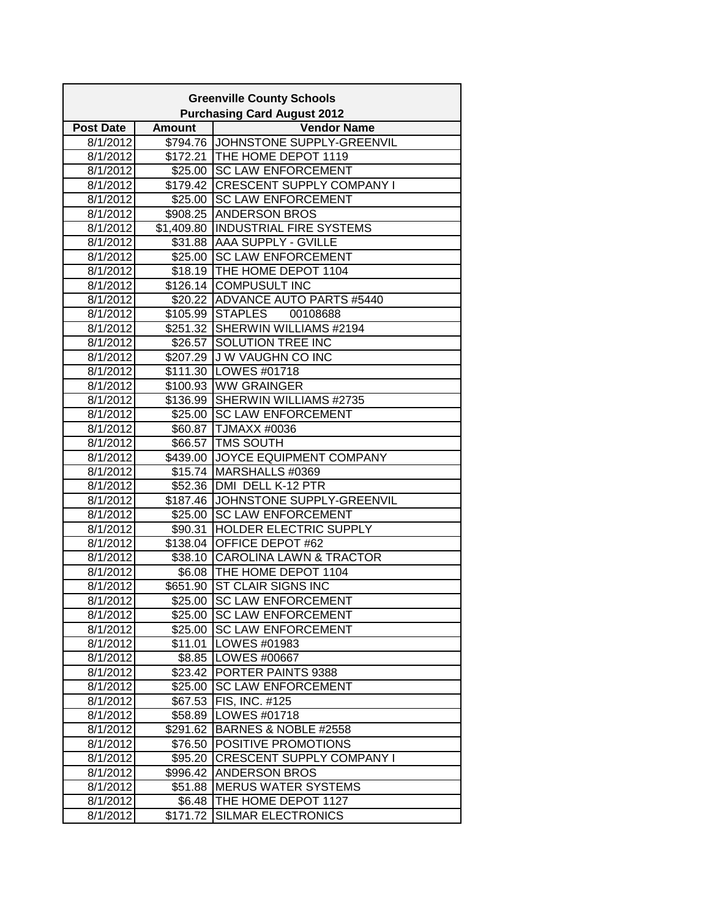|                      | <b>Greenville County Schools</b><br><b>Purchasing Card August 2012</b> |                                                             |  |  |  |  |
|----------------------|------------------------------------------------------------------------|-------------------------------------------------------------|--|--|--|--|
| <b>Post Date</b>     | <b>Amount</b>                                                          | <b>Vendor Name</b>                                          |  |  |  |  |
| 8/1/2012             |                                                                        | \$794.76 JOHNSTONE SUPPLY-GREENVIL                          |  |  |  |  |
| 8/1/2012             |                                                                        | \$172.21 THE HOME DEPOT 1119                                |  |  |  |  |
| 8/1/2012             | \$25.00                                                                | <b>SC LAW ENFORCEMENT</b>                                   |  |  |  |  |
| 8/1/2012             | \$179.42                                                               | <b>CRESCENT SUPPLY COMPANY I</b>                            |  |  |  |  |
| 8/1/2012             | \$25.00                                                                | <b>SC LAW ENFORCEMENT</b>                                   |  |  |  |  |
| 8/1/2012             |                                                                        | \$908.25 ANDERSON BROS                                      |  |  |  |  |
| 8/1/2012             |                                                                        | \$1,409.80 INDUSTRIAL FIRE SYSTEMS                          |  |  |  |  |
| 8/1/2012             |                                                                        | \$31.88 AAA SUPPLY - GVILLE                                 |  |  |  |  |
| 8/1/2012             |                                                                        | \$25.00 SC LAW ENFORCEMENT                                  |  |  |  |  |
| 8/1/2012             |                                                                        | \$18.19 THE HOME DEPOT 1104                                 |  |  |  |  |
| 8/1/2012             | \$126.14                                                               | <b>COMPUSULT INC</b>                                        |  |  |  |  |
| 8/1/2012             |                                                                        | \$20.22 ADVANCE AUTO PARTS #5440                            |  |  |  |  |
| 8/1/2012             | \$105.99                                                               | <b>STAPLES</b><br>00108688                                  |  |  |  |  |
| 8/1/2012             |                                                                        | \$251.32 SHERWIN WILLIAMS #2194                             |  |  |  |  |
| 8/1/2012             |                                                                        | \$26.57 SOLUTION TREE INC                                   |  |  |  |  |
| 8/1/2012             |                                                                        | \$207.29 J W VAUGHN CO INC                                  |  |  |  |  |
| 8/1/2012             |                                                                        | \$111.30 LOWES #01718                                       |  |  |  |  |
| 8/1/2012             |                                                                        | \$100.93 WW GRAINGER                                        |  |  |  |  |
| 8/1/2012             |                                                                        | \$136.99 SHERWIN WILLIAMS #2735                             |  |  |  |  |
| 8/1/2012             |                                                                        | \$25.00 SC LAW ENFORCEMENT                                  |  |  |  |  |
| 8/1/2012             |                                                                        | \$60.87 TJMAXX #0036                                        |  |  |  |  |
| 8/1/2012             | \$66.57                                                                | <b>TMS SOUTH</b>                                            |  |  |  |  |
| 8/1/2012             | \$439.00                                                               | JOYCE EQUIPMENT COMPANY                                     |  |  |  |  |
| 8/1/2012             |                                                                        | \$15.74 MARSHALLS #0369                                     |  |  |  |  |
| 8/1/2012             |                                                                        | \$52.36 DMI DELL K-12 PTR                                   |  |  |  |  |
| 8/1/2012             |                                                                        | \$187.46 JJOHNSTONE SUPPLY-GREENVIL                         |  |  |  |  |
| 8/1/2012             | \$25.00                                                                | <b>SC LAW ENFORCEMENT</b>                                   |  |  |  |  |
| 8/1/2012             | \$90.31                                                                | HOLDER ELECTRIC SUPPLY                                      |  |  |  |  |
| 8/1/2012             | \$138.04                                                               | OFFICE DEPOT #62                                            |  |  |  |  |
| 8/1/2012             |                                                                        | \$38.10 CAROLINA LAWN & TRACTOR                             |  |  |  |  |
| 8/1/2012             |                                                                        | \$6.08   THE HOME DEPOT 1104<br>\$651.90 ST CLAIR SIGNS INC |  |  |  |  |
| 8/1/2012             |                                                                        | \$25.00 SC LAW ENFORCEMENT                                  |  |  |  |  |
| 8/1/2012<br>8/1/2012 |                                                                        | \$25.00 SC LAW ENFORCEMENT                                  |  |  |  |  |
| 8/1/2012             |                                                                        | \$25.00 SC LAW ENFORCEMENT                                  |  |  |  |  |
| 8/1/2012             | \$11.01                                                                | LOWES #01983                                                |  |  |  |  |
| 8/1/2012             |                                                                        | \$8.85  LOWES #00667                                        |  |  |  |  |
| 8/1/2012             |                                                                        | \$23.42 PORTER PAINTS 9388                                  |  |  |  |  |
| 8/1/2012             | \$25.00                                                                | <b>SC LAW ENFORCEMENT</b>                                   |  |  |  |  |
| 8/1/2012             | \$67.53                                                                | FIS, INC. #125                                              |  |  |  |  |
| 8/1/2012             | \$58.89                                                                | LOWES #01718                                                |  |  |  |  |
| 8/1/2012             | \$291.62                                                               | BARNES & NOBLE #2558                                        |  |  |  |  |
| 8/1/2012             | \$76.50                                                                | POSITIVE PROMOTIONS                                         |  |  |  |  |
| 8/1/2012             | \$95.20                                                                | <b>CRESCENT SUPPLY COMPANY I</b>                            |  |  |  |  |
| 8/1/2012             | \$996.42                                                               | <b>ANDERSON BROS</b>                                        |  |  |  |  |
| 8/1/2012             | \$51.88                                                                | <b>MERUS WATER SYSTEMS</b>                                  |  |  |  |  |
| 8/1/2012             | \$6.48                                                                 | THE HOME DEPOT 1127                                         |  |  |  |  |
| 8/1/2012             | \$171.72                                                               | <b>SILMAR ELECTRONICS</b>                                   |  |  |  |  |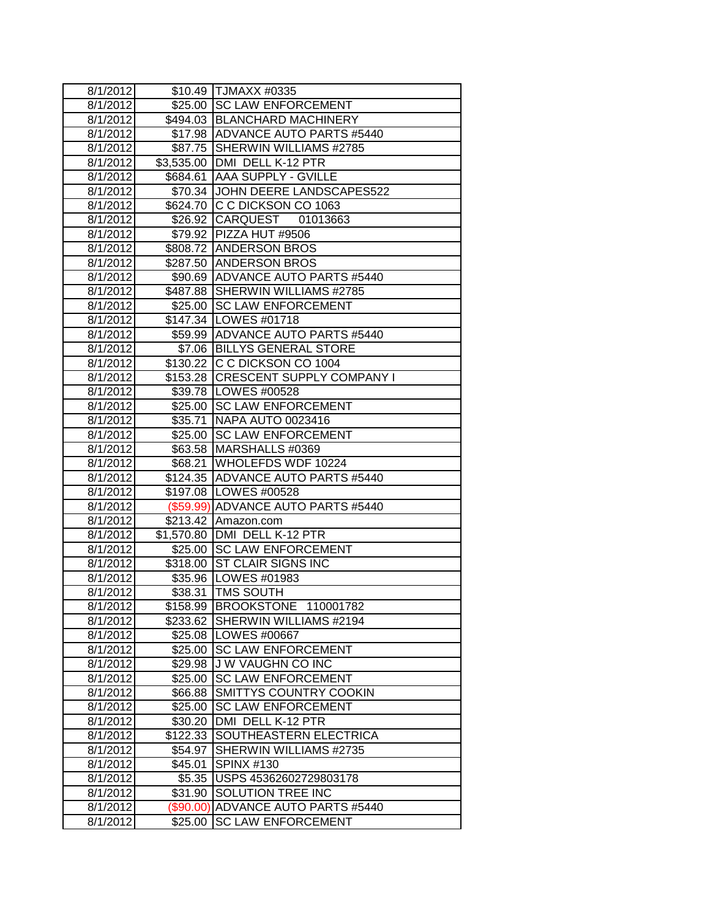| 8/1/2012 |           | \$10.49 TJMAXX #0335               |
|----------|-----------|------------------------------------|
| 8/1/2012 |           | \$25.00 SC LAW ENFORCEMENT         |
| 8/1/2012 |           | \$494.03 BLANCHARD MACHINERY       |
| 8/1/2012 |           | \$17.98 ADVANCE AUTO PARTS #5440   |
| 8/1/2012 |           | \$87.75   SHERWIN WILLIAMS #2785   |
| 8/1/2012 |           | \$3,535.00 DMI DELL K-12 PTR       |
| 8/1/2012 |           | \$684.61 AAA SUPPLY - GVILLE       |
| 8/1/2012 |           | \$70.34 JOHN DEERE LANDSCAPES522   |
| 8/1/2012 |           | \$624.70 C C DICKSON CO 1063       |
| 8/1/2012 |           | \$26.92 CARQUEST 01013663          |
| 8/1/2012 |           | \$79.92 PIZZA HUT #9506            |
| 8/1/2012 |           | \$808.72 ANDERSON BROS             |
| 8/1/2012 |           | \$287.50 ANDERSON BROS             |
| 8/1/2012 |           | \$90.69 ADVANCE AUTO PARTS #5440   |
| 8/1/2012 |           | \$487.88 SHERWIN WILLIAMS #2785    |
| 8/1/2012 |           | \$25.00 SC LAW ENFORCEMENT         |
| 8/1/2012 |           | \$147.34   LOWES #01718            |
| 8/1/2012 |           | \$59.99 ADVANCE AUTO PARTS #5440   |
| 8/1/2012 |           | \$7.06 BILLYS GENERAL STORE        |
| 8/1/2012 |           | \$130.22 C C DICKSON CO 1004       |
| 8/1/2012 |           | \$153.28 CRESCENT SUPPLY COMPANY I |
| 8/1/2012 |           | \$39.78 LOWES #00528               |
| 8/1/2012 |           | \$25.00 SC LAW ENFORCEMENT         |
| 8/1/2012 |           | \$35.71 NAPA AUTO 0023416          |
| 8/1/2012 | \$25.00   | <b>SC LAW ENFORCEMENT</b>          |
| 8/1/2012 |           | \$63.58 MARSHALLS #0369            |
| 8/1/2012 | \$68.21   | WHOLEFDS WDF 10224                 |
| 8/1/2012 |           | \$124.35 ADVANCE AUTO PARTS #5440  |
| 8/1/2012 |           | \$197.08 LOWES #00528              |
| 8/1/2012 |           | (\$59.99) ADVANCE AUTO PARTS #5440 |
| 8/1/2012 |           | \$213.42 Amazon.com                |
| 8/1/2012 |           | \$1,570.80 DMI DELL K-12 PTR       |
| 8/1/2012 |           | \$25.00 SC LAW ENFORCEMENT         |
| 8/1/2012 |           | \$318.00 ST CLAIR SIGNS INC        |
| 8/1/2012 |           | \$35.96   LOWES #01983             |
| 8/1/2012 |           | \$38.31   TMS SOUTH                |
| 8/1/2012 |           | \$158.99 BROOKSTONE 110001782      |
| 8/1/2012 |           | \$233.62 SHERWIN WILLIAMS #2194    |
| 8/1/2012 |           | \$25.08   LOWES #00667             |
| 8/1/2012 | \$25.00   | <b>SC LAW ENFORCEMENT</b>          |
| 8/1/2012 | \$29.98   | J W VAUGHN CO INC                  |
| 8/1/2012 | \$25.00   | <b>SC LAW ENFORCEMENT</b>          |
| 8/1/2012 | \$66.88   | <b>SMITTYS COUNTRY COOKIN</b>      |
| 8/1/2012 | \$25.00   | <b>SC LAW ENFORCEMENT</b>          |
| 8/1/2012 | \$30.20   | DMI DELL K-12 PTR                  |
| 8/1/2012 | \$122.33  | SOUTHEASTERN ELECTRICA             |
| 8/1/2012 | \$54.97   | SHERWIN WILLIAMS #2735             |
| 8/1/2012 | \$45.01   | <b>SPINX #130</b>                  |
| 8/1/2012 |           | \$5.35   USPS 45362602729803178    |
| 8/1/2012 | \$31.90   | SOLUTION TREE INC                  |
| 8/1/2012 | (\$90.00) | ADVANCE AUTO PARTS #5440           |
| 8/1/2012 | \$25.00   | <b>SC LAW ENFORCEMENT</b>          |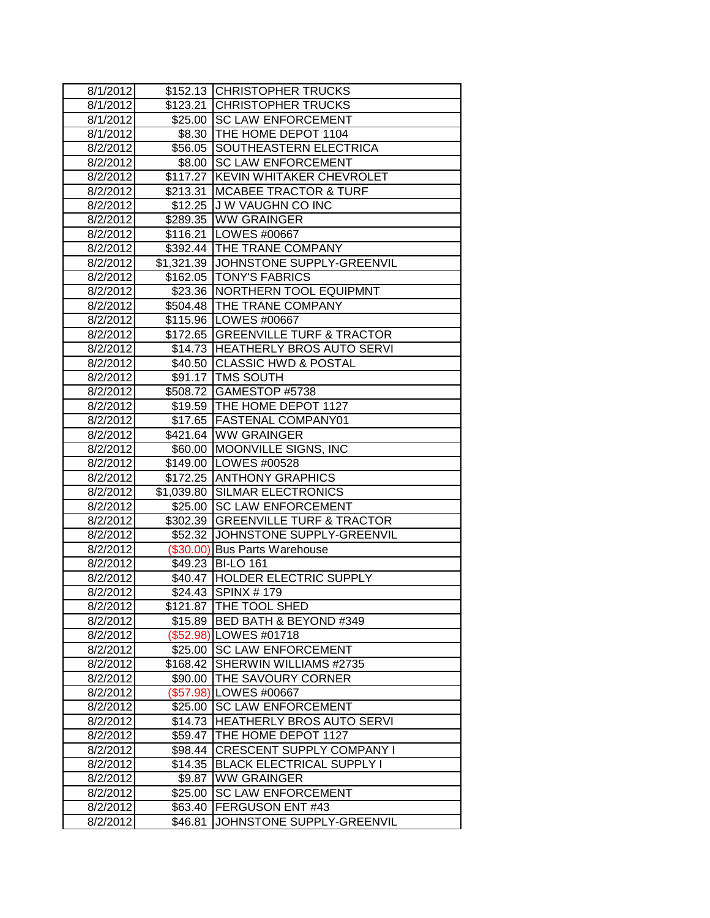| 8/1/2012             | \$152.13           | <b>CHRISTOPHER TRUCKS</b>                               |
|----------------------|--------------------|---------------------------------------------------------|
| 8/1/2012             | \$123.21           | <b>CHRISTOPHER TRUCKS</b>                               |
| 8/1/2012             |                    | \$25.00 SC LAW ENFORCEMENT                              |
| 8/1/2012             |                    | \$8.30   THE HOME DEPOT 1104                            |
| 8/2/2012             |                    | \$56.05 SOUTHEASTERN ELECTRICA                          |
| 8/2/2012             |                    | \$8.00 SC LAW ENFORCEMENT                               |
| 8/2/2012             |                    | \$117.27 KEVIN WHITAKER CHEVROLET                       |
| 8/2/2012             |                    | \$213.31   MCABEE TRACTOR & TURF                        |
| 8/2/2012             |                    | \$12.25 J W VAUGHN CO INC                               |
| 8/2/2012             |                    | \$289.35 WW GRAINGER                                    |
| 8/2/2012             |                    | \$116.21   LOWES #00667                                 |
| 8/2/2012             |                    | \$392.44 THE TRANE COMPANY                              |
| 8/2/2012             |                    | \$1,321.39 JJOHNSTONE SUPPLY-GREENVIL                   |
| 8/2/2012             |                    | \$162.05   TONY'S FABRICS                               |
| 8/2/2012             |                    | \$23.36 NORTHERN TOOL EQUIPMNT                          |
| 8/2/2012             |                    | \$504.48 THE TRANE COMPANY                              |
| 8/2/2012             |                    | \$115.96   LOWES #00667                                 |
| 8/2/2012             |                    | \$172.65 GREENVILLE TURF & TRACTOR                      |
| 8/2/2012             |                    | \$14.73 HEATHERLY BROS AUTO SERVI                       |
| 8/2/2012             |                    | \$40.50 CLASSIC HWD & POSTAL                            |
| 8/2/2012             |                    | \$91.17 TMS SOUTH                                       |
| 8/2/2012             |                    | \$508.72 GAMESTOP #5738                                 |
| 8/2/2012             |                    | \$19.59 THE HOME DEPOT 1127                             |
| 8/2/2012             |                    | \$17.65   FASTENAL COMPANY01                            |
| 8/2/2012             |                    | \$421.64 WW GRAINGER                                    |
| 8/2/2012             | \$60.00            | <b>MOONVILLE SIGNS, INC</b>                             |
| 8/2/2012             |                    | \$149.00 LOWES #00528                                   |
| 8/2/2012             | \$172.25           | <b>ANTHONY GRAPHICS</b>                                 |
| 8/2/2012             | \$1,039.80         | <b>SILMAR ELECTRONICS</b>                               |
| 8/2/2012             | \$25.00            | <b>SC LAW ENFORCEMENT</b>                               |
| 8/2/2012             |                    | \$302.39 GREENVILLE TURF & TRACTOR                      |
| 8/2/2012             |                    | \$52.32 JOHNSTONE SUPPLY-GREENVIL                       |
| 8/2/2012             |                    | (\$30.00) Bus Parts Warehouse                           |
| 8/2/2012             | \$49.23            | <b>BI-LO 161</b>                                        |
| 8/2/2012             | \$40.47            | <b>HOLDER ELECTRIC SUPPLY</b>                           |
| 8/2/2012             | \$24.43            | <b>SPINX #179</b>                                       |
| 8/2/2012             |                    | \$121.87 ITHE TOOL SHED                                 |
| 8/2/2012             |                    | \$15.89   BED BATH & BEYOND #349                        |
| 8/2/2012             |                    | (\$52.98) LOWES #01718                                  |
| 8/2/2012             |                    | \$25.00 SC LAW ENFORCEMENT                              |
| 8/2/2012             | \$168.42           | SHERWIN WILLIAMS #2735                                  |
| 8/2/2012             | \$90.00            | THE SAVOURY CORNER                                      |
| 8/2/2012             | (\$57.98)          | LOWES #00667<br><b>SC LAW ENFORCEMENT</b>               |
| 8/2/2012             | \$25.00            |                                                         |
| 8/2/2012<br>8/2/2012 | \$14.73<br>\$59.47 | <b>HEATHERLY BROS AUTO SERVI</b><br>THE HOME DEPOT 1127 |
| 8/2/2012             | \$98.44            | <b>CRESCENT SUPPLY COMPANY I</b>                        |
| 8/2/2012             | \$14.35            | <b>BLACK ELECTRICAL SUPPLY I</b>                        |
| 8/2/2012             | \$9.87             | <b>WW GRAINGER</b>                                      |
| 8/2/2012             | \$25.00            | <b>SC LAW ENFORCEMENT</b>                               |
| 8/2/2012             | \$63.40            | FERGUSON ENT #43                                        |
| 8/2/2012             | \$46.81            | JOHNSTONE SUPPLY-GREENVIL                               |
|                      |                    |                                                         |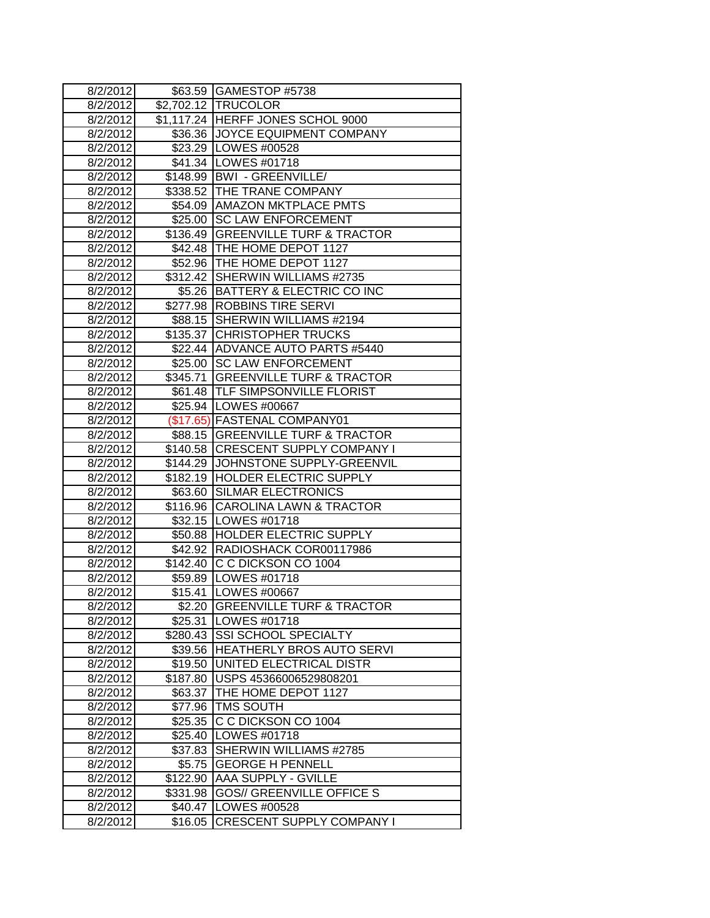| 8/2/2012 |          | \$63.59 GAMESTOP #5738             |
|----------|----------|------------------------------------|
| 8/2/2012 |          | \$2,702.12 TRUCOLOR                |
| 8/2/2012 |          | \$1,117.24 HERFF JONES SCHOL 9000  |
| 8/2/2012 |          | \$36.36 JJOYCE EQUIPMENT COMPANY   |
| 8/2/2012 |          | \$23.29   LOWES #00528             |
| 8/2/2012 |          | \$41.34   LOWES #01718             |
| 8/2/2012 |          | \$148.99   BWI - GREENVILLE/       |
| 8/2/2012 |          | \$338.52 THE TRANE COMPANY         |
| 8/2/2012 |          | \$54.09   AMAZON MKTPLACE PMTS     |
| 8/2/2012 |          | \$25.00 SC LAW ENFORCEMENT         |
| 8/2/2012 |          | \$136.49 GREENVILLE TURF & TRACTOR |
| 8/2/2012 |          | \$42.48 THE HOME DEPOT 1127        |
| 8/2/2012 |          | \$52.96   THE HOME DEPOT 1127      |
| 8/2/2012 |          | \$312.42 SHERWIN WILLIAMS #2735    |
| 8/2/2012 |          | \$5.26 BATTERY & ELECTRIC CO INC   |
| 8/2/2012 |          | \$277.98 ROBBINS TIRE SERVI        |
| 8/2/2012 | \$88.15  | SHERWIN WILLIAMS #2194             |
| 8/2/2012 |          | \$135.37 CHRISTOPHER TRUCKS        |
| 8/2/2012 |          | \$22.44 ADVANCE AUTO PARTS #5440   |
| 8/2/2012 |          | \$25.00 SC LAW ENFORCEMENT         |
| 8/2/2012 |          | \$345.71 GREENVILLE TURF & TRACTOR |
| 8/2/2012 |          | \$61.48  TLF SIMPSONVILLE FLORIST  |
| 8/2/2012 |          | \$25.94   LOWES #00667             |
| 8/2/2012 |          | (\$17.65) FASTENAL COMPANY01       |
| 8/2/2012 |          | \$88.15 GREENVILLE TURF & TRACTOR  |
| 8/2/2012 |          | \$140.58 CRESCENT SUPPLY COMPANY I |
| 8/2/2012 | \$144.29 | JOHNSTONE SUPPLY-GREENVIL          |
| 8/2/2012 |          | \$182.19 HOLDER ELECTRIC SUPPLY    |
| 8/2/2012 |          | \$63.60 SILMAR ELECTRONICS         |
| 8/2/2012 |          | \$116.96 CAROLINA LAWN & TRACTOR   |
| 8/2/2012 |          | \$32.15 LOWES #01718               |
| 8/2/2012 |          | \$50.88 HOLDER ELECTRIC SUPPLY     |
| 8/2/2012 | \$42.92  | RADIOSHACK COR00117986             |
| 8/2/2012 | \$142.40 | C C DICKSON CO 1004                |
| 8/2/2012 |          | \$59.89   LOWES #01718             |
| 8/2/2012 | \$15.41  | <b>ILOWES #00667</b>               |
| 8/2/2012 |          | \$2.20   GREENVILLE TURF & TRACTOR |
| 8/2/2012 | \$25.31  | <b>ILOWES #01718</b>               |
| 8/2/2012 |          | \$280.43 SSI SCHOOL SPECIALTY      |
| 8/2/2012 |          | \$39.56 HEATHERLY BROS AUTO SERVI  |
| 8/2/2012 | \$19.50  | UNITED ELECTRICAL DISTR            |
| 8/2/2012 | \$187.80 | USPS 45366006529808201             |
| 8/2/2012 | \$63.37  | THE HOME DEPOT 1127                |
| 8/2/2012 | \$77.96  | TMS SOUTH                          |
| 8/2/2012 | \$25.35  | C C DICKSON CO 1004                |
| 8/2/2012 | \$25.40  | LOWES #01718                       |
| 8/2/2012 | \$37.83  | SHERWIN WILLIAMS #2785             |
| 8/2/2012 | \$5.75   | <b>GEORGE H PENNELL</b>            |
| 8/2/2012 | \$122.90 | <b>AAA SUPPLY - GVILLE</b>         |
| 8/2/2012 | \$331.98 | <b>GOS// GREENVILLE OFFICE S</b>   |
| 8/2/2012 | \$40.47  | LOWES #00528                       |
| 8/2/2012 | \$16.05  | <b>CRESCENT SUPPLY COMPANY I</b>   |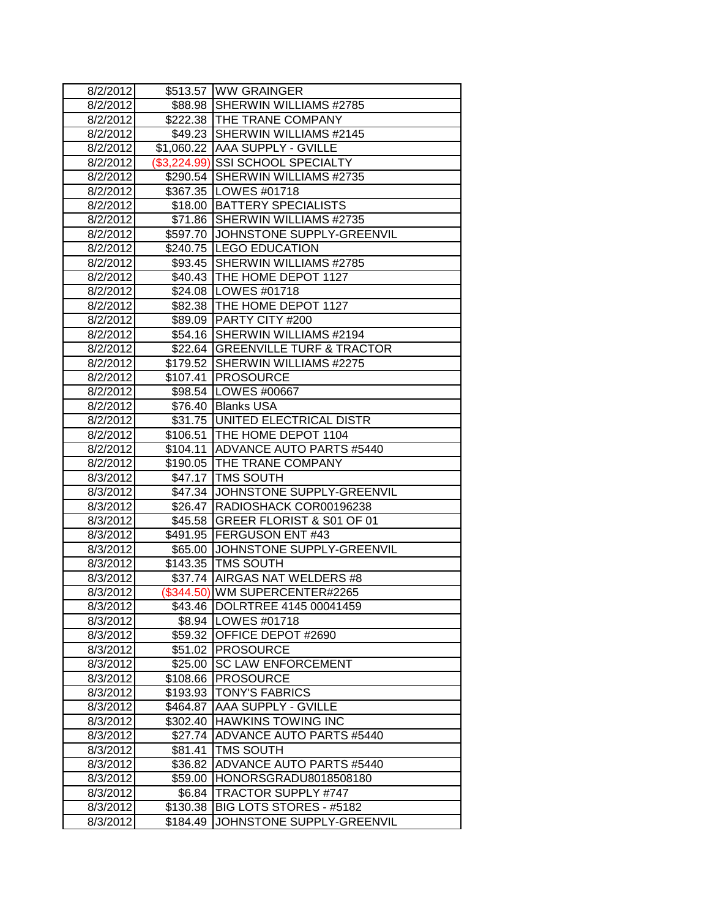| 8/2/2012 |            | \$513.57 WW GRAINGER                 |
|----------|------------|--------------------------------------|
| 8/2/2012 |            | \$88.98 SHERWIN WILLIAMS #2785       |
| 8/2/2012 |            | \$222.38 THE TRANE COMPANY           |
| 8/2/2012 |            | \$49.23 SHERWIN WILLIAMS #2145       |
| 8/2/2012 |            | \$1,060.22 AAA SUPPLY - GVILLE       |
| 8/2/2012 |            | (\$3,224.99) SSI SCHOOL SPECIALTY    |
| 8/2/2012 |            | \$290.54 SHERWIN WILLIAMS #2735      |
| 8/2/2012 |            | \$367.35 LOWES #01718                |
| 8/2/2012 |            | \$18.00 BATTERY SPECIALISTS          |
| 8/2/2012 |            | \$71.86 SHERWIN WILLIAMS #2735       |
| 8/2/2012 |            | \$597.70 JOHNSTONE SUPPLY-GREENVIL   |
| 8/2/2012 |            | \$240.75 LEGO EDUCATION              |
| 8/2/2012 | \$93.45    | SHERWIN WILLIAMS #2785               |
| 8/2/2012 |            | \$40.43   THE HOME DEPOT 1127        |
| 8/2/2012 |            | \$24.08   LOWES #01718               |
| 8/2/2012 |            | \$82.38 THE HOME DEPOT 1127          |
| 8/2/2012 |            | \$89.09 PARTY CITY #200              |
| 8/2/2012 | \$54.16    | SHERWIN WILLIAMS #2194               |
| 8/2/2012 | \$22.64    | <b>GREENVILLE TURF &amp; TRACTOR</b> |
| 8/2/2012 | \$179.52   | SHERWIN WILLIAMS #2275               |
| 8/2/2012 |            | \$107.41   PROSOURCE                 |
| 8/2/2012 |            | \$98.54 LOWES #00667                 |
| 8/2/2012 |            | \$76.40 Blanks USA                   |
| 8/2/2012 |            | \$31.75 UNITED ELECTRICAL DISTR      |
| 8/2/2012 |            | \$106.51 THE HOME DEPOT 1104         |
| 8/2/2012 |            | \$104.11 ADVANCE AUTO PARTS #5440    |
| 8/2/2012 |            | \$190.05 THE TRANE COMPANY           |
| 8/3/2012 | \$47.17    | <b>TMS SOUTH</b>                     |
| 8/3/2012 | \$47.34    | JOHNSTONE SUPPLY-GREENVIL            |
| 8/3/2012 |            | \$26.47 RADIOSHACK COR00196238       |
| 8/3/2012 |            | \$45.58 GREER FLORIST & S01 OF 01    |
| 8/3/2012 |            | \$491.95   FERGUSON ENT #43          |
| 8/3/2012 |            | \$65.00 JJOHNSTONE SUPPLY-GREENVIL   |
| 8/3/2012 |            | \$143.35   TMS SOUTH                 |
| 8/3/2012 | \$37.74    | AIRGAS NAT WELDERS #8                |
| 8/3/2012 | (\$344.50) | WM SUPERCENTER#2265                  |
| 8/3/2012 |            | \$43.46  DOLRTREE 4145 00041459      |
| 8/3/2012 | \$8.94     | LOWES #01718                         |
| 8/3/2012 | \$59.32    | OFFICE DEPOT #2690                   |
| 8/3/2012 | \$51.02    | <b>PROSOURCE</b>                     |
| 8/3/2012 | \$25.00    | <b>SC LAW ENFORCEMENT</b>            |
| 8/3/2012 | \$108.66   | <b>PROSOURCE</b>                     |
| 8/3/2012 | \$193.93   | <b>TONY'S FABRICS</b>                |
| 8/3/2012 | \$464.87   | AAA SUPPLY - GVILLE                  |
| 8/3/2012 | \$302.40   | <b>HAWKINS TOWING INC</b>            |
| 8/3/2012 | \$27.74    | <b>ADVANCE AUTO PARTS #5440</b>      |
| 8/3/2012 | \$81.41    | TMS SOUTH                            |
| 8/3/2012 | \$36.82    | ADVANCE AUTO PARTS #5440             |
| 8/3/2012 | \$59.00    | HONORSGRADU8018508180                |
| 8/3/2012 | \$6.84     | <b>TRACTOR SUPPLY #747</b>           |
| 8/3/2012 | \$130.38   | BIG LOTS STORES - #5182              |
| 8/3/2012 | \$184.49   | JOHNSTONE SUPPLY-GREENVIL            |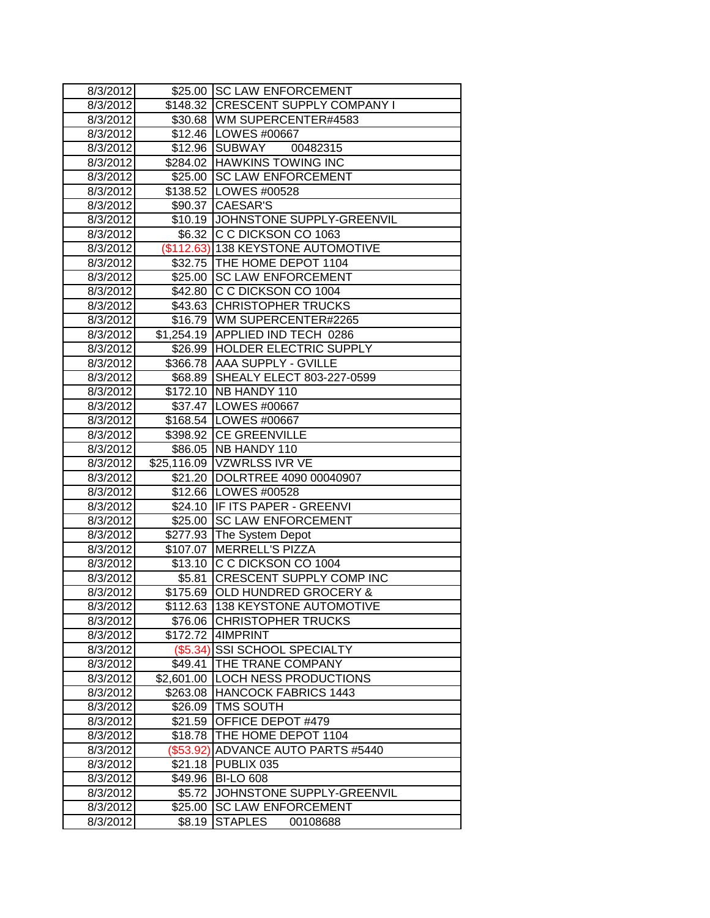| 8/3/2012 |            | \$25.00 SC LAW ENFORCEMENT         |
|----------|------------|------------------------------------|
| 8/3/2012 |            | \$148.32 CRESCENT SUPPLY COMPANY I |
| 8/3/2012 |            | \$30.68   WM SUPERCENTER#4583      |
| 8/3/2012 |            | \$12.46   LOWES #00667             |
| 8/3/2012 | \$12.96    | <b>SUBWAY</b><br>00482315          |
| 8/3/2012 |            | \$284.02 HAWKINS TOWING INC        |
| 8/3/2012 |            | \$25.00 SC LAW ENFORCEMENT         |
| 8/3/2012 |            | \$138.52 LOWES #00528              |
| 8/3/2012 |            | \$90.37 CAESAR'S                   |
| 8/3/2012 |            | \$10.19 JOHNSTONE SUPPLY-GREENVIL  |
| 8/3/2012 |            | \$6.32 C C DICKSON CO 1063         |
| 8/3/2012 |            | (\$112.63) 138 KEYSTONE AUTOMOTIVE |
| 8/3/2012 |            | \$32.75   THE HOME DEPOT 1104      |
| 8/3/2012 | \$25.00    | <b>SC LAW ENFORCEMENT</b>          |
| 8/3/2012 |            | \$42.80 C C DICKSON CO 1004        |
| 8/3/2012 |            | \$43.63 CHRISTOPHER TRUCKS         |
| 8/3/2012 |            | \$16.79 WM SUPERCENTER#2265        |
| 8/3/2012 |            | \$1,254.19 APPLIED IND TECH 0286   |
| 8/3/2012 |            | \$26.99 HOLDER ELECTRIC SUPPLY     |
| 8/3/2012 |            | \$366.78 AAA SUPPLY - GVILLE       |
| 8/3/2012 | \$68.89    | SHEALY ELECT 803-227-0599          |
| 8/3/2012 |            | \$172.10   NB HANDY 110            |
| 8/3/2012 |            | \$37.47   LOWES #00667             |
| 8/3/2012 |            | \$168.54 LOWES #00667              |
| 8/3/2012 |            | \$398.92 CE GREENVILLE             |
| 8/3/2012 |            | \$86.05   NB HANDY 110             |
| 8/3/2012 |            | \$25,116.09 VZWRLSS IVR VE         |
| 8/3/2012 |            | \$21.20 DOLRTREE 4090 00040907     |
| 8/3/2012 |            | \$12.66   LOWES #00528             |
| 8/3/2012 |            | \$24.10 IF ITS PAPER - GREENVI     |
| 8/3/2012 | \$25.00    | <b>SC LAW ENFORCEMENT</b>          |
| 8/3/2012 | \$277.93   | The System Depot                   |
| 8/3/2012 | \$107.07   | <b>MERRELL'S PIZZA</b>             |
| 8/3/2012 |            | \$13.10 C C DICKSON CO 1004        |
| 8/3/2012 | \$5.81     | <b>CRESCENT SUPPLY COMP INC</b>    |
| 8/3/2012 | \$175.69   | OLD HUNDRED GROCERY &              |
| 8/3/2012 | \$112.63   | <b>138 KEYSTONE AUTOMOTIVE</b>     |
| 8/3/2012 | \$76.06    | <b>CHRISTOPHER TRUCKS</b>          |
| 8/3/2012 | \$172.72   | 4IMPRINT                           |
| 8/3/2012 | (\$5.34)   | <b>SSI SCHOOL SPECIALTY</b>        |
| 8/3/2012 | \$49.41    | THE TRANE COMPANY                  |
| 8/3/2012 | \$2,601.00 | <b>LOCH NESS PRODUCTIONS</b>       |
| 8/3/2012 | \$263.08   | <b>HANCOCK FABRICS 1443</b>        |
| 8/3/2012 | \$26.09    | <b>TMS SOUTH</b>                   |
| 8/3/2012 | \$21.59    | OFFICE DEPOT #479                  |
| 8/3/2012 | \$18.78    | THE HOME DEPOT 1104                |
| 8/3/2012 | (\$53.92)  | <b>ADVANCE AUTO PARTS #5440</b>    |
| 8/3/2012 | \$21.18    | PUBLIX 035                         |
| 8/3/2012 | \$49.96    | <b>BI-LO 608</b>                   |
| 8/3/2012 | \$5.72     | JOHNSTONE SUPPLY-GREENVIL          |
| 8/3/2012 | \$25.00    | <b>SC LAW ENFORCEMENT</b>          |
| 8/3/2012 | \$8.19     | <b>STAPLES</b><br>00108688         |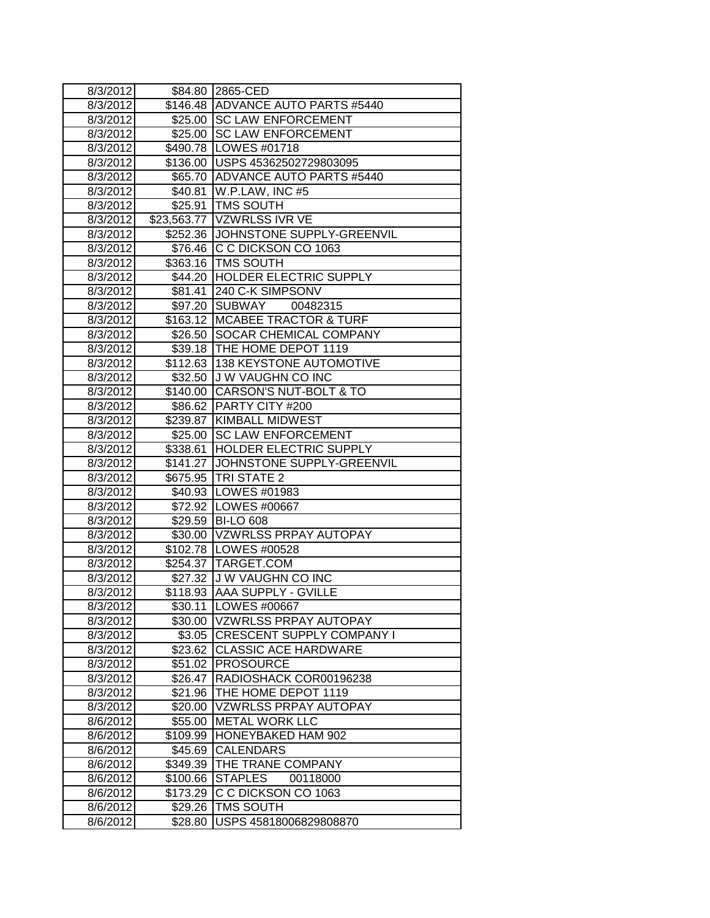| 8/3/2012 |          | \$84.80 2865-CED                    |
|----------|----------|-------------------------------------|
| 8/3/2012 |          | \$146.48 ADVANCE AUTO PARTS #5440   |
| 8/3/2012 |          | \$25.00 SC LAW ENFORCEMENT          |
| 8/3/2012 |          | \$25.00 SC LAW ENFORCEMENT          |
| 8/3/2012 |          | \$490.78 LOWES #01718               |
| 8/3/2012 |          | \$136.00 USPS 45362502729803095     |
| 8/3/2012 |          | \$65.70 ADVANCE AUTO PARTS #5440    |
| 8/3/2012 |          | \$40.81   W.P.LAW, INC #5           |
| 8/3/2012 | \$25.91  | <b>TMS SOUTH</b>                    |
| 8/3/2012 |          | \$23,563.77   VZWRLSS IVR VE        |
| 8/3/2012 |          | \$252.36 JJOHNSTONE SUPPLY-GREENVIL |
| 8/3/2012 |          | \$76.46 C C DICKSON CO 1063         |
| 8/3/2012 |          | \$363.16 TMS SOUTH                  |
| 8/3/2012 |          | \$44.20 HOLDER ELECTRIC SUPPLY      |
| 8/3/2012 | \$81.41  | 240 C-K SIMPSONV                    |
| 8/3/2012 | \$97.20  | <b>SUBWAY</b><br>00482315           |
| 8/3/2012 | \$163.12 | <b>MCABEE TRACTOR &amp; TURF</b>    |
| 8/3/2012 | \$26.50  | SOCAR CHEMICAL COMPANY              |
| 8/3/2012 |          | \$39.18   THE HOME DEPOT 1119       |
| 8/3/2012 |          | \$112.63   138 KEYSTONE AUTOMOTIVE  |
| 8/3/2012 |          | \$32.50 J W VAUGHN CO INC           |
| 8/3/2012 |          | \$140.00 CARSON'S NUT-BOLT & TO     |
| 8/3/2012 |          | \$86.62 PARTY CITY #200             |
| 8/3/2012 |          | \$239.87 KIMBALL MIDWEST            |
| 8/3/2012 |          | \$25.00 SC LAW ENFORCEMENT          |
| 8/3/2012 | \$338.61 | <b>HOLDER ELECTRIC SUPPLY</b>       |
| 8/3/2012 | \$141.27 | JOHNSTONE SUPPLY-GREENVIL           |
| 8/3/2012 |          | \$675.95 TRI STATE 2                |
| 8/3/2012 |          | \$40.93 LOWES #01983                |
| 8/3/2012 |          | \$72.92 LOWES #00667                |
| 8/3/2012 |          | \$29.59 BI-LO 608                   |
| 8/3/2012 |          | \$30.00 VZWRLSS PRPAY AUTOPAY       |
| 8/3/2012 |          | \$102.78 LOWES #00528               |
| 8/3/2012 | \$254.37 | TARGET.COM                          |
| 8/3/2012 | \$27.32  | <b>JW VAUGHN CO INC</b>             |
| 8/3/2012 | \$118.93 | <b>AAA SUPPLY - GVILLE</b>          |
| 8/3/2012 | \$30.11  | <b>ILOWES #00667</b>                |
| 8/3/2012 | \$30.00  | VZWRLSS PRPAY AUTOPAY               |
| 8/3/2012 |          | \$3.05 CRESCENT SUPPLY COMPANY I    |
| 8/3/2012 | \$23.62  | <b>CLASSIC ACE HARDWARE</b>         |
| 8/3/2012 | \$51.02  | <b>PROSOURCE</b>                    |
| 8/3/2012 | \$26.47  | RADIOSHACK COR00196238              |
| 8/3/2012 | \$21.96  | THE HOME DEPOT 1119                 |
| 8/3/2012 | \$20.00  | <b>VZWRLSS PRPAY AUTOPAY</b>        |
| 8/6/2012 | \$55.00  | <b>METAL WORK LLC</b>               |
| 8/6/2012 | \$109.99 | HONEYBAKED HAM 902                  |
| 8/6/2012 | \$45.69  | <b>CALENDARS</b>                    |
| 8/6/2012 | \$349.39 | THE TRANE COMPANY                   |
| 8/6/2012 | \$100.66 | <b>STAPLES</b><br>00118000          |
| 8/6/2012 | \$173.29 | C C DICKSON CO 1063                 |
| 8/6/2012 | \$29.26  | TMS SOUTH                           |
| 8/6/2012 | \$28.80  | USPS 45818006829808870              |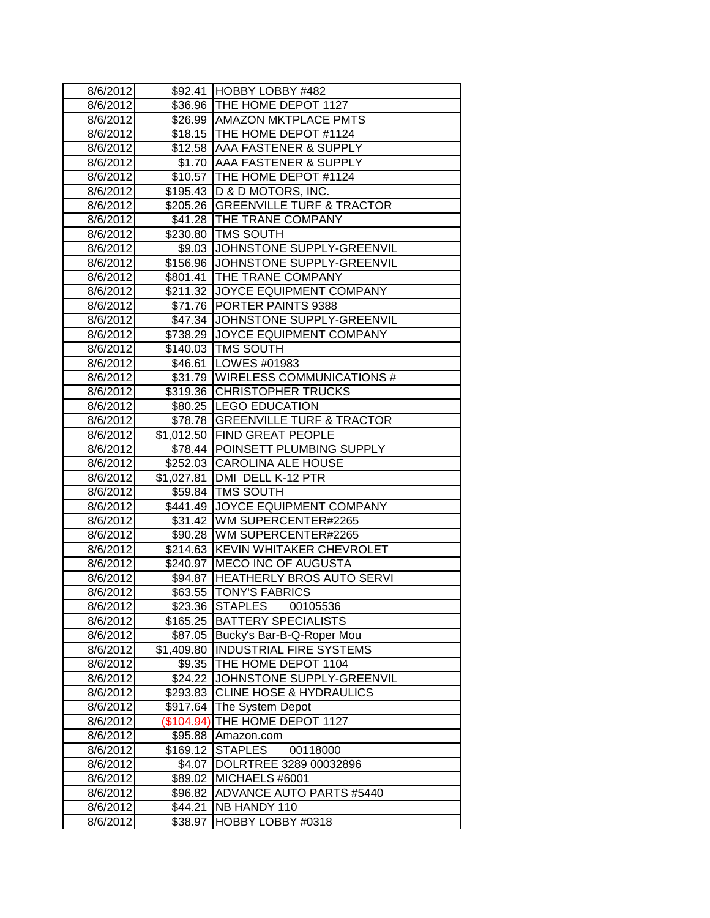| 8/6/2012             |                        | \$92.41 HOBBY LOBBY #482                         |
|----------------------|------------------------|--------------------------------------------------|
| 8/6/2012             |                        | \$36.96 THE HOME DEPOT 1127                      |
| 8/6/2012             |                        | \$26.99 AMAZON MKTPLACE PMTS                     |
| 8/6/2012             |                        | \$18.15   THE HOME DEPOT #1124                   |
| 8/6/2012             |                        | \$12.58 AAA FASTENER & SUPPLY                    |
| 8/6/2012             |                        | \$1.70 AAA FASTENER & SUPPLY                     |
| 8/6/2012             |                        | \$10.57 THE HOME DEPOT #1124                     |
| 8/6/2012             |                        | \$195.43   D & D MOTORS, INC.                    |
| 8/6/2012             |                        | \$205.26 GREENVILLE TURF & TRACTOR               |
| 8/6/2012             |                        | \$41.28   THE TRANE COMPANY                      |
| 8/6/2012             | \$230.80               | <b>TMS SOUTH</b>                                 |
| 8/6/2012             | \$9.03                 | JOHNSTONE SUPPLY-GREENVIL                        |
| 8/6/2012             | \$156.96               | JOHNSTONE SUPPLY-GREENVIL                        |
| 8/6/2012             | \$801.41               | THE TRANE COMPANY                                |
| 8/6/2012             | \$211.32               | JOYCE EQUIPMENT COMPANY                          |
| 8/6/2012             |                        | \$71.76 PORTER PAINTS 9388                       |
| 8/6/2012             | \$47.34                | JOHNSTONE SUPPLY-GREENVIL                        |
| 8/6/2012             | \$738.29               | JOYCE EQUIPMENT COMPANY                          |
| 8/6/2012             |                        | \$140.03   TMS SOUTH                             |
| 8/6/2012             |                        | \$46.61   LOWES #01983                           |
| 8/6/2012             |                        | \$31.79 WIRELESS COMMUNICATIONS #                |
| 8/6/2012             |                        | \$319.36 CHRISTOPHER TRUCKS                      |
| 8/6/2012             |                        | \$80.25 LEGO EDUCATION                           |
| 8/6/2012             |                        | \$78.78 GREENVILLE TURF & TRACTOR                |
| 8/6/2012             |                        | \$1,012.50 FIND GREAT PEOPLE                     |
| 8/6/2012             |                        | \$78.44 POINSETT PLUMBING SUPPLY                 |
| 8/6/2012             | \$252.03               | <b>CAROLINA ALE HOUSE</b>                        |
| 8/6/2012             | $\overline{$}1,027.81$ | DMI DELL K-12 PTR                                |
| 8/6/2012             | \$59.84                | <b>TMS SOUTH</b>                                 |
| 8/6/2012             | \$441.49               | JOYCE EQUIPMENT COMPANY                          |
| 8/6/2012             |                        | \$31.42   WM SUPERCENTER#2265                    |
| 8/6/2012             |                        | \$90.28 WM SUPERCENTER#2265                      |
| 8/6/2012             | \$214.63               | <b>KEVIN WHITAKER CHEVROLET</b>                  |
| 8/6/2012             | \$240.97               | <b>MECO INC OF AUGUSTA</b>                       |
| 8/6/2012             | \$94.87                | <b>HEATHERLY BROS AUTO SERVI</b>                 |
| 8/6/2012             | \$63.55                | <b>TONY'S FABRICS</b>                            |
| 8/6/2012             | \$23.36                | STAPLES<br>00105536                              |
| 8/6/2012             | \$165.25               | <b>BATTERY SPECIALISTS</b>                       |
| 8/6/2012             | \$87.05                | Bucky's Bar-B-Q-Roper Mou                        |
| 8/6/2012             | \$1,409.80             | <b>INDUSTRIAL FIRE SYSTEMS</b>                   |
| 8/6/2012             | \$9.35                 | THE HOME DEPOT 1104<br>JOHNSTONE SUPPLY-GREENVIL |
| 8/6/2012<br>8/6/2012 | \$24.22                | <b>CLINE HOSE &amp; HYDRAULICS</b>               |
| 8/6/2012             | \$293.83<br>\$917.64   | The System Depot                                 |
| 8/6/2012             | (\$104.94)             | THE HOME DEPOT 1127                              |
| 8/6/2012             | \$95.88                | Amazon.com                                       |
| 8/6/2012             | \$169.12               | 00118000<br><b>STAPLES</b>                       |
| 8/6/2012             | \$4.07                 | DOLRTREE 3289 00032896                           |
| 8/6/2012             | \$89.02                | MICHAELS #6001                                   |
| 8/6/2012             | \$96.82                | <b>ADVANCE AUTO PARTS #5440</b>                  |
| 8/6/2012             | \$44.21                | NB HANDY 110                                     |
| 8/6/2012             | \$38.97                | HOBBY LOBBY #0318                                |
|                      |                        |                                                  |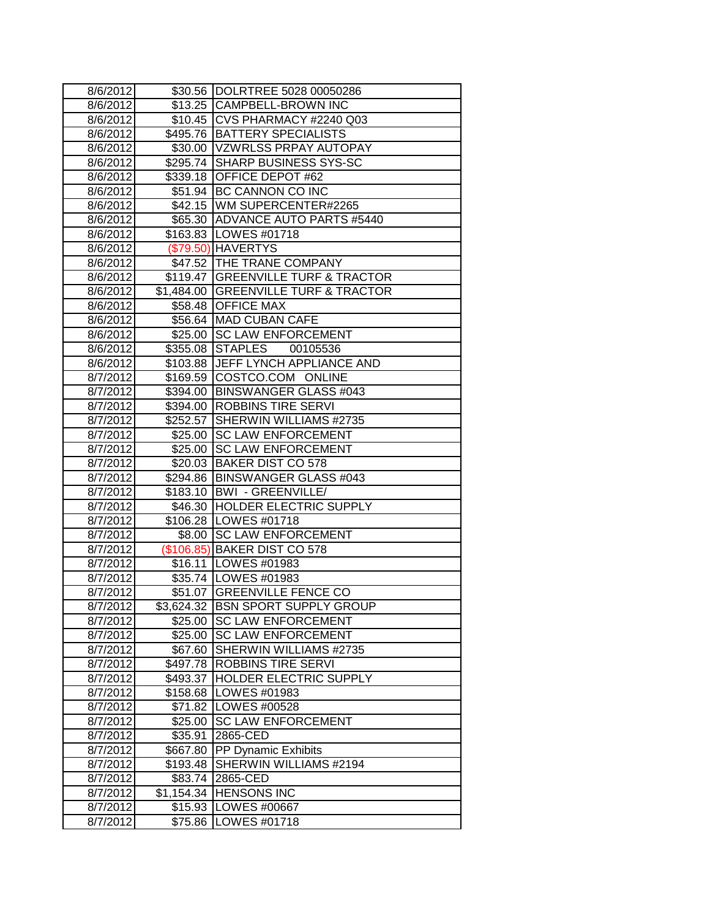| 8/6/2012 |            | \$30.56 DOLRTREE 5028 00050286       |
|----------|------------|--------------------------------------|
| 8/6/2012 |            | \$13.25 CAMPBELL-BROWN INC           |
| 8/6/2012 |            | \$10.45 CVS PHARMACY #2240 Q03       |
| 8/6/2012 |            | \$495.76   BATTERY SPECIALISTS       |
| 8/6/2012 |            | \$30.00 VZWRLSS PRPAY AUTOPAY        |
| 8/6/2012 |            | \$295.74 SHARP BUSINESS SYS-SC       |
| 8/6/2012 |            | \$339.18 OFFICE DEPOT #62            |
| 8/6/2012 |            | \$51.94 BC CANNON CO INC             |
| 8/6/2012 |            | \$42.15   WM SUPERCENTER#2265        |
| 8/6/2012 |            | \$65.30 ADVANCE AUTO PARTS #5440     |
| 8/6/2012 |            | \$163.83 LOWES #01718                |
| 8/6/2012 |            | (\$79.50) HAVERTYS                   |
| 8/6/2012 |            | \$47.52 THE TRANE COMPANY            |
| 8/6/2012 |            | \$119.47 GREENVILLE TURF & TRACTOR   |
| 8/6/2012 |            | \$1,484.00 GREENVILLE TURF & TRACTOR |
| 8/6/2012 |            | \$58.48 OFFICE MAX                   |
| 8/6/2012 |            | \$56.64   MAD CUBAN CAFE             |
| 8/6/2012 |            | \$25.00 SC LAW ENFORCEMENT           |
| 8/6/2012 | \$355.08   | <b>STAPLES</b><br>00105536           |
| 8/6/2012 |            | \$103.88 JJEFF LYNCH APPLIANCE AND   |
| 8/7/2012 |            | \$169.59 COSTCO.COM ONLINE           |
| 8/7/2012 |            | \$394.00   BINSWANGER GLASS #043     |
| 8/7/2012 |            | \$394.00   ROBBINS TIRE SERVI        |
| 8/7/2012 |            | \$252.57 SHERWIN WILLIAMS #2735      |
| 8/7/2012 |            | \$25.00 SC LAW ENFORCEMENT           |
| 8/7/2012 |            | \$25.00 SC LAW ENFORCEMENT           |
| 8/7/2012 |            | \$20.03 BAKER DIST CO 578            |
| 8/7/2012 |            | \$294.86 BINSWANGER GLASS #043       |
| 8/7/2012 |            | \$183.10   BWI - GREENVILLE/         |
| 8/7/2012 |            | \$46.30 HOLDER ELECTRIC SUPPLY       |
| 8/7/2012 |            | \$106.28 LOWES #01718                |
| 8/7/2012 |            | \$8.00 SC LAW ENFORCEMENT            |
| 8/7/2012 |            | (\$106.85) BAKER DIST CO 578         |
| 8/7/2012 |            | \$16.11   LOWES #01983               |
| 8/7/2012 |            | \$35.74   LOWES #01983               |
| 8/7/2012 | \$51.07    | <b>GREENVILLE FENCE CO</b>           |
| 8/7/2012 |            | \$3,624.32 BSN SPORT SUPPLY GROUP    |
| 8/7/2012 | \$25.00    | <b>SC LAW ENFORCEMENT</b>            |
| 8/7/2012 |            | \$25.00 SC LAW ENFORCEMENT           |
| 8/7/2012 |            | \$67.60 SHERWIN WILLIAMS #2735       |
| 8/7/2012 | \$497.78   | <b>ROBBINS TIRE SERVI</b>            |
| 8/7/2012 | \$493.37   | <b>HOLDER ELECTRIC SUPPLY</b>        |
| 8/7/2012 | \$158.68   | LOWES #01983                         |
| 8/7/2012 | \$71.82    | LOWES #00528                         |
| 8/7/2012 | \$25.00    | <b>SC LAW ENFORCEMENT</b>            |
| 8/7/2012 | \$35.91    | 2865-CED                             |
| 8/7/2012 | \$667.80   | PP Dynamic Exhibits                  |
| 8/7/2012 | \$193.48   | SHERWIN WILLIAMS #2194               |
| 8/7/2012 | \$83.74    | 2865-CED                             |
| 8/7/2012 | \$1,154.34 | <b>HENSONS INC</b>                   |
| 8/7/2012 | \$15.93    | LOWES #00667                         |
| 8/7/2012 | \$75.86    | LOWES #01718                         |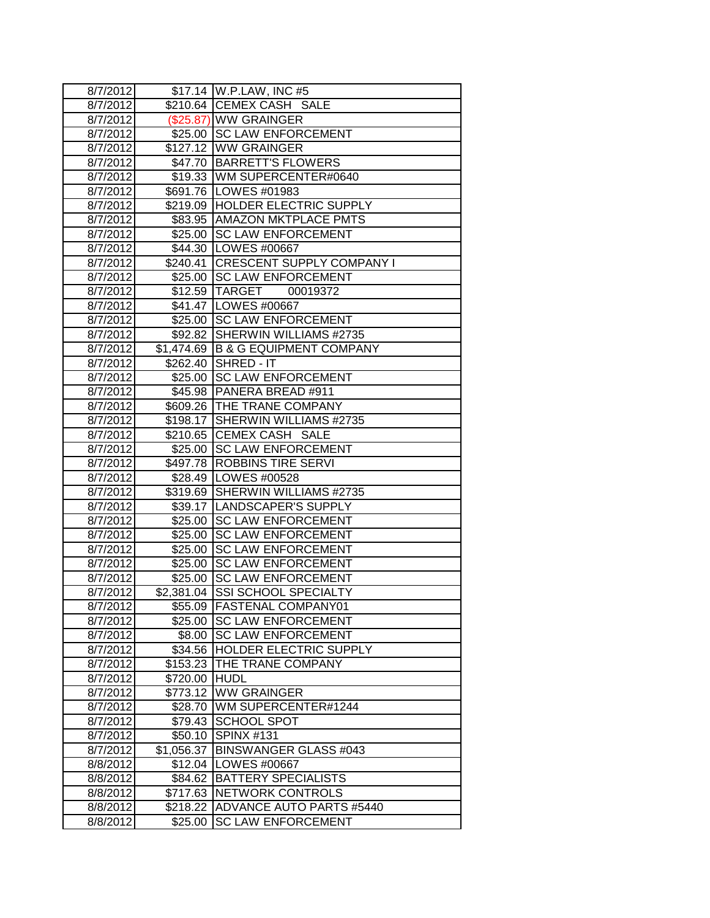| 8/7/2012 |            | \$17.14   W.P.LAW, INC #5          |
|----------|------------|------------------------------------|
| 8/7/2012 |            | \$210.64 CEMEX CASH SALE           |
| 8/7/2012 |            | (\$25.87) WW GRAINGER              |
| 8/7/2012 |            | \$25.00 SC LAW ENFORCEMENT         |
| 8/7/2012 |            | \$127.12 WW GRAINGER               |
| 8/7/2012 |            | \$47.70 BARRETT'S FLOWERS          |
| 8/7/2012 |            | \$19.33 WM SUPERCENTER#0640        |
| 8/7/2012 |            | \$691.76   LOWES #01983            |
| 8/7/2012 |            | \$219.09 HOLDER ELECTRIC SUPPLY    |
| 8/7/2012 |            | \$83.95 AMAZON MKTPLACE PMTS       |
| 8/7/2012 |            | \$25.00 SC LAW ENFORCEMENT         |
| 8/7/2012 |            | \$44.30   LOWES #00667             |
| 8/7/2012 |            | \$240.41 CRESCENT SUPPLY COMPANY I |
| 8/7/2012 |            | \$25.00 SC LAW ENFORCEMENT         |
| 8/7/2012 |            | \$12.59 TARGET<br>00019372         |
| 8/7/2012 |            | \$41.47   LOWES #00667             |
| 8/7/2012 |            | \$25.00 SC LAW ENFORCEMENT         |
| 8/7/2012 |            | \$92.82 SHERWIN WILLIAMS #2735     |
| 8/7/2012 |            | \$1,474.69 B & G EQUIPMENT COMPANY |
| 8/7/2012 |            | \$262.40 SHRED - IT                |
| 8/7/2012 |            | \$25.00 SC LAW ENFORCEMENT         |
| 8/7/2012 |            | \$45.98   PANERA BREAD #911        |
| 8/7/2012 |            | \$609.26   THE TRANE COMPANY       |
| 8/7/2012 |            | \$198.17 SHERWIN WILLIAMS #2735    |
| 8/7/2012 |            | \$210.65 CEMEX CASH SALE           |
| 8/7/2012 |            | \$25.00 SC LAW ENFORCEMENT         |
| 8/7/2012 |            | \$497.78 ROBBINS TIRE SERVI        |
| 8/7/2012 |            | \$28.49   LOWES #00528             |
| 8/7/2012 |            | \$319.69 SHERWIN WILLIAMS #2735    |
| 8/7/2012 |            | \$39.17 LANDSCAPER'S SUPPLY        |
| 8/7/2012 |            | \$25.00 SC LAW ENFORCEMENT         |
| 8/7/2012 |            | \$25.00 SC LAW ENFORCEMENT         |
| 8/7/2012 |            | \$25.00 SC LAW ENFORCEMENT         |
| 8/7/2012 | \$25.00    | <b>SC LAW ENFORCEMENT</b>          |
| 8/7/2012 |            | \$25.00 SC LAW ENFORCEMENT         |
| 8/7/2012 | \$2,381.04 | <b>SSI SCHOOL SPECIALTY</b>        |
| 8/7/2012 |            | \$55.09 FASTENAL COMPANY01         |
| 8/7/2012 | \$25.00    | <b>ISC LAW ENFORCEMENT</b>         |
| 8/7/2012 | \$8.00     | <b>ISC LAW ENFORCEMENT</b>         |
| 8/7/2012 | \$34.56    | HOLDER ELECTRIC SUPPLY             |
| 8/7/2012 | \$153.23   | THE TRANE COMPANY                  |
| 8/7/2012 | \$720.00   | <b>HUDL</b>                        |
| 8/7/2012 | \$773.12   | <b>WW GRAINGER</b>                 |
| 8/7/2012 | \$28.70    | WM SUPERCENTER#1244                |
| 8/7/2012 | \$79.43    | <b>SCHOOL SPOT</b>                 |
| 8/7/2012 | \$50.10    | <b>SPINX #131</b>                  |
| 8/7/2012 | \$1,056.37 | BINSWANGER GLASS #043              |
| 8/8/2012 | \$12.04    | LOWES #00667                       |
| 8/8/2012 | \$84.62    | <b>BATTERY SPECIALISTS</b>         |
| 8/8/2012 | \$717.63   | NETWORK CONTROLS                   |
| 8/8/2012 | \$218.22   | ADVANCE AUTO PARTS #5440           |
| 8/8/2012 | \$25.00    | <b>SC LAW ENFORCEMENT</b>          |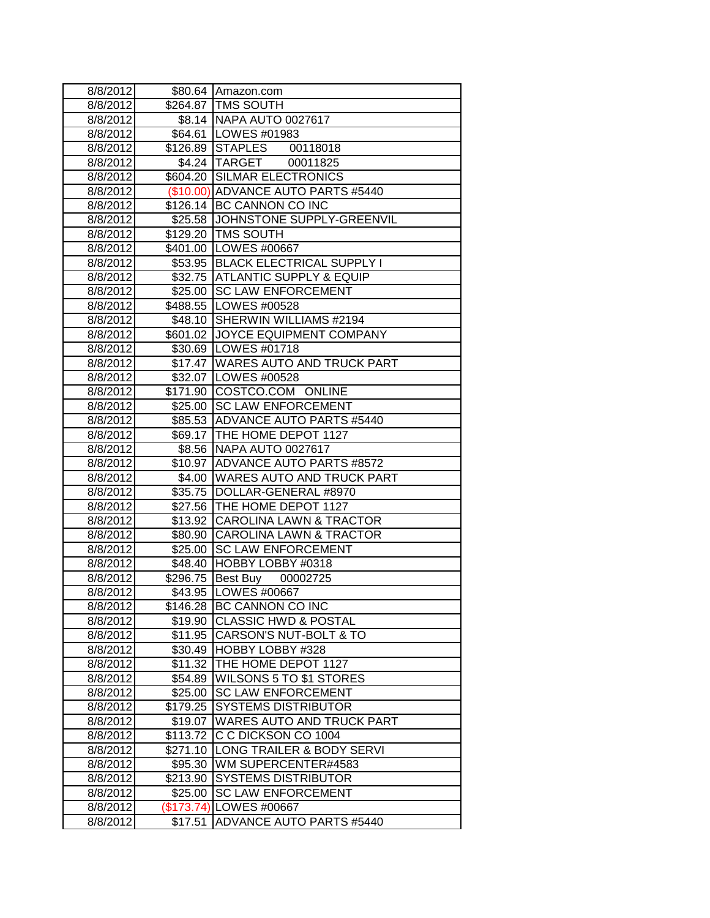| 8/8/2012 | \$80.64    | Amazon.com                          |
|----------|------------|-------------------------------------|
| 8/8/2012 | \$264.87   | <b>TMS SOUTH</b>                    |
| 8/8/2012 |            | \$8.14   NAPA AUTO 0027617          |
| 8/8/2012 |            | \$64.61   LOWES #01983              |
| 8/8/2012 |            | \$126.89 STAPLES 00118018           |
| 8/8/2012 |            | \$4.24 TARGET<br>00011825           |
| 8/8/2012 |            | \$604.20 SILMAR ELECTRONICS         |
| 8/8/2012 |            | (\$10.00) ADVANCE AUTO PARTS #5440  |
| 8/8/2012 |            | \$126.14 BC CANNON CO INC           |
| 8/8/2012 |            | \$25.58 JJOHNSTONE SUPPLY-GREENVIL  |
| 8/8/2012 |            | \$129.20 TMS SOUTH                  |
| 8/8/2012 |            | \$401.00   LOWES #00667             |
| 8/8/2012 |            | \$53.95   BLACK ELECTRICAL SUPPLY I |
| 8/8/2012 |            | \$32.75 ATLANTIC SUPPLY & EQUIP     |
| 8/8/2012 | \$25.00    | <b>SC LAW ENFORCEMENT</b>           |
| 8/8/2012 |            | \$488.55 LOWES #00528               |
| 8/8/2012 | \$48.10    | SHERWIN WILLIAMS #2194              |
| 8/8/2012 | \$601.02   | JOYCE EQUIPMENT COMPANY             |
| 8/8/2012 |            | \$30.69   LOWES #01718              |
| 8/8/2012 | \$17.47    | <b>WARES AUTO AND TRUCK PART</b>    |
| 8/8/2012 |            | \$32.07   LOWES #00528              |
| 8/8/2012 |            | \$171.90 COSTCO.COM ONLINE          |
| 8/8/2012 |            | \$25.00 SC LAW ENFORCEMENT          |
| 8/8/2012 | \$85.53    | <b>ADVANCE AUTO PARTS #5440</b>     |
| 8/8/2012 | \$69.17    | THE HOME DEPOT 1127                 |
| 8/8/2012 | \$8.56     | <b>NAPA AUTO 0027617</b>            |
| 8/8/2012 | \$10.97    | <b>ADVANCE AUTO PARTS #8572</b>     |
| 8/8/2012 | \$4.00     | WARES AUTO AND TRUCK PART           |
| 8/8/2012 | \$35.75    | DOLLAR-GENERAL #8970                |
| 8/8/2012 |            | \$27.56 THE HOME DEPOT 1127         |
| 8/8/2012 | \$13.92    | <b>CAROLINA LAWN &amp; TRACTOR</b>  |
| 8/8/2012 | \$80.90    | <b>CAROLINA LAWN &amp; TRACTOR</b>  |
| 8/8/2012 | \$25.00    | <b>SC LAW ENFORCEMENT</b>           |
| 8/8/2012 | \$48.40    | HOBBY LOBBY #0318                   |
| 8/8/2012 | \$296.75   | Best Buy<br>00002725                |
| 8/8/2012 | \$43.95    | LOWES #00667                        |
| 8/8/2012 |            | \$146.28 BC CANNON CO INC           |
| 8/8/2012 | \$19.90    | <b>CLASSIC HWD &amp; POSTAL</b>     |
| 8/8/2012 | \$11.95    | <b>CARSON'S NUT-BOLT &amp; TO</b>   |
| 8/8/2012 | \$30.49    | HOBBY LOBBY #328                    |
| 8/8/2012 | \$11.32    | THE HOME DEPOT 1127                 |
| 8/8/2012 | \$54.89    | <b>WILSONS 5 TO \$1 STORES</b>      |
| 8/8/2012 | \$25.00    | <b>SC LAW ENFORCEMENT</b>           |
| 8/8/2012 | \$179.25   | <b>SYSTEMS DISTRIBUTOR</b>          |
| 8/8/2012 | \$19.07    | <b>WARES AUTO AND TRUCK PART</b>    |
| 8/8/2012 | \$113.72   | C C DICKSON CO 1004                 |
| 8/8/2012 | \$271.10   | LONG TRAILER & BODY SERVI           |
| 8/8/2012 | \$95.30    | WM SUPERCENTER#4583                 |
| 8/8/2012 | \$213.90   | <b>SYSTEMS DISTRIBUTOR</b>          |
| 8/8/2012 | \$25.00    | <b>SC LAW ENFORCEMENT</b>           |
| 8/8/2012 | (\$173.74) | LOWES #00667                        |
| 8/8/2012 | \$17.51    | ADVANCE AUTO PARTS #5440            |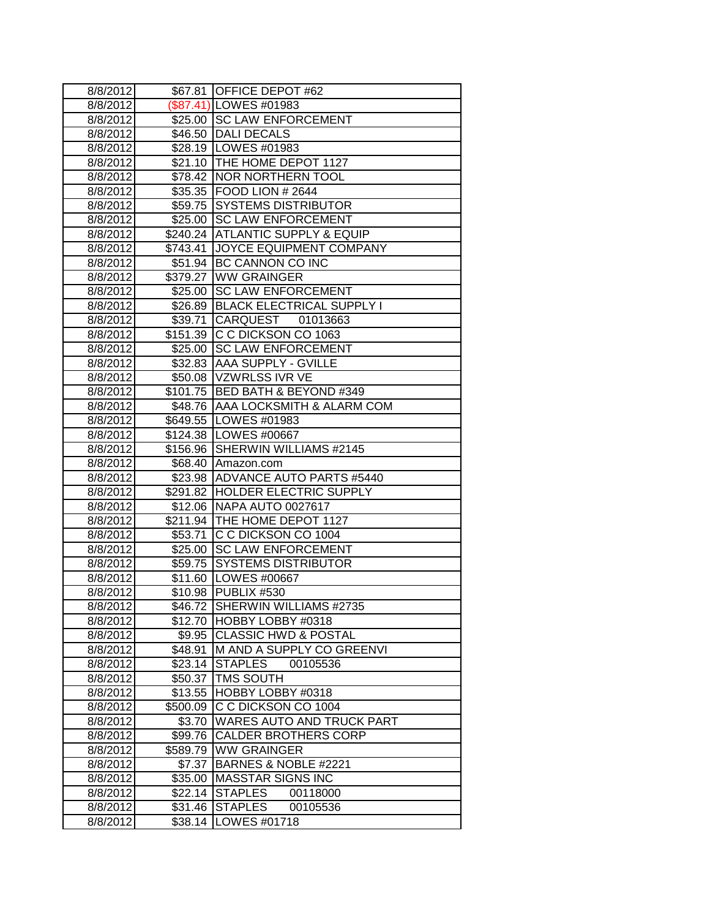| 8/8/2012 |          | \$67.81 OFFICE DEPOT #62          |
|----------|----------|-----------------------------------|
| 8/8/2012 |          | \$87.41) LOWES #01983             |
| 8/8/2012 |          | \$25.00 SC LAW ENFORCEMENT        |
| 8/8/2012 |          | \$46.50 DALI DECALS               |
| 8/8/2012 |          | \$28.19   LOWES #01983            |
| 8/8/2012 |          | \$21.10 THE HOME DEPOT 1127       |
| 8/8/2012 |          | \$78.42 NOR NORTHERN TOOL         |
| 8/8/2012 |          | \$35.35   FOOD LION # 2644        |
| 8/8/2012 |          | \$59.75 SYSTEMS DISTRIBUTOR       |
| 8/8/2012 |          | \$25.00 SC LAW ENFORCEMENT        |
| 8/8/2012 |          | \$240.24 ATLANTIC SUPPLY & EQUIP  |
| 8/8/2012 | \$743.41 | JOYCE EQUIPMENT COMPANY           |
| 8/8/2012 |          | \$51.94 BC CANNON CO INC          |
| 8/8/2012 | \$379.27 | <b>WW GRAINGER</b>                |
| 8/8/2012 | \$25.00  | <b>SC LAW ENFORCEMENT</b>         |
| 8/8/2012 |          | \$26.89 BLACK ELECTRICAL SUPPLY I |
| 8/8/2012 | \$39.71  | <b>CARQUEST</b><br>01013663       |
| 8/8/2012 | \$151.39 | C C DICKSON CO 1063               |
| 8/8/2012 | \$25.00  | <b>SC LAW ENFORCEMENT</b>         |
| 8/8/2012 | \$32.83  | <b>AAA SUPPLY - GVILLE</b>        |
| 8/8/2012 |          | \$50.08 VZWRLSS IVR VE            |
| 8/8/2012 |          | \$101.75 BED BATH & BEYOND #349   |
| 8/8/2012 |          | \$48.76 AAA LOCKSMITH & ALARM COM |
| 8/8/2012 |          | \$649.55 LOWES #01983             |
| 8/8/2012 |          | \$124.38 LOWES #00667             |
| 8/8/2012 |          | \$156.96 SHERWIN WILLIAMS #2145   |
| 8/8/2012 |          | \$68.40 Amazon.com                |
| 8/8/2012 |          | \$23.98 ADVANCE AUTO PARTS #5440  |
| 8/8/2012 |          | \$291.82 HOLDER ELECTRIC SUPPLY   |
| 8/8/2012 |          | \$12.06 NAPA AUTO 0027617         |
| 8/8/2012 |          | \$211.94 THE HOME DEPOT 1127      |
| 8/8/2012 |          | \$53.71 C C DICKSON CO 1004       |
| 8/8/2012 |          | \$25.00 SC LAW ENFORCEMENT        |
| 8/8/2012 | \$59.75  | <b>SYSTEMS DISTRIBUTOR</b>        |
| 8/8/2012 |          | \$11.60 LOWES #00667              |
| 8/8/2012 | \$10.98  | PUBLIX #530                       |
| 8/8/2012 |          | \$46.72 SHERWIN WILLIAMS #2735    |
| 8/8/2012 | \$12.70  | <b>HOBBY LOBBY #0318</b>          |
| 8/8/2012 | \$9.95   | <b>CLASSIC HWD &amp; POSTAL</b>   |
| 8/8/2012 | \$48.91  | M AND A SUPPLY CO GREENVI         |
| 8/8/2012 | \$23.14  | <b>STAPLES</b><br>00105536        |
| 8/8/2012 | \$50.37  | <b>TMS SOUTH</b>                  |
| 8/8/2012 | \$13.55  | HOBBY LOBBY #0318                 |
| 8/8/2012 | \$500.09 | C C DICKSON CO 1004               |
| 8/8/2012 | \$3.70   | WARES AUTO AND TRUCK PART         |
| 8/8/2012 | \$99.76  | <b>CALDER BROTHERS CORP</b>       |
| 8/8/2012 | \$589.79 | <b>WW GRAINGER</b>                |
| 8/8/2012 | \$7.37   | BARNES & NOBLE #2221              |
| 8/8/2012 | \$35.00  | <b>MASSTAR SIGNS INC</b>          |
| 8/8/2012 | \$22.14  | <b>STAPLES</b><br>00118000        |
| 8/8/2012 | \$31.46  | <b>STAPLES</b><br>00105536        |
| 8/8/2012 | \$38.14  | LOWES #01718                      |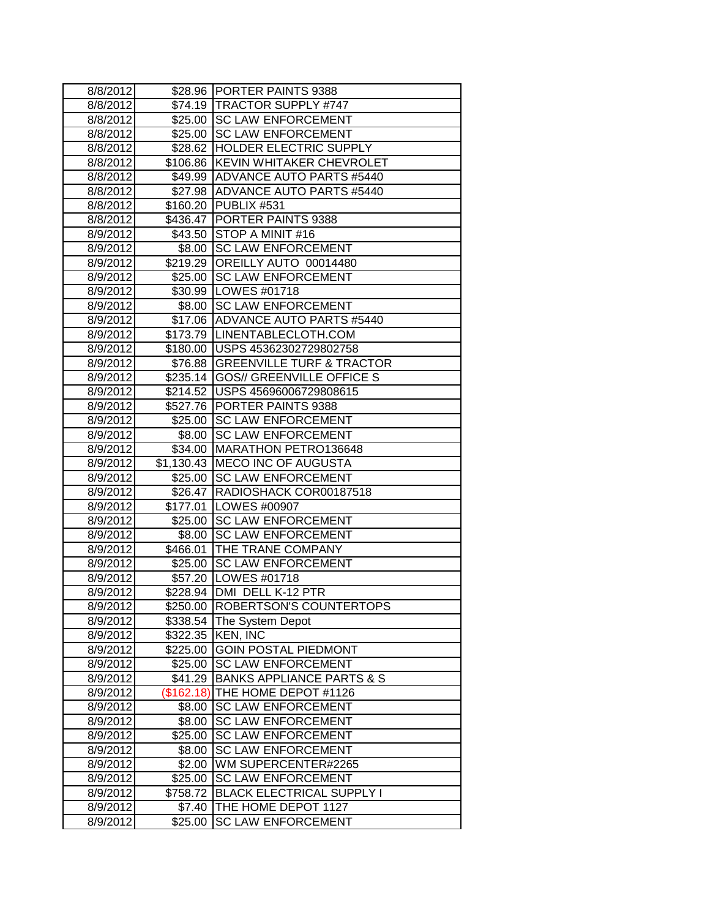| 8/8/2012             | \$28.96             | <b>PORTER PAINTS 9388</b>                        |
|----------------------|---------------------|--------------------------------------------------|
| 8/8/2012             | \$74.19             | <b>TRACTOR SUPPLY #747</b>                       |
| 8/8/2012             | \$25.00             | <b>SC LAW ENFORCEMENT</b>                        |
| 8/8/2012             | \$25.00             | <b>SC LAW ENFORCEMENT</b>                        |
| 8/8/2012             |                     | \$28.62 HOLDER ELECTRIC SUPPLY                   |
| 8/8/2012             |                     | \$106.86 KEVIN WHITAKER CHEVROLET                |
| 8/8/2012             |                     | \$49.99 ADVANCE AUTO PARTS #5440                 |
| 8/8/2012             |                     | \$27.98 ADVANCE AUTO PARTS #5440                 |
| 8/8/2012             | \$160.20            | PUBLIX #531                                      |
| 8/8/2012             | \$436.47            | PORTER PAINTS 9388                               |
| 8/9/2012             | \$43.50             | STOP A MINIT #16                                 |
| 8/9/2012             | \$8.00              | <b>SC LAW ENFORCEMENT</b>                        |
| 8/9/2012             | \$219.29            | OREILLY AUTO 00014480                            |
| 8/9/2012             | \$25.00             | <b>SC LAW ENFORCEMENT</b>                        |
| 8/9/2012             |                     | \$30.99 LOWES #01718                             |
| 8/9/2012             | \$8.00              | <b>SC LAW ENFORCEMENT</b>                        |
| 8/9/2012             | \$17.06             | <b>ADVANCE AUTO PARTS #5440</b>                  |
| 8/9/2012             | \$173.79            | LINENTABLECLOTH.COM                              |
| 8/9/2012             | \$180.00            | USPS 45362302729802758                           |
| 8/9/2012             | \$76.88             | <b>GREENVILLE TURF &amp; TRACTOR</b>             |
| 8/9/2012             | \$235.14            | <b>GOS// GREENVILLE OFFICE S</b>                 |
| 8/9/2012             |                     | \$214.52   USPS 45696006729808615                |
| 8/9/2012             |                     | \$527.76 PORTER PAINTS 9388                      |
| 8/9/2012             | \$25.00             | <b>SC LAW ENFORCEMENT</b>                        |
| 8/9/2012             | \$8.00              | <b>SC LAW ENFORCEMENT</b>                        |
| 8/9/2012             | \$34.00             | MARATHON PETRO136648                             |
| 8/9/2012             | \$1,130.43          | <b>MECO INC OF AUGUSTA</b>                       |
| 8/9/2012             | \$25.00             | <b>SC LAW ENFORCEMENT</b>                        |
| 8/9/2012             |                     | \$26.47 RADIOSHACK COR00187518                   |
| 8/9/2012             |                     | \$177.01 LOWES #00907                            |
| 8/9/2012             | $\overline{$}25.00$ | <b>SC LAW ENFORCEMENT</b>                        |
| 8/9/2012             | \$8.00              | <b>SC LAW ENFORCEMENT</b>                        |
| 8/9/2012             | \$466.01            | THE TRANE COMPANY                                |
| 8/9/2012             | \$25.00             | <b>SC LAW ENFORCEMENT</b>                        |
| 8/9/2012             | \$57.20             | LOWES #01718                                     |
| 8/9/2012             | \$228.94            | DMI DELL K-12 PTR                                |
| 8/9/2012             | \$250.00            | ROBERTSON'S COUNTERTOPS                          |
| 8/9/2012             | \$338.54            | The System Depot                                 |
| 8/9/2012             | \$322.35            | <b>KEN, INC</b>                                  |
| 8/9/2012             | \$225.00            | <b>GOIN POSTAL PIEDMONT</b>                      |
| 8/9/2012             | \$25.00             | <b>SC LAW ENFORCEMENT</b>                        |
| 8/9/2012             | \$41.29             | <b>BANKS APPLIANCE PARTS &amp; S</b>             |
| 8/9/2012             | (\$162.18)          | THE HOME DEPOT #1126                             |
| 8/9/2012             | \$8.00              | <b>SC LAW ENFORCEMENT</b>                        |
| 8/9/2012             | \$8.00              | <b>SC LAW ENFORCEMENT</b>                        |
| 8/9/2012             | \$25.00             | <b>SC LAW ENFORCEMENT</b>                        |
| 8/9/2012             | \$8.00              | <b>SC LAW ENFORCEMENT</b>                        |
| 8/9/2012             | \$2.00              | WM SUPERCENTER#2265                              |
| 8/9/2012             | \$25.00             | <b>SC LAW ENFORCEMENT</b>                        |
|                      |                     |                                                  |
| 8/9/2012             | \$758.72            | <b>BLACK ELECTRICAL SUPPLY I</b>                 |
| 8/9/2012<br>8/9/2012 | \$7.40<br>\$25.00   | THE HOME DEPOT 1127<br><b>SC LAW ENFORCEMENT</b> |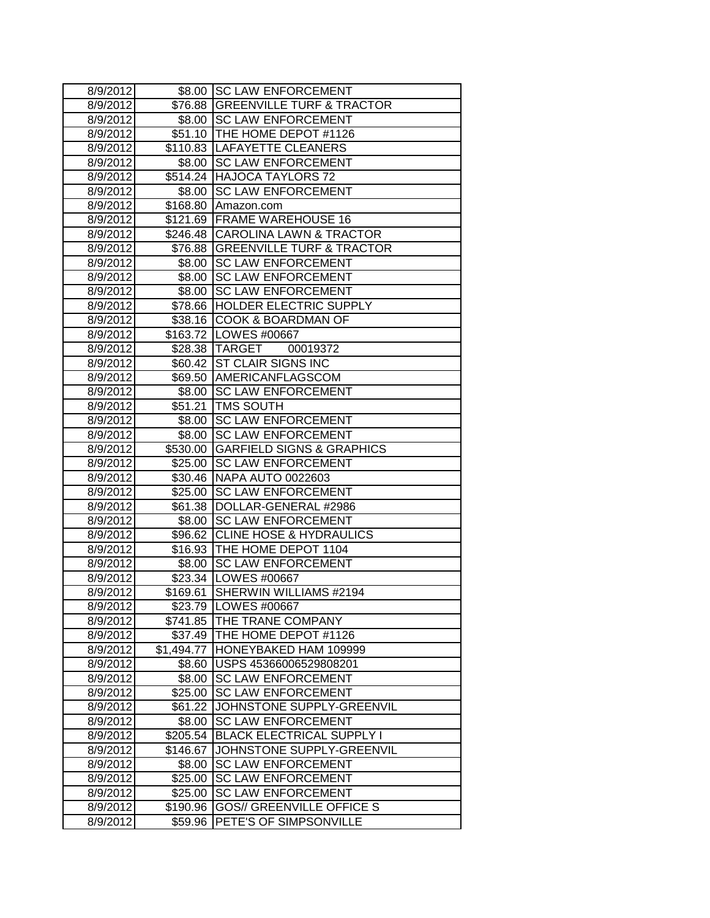| 8/9/2012             | \$8.00            | <b>SC LAW ENFORCEMENT</b>                           |
|----------------------|-------------------|-----------------------------------------------------|
| 8/9/2012             | \$76.88           | GREENVILLE TURF & TRACTOR                           |
| 8/9/2012             | \$8.00            | <b>SC LAW ENFORCEMENT</b>                           |
| 8/9/2012             |                   | \$51.10 THE HOME DEPOT #1126                        |
| 8/9/2012             |                   | \$110.83  LAFAYETTE CLEANERS                        |
| 8/9/2012             |                   | \$8.00 SC LAW ENFORCEMENT                           |
| 8/9/2012             |                   | \$514.24 HAJOCA TAYLORS 72                          |
| 8/9/2012             | \$8.00            | <b>SC LAW ENFORCEMENT</b>                           |
| 8/9/2012             | \$168.80          | Amazon.com                                          |
| 8/9/2012             | \$121.69          | <b>FRAME WAREHOUSE 16</b>                           |
| 8/9/2012             | \$246.48          | <b>CAROLINA LAWN &amp; TRACTOR</b>                  |
| 8/9/2012             | \$76.88           | <b>GREENVILLE TURF &amp; TRACTOR</b>                |
| 8/9/2012             | \$8.00            | <b>SC LAW ENFORCEMENT</b>                           |
| 8/9/2012             | \$8.00            | <b>SC LAW ENFORCEMENT</b>                           |
| 8/9/2012             | \$8.00            | <b>SC LAW ENFORCEMENT</b>                           |
| 8/9/2012             | \$78.66           | <b>HOLDER ELECTRIC SUPPLY</b>                       |
| 8/9/2012             | \$38.16           | <b>COOK &amp; BOARDMAN OF</b>                       |
| 8/9/2012             |                   | \$163.72 LOWES #00667                               |
| 8/9/2012             | \$28.38           | <b>TARGET</b><br>00019372                           |
| 8/9/2012             | \$60.42           | <b>ST CLAIR SIGNS INC</b>                           |
| 8/9/2012             | \$69.50           | AMERICANFLAGSCOM                                    |
| 8/9/2012             | \$8.00            | <b>SC LAW ENFORCEMENT</b>                           |
| 8/9/2012             | \$51.21           | <b>TMS SOUTH</b>                                    |
| 8/9/2012             | \$8.00            | <b>SC LAW ENFORCEMENT</b>                           |
| 8/9/2012             | \$8.00            | <b>SC LAW ENFORCEMENT</b>                           |
| 8/9/2012             | \$530.00          | <b>GARFIELD SIGNS &amp; GRAPHICS</b>                |
| 8/9/2012             | \$25.00           | <b>SC LAW ENFORCEMENT</b>                           |
| 8/9/2012             | \$30.46           | <b>NAPA AUTO 0022603</b>                            |
| 8/9/2012             | \$25.00           | <b>SC LAW ENFORCEMENT</b>                           |
| 8/9/2012             | \$61.38           | DOLLAR-GENERAL #2986                                |
| 8/9/2012             | \$8.00            | <b>SC LAW ENFORCEMENT</b>                           |
| 8/9/2012             | \$96.62           | <b>CLINE HOSE &amp; HYDRAULICS</b>                  |
| 8/9/2012             | \$16.93           | THE HOME DEPOT 1104                                 |
| 8/9/2012             | \$8.00            | <b>SC LAW ENFORCEMENT</b>                           |
| 8/9/2012             | \$23.34           | LOWES #00667                                        |
| 8/9/2012             | \$169.61          | SHERWIN WILLIAMS #2194                              |
| 8/9/2012             |                   | \$23.79 LOWES #00667                                |
| 8/9/2012             | \$741.85          | <b>THE TRANE COMPANY</b>                            |
| 8/9/2012             |                   | \$37.49 THE HOME DEPOT #1126                        |
| 8/9/2012             | \$1,494.77        | <b>HONEYBAKED HAM 109999</b>                        |
| 8/9/2012<br>8/9/2012 | \$8.60            | USPS 45366006529808201<br><b>SC LAW ENFORCEMENT</b> |
| 8/9/2012             | \$8.00<br>\$25.00 | <b>SC LAW ENFORCEMENT</b>                           |
| 8/9/2012             | \$61.22           | JOHNSTONE SUPPLY-GREENVIL                           |
| 8/9/2012             | \$8.00            | <b>SC LAW ENFORCEMENT</b>                           |
| 8/9/2012             | \$205.54          | <b>BLACK ELECTRICAL SUPPLY I</b>                    |
| 8/9/2012             | \$146.67          | JOHNSTONE SUPPLY-GREENVIL                           |
| 8/9/2012             | \$8.00            | <b>SC LAW ENFORCEMENT</b>                           |
| 8/9/2012             | \$25.00           | <b>SC LAW ENFORCEMENT</b>                           |
| 8/9/2012             | \$25.00           | <b>SC LAW ENFORCEMENT</b>                           |
| 8/9/2012             | \$190.96          | <b>GOS// GREENVILLE OFFICE S</b>                    |
| 8/9/2012             | \$59.96           | PETE'S OF SIMPSONVILLE                              |
|                      |                   |                                                     |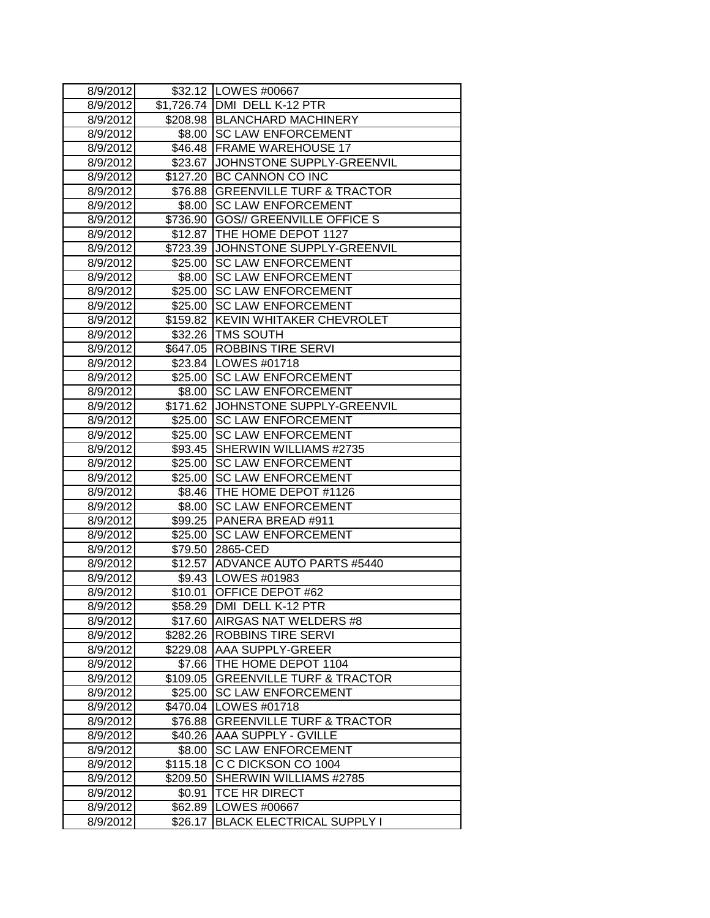| 8/9/2012 |          | \$32.12   LOWES #00667               |
|----------|----------|--------------------------------------|
| 8/9/2012 |          | \$1,726.74 DMI DELL K-12 PTR         |
| 8/9/2012 |          | \$208.98 BLANCHARD MACHINERY         |
| 8/9/2012 |          | \$8.00   SC LAW ENFORCEMENT          |
| 8/9/2012 |          | \$46.48   FRAME WAREHOUSE 17         |
| 8/9/2012 | \$23.67  | JOHNSTONE SUPPLY-GREENVIL            |
| 8/9/2012 |          | \$127.20 BC CANNON CO INC            |
| 8/9/2012 |          | \$76.88 GREENVILLE TURF & TRACTOR    |
| 8/9/2012 | \$8.00   | <b>SC LAW ENFORCEMENT</b>            |
| 8/9/2012 | \$736.90 | <b>GOS// GREENVILLE OFFICE S</b>     |
| 8/9/2012 | \$12.87  | THE HOME DEPOT 1127                  |
| 8/9/2012 | \$723.39 | JOHNSTONE SUPPLY-GREENVIL            |
| 8/9/2012 | \$25.00  | <b>SC LAW ENFORCEMENT</b>            |
| 8/9/2012 | \$8.00   | <b>SC LAW ENFORCEMENT</b>            |
| 8/9/2012 | \$25.00  | <b>SC LAW ENFORCEMENT</b>            |
| 8/9/2012 | \$25.00  | <b>SC LAW ENFORCEMENT</b>            |
| 8/9/2012 | \$159.82 | <b>KEVIN WHITAKER CHEVROLET</b>      |
| 8/9/2012 |          | \$32.26   TMS SOUTH                  |
| 8/9/2012 | \$647.05 | <b>ROBBINS TIRE SERVI</b>            |
| 8/9/2012 |          | \$23.84   LOWES #01718               |
| 8/9/2012 |          | \$25.00 SC LAW ENFORCEMENT           |
| 8/9/2012 |          | \$8.00 SC LAW ENFORCEMENT            |
| 8/9/2012 |          | \$171.62 JOHNSTONE SUPPLY-GREENVIL   |
| 8/9/2012 | \$25.00  | <b>SC LAW ENFORCEMENT</b>            |
| 8/9/2012 | \$25.00  | <b>SC LAW ENFORCEMENT</b>            |
| 8/9/2012 | \$93.45  | SHERWIN WILLIAMS #2735               |
| 8/9/2012 | \$25.00  | <b>SC LAW ENFORCEMENT</b>            |
| 8/9/2012 | \$25.00  | <b>SC LAW ENFORCEMENT</b>            |
| 8/9/2012 | \$8.46   | THE HOME DEPOT #1126                 |
| 8/9/2012 | \$8.00   | <b>SC LAW ENFORCEMENT</b>            |
| 8/9/2012 |          | \$99.25 PANERA BREAD #911            |
| 8/9/2012 | \$25.00  | <b>SC LAW ENFORCEMENT</b>            |
| 8/9/2012 | \$79.50  | 2865-CED                             |
| 8/9/2012 | \$12.57  | ADVANCE AUTO PARTS #5440             |
| 8/9/2012 |          | \$9.43   LOWES #01983                |
| 8/9/2012 | \$10.01  | OFFICE DEPOT #62                     |
| 8/9/2012 |          | \$58.29   DMI DELL K-12 PTR          |
| 8/9/2012 | \$17.60  | AIRGAS NAT WELDERS #8                |
| 8/9/2012 |          | \$282.26   ROBBINS TIRE SERVI        |
| 8/9/2012 | \$229.08 | <b>AAA SUPPLY-GREER</b>              |
| 8/9/2012 | \$7.66   | THE HOME DEPOT 1104                  |
| 8/9/2012 | \$109.05 | <b>GREENVILLE TURF &amp; TRACTOR</b> |
| 8/9/2012 | \$25.00  | <b>SC LAW ENFORCEMENT</b>            |
| 8/9/2012 | \$470.04 | LOWES #01718                         |
| 8/9/2012 | \$76.88  | <b>GREENVILLE TURF &amp; TRACTOR</b> |
| 8/9/2012 | \$40.26  | <b>AAA SUPPLY - GVILLE</b>           |
| 8/9/2012 | \$8.00   | <b>SC LAW ENFORCEMENT</b>            |
| 8/9/2012 | \$115.18 | C C DICKSON CO 1004                  |
| 8/9/2012 | \$209.50 | SHERWIN WILLIAMS #2785               |
| 8/9/2012 | \$0.91   | TCE HR DIRECT                        |
| 8/9/2012 | \$62.89  | LOWES #00667                         |
| 8/9/2012 | \$26.17  | <b>BLACK ELECTRICAL SUPPLY I</b>     |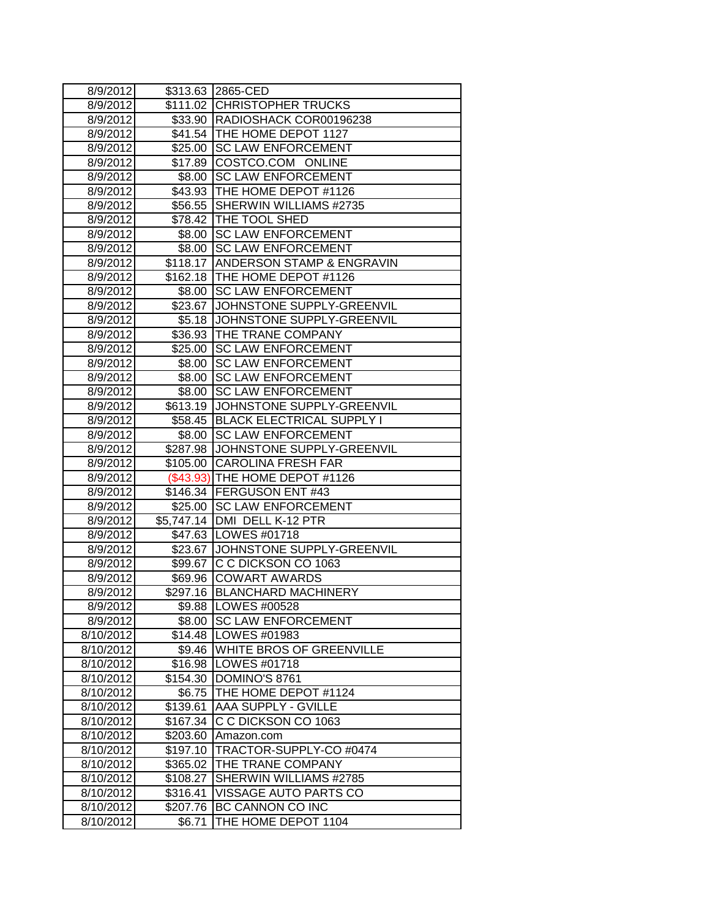| 8/9/2012  |                  | \$313.63 2865-CED                   |
|-----------|------------------|-------------------------------------|
| 8/9/2012  |                  | \$111.02 CHRISTOPHER TRUCKS         |
| 8/9/2012  |                  | \$33.90 RADIOSHACK COR00196238      |
| 8/9/2012  |                  | \$41.54 THE HOME DEPOT 1127         |
| 8/9/2012  |                  | \$25.00 SC LAW ENFORCEMENT          |
| 8/9/2012  |                  | \$17.89 COSTCO.COM ONLINE           |
| 8/9/2012  |                  | \$8.00 SC LAW ENFORCEMENT           |
| 8/9/2012  |                  | \$43.93   THE HOME DEPOT #1126      |
| 8/9/2012  | \$56.55          | SHERWIN WILLIAMS #2735              |
| 8/9/2012  | \$78.42          | THE TOOL SHED                       |
| 8/9/2012  | \$8.00           | <b>SC LAW ENFORCEMENT</b>           |
| 8/9/2012  | \$8.00           | <b>SC LAW ENFORCEMENT</b>           |
| 8/9/2012  |                  | \$118.17 ANDERSON STAMP & ENGRAVIN  |
| 8/9/2012  |                  | \$162.18 THE HOME DEPOT #1126       |
| 8/9/2012  | \$8.00           | <b>SC LAW ENFORCEMENT</b>           |
| 8/9/2012  | \$23.67          | JOHNSTONE SUPPLY-GREENVIL           |
| 8/9/2012  | \$5.18           | JOHNSTONE SUPPLY-GREENVIL           |
| 8/9/2012  | \$36.93          | THE TRANE COMPANY                   |
| 8/9/2012  | \$25.00          | <b>SC LAW ENFORCEMENT</b>           |
| 8/9/2012  |                  | \$8.00 SC LAW ENFORCEMENT           |
| 8/9/2012  |                  | \$8.00 SC LAW ENFORCEMENT           |
| 8/9/2012  |                  | \$8.00 SC LAW ENFORCEMENT           |
| 8/9/2012  |                  | \$613.19 JJOHNSTONE SUPPLY-GREENVIL |
| 8/9/2012  |                  | \$58.45 BLACK ELECTRICAL SUPPLY I   |
| 8/9/2012  | \$8.00           | <b>SC LAW ENFORCEMENT</b>           |
| 8/9/2012  | \$287.98         | JOHNSTONE SUPPLY-GREENVIL           |
| 8/9/2012  | \$105.00         | <b>CAROLINA FRESH FAR</b>           |
| 8/9/2012  | $($ \$43.93) $ $ | THE HOME DEPOT #1126                |
| 8/9/2012  |                  | \$146.34 FERGUSON ENT #43           |
| 8/9/2012  |                  | \$25.00 SC LAW ENFORCEMENT          |
| 8/9/2012  |                  | \$5,747.14 DMI DELL K-12 PTR        |
| 8/9/2012  |                  | \$47.63 LOWES #01718                |
| 8/9/2012  | \$23.67          | JOHNSTONE SUPPLY-GREENVIL           |
| 8/9/2012  | \$99.67          | C C DICKSON CO 1063                 |
| 8/9/2012  | \$69.96          | <b>COWART AWARDS</b>                |
| 8/9/2012  | \$297.16         | <b>BLANCHARD MACHINERY</b>          |
| 8/9/2012  |                  | \$9.88  LOWES #00528                |
| 8/9/2012  |                  | \$8.00 SC LAW ENFORCEMENT           |
| 8/10/2012 |                  | \$14.48   LOWES #01983              |
| 8/10/2012 |                  | \$9.46 WHITE BROS OF GREENVILLE     |
| 8/10/2012 |                  | \$16.98   LOWES #01718              |
| 8/10/2012 | \$154.30         | DOMINO'S 8761                       |
| 8/10/2012 | \$6.75           | THE HOME DEPOT #1124                |
| 8/10/2012 | \$139.61         | <b>AAA SUPPLY - GVILLE</b>          |
| 8/10/2012 | \$167.34         | C C DICKSON CO 1063                 |
| 8/10/2012 | \$203.60         | Amazon.com                          |
| 8/10/2012 | \$197.10         | TRACTOR-SUPPLY-CO #0474             |
| 8/10/2012 | \$365.02         | THE TRANE COMPANY                   |
| 8/10/2012 | \$108.27         | SHERWIN WILLIAMS #2785              |
| 8/10/2012 | \$316.41         | <b>VISSAGE AUTO PARTS CO</b>        |
| 8/10/2012 | \$207.76         | BC CANNON CO INC                    |
| 8/10/2012 | \$6.71           | THE HOME DEPOT 1104                 |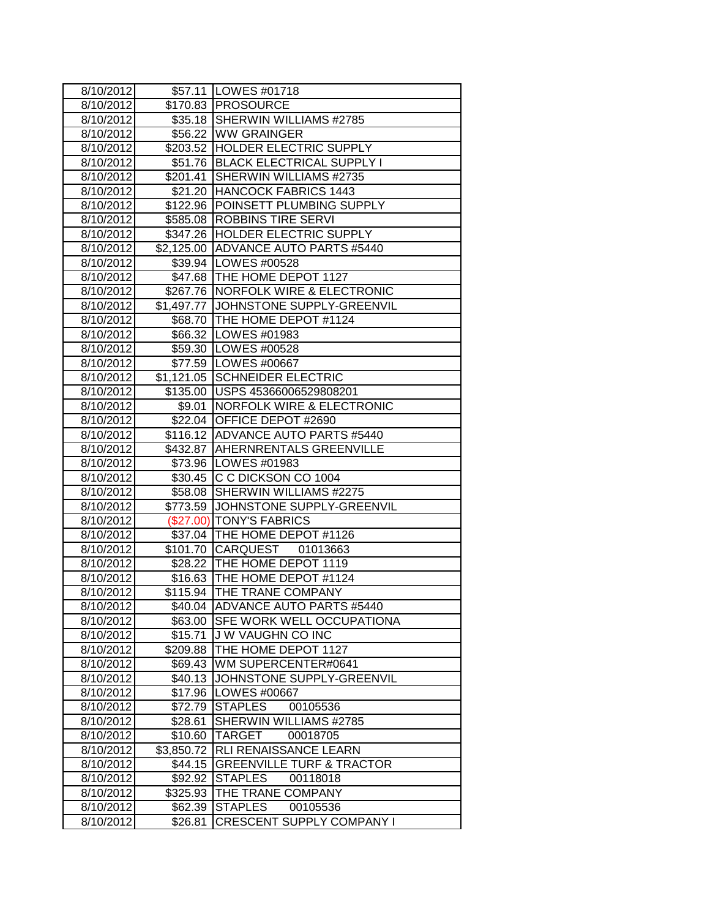| 8/10/2012          |            | \$57.11   LOWES #01718                |
|--------------------|------------|---------------------------------------|
| 8/10/2012          |            | \$170.83 PROSOURCE                    |
| 8/10/2012          |            | \$35.18 SHERWIN WILLIAMS #2785        |
| 8/10/2012          |            | \$56.22 WW GRAINGER                   |
| $\sqrt{8}/10/2012$ |            | \$203.52 HOLDER ELECTRIC SUPPLY       |
| 8/10/2012          |            | \$51.76 BLACK ELECTRICAL SUPPLY I     |
| 8/10/2012          |            | \$201.41 SHERWIN WILLIAMS #2735       |
| 8/10/2012          |            | \$21.20 HANCOCK FABRICS 1443          |
| 8/10/2012          |            | \$122.96 POINSETT PLUMBING SUPPLY     |
| 8/10/2012          |            | \$585.08 ROBBINS TIRE SERVI           |
| 8/10/2012          |            | \$347.26 HOLDER ELECTRIC SUPPLY       |
| 8/10/2012          |            | \$2,125.00 ADVANCE AUTO PARTS #5440   |
| 8/10/2012          |            | \$39.94 LOWES #00528                  |
| 8/10/2012          |            | \$47.68 THE HOME DEPOT 1127           |
| 8/10/2012          |            | \$267.76 NORFOLK WIRE & ELECTRONIC    |
| 8/10/2012          |            | \$1,497.77 JJOHNSTONE SUPPLY-GREENVIL |
| 8/10/2012          |            | \$68.70   THE HOME DEPOT #1124        |
| 8/10/2012          |            | \$66.32 LOWES #01983                  |
| 8/10/2012          |            | \$59.30   LOWES #00528                |
| 8/10/2012          |            | \$77.59   LOWES #00667                |
| 8/10/2012          |            | \$1,121.05 SCHNEIDER ELECTRIC         |
| 8/10/2012          |            | \$135.00 USPS 45366006529808201       |
| 8/10/2012          |            | \$9.01 NORFOLK WIRE & ELECTRONIC      |
| 8/10/2012          |            | \$22.04 OFFICE DEPOT #2690            |
| 8/10/2012          |            | \$116.12 ADVANCE AUTO PARTS #5440     |
| 8/10/2012          |            | \$432.87   AHERNRENTALS GREENVILLE    |
| 8/10/2012          |            | \$73.96 LOWES #01983                  |
| 8/10/2012          |            | \$30.45 C C DICKSON CO 1004           |
| 8/10/2012          |            | \$58.08 SHERWIN WILLIAMS #2275        |
| 8/10/2012          |            | \$773.59 JOHNSTONE SUPPLY-GREENVIL    |
| 8/10/2012          |            | (\$27.00) TONY'S FABRICS              |
| 8/10/2012          |            | \$37.04 THE HOME DEPOT #1126          |
| 8/10/2012          |            | \$101.70 CARQUEST 01013663            |
| 8/10/2012          |            | \$28.22 THE HOME DEPOT 1119           |
| 8/10/2012          |            | \$16.63 THE HOME DEPOT #1124          |
| 8/10/2012          |            | \$115.94 THE TRANE COMPANY            |
| 8/10/2012          | \$40.04    | <b>JADVANCE AUTO PARTS #5440</b>      |
| 8/10/2012          | \$63.00    | <b>SFE WORK WELL OCCUPATIONA</b>      |
| 8/10/2012          | \$15.71    | J W VAUGHN CO INC                     |
| 8/10/2012          | \$209.88   | THE HOME DEPOT 1127                   |
| 8/10/2012          | \$69.43    | WM SUPERCENTER#0641                   |
| 8/10/2012          | \$40.13    | JOHNSTONE SUPPLY-GREENVIL             |
| 8/10/2012          | \$17.96    | LOWES #00667                          |
| 8/10/2012          | \$72.79    | <b>STAPLES</b><br>00105536            |
| 8/10/2012          | \$28.61    | SHERWIN WILLIAMS #2785                |
| 8/10/2012          | \$10.60    | TARGET<br>00018705                    |
| 8/10/2012          | \$3,850.72 | RLI RENAISSANCE LEARN                 |
| 8/10/2012          | \$44.15    | <b>GREENVILLE TURF &amp; TRACTOR</b>  |
| 8/10/2012          | \$92.92    | <b>STAPLES</b><br>00118018            |
| 8/10/2012          | \$325.93   | THE TRANE COMPANY                     |
| 8/10/2012          | \$62.39    | <b>STAPLES</b><br>00105536            |
| 8/10/2012          | \$26.81    | <b>CRESCENT SUPPLY COMPANY I</b>      |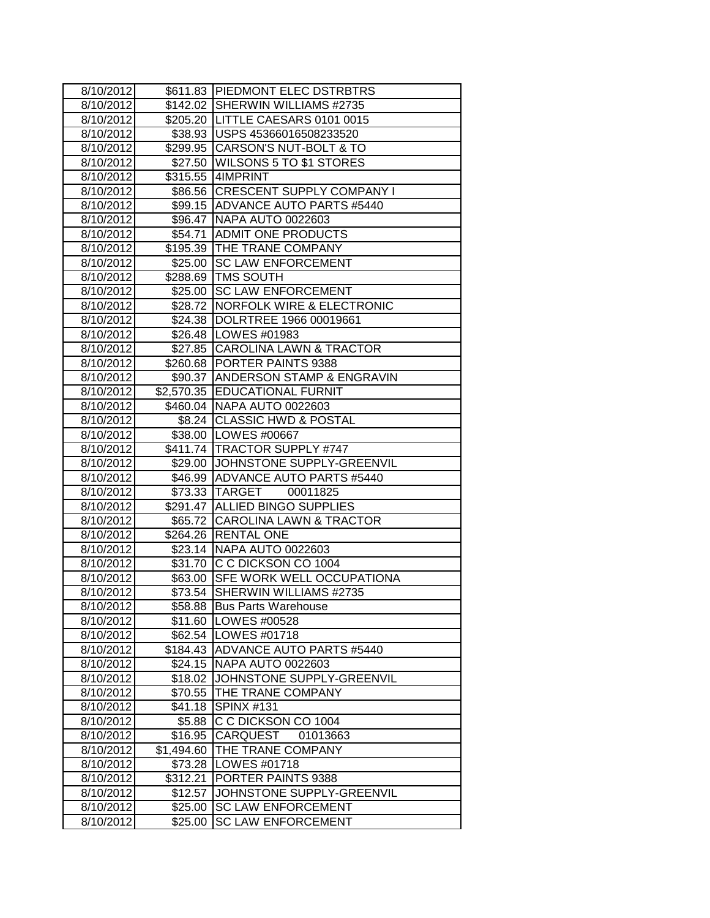| 8/10/2012 |            | \$611.83 PIEDMONT ELEC DSTRBTRS     |
|-----------|------------|-------------------------------------|
| 8/10/2012 |            | \$142.02 SHERWIN WILLIAMS #2735     |
| 8/10/2012 |            | \$205.20   LITTLE CAESARS 0101 0015 |
| 8/10/2012 |            | \$38.93 USPS 45366016508233520      |
| 8/10/2012 |            | \$299.95 CARSON'S NUT-BOLT & TO     |
| 8/10/2012 |            | \$27.50 WILSONS 5 TO \$1 STORES     |
| 8/10/2012 |            | \$315.55 4IMPRINT                   |
| 8/10/2012 |            | \$86.56 CRESCENT SUPPLY COMPANY I   |
| 8/10/2012 |            | \$99.15 ADVANCE AUTO PARTS #5440    |
| 8/10/2012 |            | \$96.47 NAPA AUTO 0022603           |
| 8/10/2012 |            | \$54.71 ADMIT ONE PRODUCTS          |
| 8/10/2012 |            | \$195.39 THE TRANE COMPANY          |
| 8/10/2012 |            | \$25.00 SC LAW ENFORCEMENT          |
| 8/10/2012 |            | \$288.69 TMS SOUTH                  |
| 8/10/2012 |            | \$25.00 SC LAW ENFORCEMENT          |
| 8/10/2012 |            | \$28.72 NORFOLK WIRE & ELECTRONIC   |
| 8/10/2012 |            | \$24.38  DOLRTREE 1966 00019661     |
| 8/10/2012 |            | \$26.48   LOWES #01983              |
| 8/10/2012 |            | \$27.85 CAROLINA LAWN & TRACTOR     |
| 8/10/2012 |            | \$260.68 PORTER PAINTS 9388         |
| 8/10/2012 |            | \$90.37 ANDERSON STAMP & ENGRAVIN   |
| 8/10/2012 |            | \$2,570.35 EDUCATIONAL FURNIT       |
| 8/10/2012 |            | \$460.04 NAPA AUTO 0022603          |
| 8/10/2012 |            | \$8.24 CLASSIC HWD & POSTAL         |
| 8/10/2012 |            | \$38.00 LOWES #00667                |
| 8/10/2012 |            | \$411.74 TRACTOR SUPPLY #747        |
| 8/10/2012 |            | \$29.00 JJOHNSTONE SUPPLY-GREENVIL  |
| 8/10/2012 |            | \$46.99 ADVANCE AUTO PARTS #5440    |
| 8/10/2012 |            | 00011825<br>\$73.33 TARGET          |
| 8/10/2012 |            | \$291.47 ALLIED BINGO SUPPLIES      |
| 8/10/2012 |            | \$65.72 CAROLINA LAWN & TRACTOR     |
| 8/10/2012 |            | \$264.26 RENTAL ONE                 |
| 8/10/2012 |            | \$23.14 NAPA AUTO 0022603           |
| 8/10/2012 |            | \$31.70 C C DICKSON CO 1004         |
| 8/10/2012 |            | \$63.00 SFE WORK WELL OCCUPATIONA   |
| 8/10/2012 | \$73.54    | SHERWIN WILLIAMS #2735              |
| 8/10/2012 |            | \$58.88 Bus Parts Warehouse         |
| 8/10/2012 |            | \$11.60   LOWES #00528              |
| 8/10/2012 |            | \$62.54   LOWES #01718              |
| 8/10/2012 |            | \$184.43 ADVANCE AUTO PARTS #5440   |
| 8/10/2012 | \$24.15    | NAPA AUTO 0022603                   |
| 8/10/2012 | \$18.02    | JOHNSTONE SUPPLY-GREENVIL           |
| 8/10/2012 | \$70.55    | THE TRANE COMPANY                   |
| 8/10/2012 | \$41.18    | <b>SPINX #131</b>                   |
| 8/10/2012 | \$5.88     | C C DICKSON CO 1004                 |
| 8/10/2012 | \$16.95    | CARQUEST<br>01013663                |
| 8/10/2012 | \$1,494.60 | THE TRANE COMPANY                   |
| 8/10/2012 | \$73.28    | LOWES #01718                        |
| 8/10/2012 | \$312.21   | PORTER PAINTS 9388                  |
| 8/10/2012 | \$12.57    | JOHNSTONE SUPPLY-GREENVIL           |
| 8/10/2012 | \$25.00    | <b>SC LAW ENFORCEMENT</b>           |
| 8/10/2012 | \$25.00    | <b>SC LAW ENFORCEMENT</b>           |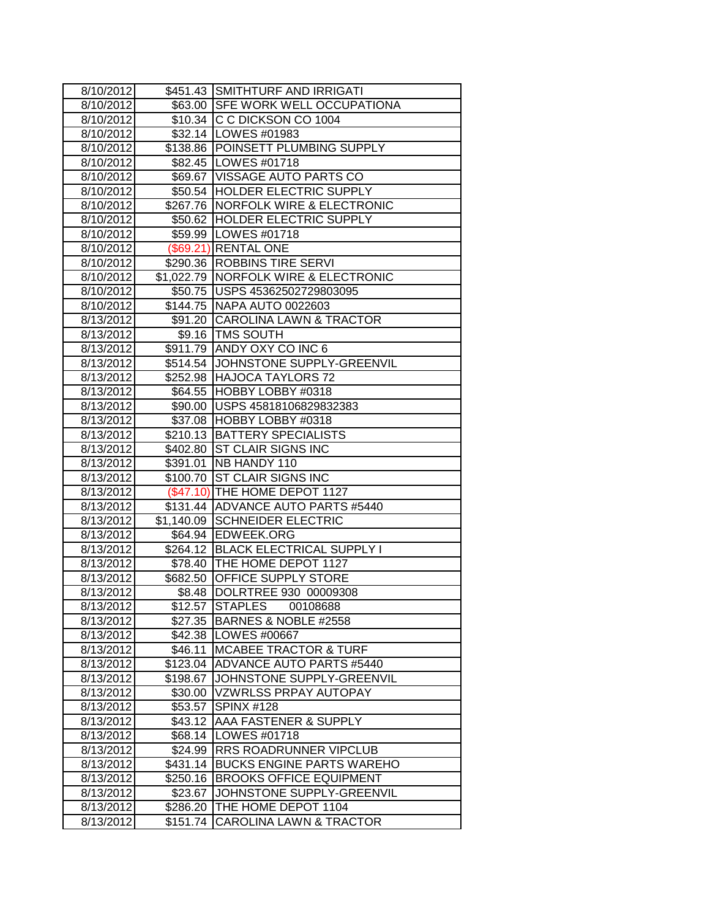| 8/10/2012              |          | \$451.43 SMITHTURF AND IRRIGATI                                    |
|------------------------|----------|--------------------------------------------------------------------|
| 8/10/2012              |          | \$63.00 SFE WORK WELL OCCUPATIONA                                  |
| 8/10/2012              |          | \$10.34 C C DICKSON CO 1004                                        |
| 8/10/2012              |          | \$32.14   LOWES #01983                                             |
| 8/10/2012              |          | \$138.86 POINSETT PLUMBING SUPPLY                                  |
| 8/10/2012              |          | \$82.45   LOWES #01718                                             |
| 8/10/2012              |          | \$69.67 VISSAGE AUTO PARTS CO                                      |
| 8/10/2012              |          | \$50.54 HOLDER ELECTRIC SUPPLY                                     |
| 8/10/2012              |          | \$267.76 NORFOLK WIRE & ELECTRONIC                                 |
| 8/10/2012              |          | \$50.62 HOLDER ELECTRIC SUPPLY                                     |
| 8/10/2012              |          | \$59.99 LOWES #01718                                               |
| 8/10/2012              |          | (\$69.21) RENTAL ONE                                               |
| 8/10/2012              |          | \$290.36 ROBBINS TIRE SERVI                                        |
| 8/10/2012              |          | \$1,022.79 NORFOLK WIRE & ELECTRONIC                               |
| 8/10/2012              |          | \$50.75   USPS 45362502729803095                                   |
| 8/10/2012              |          | \$144.75 NAPA AUTO 0022603                                         |
| 8/13/2012              |          | \$91.20 CAROLINA LAWN & TRACTOR                                    |
| 8/13/2012              |          | \$9.16   TMS SOUTH                                                 |
| 8/13/2012              |          | \$911.79 ANDY OXY CO INC 6                                         |
| 8/13/2012              |          | \$514.54 JOHNSTONE SUPPLY-GREENVIL                                 |
| 8/13/2012              |          | \$252.98 HAJOCA TAYLORS 72                                         |
| 8/13/2012              |          | \$64.55 HOBBY LOBBY #0318                                          |
| 8/13/2012              |          | \$90.00 USPS 45818106829832383                                     |
| 8/13/2012              |          | \$37.08 HOBBY LOBBY #0318                                          |
| 8/13/2012              |          | \$210.13 BATTERY SPECIALISTS                                       |
| 8/13/2012              |          | \$402.80 ST CLAIR SIGNS INC                                        |
| 8/13/2012              |          | \$391.01 NB HANDY 110                                              |
| 8/13/2012              |          | \$100.70 ST CLAIR SIGNS INC                                        |
| 8/13/2012              |          | (\$47.10) THE HOME DEPOT 1127                                      |
| 8/13/2012              |          | \$131.44 ADVANCE AUTO PARTS #5440<br>\$1,140.09 SCHNEIDER ELECTRIC |
| 8/13/2012<br>8/13/2012 |          | \$64.94 EDWEEK.ORG                                                 |
| 8/13/2012              |          | \$264.12 BLACK ELECTRICAL SUPPLY I                                 |
| 8/13/2012              |          | \$78.40 THE HOME DEPOT 1127                                        |
| 8/13/2012              | \$682.50 | OFFICE SUPPLY STORE                                                |
| 8/13/2012              | \$8.48   | DOLRTREE 930 00009308                                              |
| 8/13/2012              |          | \$12.57  STAPLES<br>00108688                                       |
| 8/13/2012              |          | \$27.35 BARNES & NOBLE #2558                                       |
| 8/13/2012              |          | \$42.38   LOWES #00667                                             |
| 8/13/2012              | \$46.11  | <b>MCABEE TRACTOR &amp; TURF</b>                                   |
| 8/13/2012              | \$123.04 | ADVANCE AUTO PARTS #5440                                           |
| 8/13/2012              | \$198.67 | JOHNSTONE SUPPLY-GREENVIL                                          |
| 8/13/2012              | \$30.00  | <b>VZWRLSS PRPAY AUTOPAY</b>                                       |
| 8/13/2012              | \$53.57  | <b>SPINX #128</b>                                                  |
| 8/13/2012              | \$43.12  | AAA FASTENER & SUPPLY                                              |
| 8/13/2012              | \$68.14  | LOWES #01718                                                       |
| 8/13/2012              | \$24.99  | RRS ROADRUNNER VIPCLUB                                             |
| 8/13/2012              | \$431.14 | <b>BUCKS ENGINE PARTS WAREHO</b>                                   |
| 8/13/2012              | \$250.16 | <b>BROOKS OFFICE EQUIPMENT</b>                                     |
| 8/13/2012              | \$23.67  | JOHNSTONE SUPPLY-GREENVIL                                          |
| 8/13/2012              | \$286.20 | THE HOME DEPOT 1104                                                |
| 8/13/2012              | \$151.74 | CAROLINA LAWN & TRACTOR                                            |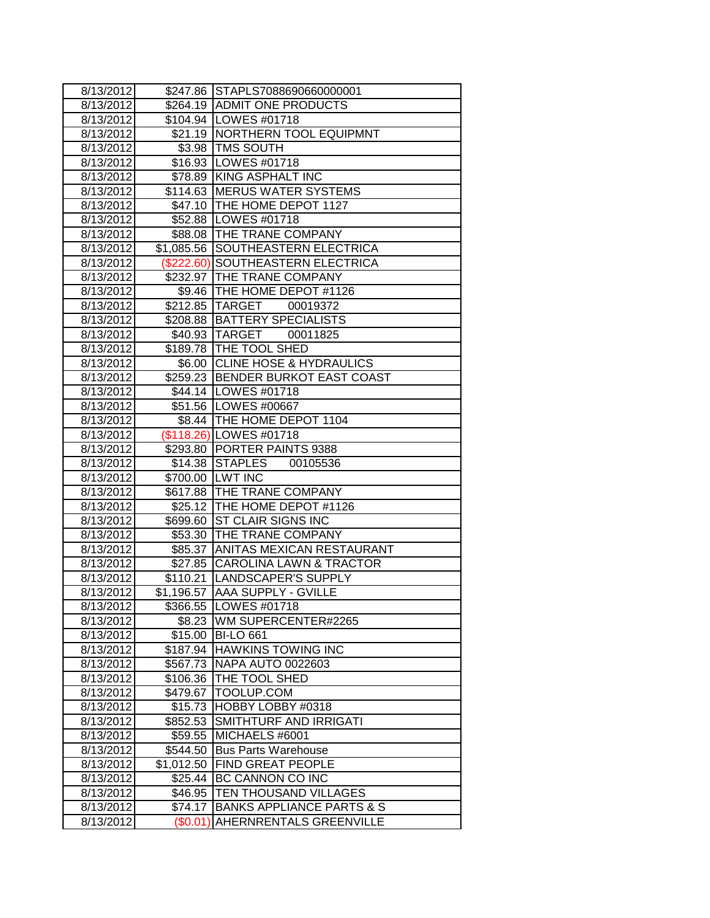| 8/13/2012          |            | \$247.86 STAPLS7088690660000001      |
|--------------------|------------|--------------------------------------|
| 8/13/2012          |            | \$264.19 ADMIT ONE PRODUCTS          |
| 8/13/2012          |            | \$104.94   LOWES #01718              |
| 8/13/2012          |            | \$21.19   NORTHERN TOOL EQUIPMNT     |
| 8/13/2012          |            | \$3.98   TMS SOUTH                   |
| 8/13/2012          |            | \$16.93   LOWES #01718               |
| 8/13/2012          |            | \$78.89 KING ASPHALT INC             |
| 8/13/2012          |            | \$114.63 MERUS WATER SYSTEMS         |
| 8/13/2012          |            | \$47.10 THE HOME DEPOT 1127          |
| 8/13/2012          |            | \$52.88   LOWES #01718               |
| 8/13/2012          |            | \$88.08 THE TRANE COMPANY            |
| 8/13/2012          | \$1,085.56 | <b>SOUTHEASTERN ELECTRICA</b>        |
| 8/13/2012          | (\$222.60) | <b>SOUTHEASTERN ELECTRICA</b>        |
| 8/13/2012          |            | \$232.97 THE TRANE COMPANY           |
| 8/13/2012          |            | \$9.46   THE HOME DEPOT #1126        |
| 8/13/2012          |            | \$212.85 TARGET<br>00019372          |
| 8/13/2012          |            | \$208.88   BATTERY SPECIALISTS       |
| 8/13/2012          |            | \$40.93 TARGET<br>00011825           |
| 8/13/2012          |            | \$189.78 THE TOOL SHED               |
| 8/13/2012          |            | \$6.00 CLINE HOSE & HYDRAULICS       |
| 8/13/2012          |            | \$259.23 BENDER BURKOT EAST COAST    |
| 8/13/2012          |            | \$44.14   LOWES #01718               |
| 8/13/2012          |            | \$51.56 LOWES #00667                 |
| 8/13/2012          |            | \$8.44   THE HOME DEPOT 1104         |
| 8/13/2012          |            | (\$118.26) LOWES #01718              |
| 8/13/2012          |            | \$293.80 PORTER PAINTS 9388          |
| 8/13/2012          |            | \$14.38 STAPLES<br>00105536          |
| $\sqrt{8}/13/2012$ |            | \$700.00 LWT INC                     |
| 8/13/2012          |            | \$617.88 THE TRANE COMPANY           |
| 8/13/2012          |            | \$25.12 THE HOME DEPOT #1126         |
| 8/13/2012          |            | \$699.60 ST CLAIR SIGNS INC          |
| 8/13/2012          |            | \$53.30 THE TRANE COMPANY            |
| 8/13/2012          |            | \$85.37 ANITAS MEXICAN RESTAURANT    |
| 8/13/2012          |            | \$27.85 CAROLINA LAWN & TRACTOR      |
| 8/13/2012          |            | \$110.21  LANDSCAPER'S SUPPLY        |
| 8/13/2012          |            | \$1,196.57 AAA SUPPLY - GVILLE       |
| 8/13/2012          |            | \$366.55  LOWES #01718               |
| 8/13/2012          | \$8.23     | WM SUPERCENTER#2265                  |
| 8/13/2012          |            | \$15.00 BI-LO 661                    |
| 8/13/2012          | \$187.94   | <b>HAWKINS TOWING INC</b>            |
| 8/13/2012          | \$567.73   | NAPA AUTO 0022603                    |
| 8/13/2012          | \$106.36   | THE TOOL SHED                        |
| 8/13/2012          | \$479.67   | TOOLUP.COM                           |
| 8/13/2012          | \$15.73    | HOBBY LOBBY #0318                    |
| 8/13/2012          | \$852.53   | SMITHTURF AND IRRIGATI               |
| 8/13/2012          | \$59.55    | MICHAELS #6001                       |
| 8/13/2012          | \$544.50   | <b>Bus Parts Warehouse</b>           |
| 8/13/2012          | \$1,012.50 | <b>FIND GREAT PEOPLE</b>             |
| 8/13/2012          | \$25.44    | BC CANNON CO INC                     |
| 8/13/2012          | \$46.95    | TEN THOUSAND VILLAGES                |
| 8/13/2012          | \$74.17    | <b>BANKS APPLIANCE PARTS &amp; S</b> |
| 8/13/2012          | (\$0.01    | AHERNRENTALS GREENVILLE              |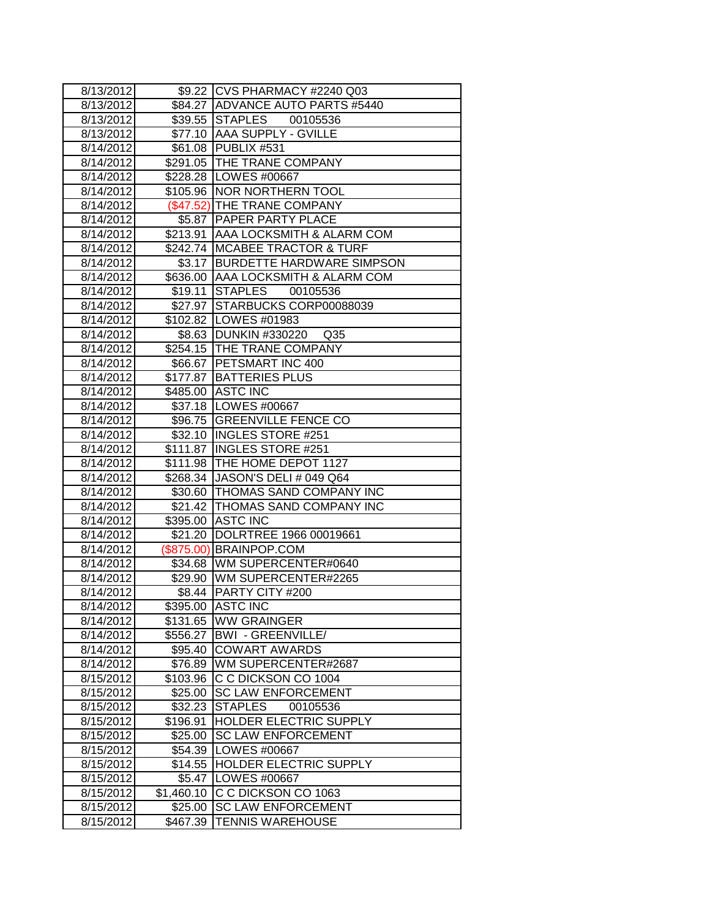| 8/13/2012 |            | \$9.22 CVS PHARMACY #2240 Q03            |
|-----------|------------|------------------------------------------|
| 8/13/2012 |            | \$84.27 ADVANCE AUTO PARTS #5440         |
| 8/13/2012 |            | \$39.55 STAPLES<br>00105536              |
| 8/13/2012 |            | \$77.10 AAA SUPPLY - GVILLE              |
| 8/14/2012 |            | \$61.08 PUBLIX #531                      |
| 8/14/2012 |            | \$291.05 THE TRANE COMPANY               |
| 8/14/2012 |            | \$228.28 LOWES #00667                    |
| 8/14/2012 |            | \$105.96 NOR NORTHERN TOOL               |
| 8/14/2012 |            | (\$47.52) THE TRANE COMPANY              |
| 8/14/2012 |            | \$5.87   PAPER PARTY PLACE               |
| 8/14/2012 |            | \$213.91 AAA LOCKSMITH & ALARM COM       |
| 8/14/2012 |            | \$242.74 MCABEE TRACTOR & TURF           |
| 8/14/2012 |            | \$3.17 BURDETTE HARDWARE SIMPSON         |
| 8/14/2012 |            | \$636.00 AAA LOCKSMITH & ALARM COM       |
| 8/14/2012 |            | \$19.11 STAPLES 00105536                 |
| 8/14/2012 |            | \$27.97 STARBUCKS CORP00088039           |
| 8/14/2012 |            | \$102.82 LOWES #01983                    |
| 8/14/2012 |            | \$8.63 DUNKIN #330220<br>Q <sub>35</sub> |
| 8/14/2012 |            | \$254.15 THE TRANE COMPANY               |
| 8/14/2012 |            | \$66.67 PETSMART INC 400                 |
| 8/14/2012 |            | \$177.87 BATTERIES PLUS                  |
| 8/14/2012 |            | \$485.00 ASTC INC                        |
| 8/14/2012 |            | \$37.18 LOWES #00667                     |
| 8/14/2012 |            | \$96.75 GREENVILLE FENCE CO              |
| 8/14/2012 |            | \$32.10 INGLES STORE #251                |
| 8/14/2012 |            | \$111.87   INGLES STORE #251             |
| 8/14/2012 |            | \$111.98 THE HOME DEPOT 1127             |
| 8/14/2012 |            | \$268.34 JASON'S DELI # 049 Q64          |
| 8/14/2012 |            | \$30.60 THOMAS SAND COMPANY INC          |
| 8/14/2012 |            | \$21.42 THOMAS SAND COMPANY INC          |
| 8/14/2012 |            | \$395.00 ASTC INC                        |
| 8/14/2012 |            | \$21.20 DOLRTREE 1966 00019661           |
| 8/14/2012 |            | (\$875.00) BRAINPOP.COM                  |
| 8/14/2012 |            | \$34.68 WM SUPERCENTER#0640              |
| 8/14/2012 |            | \$29.90 WM SUPERCENTER#2265              |
| 8/14/2012 |            | \$8.44 PARTY CITY #200                   |
| 8/14/2012 |            | \$395.00 ASTC INC                        |
| 8/14/2012 | \$131.65   | <b>WW GRAINGER</b>                       |
| 8/14/2012 | \$556.27   | <b>BWI - GREENVILLE/</b>                 |
| 8/14/2012 | \$95.40    | <b>COWART AWARDS</b>                     |
| 8/14/2012 | \$76.89    | WM SUPERCENTER#2687                      |
| 8/15/2012 | \$103.96   | C C DICKSON CO 1004                      |
| 8/15/2012 | \$25.00    | <b>SC LAW ENFORCEMENT</b>                |
| 8/15/2012 | \$32.23    | <b>STAPLES</b><br>00105536               |
| 8/15/2012 | \$196.91   | HOLDER ELECTRIC SUPPLY                   |
| 8/15/2012 | \$25.00    | <b>SC LAW ENFORCEMENT</b>                |
| 8/15/2012 | \$54.39    | LOWES #00667                             |
| 8/15/2012 | \$14.55    | <b>HOLDER ELECTRIC SUPPLY</b>            |
| 8/15/2012 | \$5.47     | LOWES #00667                             |
| 8/15/2012 | \$1,460.10 | C C DICKSON CO 1063                      |
| 8/15/2012 | \$25.00    | <b>SC LAW ENFORCEMENT</b>                |
| 8/15/2012 | \$467.39   | <b>TENNIS WAREHOUSE</b>                  |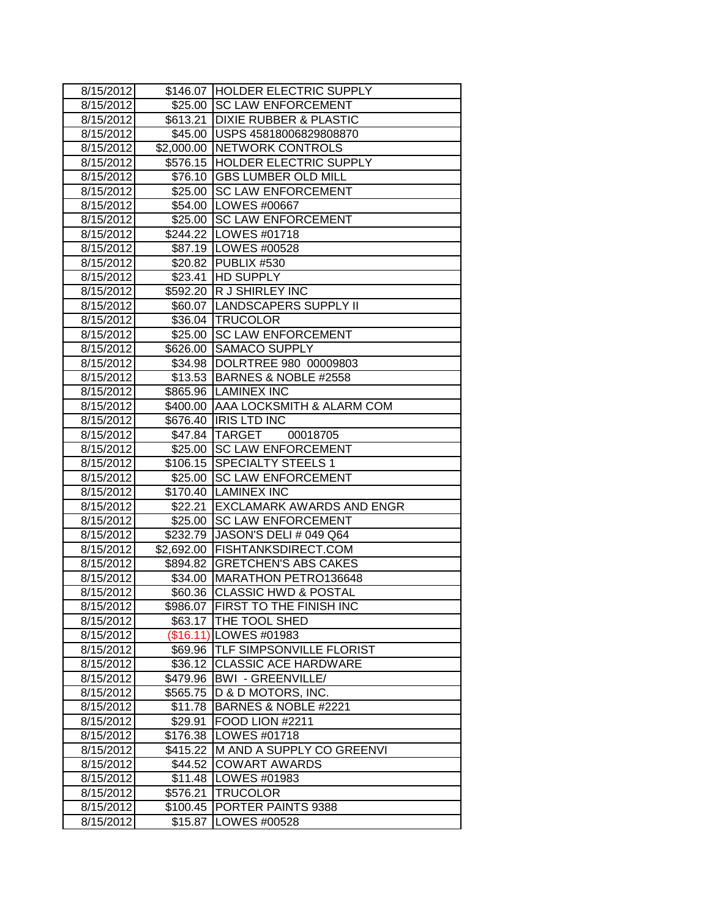| 8/15/2012 |            | \$146.07 HOLDER ELECTRIC SUPPLY    |
|-----------|------------|------------------------------------|
| 8/15/2012 |            | \$25.00 SC LAW ENFORCEMENT         |
| 8/15/2012 | \$613.21   | <b>DIXIE RUBBER &amp; PLASTIC</b>  |
| 8/15/2012 |            | \$45.00   USPS 45818006829808870   |
| 8/15/2012 |            | \$2,000.00 NETWORK CONTROLS        |
| 8/15/2012 |            | \$576.15 HOLDER ELECTRIC SUPPLY    |
| 8/15/2012 |            | \$76.10 GBS LUMBER OLD MILL        |
| 8/15/2012 |            | \$25.00 SC LAW ENFORCEMENT         |
| 8/15/2012 |            | \$54.00 LOWES #00667               |
| 8/15/2012 |            | \$25.00 SC LAW ENFORCEMENT         |
| 8/15/2012 |            | \$244.22 LOWES #01718              |
| 8/15/2012 |            | \$87.19 LOWES #00528               |
| 8/15/2012 |            | \$20.82 PUBLIX #530                |
| 8/15/2012 |            | \$23.41 HD SUPPLY                  |
| 8/15/2012 |            | \$592.20 R J SHIRLEY INC           |
| 8/15/2012 |            | \$60.07  LANDSCAPERS SUPPLY II     |
| 8/15/2012 |            | \$36.04 TRUCOLOR                   |
| 8/15/2012 | \$25.00    | <b>SC LAW ENFORCEMENT</b>          |
| 8/15/2012 | \$626.00   | <b>SAMACO SUPPLY</b>               |
| 8/15/2012 |            | \$34.98  DOLRTREE 980 00009803     |
| 8/15/2012 |            | \$13.53   BARNES & NOBLE #2558     |
| 8/15/2012 |            | \$865.96 LAMINEX INC               |
| 8/15/2012 |            | \$400.00 AAA LOCKSMITH & ALARM COM |
| 8/15/2012 |            | \$676.40  IRIS LTD INC             |
| 8/15/2012 |            | \$47.84 TARGET<br>00018705         |
| 8/15/2012 |            | \$25.00 SC LAW ENFORCEMENT         |
| 8/15/2012 |            | \$106.15 SPECIALTY STEELS 1        |
| 8/15/2012 |            | \$25.00 SC LAW ENFORCEMENT         |
| 8/15/2012 |            | \$170.40 LAMINEX INC               |
| 8/15/2012 |            | \$22.21 EXCLAMARK AWARDS AND ENGR  |
| 8/15/2012 |            | \$25.00 SC LAW ENFORCEMENT         |
| 8/15/2012 | \$232.79   | JASON'S DELI # 049 Q64             |
| 8/15/2012 | \$2,692.00 | <b>FISHTANKSDIRECT.COM</b>         |
| 8/15/2012 | \$894.82   | <b>GRETCHEN'S ABS CAKES</b>        |
| 8/15/2012 | \$34.00    | MARATHON PETRO136648               |
| 8/15/2012 | \$60.36    | <b>CLASSIC HWD &amp; POSTAL</b>    |
| 8/15/2012 |            | \$986.07 FIRST TO THE FINISH INC   |
| 8/15/2012 |            | \$63.17   THE TOOL SHED            |
| 8/15/2012 |            | (\$16.11) LOWES #01983             |
| 8/15/2012 | \$69.96    | <b>ITLF SIMPSONVILLE FLORIST</b>   |
| 8/15/2012 |            | \$36.12 CLASSIC ACE HARDWARE       |
| 8/15/2012 | \$479.96   | <b>BWI - GREENVILLE/</b>           |
| 8/15/2012 | \$565.75   | D & D MOTORS, INC.                 |
| 8/15/2012 | \$11.78    | BARNES & NOBLE #2221               |
| 8/15/2012 | \$29.91    | FOOD LION #2211                    |
| 8/15/2012 | \$176.38   | LOWES #01718                       |
| 8/15/2012 | \$415.22   | M AND A SUPPLY CO GREENVI          |
| 8/15/2012 | \$44.52    | <b>COWART AWARDS</b>               |
| 8/15/2012 | \$11.48    | LOWES #01983                       |
| 8/15/2012 | \$576.21   | <b>TRUCOLOR</b>                    |
| 8/15/2012 | \$100.45   | PORTER PAINTS 9388                 |
| 8/15/2012 | \$15.87    | LOWES #00528                       |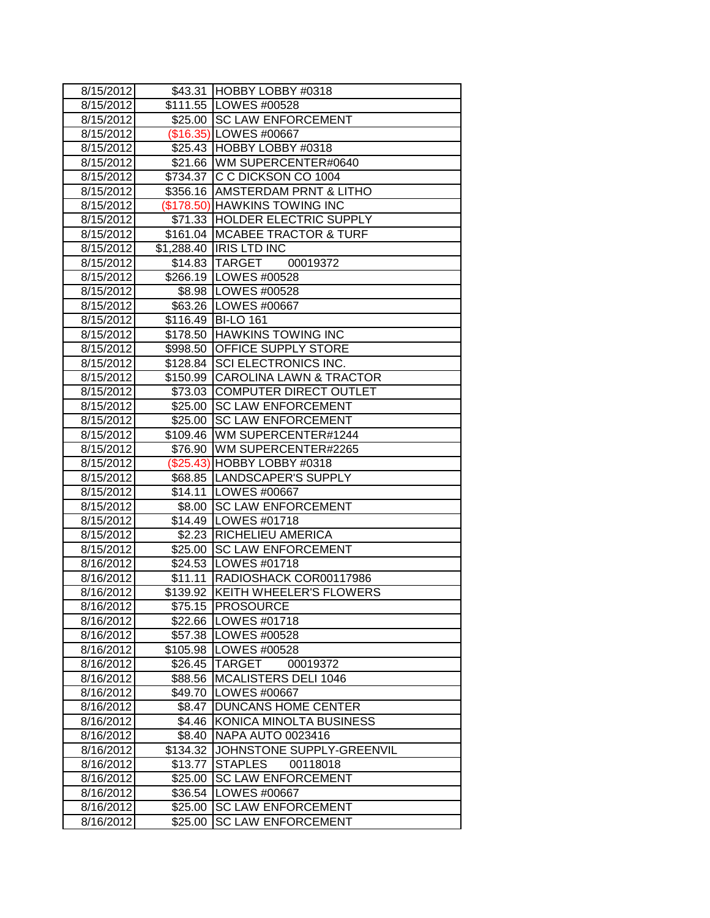| 8/15/2012           | \$43.31  | HOBBY LOBBY #0318                |
|---------------------|----------|----------------------------------|
| 8/15/2012           |          | \$111.55   LOWES #00528          |
| 8/15/2012           |          | \$25.00 SC LAW ENFORCEMENT       |
| 8/15/2012           |          | (\$16.35) LOWES #00667           |
| 8/15/2012           |          | \$25.43 HOBBY LOBBY #0318        |
| 8/15/2012           |          | \$21.66 WM SUPERCENTER#0640      |
| 8/15/2012           |          | \$734.37 C C DICKSON CO 1004     |
| 8/15/2012           |          | \$356.16 AMSTERDAM PRNT & LITHO  |
| 8/15/2012           |          | (\$178.50) HAWKINS TOWING INC    |
| 8/15/2012           |          | \$71.33 HOLDER ELECTRIC SUPPLY   |
| 8/15/2012           |          | \$161.04 MCABEE TRACTOR & TURF   |
| 8/15/2012           |          | \$1,288.40  IRIS LTD INC         |
| 8/15/2012           |          | \$14.83 TARGET 00019372          |
| 8/15/2012           |          | \$266.19   LOWES #00528          |
| 8/15/2012           |          | \$8.98   LOWES #00528            |
| 8/15/2012           |          | \$63.26 LOWES #00667             |
| 8/15/2012           |          | \$116.49 BI-LO 161               |
| 8/15/2012           |          | \$178.50 HAWKINS TOWING INC      |
| 8/15/2012           | \$998.50 | <b>OFFICE SUPPLY STORE</b>       |
| 8/15/2012           |          | \$128.84 SCI ELECTRONICS INC.    |
| 8/15/2012           |          | \$150.99 CAROLINA LAWN & TRACTOR |
| 8/15/2012           |          | \$73.03 COMPUTER DIRECT OUTLET   |
| 8/15/2012           |          | \$25.00 SC LAW ENFORCEMENT       |
| 8/15/2012           | \$25.00  | <b>ISC LAW ENFORCEMENT</b>       |
| 8/15/2012           |          | \$109.46 WM SUPERCENTER#1244     |
| 8/15/2012           |          | \$76.90 WM SUPERCENTER#2265      |
| 8/15/2012           |          | (\$25.43) HOBBY LOBBY #0318      |
| $\frac{8}{15/2012}$ |          | \$68.85  LANDSCAPER'S SUPPLY     |
| 8/15/2012           |          | \$14.11   LOWES #00667           |
| 8/15/2012           |          | \$8.00 SC LAW ENFORCEMENT        |
| 8/15/2012           |          | \$14.49 LOWES #01718             |
| 8/15/2012           |          | \$2.23 RICHELIEU AMERICA         |
| 8/15/2012           | \$25.00  | <b>SC LAW ENFORCEMENT</b>        |
| 8/16/2012           |          | \$24.53   LOWES #01718           |
| 8/16/2012           | \$11.11  | RADIOSHACK COR00117986           |
| 8/16/2012           |          | \$139.92 KEITH WHEELER'S FLOWERS |
| 8/16/2012           |          | \$75.15 PROSOURCE                |
| 8/16/2012           | \$22.66  | LOWES #01718                     |
| 8/16/2012           |          | \$57.38   LOWES #00528           |
| 8/16/2012           |          | \$105.98   LOWES #00528          |
| 8/16/2012           | \$26.45  | <b>TARGET</b><br>00019372        |
| 8/16/2012           |          | \$88.56 MCALISTERS DELI 1046     |
| 8/16/2012           | \$49.70  | LOWES #00667                     |
| 8/16/2012           | \$8.47   | <b>DUNCANS HOME CENTER</b>       |
| 8/16/2012           | \$4.46   | KONICA MINOLTA BUSINESS          |
| 8/16/2012           | \$8.40   | NAPA AUTO 0023416                |
| 8/16/2012           | \$134.32 | JOHNSTONE SUPPLY-GREENVIL        |
| 8/16/2012           | \$13.77  | <b>STAPLES</b><br>00118018       |
| 8/16/2012           | \$25.00  | <b>SC LAW ENFORCEMENT</b>        |
| 8/16/2012           | \$36.54  | LOWES #00667                     |
| 8/16/2012           | \$25.00  | <b>SC LAW ENFORCEMENT</b>        |
| 8/16/2012           | \$25.00  | <b>SC LAW ENFORCEMENT</b>        |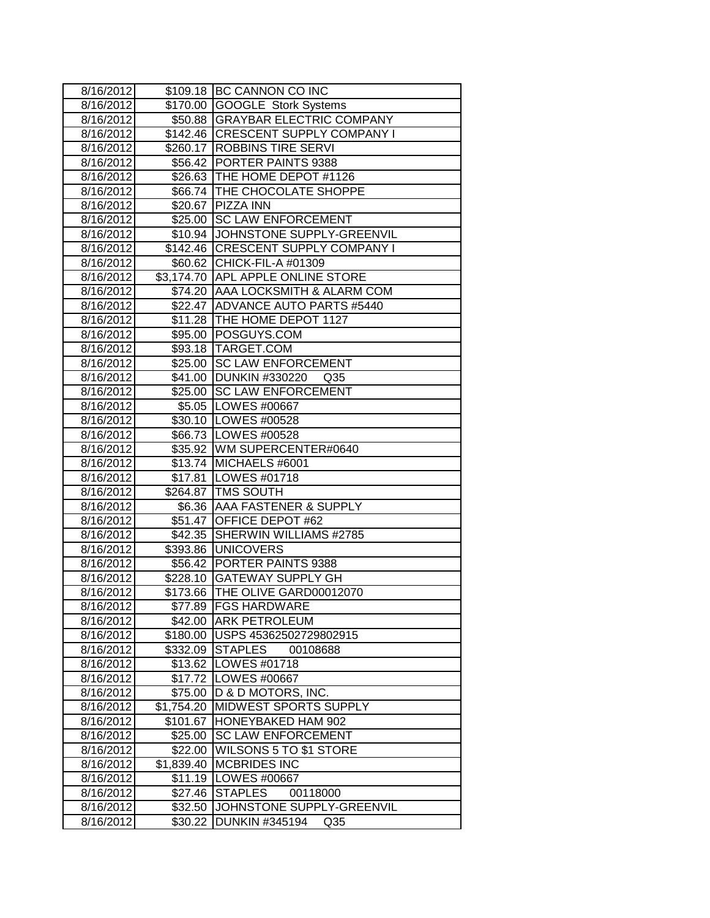| 8/16/2012 |            | \$109.18 BC CANNON CO INC            |
|-----------|------------|--------------------------------------|
| 8/16/2012 | \$170.00   | <b>GOOGLE Stork Systems</b>          |
| 8/16/2012 |            | \$50.88 GRAYBAR ELECTRIC COMPANY     |
| 8/16/2012 |            | \$142.46   CRESCENT SUPPLY COMPANY I |
| 8/16/2012 |            | \$260.17 ROBBINS TIRE SERVI          |
| 8/16/2012 |            | \$56.42 PORTER PAINTS 9388           |
| 8/16/2012 |            | \$26.63 THE HOME DEPOT #1126         |
| 8/16/2012 |            | \$66.74 THE CHOCOLATE SHOPPE         |
| 8/16/2012 |            | \$20.67 PIZZA INN                    |
| 8/16/2012 |            | \$25.00 SC LAW ENFORCEMENT           |
| 8/16/2012 |            | \$10.94 JJOHNSTONE SUPPLY-GREENVIL   |
| 8/16/2012 |            | \$142.46 CRESCENT SUPPLY COMPANY I   |
| 8/16/2012 |            | \$60.62 CHICK-FIL-A #01309           |
| 8/16/2012 |            | \$3,174.70 APL APPLE ONLINE STORE    |
| 8/16/2012 |            | \$74.20 AAA LOCKSMITH & ALARM COM    |
| 8/16/2012 |            | \$22.47 ADVANCE AUTO PARTS #5440     |
| 8/16/2012 |            | \$11.28 THE HOME DEPOT 1127          |
| 8/16/2012 | \$95.00    | POSGUYS.COM                          |
| 8/16/2012 |            | \$93.18   TARGET.COM                 |
| 8/16/2012 | \$25.00    | <b>SC LAW ENFORCEMENT</b>            |
| 8/16/2012 |            | \$41.00 DUNKIN #330220<br>Q35        |
| 8/16/2012 |            | \$25.00 SC LAW ENFORCEMENT           |
| 8/16/2012 |            | \$5.05  LOWES #00667                 |
| 8/16/2012 |            | \$30.10   LOWES #00528               |
| 8/16/2012 |            | \$66.73   LOWES #00528               |
| 8/16/2012 |            | \$35.92 WM SUPERCENTER#0640          |
| 8/16/2012 |            | \$13.74 MICHAELS #6001               |
| 8/16/2012 |            | \$17.81   LOWES #01718               |
| 8/16/2012 |            | \$264.87 TMS SOUTH                   |
| 8/16/2012 |            | \$6.36 AAA FASTENER & SUPPLY         |
| 8/16/2012 |            | \$51.47 OFFICE DEPOT #62             |
| 8/16/2012 | \$42.35    | <b>SHERWIN WILLIAMS #2785</b>        |
| 8/16/2012 |            | \$393.86 UNICOVERS                   |
| 8/16/2012 | \$56.42    | PORTER PAINTS 9388                   |
| 8/16/2012 | \$228.10   | <b>GATEWAY SUPPLY GH</b>             |
| 8/16/2012 | \$173.66   | THE OLIVE GARD00012070               |
| 8/16/2012 |            | \$77.89  FGS HARDWARE                |
| 8/16/2012 |            | \$42.00 ARK PETROLEUM                |
| 8/16/2012 |            | \$180.00   USPS 45362502729802915    |
| 8/16/2012 |            | \$332.09 STAPLES<br>00108688         |
| 8/16/2012 | \$13.62    | LOWES #01718                         |
| 8/16/2012 | \$17.72    | LOWES #00667                         |
| 8/16/2012 | \$75.00    | D & D MOTORS, INC.                   |
| 8/16/2012 | \$1,754.20 | MIDWEST SPORTS SUPPLY                |
| 8/16/2012 | \$101.67   | HONEYBAKED HAM 902                   |
| 8/16/2012 | \$25.00    | <b>SC LAW ENFORCEMENT</b>            |
| 8/16/2012 | \$22.00    | WILSONS 5 TO \$1 STORE               |
| 8/16/2012 | \$1,839.40 | <b>MCBRIDES INC</b>                  |
| 8/16/2012 | \$11.19    | LOWES #00667                         |
| 8/16/2012 | \$27.46    | <b>STAPLES</b><br>00118000           |
| 8/16/2012 | \$32.50    | JOHNSTONE SUPPLY-GREENVIL            |
| 8/16/2012 | \$30.22    | DUNKIN #345194<br>Q <sub>35</sub>    |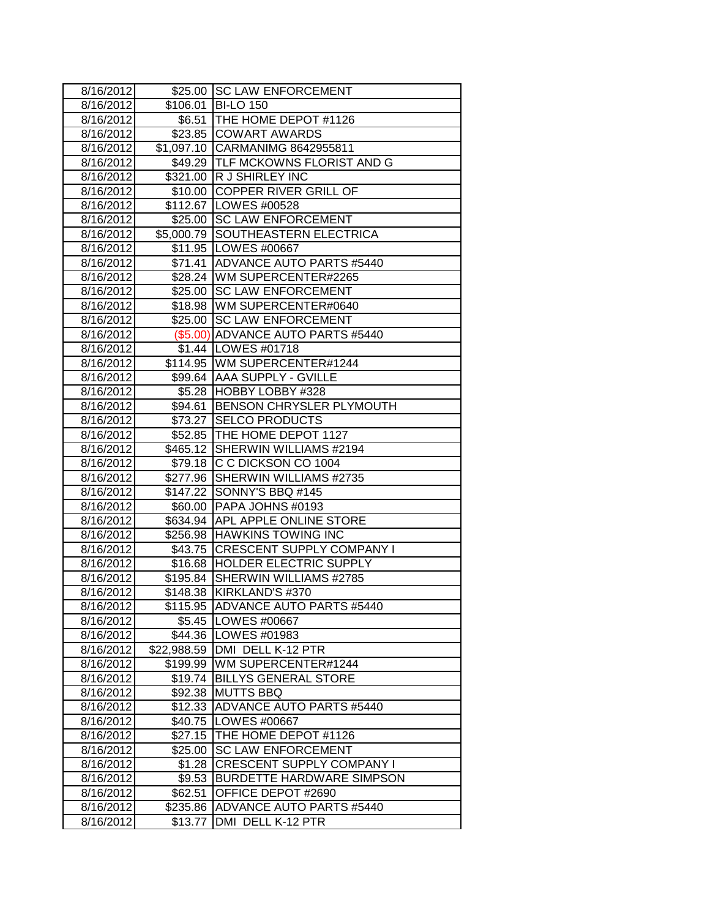| 8/16/2012 |          | \$25.00 SC LAW ENFORCEMENT        |
|-----------|----------|-----------------------------------|
| 8/16/2012 | \$106.01 | <b>BI-LO 150</b>                  |
| 8/16/2012 | \$6.51   | THE HOME DEPOT #1126              |
| 8/16/2012 |          | \$23.85 COWART AWARDS             |
| 8/16/2012 |          | \$1,097.10 CARMANIMG 8642955811   |
| 8/16/2012 |          | \$49.29 TLF MCKOWNS FLORIST AND G |
| 8/16/2012 |          | \$321.00 R J SHIRLEY INC          |
| 8/16/2012 |          | \$10.00 COPPER RIVER GRILL OF     |
| 8/16/2012 |          | \$112.67 LOWES #00528             |
| 8/16/2012 |          | \$25.00 SC LAW ENFORCEMENT        |
| 8/16/2012 |          | \$5,000.79 SOUTHEASTERN ELECTRICA |
| 8/16/2012 |          | \$11.95   LOWES #00667            |
| 8/16/2012 |          | \$71.41 ADVANCE AUTO PARTS #5440  |
| 8/16/2012 |          | \$28.24   WM SUPERCENTER#2265     |
| 8/16/2012 | \$25.00  | <b>SC LAW ENFORCEMENT</b>         |
| 8/16/2012 |          | \$18.98 WM SUPERCENTER#0640       |
| 8/16/2012 | \$25.00  | <b>SC LAW ENFORCEMENT</b>         |
| 8/16/2012 |          | (\$5.00) ADVANCE AUTO PARTS #5440 |
| 8/16/2012 |          | \$1.44   LOWES #01718             |
| 8/16/2012 |          | \$114.95 WM SUPERCENTER#1244      |
| 8/16/2012 |          | \$99.64 AAA SUPPLY - GVILLE       |
| 8/16/2012 |          | \$5.28 HOBBY LOBBY #328           |
| 8/16/2012 |          | \$94.61 BENSON CHRYSLER PLYMOUTH  |
| 8/16/2012 |          | \$73.27 SELCO PRODUCTS            |
| 8/16/2012 |          | \$52.85  THE HOME DEPOT 1127      |
| 8/16/2012 |          | \$465.12 SHERWIN WILLIAMS #2194   |
| 8/16/2012 |          | \$79.18 C C DICKSON CO 1004       |
| 8/16/2012 |          | \$277.96 SHERWIN WILLIAMS #2735   |
| 8/16/2012 | \$147.22 | SONNY'S BBQ #145                  |
| 8/16/2012 | \$60.00  | PAPA JOHNS #0193                  |
| 8/16/2012 |          | \$634.94 APL APPLE ONLINE STORE   |
| 8/16/2012 |          | \$256.98 HAWKINS TOWING INC       |
| 8/16/2012 |          | \$43.75 CRESCENT SUPPLY COMPANY I |
| 8/16/2012 |          | \$16.68 HOLDER ELECTRIC SUPPLY    |
| 8/16/2012 | \$195.84 | SHERWIN WILLIAMS #2785            |
| 8/16/2012 | \$148.38 | KIRKLAND'S #370                   |
| 8/16/2012 |          | \$115.95 ADVANCE AUTO PARTS #5440 |
| 8/16/2012 | \$5.45   | LOWES #00667                      |
| 8/16/2012 |          | \$44.36   LOWES #01983            |
| 8/16/2012 |          | \$22,988.59 DMI DELL K-12 PTR     |
| 8/16/2012 | \$199.99 | WM SUPERCENTER#1244               |
| 8/16/2012 | \$19.74  | <b>BILLYS GENERAL STORE</b>       |
| 8/16/2012 | \$92.38  | <b>MUTTS BBQ</b>                  |
| 8/16/2012 | \$12.33  | <b>ADVANCE AUTO PARTS #5440</b>   |
| 8/16/2012 | \$40.75  | LOWES #00667                      |
| 8/16/2012 | \$27.15  | THE HOME DEPOT #1126              |
| 8/16/2012 | \$25.00  | <b>SC LAW ENFORCEMENT</b>         |
| 8/16/2012 | \$1.28   | <b>CRESCENT SUPPLY COMPANY I</b>  |
| 8/16/2012 | \$9.53   | <b>BURDETTE HARDWARE SIMPSON</b>  |
| 8/16/2012 | \$62.51  | OFFICE DEPOT #2690                |
| 8/16/2012 | \$235.86 | <b>ADVANCE AUTO PARTS #5440</b>   |
| 8/16/2012 | \$13.77  | DMI DELL K-12 PTR                 |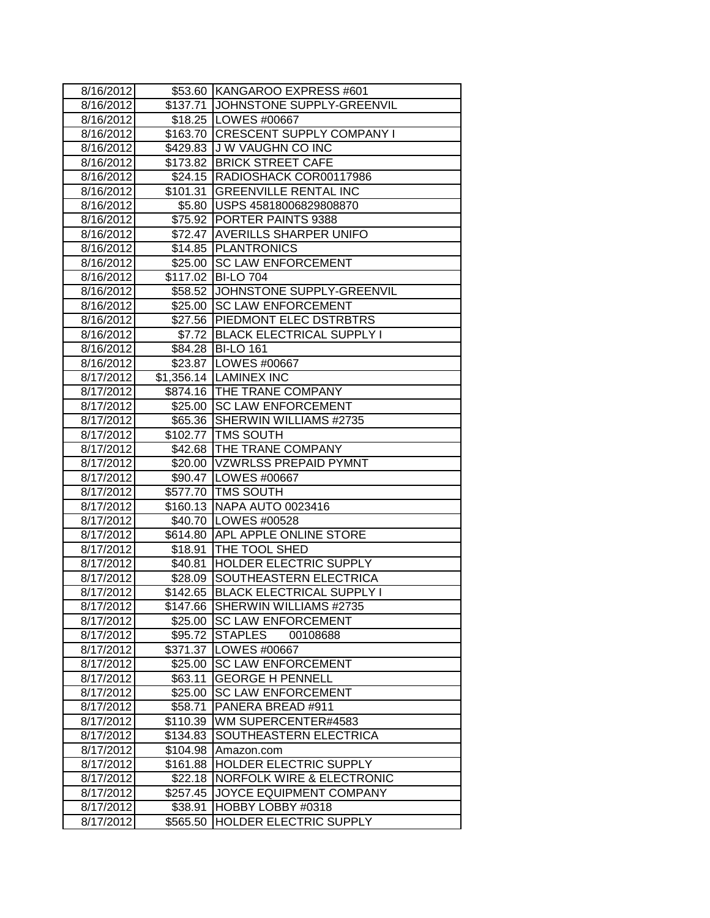| 8/16/2012 |          | \$53.60 KANGAROO EXPRESS #601        |
|-----------|----------|--------------------------------------|
| 8/16/2012 | \$137.71 | JOHNSTONE SUPPLY-GREENVIL            |
| 8/16/2012 |          | \$18.25   LOWES #00667               |
| 8/16/2012 | \$163.70 | <b>CRESCENT SUPPLY COMPANY I</b>     |
| 8/16/2012 | \$429.83 | <b>J W VAUGHN CO INC</b>             |
| 8/16/2012 | \$173.82 | <b>BRICK STREET CAFE</b>             |
| 8/16/2012 |          | \$24.15 RADIOSHACK COR00117986       |
| 8/16/2012 | \$101.31 | <b>GREENVILLE RENTAL INC</b>         |
| 8/16/2012 |          | \$5.80 USPS 45818006829808870        |
| 8/16/2012 |          | \$75.92 PORTER PAINTS 9388           |
| 8/16/2012 |          | \$72.47 AVERILLS SHARPER UNIFO       |
| 8/16/2012 |          | \$14.85 PLANTRONICS                  |
| 8/16/2012 | \$25.00  | <b>SC LAW ENFORCEMENT</b>            |
| 8/16/2012 | \$117.02 | <b>BI-LO 704</b>                     |
| 8/16/2012 |          | \$58.52 JOHNSTONE SUPPLY-GREENVIL    |
| 8/16/2012 | \$25.00  | <b>SC LAW ENFORCEMENT</b>            |
| 8/16/2012 |          | \$27.56 PIEDMONT ELEC DSTRBTRS       |
| 8/16/2012 | \$7.72   | <b>BLACK ELECTRICAL SUPPLY I</b>     |
| 8/16/2012 | \$84.28  | <b>BI-LO 161</b>                     |
| 8/16/2012 | \$23.87  | LOWES #00667                         |
| 8/17/2012 |          | \$1,356.14   LAMINEX INC             |
| 8/17/2012 |          | \$874.16 THE TRANE COMPANY           |
| 8/17/2012 |          | \$25.00 SC LAW ENFORCEMENT           |
| 8/17/2012 | \$65.36  | SHERWIN WILLIAMS #2735               |
| 8/17/2012 |          | \$102.77   TMS SOUTH                 |
| 8/17/2012 |          | \$42.68 THE TRANE COMPANY            |
| 8/17/2012 |          | \$20.00 VZWRLSS PREPAID PYMNT        |
| 8/17/2012 |          | \$90.47   LOWES #00667               |
| 8/17/2012 |          | \$577.70 TMS SOUTH                   |
| 8/17/2012 |          | \$160.13 NAPA AUTO 0023416           |
| 8/17/2012 |          | \$40.70 LOWES #00528                 |
| 8/17/2012 |          | \$614.80 APL APPLE ONLINE STORE      |
| 8/17/2012 |          | \$18.91 THE TOOL SHED                |
| 8/17/2012 | \$40.81  | <b>HOLDER ELECTRIC SUPPLY</b>        |
| 8/17/2012 | \$28.09  | SOUTHEASTERN ELECTRICA               |
| 8/17/2012 | \$142.65 | <b>BLACK ELECTRICAL SUPPLY I</b>     |
| 8/17/2012 | \$147.66 | <b>SHERWIN WILLIAMS #2735</b>        |
| 8/17/2012 | \$25.00  | <b>SC LAW ENFORCEMENT</b>            |
| 8/17/2012 | \$95.72  | <b>STAPLES</b><br>00108688           |
| 8/17/2012 | \$371.37 | LOWES #00667                         |
| 8/17/2012 | \$25.00  | <b>SC LAW ENFORCEMENT</b>            |
| 8/17/2012 | \$63.11  | <b>GEORGE H PENNELL</b>              |
| 8/17/2012 | \$25.00  | <b>SC LAW ENFORCEMENT</b>            |
| 8/17/2012 | \$58.71  | PANERA BREAD #911                    |
| 8/17/2012 | \$110.39 | WM SUPERCENTER#4583                  |
| 8/17/2012 | \$134.83 | SOUTHEASTERN ELECTRICA               |
| 8/17/2012 | \$104.98 | Amazon.com                           |
| 8/17/2012 | \$161.88 | HOLDER ELECTRIC SUPPLY               |
| 8/17/2012 | \$22.18  | <b>NORFOLK WIRE &amp; ELECTRONIC</b> |
| 8/17/2012 | \$257.45 | JOYCE EQUIPMENT COMPANY              |
| 8/17/2012 | \$38.91  | HOBBY LOBBY #0318                    |
| 8/17/2012 | \$565.50 | <b>HOLDER ELECTRIC SUPPLY</b>        |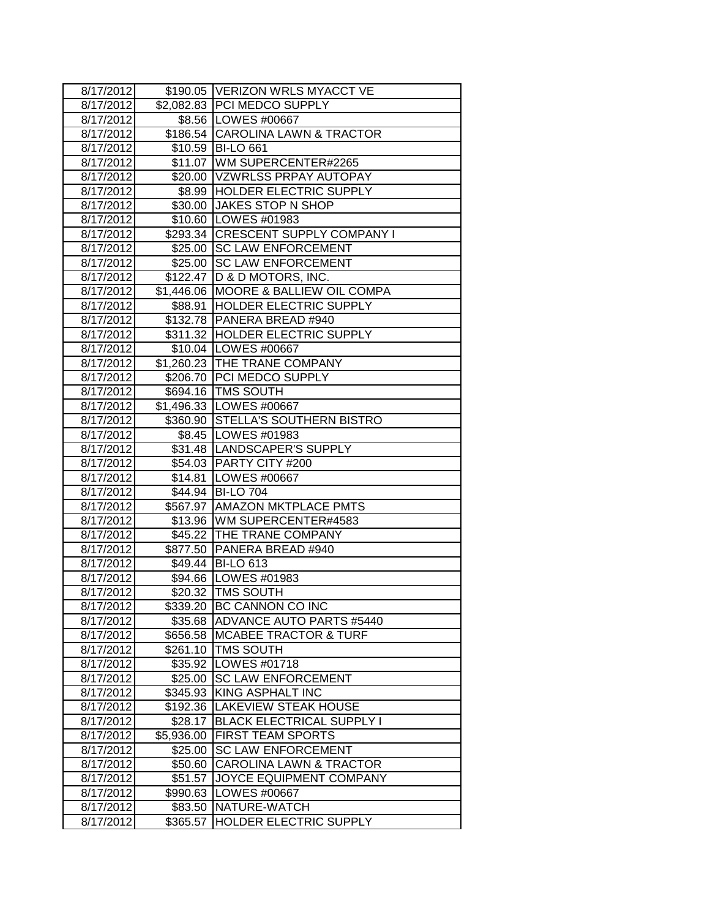| 8/17/2012 |            | \$190.05   VERIZON WRLS MYACCT VE      |
|-----------|------------|----------------------------------------|
| 8/17/2012 |            | \$2,082.83 PCI MEDCO SUPPLY            |
| 8/17/2012 |            | \$8.56   LOWES #00667                  |
| 8/17/2012 |            | \$186.54 CAROLINA LAWN & TRACTOR       |
| 8/17/2012 |            | \$10.59 BI-LO 661                      |
| 8/17/2012 |            | \$11.07 WM SUPERCENTER#2265            |
| 8/17/2012 |            | \$20.00 VZWRLSS PRPAY AUTOPAY          |
| 8/17/2012 |            | \$8.99 HOLDER ELECTRIC SUPPLY          |
| 8/17/2012 |            | \$30.00 JAKES STOP N SHOP              |
| 8/17/2012 |            | \$10.60 LOWES #01983                   |
| 8/17/2012 |            | \$293.34 CRESCENT SUPPLY COMPANY I     |
| 8/17/2012 |            | \$25.00 SC LAW ENFORCEMENT             |
| 8/17/2012 |            | \$25.00 SC LAW ENFORCEMENT             |
| 8/17/2012 |            | \$122.47   D & D MOTORS, INC.          |
| 8/17/2012 |            | \$1,446.06   MOORE & BALLIEW OIL COMPA |
| 8/17/2012 |            | \$88.91  HOLDER ELECTRIC SUPPLY        |
| 8/17/2012 |            | \$132.78 PANERA BREAD #940             |
| 8/17/2012 |            | \$311.32 HOLDER ELECTRIC SUPPLY        |
| 8/17/2012 |            | \$10.04 LOWES #00667                   |
| 8/17/2012 |            | \$1,260.23 THE TRANE COMPANY           |
| 8/17/2012 |            | \$206.70 PCI MEDCO SUPPLY              |
| 8/17/2012 |            | \$694.16   TMS SOUTH                   |
| 8/17/2012 |            | \$1,496.33 LOWES #00667                |
| 8/17/2012 |            | \$360.90 STELLA'S SOUTHERN BISTRO      |
| 8/17/2012 |            | \$8.45   LOWES #01983                  |
| 8/17/2012 |            | \$31.48  LANDSCAPER'S SUPPLY           |
| 8/17/2012 |            | \$54.03 PARTY CITY #200                |
| 8/17/2012 | \$14.81    | LOWES #00667                           |
| 8/17/2012 |            | \$44.94 BI-LO 704                      |
| 8/17/2012 |            | \$567.97 AMAZON MKTPLACE PMTS          |
| 8/17/2012 |            | \$13.96   WM SUPERCENTER#4583          |
| 8/17/2012 |            | \$45.22 THE TRANE COMPANY              |
| 8/17/2012 |            | \$877.50 PANERA BREAD #940             |
| 8/17/2012 |            | \$49.44 BI-LO 613                      |
| 8/17/2012 |            | \$94.66   LOWES #01983                 |
| 8/17/2012 |            | \$20.32 TMS SOUTH                      |
| 8/17/2012 |            | \$339.20 IBC CANNON CO INC             |
| 8/17/2012 |            | \$35.68 ADVANCE AUTO PARTS #5440       |
| 8/17/2012 |            | \$656.58   MCABEE TRACTOR & TURF       |
| 8/17/2012 | \$261.10   | <b>TMS SOUTH</b>                       |
| 8/17/2012 | \$35.92    | LOWES #01718                           |
| 8/17/2012 | \$25.00    | <b>SC LAW ENFORCEMENT</b>              |
| 8/17/2012 | \$345.93   | KING ASPHALT INC                       |
| 8/17/2012 | \$192.36   | <b>LAKEVIEW STEAK HOUSE</b>            |
| 8/17/2012 | \$28.17    | <b>BLACK ELECTRICAL SUPPLY I</b>       |
| 8/17/2012 | \$5,936.00 | <b>FIRST TEAM SPORTS</b>               |
| 8/17/2012 | \$25.00    | <b>SC LAW ENFORCEMENT</b>              |
| 8/17/2012 | \$50.60    | <b>CAROLINA LAWN &amp; TRACTOR</b>     |
| 8/17/2012 | \$51.57    | JOYCE EQUIPMENT COMPANY                |
| 8/17/2012 | \$990.63   | LOWES #00667                           |
| 8/17/2012 | \$83.50    | NATURE-WATCH                           |
| 8/17/2012 | \$365.57   | HOLDER ELECTRIC SUPPLY                 |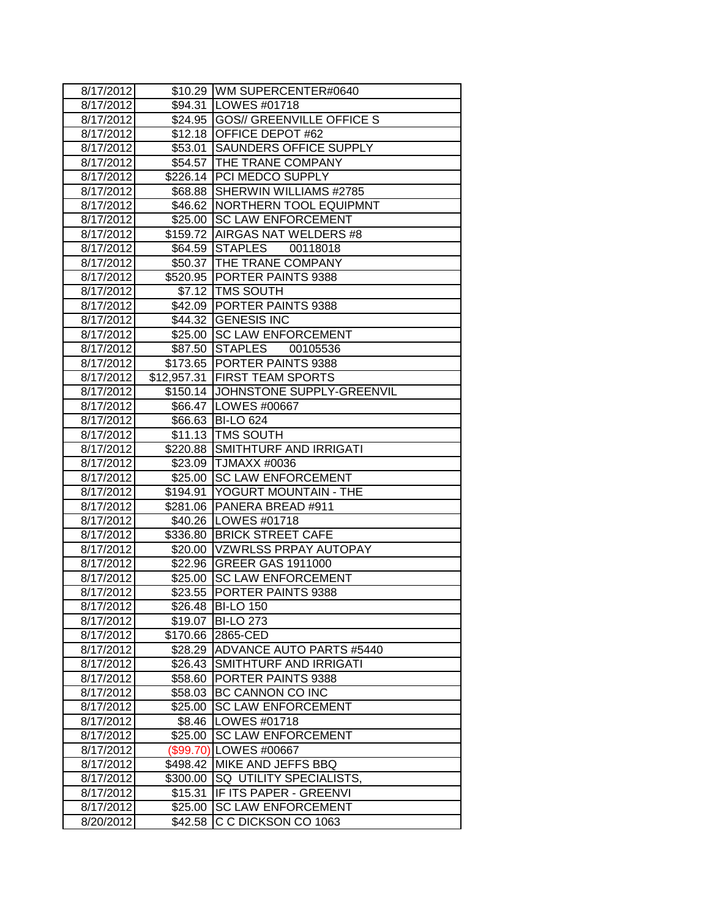| 8/17/2012 |           | \$10.29 WM SUPERCENTER#0640         |
|-----------|-----------|-------------------------------------|
| 8/17/2012 |           | \$94.31   LOWES #01718              |
| 8/17/2012 |           | \$24.95 GOS// GREENVILLE OFFICE S   |
| 8/17/2012 |           | \$12.18 OFFICE DEPOT #62            |
| 8/17/2012 |           | \$53.01 SAUNDERS OFFICE SUPPLY      |
| 8/17/2012 |           | \$54.57 THE TRANE COMPANY           |
| 8/17/2012 |           | \$226.14   PCI MEDCO SUPPLY         |
| 8/17/2012 |           | \$68.88 SHERWIN WILLIAMS #2785      |
| 8/17/2012 |           | \$46.62 NORTHERN TOOL EQUIPMNT      |
| 8/17/2012 | \$25.00   | <b>SC LAW ENFORCEMENT</b>           |
| 8/17/2012 |           | \$159.72 AIRGAS NAT WELDERS #8      |
| 8/17/2012 | \$64.59   | STAPLES 00118018                    |
| 8/17/2012 |           | \$50.37 THE TRANE COMPANY           |
| 8/17/2012 |           | \$520.95 PORTER PAINTS 9388         |
| 8/17/2012 |           | \$7.12   TMS SOUTH                  |
| 8/17/2012 |           | \$42.09 PORTER PAINTS 9388          |
| 8/17/2012 |           | \$44.32 GENESIS INC                 |
| 8/17/2012 | \$25.00   | <b>SC LAW ENFORCEMENT</b>           |
| 8/17/2012 |           | \$87.50 STAPLES<br>00105536         |
| 8/17/2012 |           | \$173.65 PORTER PAINTS 9388         |
| 8/17/2012 |           | \$12,957.31   FIRST TEAM SPORTS     |
| 8/17/2012 |           | \$150.14 JJOHNSTONE SUPPLY-GREENVIL |
| 8/17/2012 |           | \$66.47   LOWES #00667              |
| 8/17/2012 |           | \$66.63 BI-LO 624                   |
| 8/17/2012 |           | \$11.13 TMS SOUTH                   |
| 8/17/2012 |           | \$220.88 SMITHTURF AND IRRIGATI     |
| 8/17/2012 |           | \$23.09 TJMAXX #0036                |
| 8/17/2012 | \$25.00   | <b>SC LAW ENFORCEMENT</b>           |
| 8/17/2012 | \$194.91  | YOGURT MOUNTAIN - THE               |
| 8/17/2012 |           | \$281.06 PANERA BREAD #911          |
| 8/17/2012 |           | \$40.26   LOWES #01718              |
| 8/17/2012 |           | \$336.80 BRICK STREET CAFE          |
| 8/17/2012 |           | \$20.00 VZWRLSS PRPAY AUTOPAY       |
| 8/17/2012 |           | \$22.96 GREER GAS 1911000           |
| 8/17/2012 | \$25.00   | <b>SC LAW ENFORCEMENT</b>           |
| 8/17/2012 | \$23.55   | <b>PORTER PAINTS 9388</b>           |
| 8/17/2012 |           | \$26.48 BI-LO 150                   |
| 8/17/2012 | \$19.07   | <b>BI-LO 273</b>                    |
| 8/17/2012 | \$170.66  | 2865-CED                            |
| 8/17/2012 | \$28.29   | <b>JADVANCE AUTO PARTS #5440</b>    |
| 8/17/2012 | \$26.43   | <b>SMITHTURF AND IRRIGATI</b>       |
| 8/17/2012 | \$58.60   | PORTER PAINTS 9388                  |
| 8/17/2012 | \$58.03   | BC CANNON CO INC                    |
| 8/17/2012 | \$25.00   | <b>SC LAW ENFORCEMENT</b>           |
| 8/17/2012 | \$8.46    | LOWES #01718                        |
| 8/17/2012 | \$25.00   | <b>SC LAW ENFORCEMENT</b>           |
| 8/17/2012 | (\$99.70) | LOWES #00667                        |
| 8/17/2012 | \$498.42  | MIKE AND JEFFS BBQ                  |
| 8/17/2012 | \$300.00  | SQ UTILITY SPECIALISTS,             |
| 8/17/2012 | \$15.31   | IF ITS PAPER - GREENVI              |
| 8/17/2012 | \$25.00   | <b>SC LAW ENFORCEMENT</b>           |
| 8/20/2012 | \$42.58   | C C DICKSON CO 1063                 |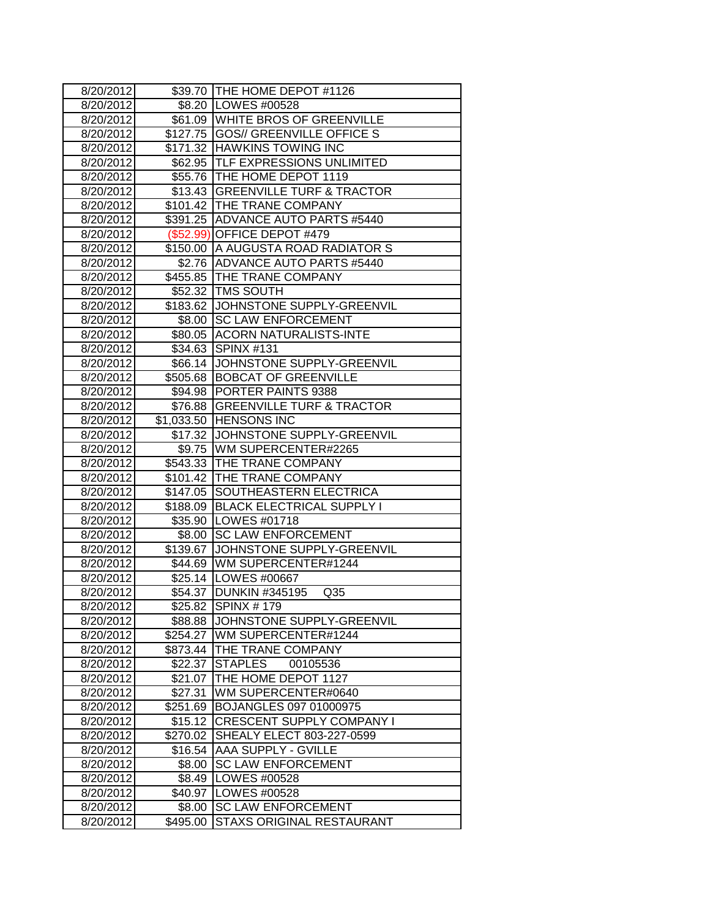| 8/20/2012              |                    | \$39.70 THE HOME DEPOT #1126                        |
|------------------------|--------------------|-----------------------------------------------------|
| 8/20/2012              |                    | \$8.20   LOWES #00528                               |
| 8/20/2012              |                    | \$61.09 WHITE BROS OF GREENVILLE                    |
| 8/20/2012              |                    | \$127.75  GOS// GREENVILLE OFFICE S                 |
| 8/20/2012              |                    | \$171.32 HAWKINS TOWING INC                         |
| 8/20/2012              |                    | \$62.95  TLF EXPRESSIONS UNLIMITED                  |
| 8/20/2012              |                    | \$55.76 THE HOME DEPOT 1119                         |
| 8/20/2012              |                    | \$13.43 GREENVILLE TURF & TRACTOR                   |
| 8/20/2012              |                    | \$101.42 THE TRANE COMPANY                          |
| 8/20/2012              |                    | \$391.25 ADVANCE AUTO PARTS #5440                   |
| 8/20/2012              |                    | (\$52.99) OFFICE DEPOT #479                         |
| 8/20/2012              |                    | \$150.00 A AUGUSTA ROAD RADIATOR S                  |
| 8/20/2012              |                    | \$2.76 ADVANCE AUTO PARTS #5440                     |
| 8/20/2012              |                    | \$455.85 THE TRANE COMPANY                          |
| 8/20/2012              |                    | \$52.32   TMS SOUTH                                 |
| 8/20/2012              |                    | \$183.62 JOHNSTONE SUPPLY-GREENVIL                  |
| 8/20/2012              |                    | \$8.00 SC LAW ENFORCEMENT                           |
| 8/20/2012              |                    | \$80.05 ACORN NATURALISTS-INTE                      |
| 8/20/2012              | \$34.63            | <b>SPINX #131</b>                                   |
| 8/20/2012              | \$66.14            | JOHNSTONE SUPPLY-GREENVIL                           |
| 8/20/2012              |                    | \$505.68 BOBCAT OF GREENVILLE                       |
| 8/20/2012              |                    | \$94.98 PORTER PAINTS 9388                          |
| 8/20/2012              |                    | \$76.88 GREENVILLE TURF & TRACTOR                   |
| 8/20/2012              |                    | \$1,033.50 HENSONS INC                              |
| 8/20/2012              |                    | \$17.32 JJOHNSTONE SUPPLY-GREENVIL                  |
| 8/20/2012              |                    | \$9.75   WM SUPERCENTER#2265                        |
| 8/20/2012              |                    | \$543.33 THE TRANE COMPANY                          |
| 8/20/2012              |                    | \$101.42 THE TRANE COMPANY                          |
| 8/20/2012              | \$147.05           | SOUTHEASTERN ELECTRICA                              |
| 8/20/2012              |                    | \$188.09 BLACK ELECTRICAL SUPPLY I                  |
| 8/20/2012              |                    | \$35.90 LOWES #01718                                |
| 8/20/2012              |                    | \$8.00 SC LAW ENFORCEMENT                           |
| 8/20/2012              |                    | \$139.67 JOHNSTONE SUPPLY-GREENVIL                  |
| 8/20/2012              |                    | \$44.69   WM SUPERCENTER#1244                       |
| 8/20/2012              |                    | \$25.14   LOWES #00667                              |
| 8/20/2012              |                    | \$54.37 DUNKIN #345195<br>Q <sub>35</sub>           |
| 8/20/2012              |                    | $$25.82$ SPINX #179                                 |
| 8/20/2012              | \$88.88            | JOHNSTONE SUPPLY-GREENVIL                           |
| 8/20/2012<br>8/20/2012 |                    | \$254.27   WM SUPERCENTER#1244<br>THE TRANE COMPANY |
|                        | \$873.44           | <b>STAPLES</b>                                      |
| 8/20/2012<br>8/20/2012 | \$22.37            | 00105536<br>THE HOME DEPOT 1127                     |
| 8/20/2012              | \$21.07<br>\$27.31 | WM SUPERCENTER#0640                                 |
| 8/20/2012              | \$251.69           | BOJANGLES 097 01000975                              |
| 8/20/2012              | \$15.12            | CRESCENT SUPPLY COMPANY I                           |
| 8/20/2012              | \$270.02           | SHEALY ELECT 803-227-0599                           |
| 8/20/2012              | \$16.54            | <b>AAA SUPPLY - GVILLE</b>                          |
| 8/20/2012              | \$8.00             | <b>SC LAW ENFORCEMENT</b>                           |
| 8/20/2012              | \$8.49             | LOWES #00528                                        |
| 8/20/2012              | \$40.97            | LOWES #00528                                        |
| 8/20/2012              | \$8.00             | <b>SC LAW ENFORCEMENT</b>                           |
| 8/20/2012              | \$495.00           | STAXS ORIGINAL RESTAURANT                           |
|                        |                    |                                                     |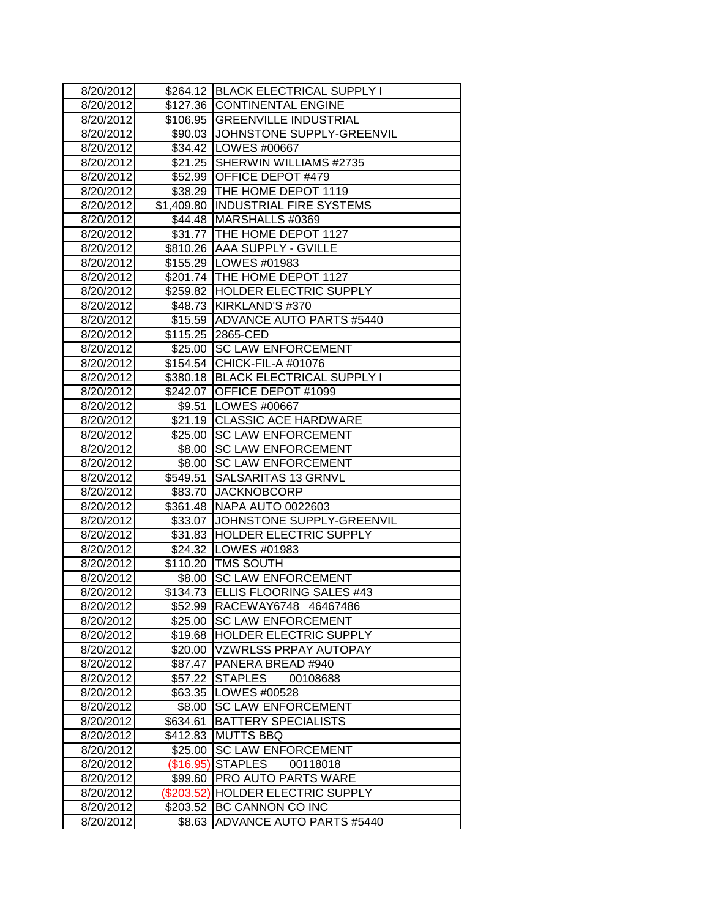| 8/20/2012 |            | \$264.12 BLACK ELECTRICAL SUPPLY I  |
|-----------|------------|-------------------------------------|
| 8/20/2012 |            | \$127.36 CONTINENTAL ENGINE         |
| 8/20/2012 |            | \$106.95 GREENVILLE INDUSTRIAL      |
| 8/20/2012 |            | \$90.03 JJOHNSTONE SUPPLY-GREENVIL  |
| 8/20/2012 |            | \$34.42   LOWES #00667              |
| 8/20/2012 |            | \$21.25 SHERWIN WILLIAMS #2735      |
| 8/20/2012 |            | \$52.99 OFFICE DEPOT #479           |
| 8/20/2012 |            | \$38.29 THE HOME DEPOT 1119         |
| 8/20/2012 |            | \$1,409.80  INDUSTRIAL FIRE SYSTEMS |
| 8/20/2012 |            | \$44.48 MARSHALLS #0369             |
| 8/20/2012 |            | \$31.77 THE HOME DEPOT 1127         |
| 8/20/2012 |            | \$810.26 AAA SUPPLY - GVILLE        |
| 8/20/2012 |            | \$155.29 LOWES #01983               |
| 8/20/2012 |            | \$201.74 THE HOME DEPOT 1127        |
| 8/20/2012 |            | \$259.82 HOLDER ELECTRIC SUPPLY     |
| 8/20/2012 |            | \$48.73 KIRKLAND'S #370             |
| 8/20/2012 |            | \$15.59 ADVANCE AUTO PARTS #5440    |
| 8/20/2012 |            | \$115.25 2865-CED                   |
| 8/20/2012 |            | \$25.00 SC LAW ENFORCEMENT          |
| 8/20/2012 |            | \$154.54 CHICK-FIL-A #01076         |
| 8/20/2012 |            | \$380.18 BLACK ELECTRICAL SUPPLY I  |
| 8/20/2012 |            | \$242.07 OFFICE DEPOT #1099         |
| 8/20/2012 |            | \$9.51  LOWES #00667                |
| 8/20/2012 |            | \$21.19 CLASSIC ACE HARDWARE        |
| 8/20/2012 |            | \$25.00 SC LAW ENFORCEMENT          |
| 8/20/2012 |            | \$8.00 SC LAW ENFORCEMENT           |
| 8/20/2012 | \$8.00     | <b>SC LAW ENFORCEMENT</b>           |
| 8/20/2012 | \$549.51   | <b>SALSARITAS 13 GRNVL</b>          |
| 8/20/2012 |            | \$83.70 JACKNOBCORP                 |
| 8/20/2012 |            | \$361.48 NAPA AUTO 0022603          |
| 8/20/2012 |            | \$33.07 JOHNSTONE SUPPLY-GREENVIL   |
| 8/20/2012 |            | \$31.83 HOLDER ELECTRIC SUPPLY      |
| 8/20/2012 |            | \$24.32 LOWES #01983                |
| 8/20/2012 |            | \$110.20 TMS SOUTH                  |
| 8/20/2012 |            | \$8.00 SC LAW ENFORCEMENT           |
| 8/20/2012 |            | \$134.73 ELLIS FLOORING SALES #43   |
| 8/20/2012 |            | \$52.99  RACEWAY6748 46467486       |
| 8/20/2012 |            | \$25.00 SC LAW ENFORCEMENT          |
| 8/20/2012 |            | \$19.68  HOLDER ELECTRIC SUPPLY     |
| 8/20/2012 |            | \$20.00 VZWRLSS PRPAY AUTOPAY       |
| 8/20/2012 |            | \$87.47 PANERA BREAD #940           |
| 8/20/2012 | \$57.22    | <b>STAPLES</b><br>00108688          |
| 8/20/2012 | \$63.35    | LOWES #00528                        |
| 8/20/2012 | \$8.00     | <b>SC LAW ENFORCEMENT</b>           |
| 8/20/2012 | \$634.61   | <b>BATTERY SPECIALISTS</b>          |
| 8/20/2012 | \$412.83   | <b>MUTTS BBQ</b>                    |
| 8/20/2012 | \$25.00    | <b>SC LAW ENFORCEMENT</b>           |
| 8/20/2012 |            | (\$16.95) STAPLES<br>00118018       |
| 8/20/2012 | \$99.60    | <b>PRO AUTO PARTS WARE</b>          |
| 8/20/2012 | (\$203.52) | <b>HOLDER ELECTRIC SUPPLY</b>       |
| 8/20/2012 | \$203.52   | BC CANNON CO INC                    |
| 8/20/2012 | \$8.63     | <b>ADVANCE AUTO PARTS #5440</b>     |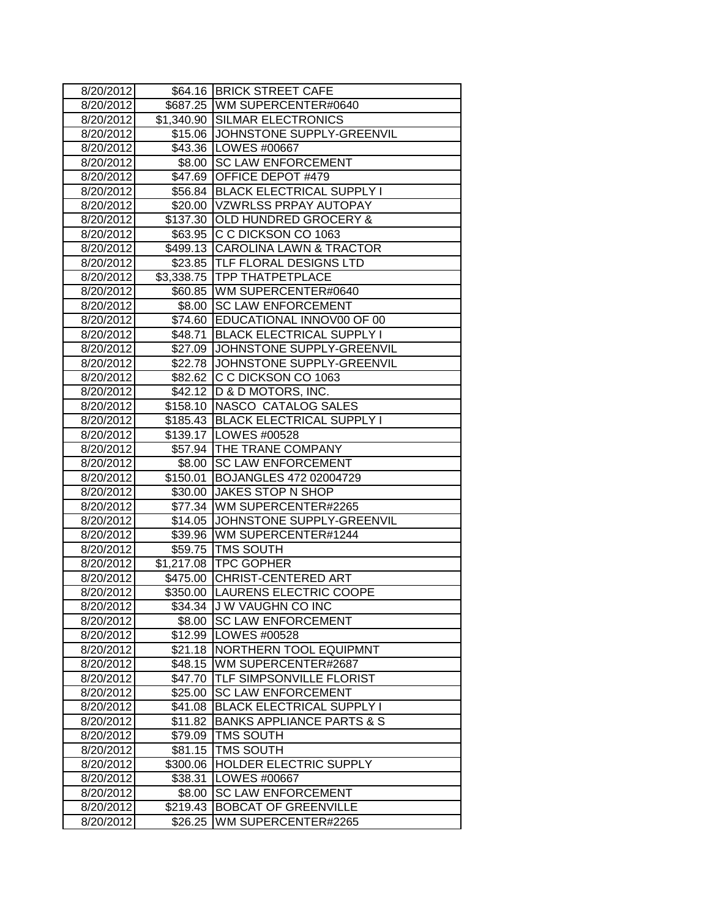| 8/20/2012 |          | \$64.16 BRICK STREET CAFE            |
|-----------|----------|--------------------------------------|
| 8/20/2012 | \$687.25 | WM SUPERCENTER#0640                  |
| 8/20/2012 |          | \$1,340.90 SILMAR ELECTRONICS        |
| 8/20/2012 | \$15.06  | JOHNSTONE SUPPLY-GREENVIL            |
| 8/20/2012 |          | \$43.36   LOWES #00667               |
| 8/20/2012 |          | \$8.00 SC LAW ENFORCEMENT            |
| 8/20/2012 | \$47.69  | OFFICE DEPOT #479                    |
| 8/20/2012 | \$56.84  | <b>BLACK ELECTRICAL SUPPLY I</b>     |
| 8/20/2012 |          | \$20.00 VZWRLSS PRPAY AUTOPAY        |
| 8/20/2012 | \$137.30 | <b>OLD HUNDRED GROCERY &amp;</b>     |
| 8/20/2012 |          | \$63.95 C C DICKSON CO 1063          |
| 8/20/2012 |          | \$499.13 CAROLINA LAWN & TRACTOR     |
| 8/20/2012 |          | \$23.85 TLF FLORAL DESIGNS LTD       |
| 8/20/2012 |          | \$3,338.75 TPP THATPETPLACE          |
| 8/20/2012 |          | \$60.85   WM SUPERCENTER#0640        |
| 8/20/2012 | \$8.00   | <b>SC LAW ENFORCEMENT</b>            |
| 8/20/2012 | \$74.60  | EDUCATIONAL INNOV00 OF 00            |
| 8/20/2012 | \$48.71  | <b>BLACK ELECTRICAL SUPPLY I</b>     |
| 8/20/2012 | \$27.09  | JOHNSTONE SUPPLY-GREENVIL            |
| 8/20/2012 |          | \$22.78 JJOHNSTONE SUPPLY-GREENVIL   |
| 8/20/2012 | \$82.62  | C C DICKSON CO 1063                  |
| 8/20/2012 | \$42.12  | D & D MOTORS, INC.                   |
| 8/20/2012 | \$158.10 | NASCO CATALOG SALES                  |
| 8/20/2012 | \$185.43 | <b>BLACK ELECTRICAL SUPPLY I</b>     |
| 8/20/2012 |          | \$139.17 LOWES #00528                |
| 8/20/2012 |          | \$57.94 THE TRANE COMPANY            |
| 8/20/2012 | \$8.00   | <b>SC LAW ENFORCEMENT</b>            |
| 8/20/2012 | \$150.01 | BOJANGLES 472 02004729               |
| 8/20/2012 | \$30.00  | JAKES STOP N SHOP                    |
| 8/20/2012 |          | \$77.34 WM SUPERCENTER#2265          |
| 8/20/2012 |          | \$14.05 JJOHNSTONE SUPPLY-GREENVIL   |
| 8/20/2012 |          | \$39.96 WM SUPERCENTER#1244          |
| 8/20/2012 |          | \$59.75 TMS SOUTH                    |
| 8/20/2012 |          | \$1,217.08 TPC GOPHER                |
| 8/20/2012 | \$475.00 | <b>CHRIST-CENTERED ART</b>           |
| 8/20/2012 | \$350.00 | <b>LAURENS ELECTRIC COOPE</b>        |
| 8/20/2012 |          | \$34.34  J W VAUGHN CO INC           |
| 8/20/2012 | \$8.00   | <b>SC LAW ENFORCEMENT</b>            |
| 8/20/2012 |          | \$12.99   LOWES #00528               |
| 8/20/2012 | \$21.18  | NORTHERN TOOL EQUIPMNT               |
| 8/20/2012 | \$48.15  | WM SUPERCENTER#2687                  |
| 8/20/2012 | \$47.70  | TLF SIMPSONVILLE FLORIST             |
| 8/20/2012 | \$25.00  | <b>SC LAW ENFORCEMENT</b>            |
| 8/20/2012 | \$41.08  | <b>BLACK ELECTRICAL SUPPLY I</b>     |
| 8/20/2012 | \$11.82  | <b>BANKS APPLIANCE PARTS &amp; S</b> |
| 8/20/2012 | \$79.09  | TMS SOUTH                            |
| 8/20/2012 | \$81.15  | TMS SOUTH                            |
| 8/20/2012 | \$300.06 | HOLDER ELECTRIC SUPPLY               |
| 8/20/2012 | \$38.31  | LOWES #00667                         |
| 8/20/2012 | \$8.00   | <b>SC LAW ENFORCEMENT</b>            |
| 8/20/2012 | \$219.43 | <b>BOBCAT OF GREENVILLE</b>          |
| 8/20/2012 | \$26.25  | WM SUPERCENTER#2265                  |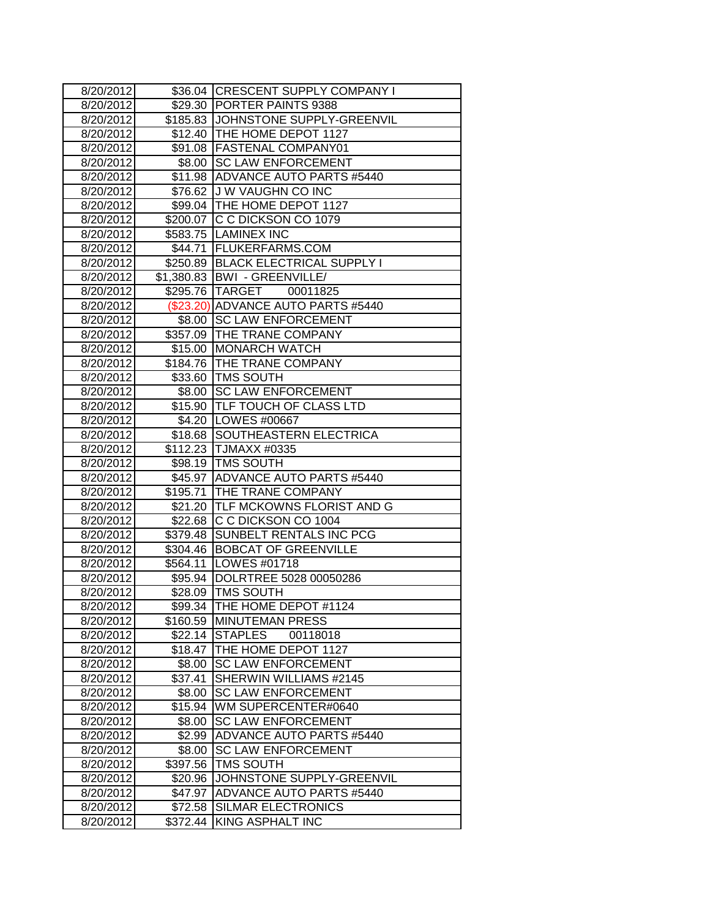| 8/20/2012 | \$36.04  | <b>CRESCENT SUPPLY COMPANY I</b>    |
|-----------|----------|-------------------------------------|
| 8/20/2012 |          | \$29.30 PORTER PAINTS 9388          |
| 8/20/2012 |          | \$185.83 JJOHNSTONE SUPPLY-GREENVIL |
| 8/20/2012 |          | \$12.40   THE HOME DEPOT 1127       |
| 8/20/2012 |          | \$91.08   FASTENAL COMPANY01        |
| 8/20/2012 |          | \$8.00 SC LAW ENFORCEMENT           |
| 8/20/2012 |          | \$11.98 ADVANCE AUTO PARTS #5440    |
| 8/20/2012 |          | \$76.62 J W VAUGHN CO INC           |
| 8/20/2012 |          | \$99.04   THE HOME DEPOT 1127       |
| 8/20/2012 |          | \$200.07 C C DICKSON CO 1079        |
| 8/20/2012 |          | \$583.75 LAMINEX INC                |
| 8/20/2012 |          | \$44.71   FLUKERFARMS.COM           |
| 8/20/2012 |          | \$250.89 BLACK ELECTRICAL SUPPLY I  |
| 8/20/2012 |          | \$1,380.83   BWI - GREENVILLE/      |
| 8/20/2012 |          | \$295.76 TARGET<br>00011825         |
| 8/20/2012 |          | (\$23.20) ADVANCE AUTO PARTS #5440  |
| 8/20/2012 | \$8.00   | <b>SC LAW ENFORCEMENT</b>           |
| 8/20/2012 |          | \$357.09 THE TRANE COMPANY          |
| 8/20/2012 | \$15.00  | <b>MONARCH WATCH</b>                |
| 8/20/2012 | \$184.76 | THE TRANE COMPANY                   |
| 8/20/2012 |          | \$33.60 TMS SOUTH                   |
| 8/20/2012 |          | \$8.00 SC LAW ENFORCEMENT           |
| 8/20/2012 |          | \$15.90  TLF TOUCH OF CLASS LTD     |
| 8/20/2012 |          | \$4.20 LOWES #00667                 |
| 8/20/2012 | \$18.68  | SOUTHEASTERN ELECTRICA              |
| 8/20/2012 |          | \$112.23 TJMAXX #0335               |
| 8/20/2012 |          | \$98.19 TMS SOUTH                   |
| 8/20/2012 | \$45.97  | <b>ADVANCE AUTO PARTS #5440</b>     |
| 8/20/2012 |          | \$195.71 THE TRANE COMPANY          |
| 8/20/2012 |          | \$21.20 TLF MCKOWNS FLORIST AND G   |
| 8/20/2012 |          | \$22.68 C C DICKSON CO 1004         |
| 8/20/2012 | \$379.48 | SUNBELT RENTALS INC PCG             |
| 8/20/2012 | \$304.46 | <b>BOBCAT OF GREENVILLE</b>         |
| 8/20/2012 | \$564.11 | LOWES #01718                        |
| 8/20/2012 | \$95.94  | DOLRTREE 5028 00050286              |
| 8/20/2012 | \$28.09  | TMS SOUTH                           |
| 8/20/2012 |          | \$99.34   THE HOME DEPOT #1124      |
| 8/20/2012 | \$160.59 | <b>MINUTEMAN PRESS</b>              |
| 8/20/2012 | \$22.14  | <b>STAPLES</b><br>00118018          |
| 8/20/2012 | \$18.47  | THE HOME DEPOT 1127                 |
| 8/20/2012 | \$8.00   | <b>SC LAW ENFORCEMENT</b>           |
| 8/20/2012 | \$37.41  | SHERWIN WILLIAMS #2145              |
| 8/20/2012 | \$8.00   | <b>SC LAW ENFORCEMENT</b>           |
| 8/20/2012 | \$15.94  | WM SUPERCENTER#0640                 |
| 8/20/2012 | \$8.00   | <b>SC LAW ENFORCEMENT</b>           |
| 8/20/2012 | \$2.99   | <b>ADVANCE AUTO PARTS #5440</b>     |
| 8/20/2012 | \$8.00   | <b>SC LAW ENFORCEMENT</b>           |
| 8/20/2012 | \$397.56 | TMS SOUTH                           |
| 8/20/2012 | \$20.96  | JOHNSTONE SUPPLY-GREENVIL           |
| 8/20/2012 | \$47.97  | <b>ADVANCE AUTO PARTS #5440</b>     |
| 8/20/2012 | \$72.58  | SILMAR ELECTRONICS                  |
| 8/20/2012 | \$372.44 | KING ASPHALT INC                    |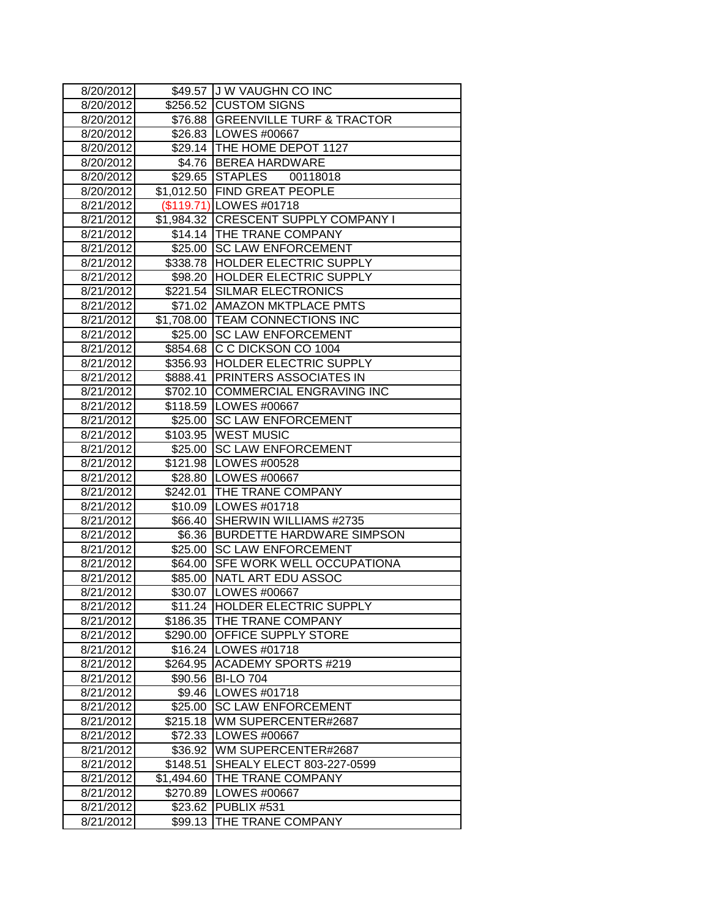| 8/20/2012 |            | \$49.57 J W VAUGHN CO INC            |
|-----------|------------|--------------------------------------|
| 8/20/2012 |            | \$256.52 CUSTOM SIGNS                |
| 8/20/2012 |            | \$76.88 GREENVILLE TURF & TRACTOR    |
| 8/20/2012 |            | \$26.83   LOWES #00667               |
| 8/20/2012 |            | \$29.14   THE HOME DEPOT 1127        |
| 8/20/2012 |            | \$4.76 BEREA HARDWARE                |
| 8/20/2012 |            | 00118018<br>\$29.65 STAPLES          |
| 8/20/2012 |            | \$1,012.50 FIND GREAT PEOPLE         |
| 8/21/2012 |            | (\$119.71) LOWES #01718              |
| 8/21/2012 |            | \$1,984.32 CRESCENT SUPPLY COMPANY I |
| 8/21/2012 |            | \$14.14 THE TRANE COMPANY            |
| 8/21/2012 |            | \$25.00 SC LAW ENFORCEMENT           |
| 8/21/2012 |            | \$338.78 HOLDER ELECTRIC SUPPLY      |
| 8/21/2012 |            | \$98.20 HOLDER ELECTRIC SUPPLY       |
| 8/21/2012 |            | \$221.54 SILMAR ELECTRONICS          |
| 8/21/2012 |            | \$71.02   AMAZON MKTPLACE PMTS       |
| 8/21/2012 |            | \$1,708.00 TEAM CONNECTIONS INC      |
| 8/21/2012 |            | \$25.00 SC LAW ENFORCEMENT           |
| 8/21/2012 |            | \$854.68 C C DICKSON CO 1004         |
| 8/21/2012 |            | \$356.93 HOLDER ELECTRIC SUPPLY      |
| 8/21/2012 |            | \$888.41 PRINTERS ASSOCIATES IN      |
| 8/21/2012 |            | \$702.10 COMMERCIAL ENGRAVING INC    |
| 8/21/2012 |            | \$118.59 LOWES #00667                |
| 8/21/2012 |            | \$25.00 SC LAW ENFORCEMENT           |
| 8/21/2012 |            | \$103.95   WEST MUSIC                |
| 8/21/2012 |            | \$25.00 SC LAW ENFORCEMENT           |
| 8/21/2012 |            | \$121.98 LOWES #00528                |
| 8/21/2012 |            | \$28.80 LOWES #00667                 |
| 8/21/2012 |            | \$242.01 THE TRANE COMPANY           |
| 8/21/2012 |            | \$10.09   LOWES #01718               |
| 8/21/2012 |            | \$66.40 SHERWIN WILLIAMS #2735       |
| 8/21/2012 |            | \$6.36 BURDETTE HARDWARE SIMPSON     |
| 8/21/2012 |            | \$25.00 SC LAW ENFORCEMENT           |
| 8/21/2012 |            | \$64.00 SFE WORK WELL OCCUPATIONA    |
| 8/21/2012 |            | \$85.00 NATL ART EDU ASSOC           |
| 8/21/2012 |            | \$30.07 LOWES #00667                 |
| 8/21/2012 |            | \$11.24  HOLDER ELECTRIC SUPPLY      |
| 8/21/2012 | \$186.35   | <b>THE TRANE COMPANY</b>             |
| 8/21/2012 |            | \$290.00 OFFICE SUPPLY STORE         |
| 8/21/2012 |            | \$16.24   LOWES #01718               |
| 8/21/2012 | \$264.95   | ACADEMY SPORTS #219                  |
| 8/21/2012 | \$90.56    | <b>BI-LO 704</b>                     |
| 8/21/2012 | \$9.46     | LOWES #01718                         |
| 8/21/2012 | \$25.00    | <b>SC LAW ENFORCEMENT</b>            |
| 8/21/2012 | \$215.18   | WM SUPERCENTER#2687                  |
| 8/21/2012 | \$72.33    | LOWES #00667                         |
| 8/21/2012 | \$36.92    | WM SUPERCENTER#2687                  |
| 8/21/2012 | \$148.51   | SHEALY ELECT 803-227-0599            |
| 8/21/2012 | \$1,494.60 | THE TRANE COMPANY                    |
| 8/21/2012 | \$270.89   | LOWES #00667                         |
| 8/21/2012 | \$23.62    | PUBLIX #531                          |
| 8/21/2012 | \$99.13    | THE TRANE COMPANY                    |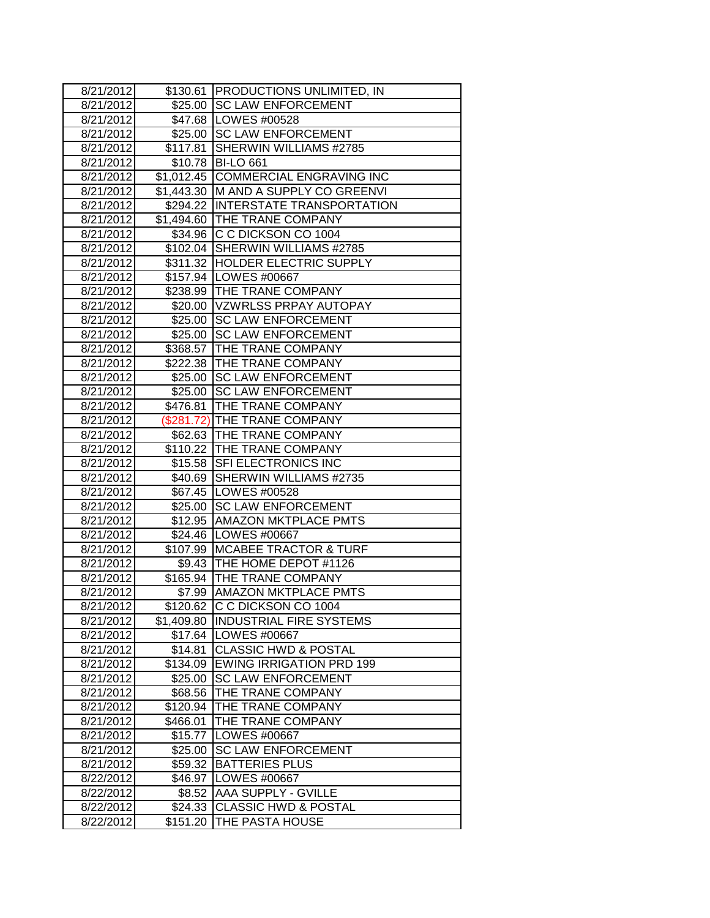| 8/21/2012              |                     | \$130.61 PRODUCTIONS UNLIMITED, IN                        |
|------------------------|---------------------|-----------------------------------------------------------|
| 8/21/2012              | \$25.00             | <b>SC LAW ENFORCEMENT</b>                                 |
| 8/21/2012              |                     | \$47.68   LOWES #00528                                    |
| 8/21/2012              |                     | \$25.00 SC LAW ENFORCEMENT                                |
| 8/21/2012              |                     | \$117.81 SHERWIN WILLIAMS #2785                           |
| 8/21/2012              |                     | \$10.78 BI-LO 661                                         |
| 8/21/2012              |                     | \$1,012.45 COMMERCIAL ENGRAVING INC                       |
| 8/21/2012              |                     | \$1,443.30 M AND A SUPPLY CO GREENVI                      |
| 8/21/2012              |                     | \$294.22 INTERSTATE TRANSPORTATION                        |
| 8/21/2012              |                     | \$1,494.60 THE TRANE COMPANY                              |
| 8/21/2012              |                     | \$34.96 C C DICKSON CO 1004                               |
| 8/21/2012              | \$102.04            | SHERWIN WILLIAMS #2785                                    |
| 8/21/2012              |                     | \$311.32 HOLDER ELECTRIC SUPPLY                           |
| 8/21/2012              |                     | \$157.94 LOWES #00667                                     |
| 8/21/2012              |                     | \$238.99 THE TRANE COMPANY                                |
| 8/21/2012              |                     | \$20.00 VZWRLSS PRPAY AUTOPAY                             |
| 8/21/2012              |                     | \$25.00 SC LAW ENFORCEMENT                                |
| 8/21/2012              | \$25.00             | <b>SC LAW ENFORCEMENT</b>                                 |
| 8/21/2012              | \$368.57            | THE TRANE COMPANY                                         |
| 8/21/2012              |                     | \$222.38 THE TRANE COMPANY                                |
| 8/21/2012              |                     | \$25.00 SC LAW ENFORCEMENT                                |
| 8/21/2012              |                     | \$25.00 SC LAW ENFORCEMENT                                |
| 8/21/2012              | \$476.81            | THE TRANE COMPANY                                         |
| 8/21/2012              |                     | (\$281.72) THE TRANE COMPANY                              |
| 8/21/2012              |                     | \$62.63  THE TRANE COMPANY                                |
| 8/21/2012              |                     | \$110.22 THE TRANE COMPANY                                |
| 8/21/2012              |                     | \$15.58 SFI ELECTRONICS INC                               |
| 8/21/2012              |                     | \$40.69 SHERWIN WILLIAMS #2735                            |
| 8/21/2012              |                     | \$67.45   LOWES #00528                                    |
| 8/21/2012              | \$25.00             | <b>SC LAW ENFORCEMENT</b>                                 |
| 8/21/2012              |                     | \$12.95 AMAZON MKTPLACE PMTS                              |
| 8/21/2012              |                     | \$24.46   LOWES #00667                                    |
| 8/21/2012              |                     | \$107.99 MCABEE TRACTOR & TURF                            |
| 8/21/2012<br>8/21/2012 |                     | \$9.43 THE HOME DEPOT #1126                               |
|                        |                     | \$165.94 THE TRANE COMPANY                                |
| 8/21/2012              | \$7.99              | <b>AMAZON MKTPLACE PMTS</b>                               |
| 8/21/2012              |                     | \$120.62 IC C DICKSON CO 1004                             |
| 8/21/2012              | \$1,409.80          | <b>INDUSTRIAL FIRE SYSTEMS</b>                            |
| 8/21/2012              |                     | \$17.64   LOWES #00667<br><b>CLASSIC HWD &amp; POSTAL</b> |
| 8/21/2012<br>8/21/2012 | \$14.81<br>\$134.09 | <b>EWING IRRIGATION PRD 199</b>                           |
| 8/21/2012              | \$25.00             | <b>SC LAW ENFORCEMENT</b>                                 |
| 8/21/2012              | \$68.56             | THE TRANE COMPANY                                         |
| 8/21/2012              | \$120.94            | THE TRANE COMPANY                                         |
| 8/21/2012              | \$466.01            | THE TRANE COMPANY                                         |
| 8/21/2012              | \$15.77             | LOWES #00667                                              |
| 8/21/2012              | \$25.00             | <b>SC LAW ENFORCEMENT</b>                                 |
| 8/21/2012              | \$59.32             | <b>BATTERIES PLUS</b>                                     |
| 8/22/2012              | \$46.97             | LOWES #00667                                              |
| 8/22/2012              | \$8.52              | AAA SUPPLY - GVILLE                                       |
| 8/22/2012              | \$24.33             | <b>CLASSIC HWD &amp; POSTAL</b>                           |
| 8/22/2012              | \$151.20            | THE PASTA HOUSE                                           |
|                        |                     |                                                           |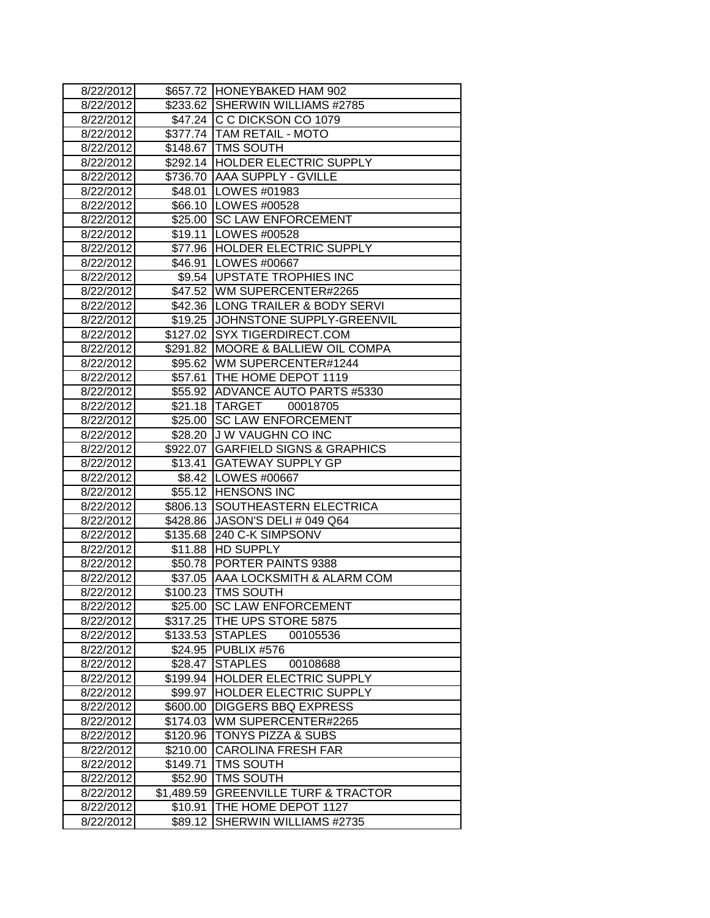| 8/22/2012 |            | \$657.72 HONEYBAKED HAM 902          |
|-----------|------------|--------------------------------------|
| 8/22/2012 |            | \$233.62 SHERWIN WILLIAMS #2785      |
| 8/22/2012 |            | \$47.24 C C DICKSON CO 1079          |
| 8/22/2012 |            | \$377.74   TAM RETAIL - MOTO         |
| 8/22/2012 |            | \$148.67 TMS SOUTH                   |
| 8/22/2012 |            | \$292.14 HOLDER ELECTRIC SUPPLY      |
| 8/22/2012 |            | \$736.70 AAA SUPPLY - GVILLE         |
| 8/22/2012 |            | \$48.01   LOWES #01983               |
| 8/22/2012 |            | \$66.10   LOWES #00528               |
| 8/22/2012 |            | \$25.00 SC LAW ENFORCEMENT           |
| 8/22/2012 |            | \$19.11  LOWES #00528                |
| 8/22/2012 |            | \$77.96 HOLDER ELECTRIC SUPPLY       |
| 8/22/2012 |            | \$46.91   LOWES #00667               |
| 8/22/2012 |            | \$9.54   UPSTATE TROPHIES INC        |
| 8/22/2012 |            | \$47.52 WM SUPERCENTER#2265          |
| 8/22/2012 |            | \$42.36 LONG TRAILER & BODY SERVI    |
| 8/22/2012 |            | \$19.25 JJOHNSTONE SUPPLY-GREENVIL   |
| 8/22/2012 | \$127.02   | <b>SYX TIGERDIRECT.COM</b>           |
| 8/22/2012 | \$291.82   | <b>MOORE &amp; BALLIEW OIL COMPA</b> |
| 8/22/2012 |            | \$95.62 WM SUPERCENTER#1244          |
| 8/22/2012 |            | \$57.61 THE HOME DEPOT 1119          |
| 8/22/2012 |            | \$55.92 ADVANCE AUTO PARTS #5330     |
| 8/22/2012 |            | \$21.18 TARGET<br>00018705           |
| 8/22/2012 |            | \$25.00 SC LAW ENFORCEMENT           |
| 8/22/2012 |            | \$28.20 J W VAUGHN CO INC            |
| 8/22/2012 |            | \$922.07 GARFIELD SIGNS & GRAPHICS   |
| 8/22/2012 | \$13.41    | <b>GATEWAY SUPPLY GP</b>             |
| 8/22/2012 |            | \$8.42   LOWES #00667                |
| 8/22/2012 |            | \$55.12 HENSONS INC                  |
| 8/22/2012 | \$806.13   | <b>SOUTHEASTERN ELECTRICA</b>        |
| 8/22/2012 |            | \$428.86 JASON'S DELI # 049 Q64      |
| 8/22/2012 | \$135.68   | 240 C-K SIMPSONV                     |
| 8/22/2012 |            | \$11.88 HD SUPPLY                    |
| 8/22/2012 | \$50.78    | PORTER PAINTS 9388                   |
| 8/22/2012 |            | \$37.05 AAA LOCKSMITH & ALARM COM    |
| 8/22/2012 | \$100.23   | <b>TMS SOUTH</b>                     |
| 8/22/2012 |            | \$25.00 ISC LAW ENFORCEMENT          |
| 8/22/2012 | \$317.25   | <b>ITHE UPS STORE 5875</b>           |
| 8/22/2012 |            | \$133.53 STAPLES<br>00105536         |
| 8/22/2012 |            | \$24.95 PUBLIX #576                  |
| 8/22/2012 | \$28.47    | <b>STAPLES</b><br>00108688           |
| 8/22/2012 | \$199.94   | <b>HOLDER ELECTRIC SUPPLY</b>        |
| 8/22/2012 | \$99.97    | HOLDER ELECTRIC SUPPLY               |
| 8/22/2012 | \$600.00   | <b>DIGGERS BBQ EXPRESS</b>           |
| 8/22/2012 | \$174.03   | WM SUPERCENTER#2265                  |
| 8/22/2012 | \$120.96   | <b>TONYS PIZZA &amp; SUBS</b>        |
| 8/22/2012 | \$210.00   | <b>CAROLINA FRESH FAR</b>            |
| 8/22/2012 | \$149.71   | <b>TMS SOUTH</b>                     |
| 8/22/2012 | \$52.90    | <b>TMS SOUTH</b>                     |
| 8/22/2012 | \$1,489.59 | <b>GREENVILLE TURF &amp; TRACTOR</b> |
| 8/22/2012 | \$10.91    | THE HOME DEPOT 1127                  |
| 8/22/2012 | \$89.12    | SHERWIN WILLIAMS #2735               |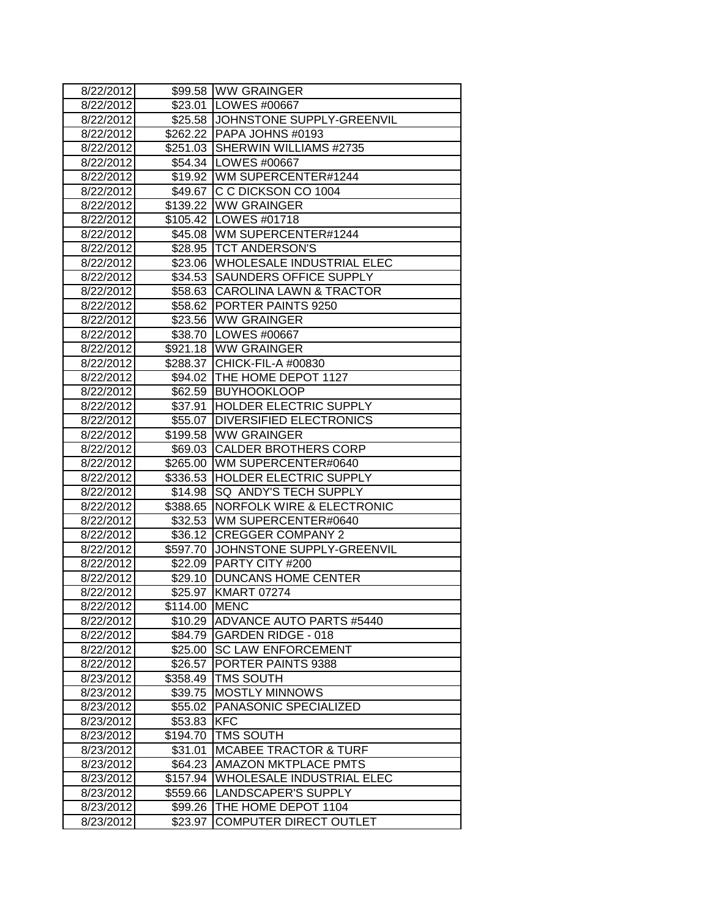| 8/22/2012 |               | \$99.58 WW GRAINGER                  |
|-----------|---------------|--------------------------------------|
| 8/22/2012 | \$23.01       | <b>LOWES #00667</b>                  |
| 8/22/2012 |               | \$25.58 JJOHNSTONE SUPPLY-GREENVIL   |
| 8/22/2012 |               | \$262.22 PAPA JOHNS #0193            |
| 8/22/2012 |               | \$251.03 SHERWIN WILLIAMS #2735      |
| 8/22/2012 |               | \$54.34   LOWES #00667               |
| 8/22/2012 |               | \$19.92 WM SUPERCENTER#1244          |
| 8/22/2012 |               | \$49.67 C C DICKSON CO 1004          |
| 8/22/2012 |               | \$139.22 WW GRAINGER                 |
| 8/22/2012 |               | \$105.42 LOWES #01718                |
| 8/22/2012 |               | \$45.08   WM SUPERCENTER#1244        |
| 8/22/2012 |               | \$28.95   TCT ANDERSON'S             |
| 8/22/2012 |               | \$23.06 WHOLESALE INDUSTRIAL ELEC    |
| 8/22/2012 | \$34.53       | <b>SAUNDERS OFFICE SUPPLY</b>        |
| 8/22/2012 |               | \$58.63 CAROLINA LAWN & TRACTOR      |
| 8/22/2012 |               | \$58.62 PORTER PAINTS 9250           |
| 8/22/2012 |               | \$23.56 WW GRAINGER                  |
| 8/22/2012 |               | \$38.70 LOWES #00667                 |
| 8/22/2012 |               | \$921.18 WW GRAINGER                 |
| 8/22/2012 | \$288.37      | CHICK-FIL-A #00830                   |
| 8/22/2012 |               | \$94.02 THE HOME DEPOT 1127          |
| 8/22/2012 |               | \$62.59 BUYHOOKLOOP                  |
| 8/22/2012 | \$37.91       | <b>HOLDER ELECTRIC SUPPLY</b>        |
| 8/22/2012 |               | \$55.07 DIVERSIFIED ELECTRONICS      |
| 8/22/2012 |               | \$199.58 WW GRAINGER                 |
| 8/22/2012 |               | \$69.03 CALDER BROTHERS CORP         |
| 8/22/2012 | \$265.00      | WM SUPERCENTER#0640                  |
| 8/22/2012 |               | \$336.53 HOLDER ELECTRIC SUPPLY      |
| 8/22/2012 | \$14.98       | SQ ANDY'S TECH SUPPLY                |
| 8/22/2012 | \$388.65      | <b>NORFOLK WIRE &amp; ELECTRONIC</b> |
| 8/22/2012 |               | \$32.53 WM SUPERCENTER#0640          |
| 8/22/2012 |               | \$36.12 CREGGER COMPANY 2            |
| 8/22/2012 |               | \$597.70 JJOHNSTONE SUPPLY-GREENVIL  |
| 8/22/2012 | \$22.09       | <b>PARTY CITY #200</b>               |
| 8/22/2012 | \$29.10       | <b>DUNCANS HOME CENTER</b>           |
| 8/22/2012 | \$25.97       | <b>KMART 07274</b>                   |
| 8/22/2012 | \$114.00 MENC |                                      |
| 8/22/2012 | \$10.29       | <b>ADVANCE AUTO PARTS #5440</b>      |
| 8/22/2012 | \$84.79       | <b>GARDEN RIDGE - 018</b>            |
| 8/22/2012 | \$25.00       | <b>SC LAW ENFORCEMENT</b>            |
| 8/22/2012 | \$26.57       | PORTER PAINTS 9388                   |
| 8/23/2012 | \$358.49      | <b>TMS SOUTH</b>                     |
| 8/23/2012 | \$39.75       | <b>MOSTLY MINNOWS</b>                |
| 8/23/2012 | \$55.02       | PANASONIC SPECIALIZED                |
| 8/23/2012 | \$53.83       | <b>KFC</b>                           |
| 8/23/2012 | \$194.70      | <b>TMS SOUTH</b>                     |
| 8/23/2012 | \$31.01       | <b>MCABEE TRACTOR &amp; TURF</b>     |
| 8/23/2012 | \$64.23       | <b>AMAZON MKTPLACE PMTS</b>          |
| 8/23/2012 | \$157.94      | <b>WHOLESALE INDUSTRIAL ELEC</b>     |
| 8/23/2012 | \$559.66      | <b>LANDSCAPER'S SUPPLY</b>           |
| 8/23/2012 | \$99.26       | THE HOME DEPOT 1104                  |
| 8/23/2012 | \$23.97       | COMPUTER DIRECT OUTLET               |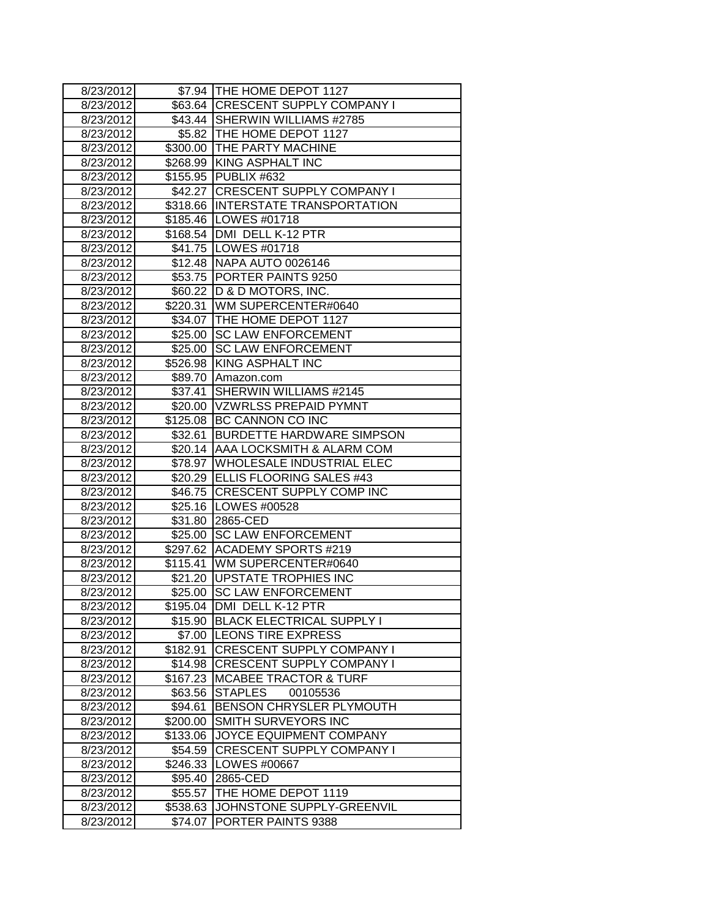| 8/23/2012              |          | \$7.94 THE HOME DEPOT 1127                                     |
|------------------------|----------|----------------------------------------------------------------|
| 8/23/2012              |          | \$63.64 CRESCENT SUPPLY COMPANY I                              |
| 8/23/2012              |          | \$43.44 SHERWIN WILLIAMS #2785                                 |
| 8/23/2012              |          | \$5.82   THE HOME DEPOT 1127                                   |
| 8/23/2012              |          | \$300.00 THE PARTY MACHINE                                     |
| 8/23/2012              |          | \$268.99 KING ASPHALT INC                                      |
| 8/23/2012              |          | \$155.95 PUBLIX #632                                           |
| 8/23/2012              |          | \$42.27 CRESCENT SUPPLY COMPANY I                              |
| 8/23/2012              |          | \$318.66 INTERSTATE TRANSPORTATION                             |
| 8/23/2012              |          | \$185.46   LOWES #01718                                        |
| 8/23/2012              |          | \$168.54   DMI DELL K-12 PTR                                   |
| 8/23/2012              |          | \$41.75   LOWES #01718                                         |
| 8/23/2012              |          | \$12.48 NAPA AUTO 0026146                                      |
| 8/23/2012              |          | \$53.75 PORTER PAINTS 9250                                     |
| 8/23/2012              |          | \$60.22  D & D MOTORS, INC.                                    |
| 8/23/2012              |          | \$220.31 WM SUPERCENTER#0640                                   |
| 8/23/2012              |          | \$34.07   THE HOME DEPOT 1127                                  |
| 8/23/2012              | \$25.00  | <b>SC LAW ENFORCEMENT</b>                                      |
| 8/23/2012              | \$25.00  | <b>SC LAW ENFORCEMENT</b>                                      |
| 8/23/2012              |          | \$526.98 KING ASPHALT INC                                      |
| 8/23/2012              |          | \$89.70 Amazon.com                                             |
| 8/23/2012              |          | \$37.41 SHERWIN WILLIAMS #2145                                 |
| 8/23/2012              |          | \$20.00 VZWRLSS PREPAID PYMNT                                  |
| 8/23/2012              |          | \$125.08 BC CANNON CO INC                                      |
| 8/23/2012              | \$32.61  | <b>BURDETTE HARDWARE SIMPSON</b>                               |
| 8/23/2012              | \$20.14  | AAA LOCKSMITH & ALARM COM                                      |
| 8/23/2012              | \$78.97  | <b>WHOLESALE INDUSTRIAL ELEC</b>                               |
| 8/23/2012              |          | \$20.29 ELLIS FLOORING SALES #43                               |
| 8/23/2012              | \$46.75  | <b>CRESCENT SUPPLY COMP INC</b>                                |
| 8/23/2012              |          | \$25.16   LOWES #00528                                         |
| 8/23/2012              |          | \$31.80 2865-CED                                               |
| 8/23/2012              | \$25.00  | <b>SC LAW ENFORCEMENT</b>                                      |
| 8/23/2012              | \$297.62 | <b>ACADEMY SPORTS #219</b>                                     |
| 8/23/2012              | \$115.41 | WM SUPERCENTER#0640                                            |
| 8/23/2012              | \$21.20  | <b>UPSTATE TROPHIES INC</b>                                    |
| 8/23/2012              | \$25.00  | <b>SC LAW ENFORCEMENT</b>                                      |
| 8/23/2012              |          | \$195.04 JDMI DELL K-12 PTR                                    |
| 8/23/2012<br>8/23/2012 | \$15.90  | <b>BLACK ELECTRICAL SUPPLY I</b><br>\$7.00  LEONS TIRE EXPRESS |
| 8/23/2012              | \$182.91 | <b>CRESCENT SUPPLY COMPANY I</b>                               |
| 8/23/2012              | \$14.98  | <b>CRESCENT SUPPLY COMPANY I</b>                               |
| 8/23/2012              | \$167.23 | <b>MCABEE TRACTOR &amp; TURF</b>                               |
| 8/23/2012              | \$63.56  | <b>STAPLES</b><br>00105536                                     |
| 8/23/2012              | \$94.61  | BENSON CHRYSLER PLYMOUTH                                       |
| 8/23/2012              | \$200.00 | SMITH SURVEYORS INC                                            |
| 8/23/2012              | \$133.06 | JOYCE EQUIPMENT COMPANY                                        |
| 8/23/2012              | \$54.59  | <b>CRESCENT SUPPLY COMPANY I</b>                               |
| 8/23/2012              | \$246.33 | LOWES #00667                                                   |
| 8/23/2012              | \$95.40  | 2865-CED                                                       |
| 8/23/2012              | \$55.57  | THE HOME DEPOT 1119                                            |
| 8/23/2012              | \$538.63 | JOHNSTONE SUPPLY-GREENVIL                                      |
| 8/23/2012              | \$74.07  | PORTER PAINTS 9388                                             |
|                        |          |                                                                |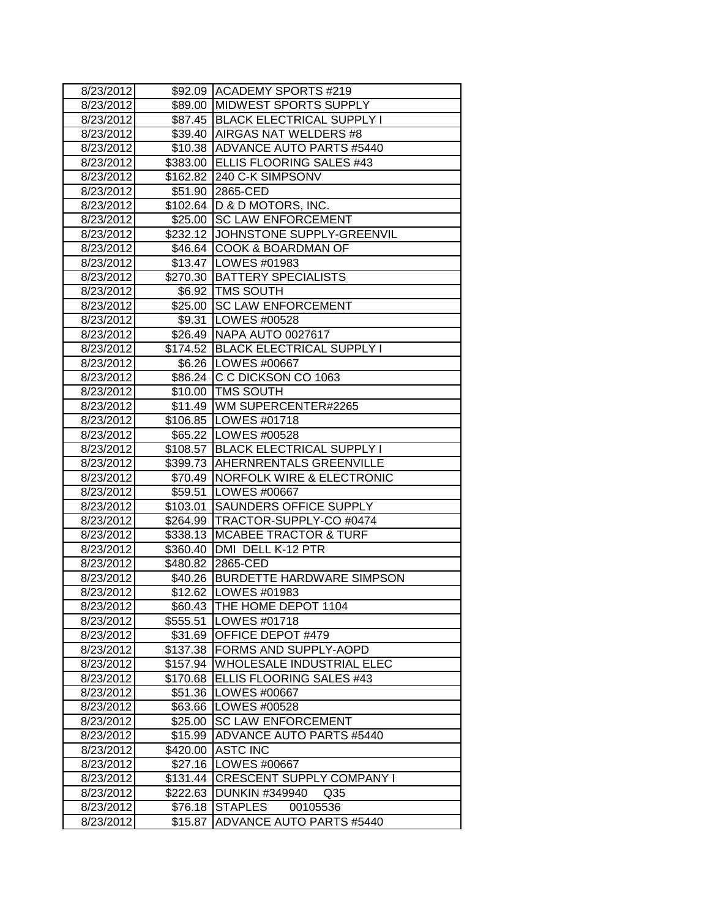| 8/23/2012 |          | \$92.09 ACADEMY SPORTS #219         |
|-----------|----------|-------------------------------------|
| 8/23/2012 | \$89.00  | MIDWEST SPORTS SUPPLY               |
| 8/23/2012 |          | \$87.45 BLACK ELECTRICAL SUPPLY I   |
| 8/23/2012 |          | \$39.40 AIRGAS NAT WELDERS #8       |
| 8/23/2012 | \$10.38  | <b>ADVANCE AUTO PARTS #5440</b>     |
| 8/23/2012 |          | \$383.00 ELLIS FLOORING SALES #43   |
| 8/23/2012 |          | \$162.82 240 C-K SIMPSONV           |
| 8/23/2012 |          | \$51.90 2865-CED                    |
| 8/23/2012 |          | \$102.64   D & D MOTORS, INC.       |
| 8/23/2012 |          | \$25.00 SC LAW ENFORCEMENT          |
| 8/23/2012 |          | \$232.12 JOHNSTONE SUPPLY-GREENVIL  |
| 8/23/2012 |          | \$46.64 COOK & BOARDMAN OF          |
| 8/23/2012 |          | \$13.47   LOWES #01983              |
| 8/23/2012 |          | \$270.30 BATTERY SPECIALISTS        |
| 8/23/2012 |          | \$6.92  TMS SOUTH                   |
| 8/23/2012 | \$25.00  | <b>SC LAW ENFORCEMENT</b>           |
| 8/23/2012 | \$9.31   | LOWES #00528                        |
| 8/23/2012 |          | \$26.49 NAPA AUTO 0027617           |
| 8/23/2012 | \$174.52 | <b>BLACK ELECTRICAL SUPPLY I</b>    |
| 8/23/2012 |          | \$6.26   LOWES #00667               |
| 8/23/2012 | \$86.24  | C C DICKSON CO 1063                 |
| 8/23/2012 |          | \$10.00   TMS SOUTH                 |
| 8/23/2012 |          | \$11.49   WM SUPERCENTER#2265       |
| 8/23/2012 |          | \$106.85 LOWES #01718               |
| 8/23/2012 |          | \$65.22 LOWES #00528                |
| 8/23/2012 | \$108.57 | <b>BLACK ELECTRICAL SUPPLY I</b>    |
| 8/23/2012 |          | \$399.73 AHERNRENTALS GREENVILLE    |
| 8/23/2012 |          | \$70.49   NORFOLK WIRE & ELECTRONIC |
| 8/23/2012 | \$59.51  | LOWES #00667                        |
| 8/23/2012 | \$103.01 | SAUNDERS OFFICE SUPPLY              |
| 8/23/2012 |          | \$264.99   TRACTOR-SUPPLY-CO #0474  |
| 8/23/2012 |          | \$338.13 MCABEE TRACTOR & TURF      |
| 8/23/2012 |          | \$360.40   DMI DELL K-12 PTR        |
| 8/23/2012 |          | \$480.82 2865-CED                   |
| 8/23/2012 |          | \$40.26 BURDETTE HARDWARE SIMPSON   |
| 8/23/2012 | \$12.62  | LOWES #01983                        |
| 8/23/2012 |          | \$60.43 THE HOME DEPOT 1104         |
| 8/23/2012 | \$555.51 | LOWES #01718                        |
| 8/23/2012 | \$31.69  | OFFICE DEPOT #479                   |
| 8/23/2012 | \$137.38 | FORMS AND SUPPLY-AOPD               |
| 8/23/2012 | \$157.94 | WHOLESALE INDUSTRIAL ELEC           |
| 8/23/2012 | \$170.68 | ELLIS FLOORING SALES #43            |
| 8/23/2012 | \$51.36  | LOWES #00667                        |
| 8/23/2012 | \$63.66  | LOWES #00528                        |
| 8/23/2012 | \$25.00  | <b>SC LAW ENFORCEMENT</b>           |
| 8/23/2012 | \$15.99  | ADVANCE AUTO PARTS #5440            |
| 8/23/2012 | \$420.00 | <b>ASTC INC</b>                     |
| 8/23/2012 | \$27.16  | LOWES #00667                        |
| 8/23/2012 |          | \$131.44 CRESCENT SUPPLY COMPANY I  |
| 8/23/2012 | \$222.63 | <b>DUNKIN #349940</b><br>Q35        |
| 8/23/2012 | \$76.18  | <b>STAPLES</b><br>00105536          |
| 8/23/2012 | \$15.87  | <b>ADVANCE AUTO PARTS #5440</b>     |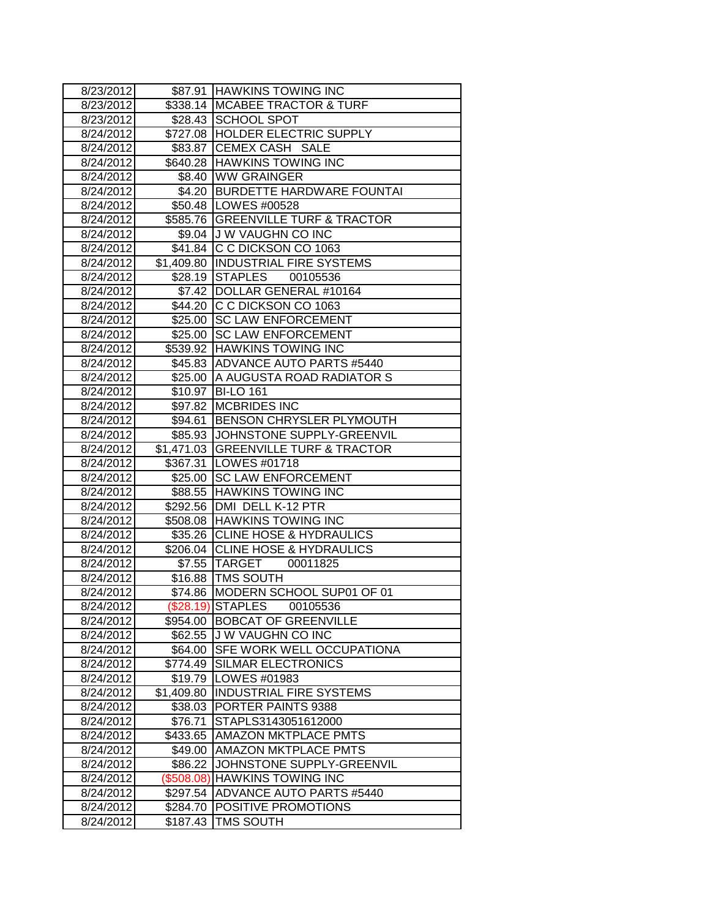| 8/23/2012 |            | \$87.91 HAWKINS TOWING INC           |
|-----------|------------|--------------------------------------|
| 8/23/2012 | \$338.14   | <b>MCABEE TRACTOR &amp; TURF</b>     |
| 8/23/2012 | \$28.43    | <b>SCHOOL SPOT</b>                   |
| 8/24/2012 |            | \$727.08 HOLDER ELECTRIC SUPPLY      |
| 8/24/2012 | \$83.87    | CEMEX CASH SALE                      |
| 8/24/2012 |            | \$640.28 HAWKINS TOWING INC          |
| 8/24/2012 |            | \$8.40 WW GRAINGER                   |
| 8/24/2012 |            | \$4.20 BURDETTE HARDWARE FOUNTAI     |
| 8/24/2012 |            | \$50.48   LOWES #00528               |
| 8/24/2012 |            | \$585.76 GREENVILLE TURF & TRACTOR   |
| 8/24/2012 |            | \$9.04 J W VAUGHN CO INC             |
| 8/24/2012 |            | \$41.84 C C DICKSON CO 1063          |
| 8/24/2012 |            | \$1,409.80  INDUSTRIAL FIRE SYSTEMS  |
| 8/24/2012 | \$28.19    | STAPLES 00105536                     |
| 8/24/2012 |            | \$7.42   DOLLAR GENERAL #10164       |
| 8/24/2012 |            | \$44.20 C C DICKSON CO 1063          |
| 8/24/2012 |            | \$25.00 SC LAW ENFORCEMENT           |
| 8/24/2012 | \$25.00    | <b>SC LAW ENFORCEMENT</b>            |
| 8/24/2012 | \$539.92   | <b>HAWKINS TOWING INC</b>            |
| 8/24/2012 | \$45.83    | ADVANCE AUTO PARTS #5440             |
| 8/24/2012 | \$25.00    | A AUGUSTA ROAD RADIATOR S            |
| 8/24/2012 | \$10.97    | <b>BI-LO 161</b>                     |
| 8/24/2012 |            | \$97.82 MCBRIDES INC                 |
| 8/24/2012 |            | \$94.61 BENSON CHRYSLER PLYMOUTH     |
| 8/24/2012 |            | \$85.93 JJOHNSTONE SUPPLY-GREENVIL   |
| 8/24/2012 |            | \$1,471.03 GREENVILLE TURF & TRACTOR |
| 8/24/2012 |            | \$367.31 LOWES #01718                |
| 8/24/2012 |            | \$25.00 SC LAW ENFORCEMENT           |
| 8/24/2012 |            | \$88.55 HAWKINS TOWING INC           |
| 8/24/2012 | \$292.56   | DMI DELL K-12 PTR                    |
| 8/24/2012 |            | \$508.08 HAWKINS TOWING INC          |
| 8/24/2012 |            | \$35.26 CLINE HOSE & HYDRAULICS      |
| 8/24/2012 |            | \$206.04 CLINE HOSE & HYDRAULICS     |
| 8/24/2012 |            | \$7.55 TARGET 00011825               |
| 8/24/2012 |            | \$16.88   TMS SOUTH                  |
| 8/24/2012 | \$74.86    | MODERN SCHOOL SUP01 OF 01            |
| 8/24/2012 |            | (\$28.19) STAPLES<br>00105536        |
| 8/24/2012 | \$954.00   | <b>BOBCAT OF GREENVILLE</b>          |
| 8/24/2012 | \$62.55    | <b>J W VAUGHN CO INC</b>             |
| 8/24/2012 | \$64.00    | <b>SFE WORK WELL OCCUPATIONA</b>     |
| 8/24/2012 | \$774.49   | <b>SILMAR ELECTRONICS</b>            |
| 8/24/2012 | \$19.79    | LOWES #01983                         |
| 8/24/2012 | \$1,409.80 | <b>INDUSTRIAL FIRE SYSTEMS</b>       |
| 8/24/2012 | \$38.03    | PORTER PAINTS 9388                   |
| 8/24/2012 | \$76.71    | STAPLS3143051612000                  |
| 8/24/2012 | \$433.65   | <b>AMAZON MKTPLACE PMTS</b>          |
| 8/24/2012 | \$49.00    | <b>AMAZON MKTPLACE PMTS</b>          |
| 8/24/2012 | \$86.22    | JOHNSTONE SUPPLY-GREENVIL            |
| 8/24/2012 | (\$508.08) | <b>HAWKINS TOWING INC</b>            |
| 8/24/2012 | \$297.54   | <b>ADVANCE AUTO PARTS #5440</b>      |
| 8/24/2012 | \$284.70   | POSITIVE PROMOTIONS                  |
| 8/24/2012 | \$187.43   | TMS SOUTH                            |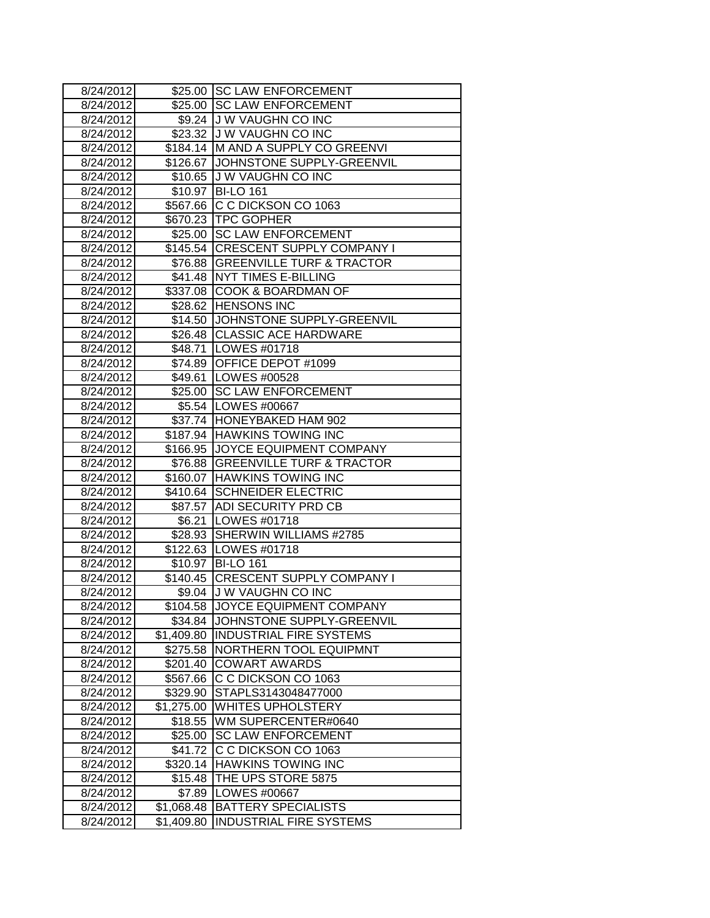| 8/24/2012 |            | \$25.00 SC LAW ENFORCEMENT          |
|-----------|------------|-------------------------------------|
| 8/24/2012 |            | \$25.00 SC LAW ENFORCEMENT          |
| 8/24/2012 |            | \$9.24 J W VAUGHN CO INC            |
| 8/24/2012 |            | \$23.32 J W VAUGHN CO INC           |
| 8/24/2012 |            | \$184.14 M AND A SUPPLY CO GREENVI  |
| 8/24/2012 |            | \$126.67 JJOHNSTONE SUPPLY-GREENVIL |
| 8/24/2012 |            | \$10.65 J W VAUGHN CO INC           |
| 8/24/2012 |            | \$10.97 BI-LO 161                   |
| 8/24/2012 |            | \$567.66 C C DICKSON CO 1063        |
| 8/24/2012 |            | \$670.23 TPC GOPHER                 |
| 8/24/2012 |            | \$25.00 SC LAW ENFORCEMENT          |
| 8/24/2012 |            | \$145.54 CRESCENT SUPPLY COMPANY I  |
| 8/24/2012 |            | \$76.88 GREENVILLE TURF & TRACTOR   |
| 8/24/2012 |            | \$41.48 NYT TIMES E-BILLING         |
| 8/24/2012 |            | \$337.08 COOK & BOARDMAN OF         |
| 8/24/2012 |            | \$28.62 HENSONS INC                 |
| 8/24/2012 |            | \$14.50 JJOHNSTONE SUPPLY-GREENVIL  |
| 8/24/2012 |            | \$26.48 CLASSIC ACE HARDWARE        |
| 8/24/2012 | \$48.71    | LOWES #01718                        |
| 8/24/2012 | \$74.89    | OFFICE DEPOT #1099                  |
| 8/24/2012 |            | \$49.61   LOWES #00528              |
| 8/24/2012 |            | \$25.00 SC LAW ENFORCEMENT          |
| 8/24/2012 |            | \$5.54   LOWES #00667               |
| 8/24/2012 |            | \$37.74  HONEYBAKED HAM 902         |
| 8/24/2012 |            | \$187.94 HAWKINS TOWING INC         |
| 8/24/2012 |            | \$166.95 JOYCE EQUIPMENT COMPANY    |
| 8/24/2012 |            | \$76.88 GREENVILLE TURF & TRACTOR   |
| 8/24/2012 |            | \$160.07 HAWKINS TOWING INC         |
| 8/24/2012 |            | \$410.64 SCHNEIDER ELECTRIC         |
| 8/24/2012 |            | \$87.57 ADI SECURITY PRD CB         |
| 8/24/2012 |            | \$6.21 LOWES #01718                 |
| 8/24/2012 |            | \$28.93 SHERWIN WILLIAMS #2785      |
| 8/24/2012 |            | \$122.63 LOWES #01718               |
| 8/24/2012 |            | \$10.97 BI-LO 161                   |
| 8/24/2012 |            | \$140.45 CRESCENT SUPPLY COMPANY I  |
| 8/24/2012 | \$9.04     | <b>J W VAUGHN CO INC</b>            |
| 8/24/2012 | \$104.58   | JOYCE EQUIPMENT COMPANY             |
| 8/24/2012 | \$34.84    | JOHNSTONE SUPPLY-GREENVIL           |
| 8/24/2012 | \$1,409.80 | <b>INDUSTRIAL FIRE SYSTEMS</b>      |
| 8/24/2012 | \$275.58   | NORTHERN TOOL EQUIPMNT              |
| 8/24/2012 | \$201.40   | <b>COWART AWARDS</b>                |
| 8/24/2012 | \$567.66   | C C DICKSON CO 1063                 |
| 8/24/2012 | \$329.90   | STAPLS3143048477000                 |
| 8/24/2012 | \$1,275.00 | <b>WHITES UPHOLSTERY</b>            |
| 8/24/2012 | \$18.55    | WM SUPERCENTER#0640                 |
| 8/24/2012 | \$25.00    | <b>SC LAW ENFORCEMENT</b>           |
| 8/24/2012 | \$41.72    | C C DICKSON CO 1063                 |
| 8/24/2012 | \$320.14   | <b>HAWKINS TOWING INC</b>           |
| 8/24/2012 | \$15.48    | THE UPS STORE 5875                  |
| 8/24/2012 | \$7.89     | LOWES #00667                        |
| 8/24/2012 | \$1,068.48 | <b>BATTERY SPECIALISTS</b>          |
| 8/24/2012 | \$1,409.80 | <b>INDUSTRIAL FIRE SYSTEMS</b>      |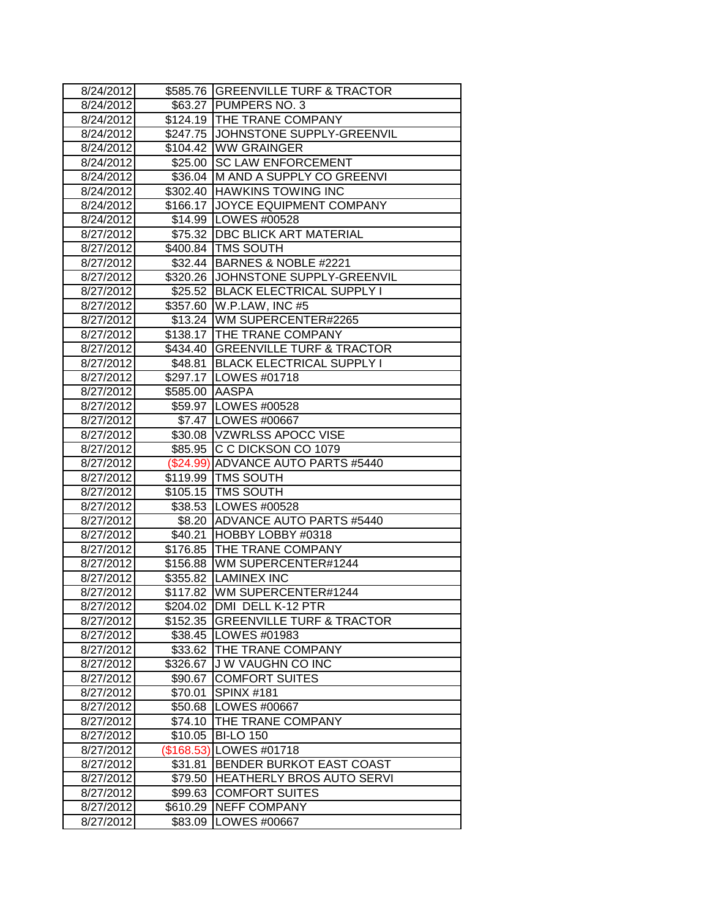| 8/24/2012 |                | \$585.76 GREENVILLE TURF & TRACTOR   |
|-----------|----------------|--------------------------------------|
| 8/24/2012 | \$63.27        | PUMPERS NO. 3                        |
| 8/24/2012 |                | \$124.19 THE TRANE COMPANY           |
| 8/24/2012 |                | \$247.75 JJOHNSTONE SUPPLY-GREENVIL  |
| 8/24/2012 | \$104.42       | <b>WW GRAINGER</b>                   |
| 8/24/2012 |                | \$25.00 SC LAW ENFORCEMENT           |
| 8/24/2012 |                | \$36.04 M AND A SUPPLY CO GREENVI    |
| 8/24/2012 |                | \$302.40 HAWKINS TOWING INC          |
| 8/24/2012 |                | \$166.17 JOYCE EQUIPMENT COMPANY     |
| 8/24/2012 |                | \$14.99 LOWES #00528                 |
| 8/27/2012 |                | \$75.32 DBC BLICK ART MATERIAL       |
| 8/27/2012 |                | \$400.84 TMS SOUTH                   |
| 8/27/2012 |                | \$32.44 BARNES & NOBLE #2221         |
| 8/27/2012 |                | \$320.26 JJOHNSTONE SUPPLY-GREENVIL  |
| 8/27/2012 |                | \$25.52 BLACK ELECTRICAL SUPPLY I    |
| 8/27/2012 |                | \$357.60   W.P.LAW, INC #5           |
| 8/27/2012 |                | \$13.24   WM SUPERCENTER#2265        |
| 8/27/2012 |                | \$138.17 THE TRANE COMPANY           |
| 8/27/2012 | \$434.40       | <b>GREENVILLE TURF &amp; TRACTOR</b> |
| 8/27/2012 | \$48.81        | <b>BLACK ELECTRICAL SUPPLY I</b>     |
| 8/27/2012 |                | \$297.17   LOWES #01718              |
| 8/27/2012 | \$585.00 AASPA |                                      |
| 8/27/2012 |                | \$59.97   LOWES #00528               |
| 8/27/2012 |                | \$7.47 LOWES #00667                  |
| 8/27/2012 |                | \$30.08 VZWRLSS APOCC VISE           |
| 8/27/2012 |                | \$85.95 C C DICKSON CO 1079          |
| 8/27/2012 |                | (\$24.99) ADVANCE AUTO PARTS #5440   |
| 8/27/2012 |                | \$119.99   TMS SOUTH                 |
| 8/27/2012 |                | \$105.15 TMS SOUTH                   |
| 8/27/2012 |                | \$38.53 LOWES #00528                 |
| 8/27/2012 |                | \$8.20 ADVANCE AUTO PARTS #5440      |
| 8/27/2012 |                | \$40.21 HOBBY LOBBY #0318            |
| 8/27/2012 |                | \$176.85 THE TRANE COMPANY           |
| 8/27/2012 |                | \$156.88 WM SUPERCENTER#1244         |
| 8/27/2012 | \$355.82       | <b>LAMINEX INC</b>                   |
| 8/27/2012 | \$117.82       | WM SUPERCENTER#1244                  |
| 8/27/2012 |                | \$204.02 DMI DELL K-12 PTR           |
| 8/27/2012 | \$152.35       | <b>GREENVILLE TURF &amp; TRACTOR</b> |
| 8/27/2012 | \$38.45        | LOWES #01983                         |
| 8/27/2012 | \$33.62        | THE TRANE COMPANY                    |
| 8/27/2012 | \$326.67       | <b>JW VAUGHN CO INC</b>              |
| 8/27/2012 | \$90.67        | <b>COMFORT SUITES</b>                |
| 8/27/2012 | \$70.01        | <b>SPINX #181</b>                    |
| 8/27/2012 | \$50.68        | LOWES #00667                         |
| 8/27/2012 | \$74.10        | THE TRANE COMPANY                    |
| 8/27/2012 | \$10.05        | <b>BI-LO 150</b>                     |
| 8/27/2012 | (\$168.53)     | LOWES #01718                         |
| 8/27/2012 | \$31.81        | BENDER BURKOT EAST COAST             |
| 8/27/2012 | \$79.50        | <b>HEATHERLY BROS AUTO SERVI</b>     |
| 8/27/2012 | \$99.63        | <b>COMFORT SUITES</b>                |
| 8/27/2012 | \$610.29       | <b>NEFF COMPANY</b>                  |
| 8/27/2012 | \$83.09        | LOWES #00667                         |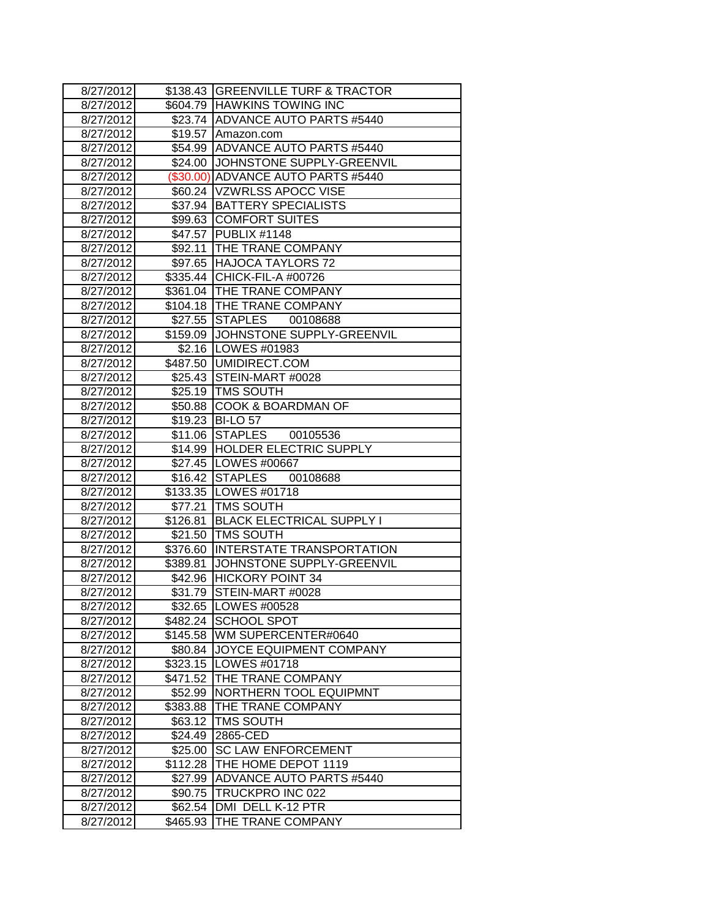| 8/27/2012 |          | \$138.43 GREENVILLE TURF & TRACTOR |
|-----------|----------|------------------------------------|
| 8/27/2012 |          | \$604.79 HAWKINS TOWING INC        |
| 8/27/2012 |          | \$23.74 ADVANCE AUTO PARTS #5440   |
| 8/27/2012 |          | \$19.57 Amazon.com                 |
| 8/27/2012 |          | \$54.99 ADVANCE AUTO PARTS #5440   |
| 8/27/2012 |          | \$24.00 JJOHNSTONE SUPPLY-GREENVIL |
| 8/27/2012 |          | (\$30.00) ADVANCE AUTO PARTS #5440 |
| 8/27/2012 |          | \$60.24 VZWRLSS APOCC VISE         |
| 8/27/2012 |          | \$37.94 BATTERY SPECIALISTS        |
| 8/27/2012 |          | \$99.63 COMFORT SUITES             |
| 8/27/2012 |          | \$47.57 PUBLIX #1148               |
| 8/27/2012 |          | \$92.11 THE TRANE COMPANY          |
| 8/27/2012 |          | \$97.65 HAJOCA TAYLORS 72          |
| 8/27/2012 |          | \$335.44 CHICK-FIL-A #00726        |
| 8/27/2012 |          | \$361.04 THE TRANE COMPANY         |
| 8/27/2012 |          | \$104.18 THE TRANE COMPANY         |
| 8/27/2012 |          | \$27.55 STAPLES<br>00108688        |
| 8/27/2012 |          | \$159.09 JOHNSTONE SUPPLY-GREENVIL |
| 8/27/2012 |          | \$2.16   LOWES #01983              |
| 8/27/2012 |          | \$487.50   UMIDIRECT.COM           |
| 8/27/2012 |          | \$25.43 STEIN-MART #0028           |
| 8/27/2012 |          | \$25.19   TMS SOUTH                |
| 8/27/2012 |          | \$50.88 COOK & BOARDMAN OF         |
| 8/27/2012 |          | \$19.23 BI-LO 57                   |
| 8/27/2012 |          | \$11.06 STAPLES<br>00105536        |
| 8/27/2012 |          | \$14.99 HOLDER ELECTRIC SUPPLY     |
| 8/27/2012 |          | \$27.45   LOWES #00667             |
| 8/27/2012 |          | \$16.42 STAPLES<br>00108688        |
| 8/27/2012 |          | \$133.35 LOWES #01718              |
| 8/27/2012 |          | \$77.21 TMS SOUTH                  |
| 8/27/2012 |          | \$126.81 BLACK ELECTRICAL SUPPLY I |
| 8/27/2012 |          | \$21.50 TMS SOUTH                  |
| 8/27/2012 | \$376.60 | INTERSTATE TRANSPORTATION          |
| 8/27/2012 | \$389.81 | JOHNSTONE SUPPLY-GREENVIL          |
| 8/27/2012 | \$42.96  | <b>HICKORY POINT 34</b>            |
| 8/27/2012 | \$31.79  | STEIN-MART #0028                   |
| 8/27/2012 |          | \$32.65 LOWES #00528               |
| 8/27/2012 | \$482.24 | SCHOOL SPOT                        |
| 8/27/2012 |          | \$145.58 WM SUPERCENTER#0640       |
| 8/27/2012 |          | \$80.84 JJOYCE EQUIPMENT COMPANY   |
| 8/27/2012 | \$323.15 | LOWES #01718                       |
| 8/27/2012 | \$471.52 | THE TRANE COMPANY                  |
| 8/27/2012 | \$52.99  | NORTHERN TOOL EQUIPMNT             |
| 8/27/2012 | \$383.88 | THE TRANE COMPANY                  |
| 8/27/2012 | \$63.12  | <b>TMS SOUTH</b>                   |
| 8/27/2012 | \$24.49  | 2865-CED                           |
| 8/27/2012 | \$25.00  | <b>SC LAW ENFORCEMENT</b>          |
| 8/27/2012 | \$112.28 | THE HOME DEPOT 1119                |
| 8/27/2012 | \$27.99  | <b>ADVANCE AUTO PARTS #5440</b>    |
| 8/27/2012 | \$90.75  | TRUCKPRO INC 022                   |
| 8/27/2012 | \$62.54  | DMI DELL K-12 PTR                  |
| 8/27/2012 | \$465.93 | THE TRANE COMPANY                  |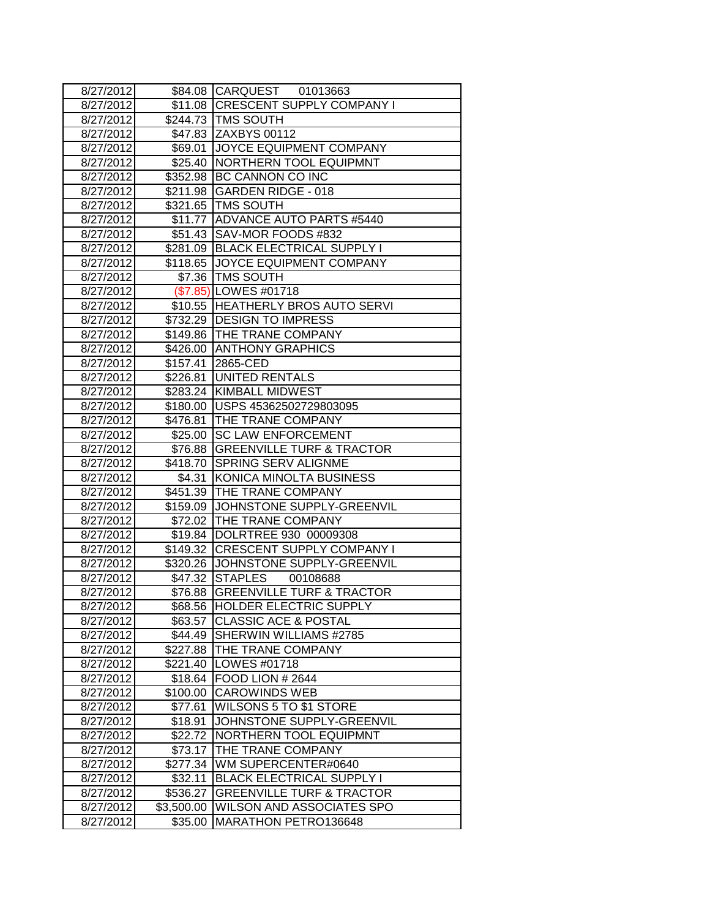| 8/27/2012              |                     | \$84.08 CARQUEST 01013663                   |
|------------------------|---------------------|---------------------------------------------|
| 8/27/2012              | \$11.08             | <b>CRESCENT SUPPLY COMPANY I</b>            |
| 8/27/2012              |                     | \$244.73   TMS SOUTH                        |
| 8/27/2012              |                     | \$47.83 ZAXBYS 00112                        |
| 8/27/2012              | \$69.01             | JOYCE EQUIPMENT COMPANY                     |
| 8/27/2012              | \$25.40             | NORTHERN TOOL EQUIPMNT                      |
| 8/27/2012              | \$352.98            | BC CANNON CO INC                            |
| 8/27/2012              | \$211.98            | <b>GARDEN RIDGE - 018</b>                   |
| 8/27/2012              |                     | \$321.65 TMS SOUTH                          |
| 8/27/2012              | \$11.77             | <b>ADVANCE AUTO PARTS #5440</b>             |
| 8/27/2012              | \$51.43             | SAV-MOR FOODS #832                          |
| 8/27/2012              |                     | \$281.09 BLACK ELECTRICAL SUPPLY I          |
| 8/27/2012              | \$118.65            | JOYCE EQUIPMENT COMPANY                     |
| 8/27/2012              |                     | \$7.36   TMS SOUTH                          |
| 8/27/2012              |                     | (\$7.85) LOWES #01718                       |
| 8/27/2012              |                     | \$10.55 HEATHERLY BROS AUTO SERVI           |
| 8/27/2012              |                     | \$732.29 DESIGN TO IMPRESS                  |
| 8/27/2012              |                     | \$149.86 THE TRANE COMPANY                  |
| 8/27/2012              | \$426.00            | <b>ANTHONY GRAPHICS</b>                     |
| 8/27/2012              | \$157.41            | 2865-CED                                    |
| 8/27/2012              | \$226.81            | UNITED RENTALS                              |
| 8/27/2012              | \$283.24            | <b>KIMBALL MIDWEST</b>                      |
| 8/27/2012              | \$180.00            | USPS 45362502729803095                      |
| 8/27/2012              | \$476.81            | THE TRANE COMPANY                           |
| 8/27/2012              | \$25.00             | <b>SC LAW ENFORCEMENT</b>                   |
| 8/27/2012              | \$76.88             | <b>GREENVILLE TURF &amp; TRACTOR</b>        |
| 8/27/2012              | \$418.70            | <b>SPRING SERV ALIGNME</b>                  |
| 8/27/2012              | \$4.31              | KONICA MINOLTA BUSINESS                     |
| 8/27/2012              | \$451.39            | THE TRANE COMPANY                           |
| 8/27/2012              | \$159.09            | JOHNSTONE SUPPLY-GREENVIL                   |
| 8/27/2012              |                     | \$72.02 THE TRANE COMPANY                   |
| 8/27/2012              |                     | \$19.84 DOLRTREE 930 00009308               |
| 8/27/2012              |                     | \$149.32 CRESCENT SUPPLY COMPANY I          |
| 8/27/2012              |                     | \$320.26 JOHNSTONE SUPPLY-GREENVIL          |
| 8/27/2012              | \$47.32             | <b>STAPLES</b><br>00108688                  |
| 8/27/2012              | \$76.88             | <b>GREENVILLE TURF &amp; TRACTOR</b>        |
| 8/27/2012              | \$68.56             | <b>HOLDER ELECTRIC SUPPLY</b>               |
| 8/27/2012              | \$63.57             | <b>CLASSIC ACE &amp; POSTAL</b>             |
| 8/27/2012<br>8/27/2012 | \$44.49<br>\$227.88 | SHERWIN WILLIAMS #2785<br>THE TRANE COMPANY |
| 8/27/2012              | \$221.40            | LOWES #01718                                |
| 8/27/2012              | \$18.64             | <b>FOOD LION # 2644</b>                     |
| 8/27/2012              | \$100.00            | <b>CAROWINDS WEB</b>                        |
| 8/27/2012              | \$77.61             | WILSONS 5 TO \$1 STORE                      |
| 8/27/2012              | \$18.91             | JOHNSTONE SUPPLY-GREENVIL                   |
| 8/27/2012              | \$22.72             | NORTHERN TOOL EQUIPMNT                      |
| 8/27/2012              | \$73.17             | THE TRANE COMPANY                           |
| 8/27/2012              | \$277.34            | WM SUPERCENTER#0640                         |
| 8/27/2012              | \$32.11             | <b>BLACK ELECTRICAL SUPPLY I</b>            |
| 8/27/2012              | \$536.27            | <b>GREENVILLE TURF &amp; TRACTOR</b>        |
| 8/27/2012              | \$3,500.00          | WILSON AND ASSOCIATES SPO                   |
| 8/27/2012              | \$35.00             | MARATHON PETRO136648                        |
|                        |                     |                                             |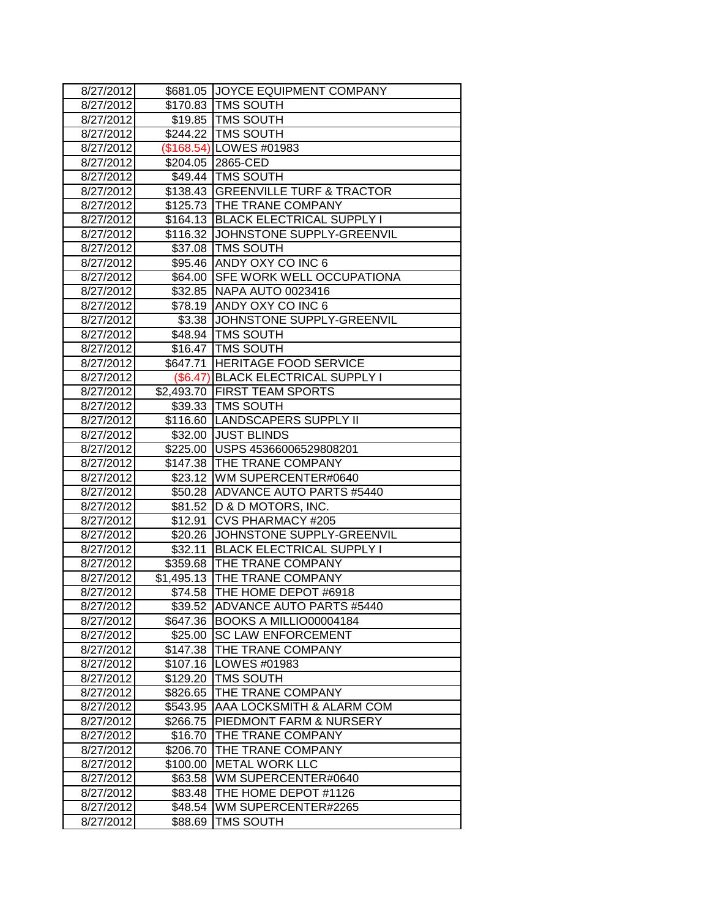| 8/27/2012              |                      | \$681.05 JJOYCE EQUIPMENT COMPANY              |
|------------------------|----------------------|------------------------------------------------|
| 8/27/2012              |                      | \$170.83 TMS SOUTH                             |
| 8/27/2012              |                      | \$19.85   TMS SOUTH                            |
| 8/27/2012              |                      | \$244.22 TMS SOUTH                             |
| 8/27/2012              |                      | (\$168.54) LOWES #01983                        |
| 8/27/2012              |                      | \$204.05 2865-CED                              |
| 8/27/2012              |                      | \$49.44 TMS SOUTH                              |
| 8/27/2012              |                      | \$138.43 GREENVILLE TURF & TRACTOR             |
| 8/27/2012              |                      | \$125.73 THE TRANE COMPANY                     |
| 8/27/2012              |                      | \$164.13 BLACK ELECTRICAL SUPPLY I             |
| 8/27/2012              |                      | \$116.32 JOHNSTONE SUPPLY-GREENVIL             |
| 8/27/2012              |                      | \$37.08   TMS SOUTH                            |
| 8/27/2012              |                      | \$95.46 ANDY OXY CO INC 6                      |
| 8/27/2012              |                      | \$64.00 SFE WORK WELL OCCUPATIONA              |
| 8/27/2012              |                      | \$32.85 NAPA AUTO 0023416                      |
| 8/27/2012              |                      | \$78.19 ANDY OXY CO INC 6                      |
| 8/27/2012              |                      | \$3.38 JJOHNSTONE SUPPLY-GREENVIL              |
| 8/27/2012              |                      | \$48.94   TMS SOUTH                            |
| 8/27/2012              |                      | \$16.47   TMS SOUTH                            |
| 8/27/2012              |                      | \$647.71 HERITAGE FOOD SERVICE                 |
| 8/27/2012              |                      | (\$6.47) BLACK ELECTRICAL SUPPLY I             |
| 8/27/2012              |                      | \$2,493.70 FIRST TEAM SPORTS                   |
| 8/27/2012              |                      | \$39.33 TMS SOUTH                              |
| 8/27/2012              |                      | \$116.60 LANDSCAPERS SUPPLY II                 |
| 8/27/2012              |                      | \$32.00 JUST BLINDS                            |
| 8/27/2012              |                      | \$225.00 USPS 45366006529808201                |
| 8/27/2012              |                      | \$147.38 THE TRANE COMPANY                     |
| 8/27/2012              |                      | \$23.12 WM SUPERCENTER#0640                    |
| 8/27/2012              |                      | \$50.28 ADVANCE AUTO PARTS #5440               |
| 8/27/2012              |                      | \$81.52   D & D MOTORS, INC.                   |
| 8/27/2012              |                      | \$12.91 CVS PHARMACY #205                      |
| 8/27/2012              |                      | \$20.26 JJOHNSTONE SUPPLY-GREENVIL             |
| 8/27/2012              | \$32.11              | <b>BLACK ELECTRICAL SUPPLY I</b>               |
| 8/27/2012              |                      | \$359.68 THE TRANE COMPANY                     |
| 8/27/2012              |                      | \$1,495.13 THE TRANE COMPANY                   |
| 8/27/2012              | \$74.58              | THE HOME DEPOT #6918                           |
| 8/27/2012              |                      | \$39.52  ADVANCE AUTO PARTS #5440              |
| 8/27/2012              |                      | \$647.36 BOOKS A MILLIO00004184                |
| 8/27/2012              |                      | \$25.00 SC LAW ENFORCEMENT                     |
| 8/27/2012              | \$147.38             | THE TRANE COMPANY                              |
| 8/27/2012              | \$107.16             | LOWES #01983                                   |
| 8/27/2012              | \$129.20             | <b>TMS SOUTH</b>                               |
| 8/27/2012<br>8/27/2012 | \$826.65<br>\$543.95 | THE TRANE COMPANY<br>AAA LOCKSMITH & ALARM COM |
|                        | \$266.75             | PIEDMONT FARM & NURSERY                        |
| 8/27/2012<br>8/27/2012 | \$16.70              | THE TRANE COMPANY                              |
| 8/27/2012              | \$206.70             | THE TRANE COMPANY                              |
| 8/27/2012              | \$100.00             | <b>METAL WORK LLC</b>                          |
| 8/27/2012              | \$63.58              | WM SUPERCENTER#0640                            |
| 8/27/2012              | \$83.48              | THE HOME DEPOT #1126                           |
| 8/27/2012              | \$48.54              | WM SUPERCENTER#2265                            |
| 8/27/2012              | \$88.69              | TMS SOUTH                                      |
|                        |                      |                                                |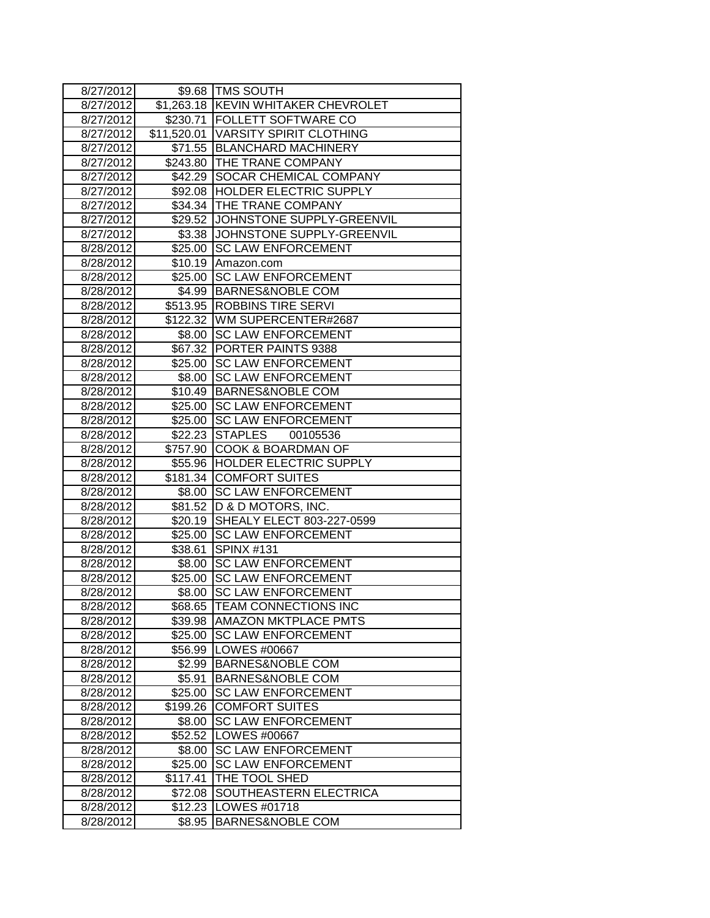| 8/27/2012 |          | \$9.68   TMS SOUTH                  |
|-----------|----------|-------------------------------------|
| 8/27/2012 |          | \$1,263.18 KEVIN WHITAKER CHEVROLET |
| 8/27/2012 |          | \$230.71   FOLLETT SOFTWARE CO      |
| 8/27/2012 |          | \$11,520.01 VARSITY SPIRIT CLOTHING |
| 8/27/2012 |          | \$71.55 BLANCHARD MACHINERY         |
| 8/27/2012 |          | \$243.80 THE TRANE COMPANY          |
| 8/27/2012 |          | \$42.29 SOCAR CHEMICAL COMPANY      |
| 8/27/2012 |          | \$92.08 HOLDER ELECTRIC SUPPLY      |
| 8/27/2012 | \$34.34  | THE TRANE COMPANY                   |
| 8/27/2012 |          | \$29.52 JJOHNSTONE SUPPLY-GREENVIL  |
| 8/27/2012 | \$3.38   | JOHNSTONE SUPPLY-GREENVIL           |
| 8/28/2012 | \$25.00  | <b>SC LAW ENFORCEMENT</b>           |
| 8/28/2012 |          | \$10.19 Amazon.com                  |
| 8/28/2012 | \$25.00  | <b>SC LAW ENFORCEMENT</b>           |
| 8/28/2012 | \$4.99   | <b>BARNES&amp;NOBLE COM</b>         |
| 8/28/2012 | \$513.95 | <b>ROBBINS TIRE SERVI</b>           |
| 8/28/2012 |          | \$122.32 WM SUPERCENTER#2687        |
| 8/28/2012 | \$8.00   | <b>SC LAW ENFORCEMENT</b>           |
| 8/28/2012 |          | \$67.32 PORTER PAINTS 9388          |
| 8/28/2012 |          | \$25.00 SC LAW ENFORCEMENT          |
| 8/28/2012 |          | \$8.00 SC LAW ENFORCEMENT           |
| 8/28/2012 |          | \$10.49 BARNES&NOBLE COM            |
| 8/28/2012 | \$25.00  | <b>SC LAW ENFORCEMENT</b>           |
| 8/28/2012 | \$25.00  | <b>SC LAW ENFORCEMENT</b>           |
| 8/28/2012 | \$22.23  | <b>STAPLES</b><br>00105536          |
| 8/28/2012 | \$757.90 | <b>COOK &amp; BOARDMAN OF</b>       |
| 8/28/2012 |          | \$55.96 HOLDER ELECTRIC SUPPLY      |
| 8/28/2012 |          | \$181.34 COMFORT SUITES             |
| 8/28/2012 |          | \$8.00 SC LAW ENFORCEMENT           |
| 8/28/2012 |          | \$81.52 D & D MOTORS, INC.          |
| 8/28/2012 | \$20.19  | SHEALY ELECT 803-227-0599           |
| 8/28/2012 | \$25.00  | <b>SC LAW ENFORCEMENT</b>           |
| 8/28/2012 | \$38.61  | <b>SPINX #131</b>                   |
| 8/28/2012 | \$8.00   | <b>SC LAW ENFORCEMENT</b>           |
| 8/28/2012 | \$25.00  | <b>SC LAW ENFORCEMENT</b>           |
| 8/28/2012 | \$8.00   | <b>SC LAW ENFORCEMENT</b>           |
| 8/28/2012 | \$68.65  | <b>TEAM CONNECTIONS INC</b>         |
| 8/28/2012 | \$39.98  | <b>AMAZON MKTPLACE PMTS</b>         |
| 8/28/2012 | \$25.00  | <b>SC LAW ENFORCEMENT</b>           |
| 8/28/2012 | \$56.99  | LOWES #00667                        |
| 8/28/2012 | \$2.99   | <b>BARNES&amp;NOBLE COM</b>         |
| 8/28/2012 | \$5.91   | <b>BARNES&amp;NOBLE COM</b>         |
| 8/28/2012 | \$25.00  | <b>SC LAW ENFORCEMENT</b>           |
| 8/28/2012 | \$199.26 | <b>COMFORT SUITES</b>               |
| 8/28/2012 | \$8.00   | <b>SC LAW ENFORCEMENT</b>           |
| 8/28/2012 | \$52.52  | LOWES #00667                        |
| 8/28/2012 | \$8.00   | <b>SC LAW ENFORCEMENT</b>           |
| 8/28/2012 | \$25.00  | <b>SC LAW ENFORCEMENT</b>           |
| 8/28/2012 | \$117.41 | THE TOOL SHED                       |
| 8/28/2012 | \$72.08  | SOUTHEASTERN ELECTRICA              |
| 8/28/2012 | \$12.23  | LOWES #01718                        |
| 8/28/2012 | \$8.95   | <b>BARNES&amp;NOBLE COM</b>         |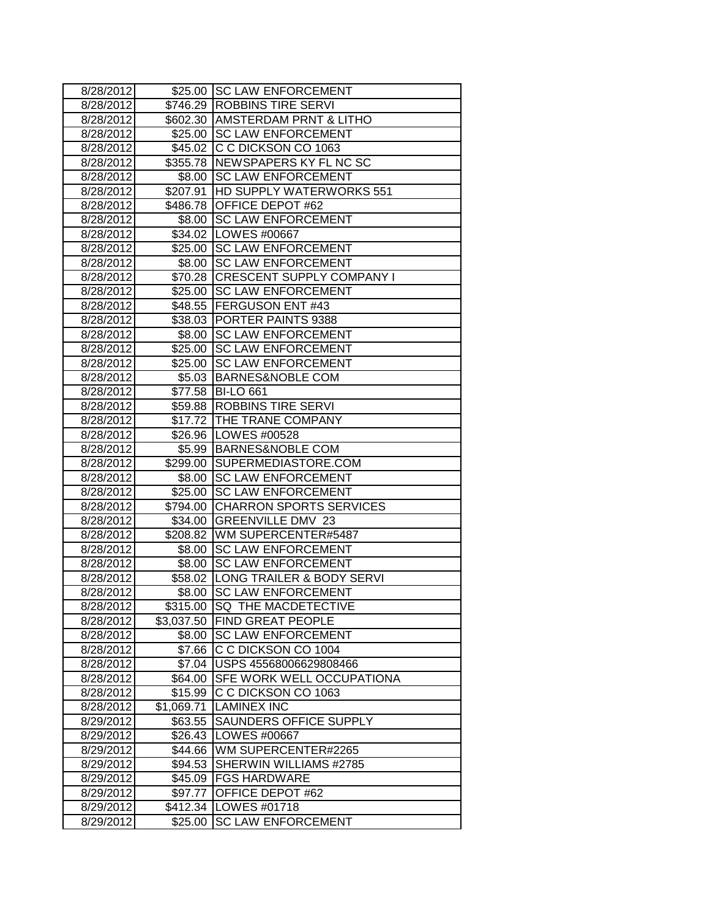| 8/28/2012 |            | \$25.00 SC LAW ENFORCEMENT        |
|-----------|------------|-----------------------------------|
| 8/28/2012 |            | \$746.29 ROBBINS TIRE SERVI       |
| 8/28/2012 |            | \$602.30 AMSTERDAM PRNT & LITHO   |
| 8/28/2012 | \$25.00    | <b>SC LAW ENFORCEMENT</b>         |
| 8/28/2012 | \$45.02    | C C DICKSON CO 1063               |
| 8/28/2012 |            | \$355.78 NEWSPAPERS KY FL NC SC   |
| 8/28/2012 | \$8.00     | <b>SC LAW ENFORCEMENT</b>         |
| 8/28/2012 | \$207.91   | <b>HD SUPPLY WATERWORKS 551</b>   |
| 8/28/2012 |            | \$486.78 OFFICE DEPOT #62         |
| 8/28/2012 | \$8.00     | <b>SC LAW ENFORCEMENT</b>         |
| 8/28/2012 |            | \$34.02   LOWES #00667            |
| 8/28/2012 | \$25.00    | <b>SC LAW ENFORCEMENT</b>         |
| 8/28/2012 | \$8.00     | <b>SC LAW ENFORCEMENT</b>         |
| 8/28/2012 |            | \$70.28 CRESCENT SUPPLY COMPANY I |
| 8/28/2012 | \$25.00    | <b>SC LAW ENFORCEMENT</b>         |
| 8/28/2012 |            | \$48.55 FERGUSON ENT #43          |
| 8/28/2012 |            | \$38.03 PORTER PAINTS 9388        |
| 8/28/2012 | \$8.00     | <b>SC LAW ENFORCEMENT</b>         |
| 8/28/2012 | \$25.00    | <b>SC LAW ENFORCEMENT</b>         |
| 8/28/2012 | \$25.00    | <b>SC LAW ENFORCEMENT</b>         |
| 8/28/2012 | \$5.03     | <b>BARNES&amp;NOBLE COM</b>       |
| 8/28/2012 |            | \$77.58 BI-LO 661                 |
| 8/28/2012 |            | \$59.88 ROBBINS TIRE SERVI        |
| 8/28/2012 |            | \$17.72 THE TRANE COMPANY         |
| 8/28/2012 |            | \$26.96   LOWES #00528            |
| 8/28/2012 |            | \$5.99 BARNES&NOBLE COM           |
| 8/28/2012 | \$299.00   | SUPERMEDIASTORE.COM               |
| 8/28/2012 | \$8.00     | <b>SC LAW ENFORCEMENT</b>         |
| 8/28/2012 | \$25.00    | <b>SC LAW ENFORCEMENT</b>         |
| 8/28/2012 | \$794.00   | <b>CHARRON SPORTS SERVICES</b>    |
| 8/28/2012 |            | \$34.00 GREENVILLE DMV 23         |
| 8/28/2012 |            | \$208.82 WM SUPERCENTER#5487      |
| 8/28/2012 | \$8.00     | <b>SC LAW ENFORCEMENT</b>         |
| 8/28/2012 | \$8.00     | <b>SC LAW ENFORCEMENT</b>         |
| 8/28/2012 |            | \$58.02 LONG TRAILER & BODY SERVI |
| 8/28/2012 | \$8.00     | <b>SC LAW ENFORCEMENT</b>         |
| 8/28/2012 |            | \$315.00 ISQ THE MACDETECTIVE     |
| 8/28/2012 |            | \$3,037.50 FIND GREAT PEOPLE      |
| 8/28/2012 |            | \$8.00 SC LAW ENFORCEMENT         |
| 8/28/2012 |            | \$7.66 C C DICKSON CO 1004        |
| 8/28/2012 | \$7.04     | USPS 45568006629808466            |
| 8/28/2012 | \$64.00    | SFE WORK WELL OCCUPATIONA         |
| 8/28/2012 | \$15.99    | C C DICKSON CO 1063               |
| 8/28/2012 | \$1,069.71 | <b>LAMINEX INC</b>                |
| 8/29/2012 | \$63.55    | SAUNDERS OFFICE SUPPLY            |
| 8/29/2012 | \$26.43    | LOWES #00667                      |
| 8/29/2012 | \$44.66    | WM SUPERCENTER#2265               |
| 8/29/2012 | \$94.53    | SHERWIN WILLIAMS #2785            |
| 8/29/2012 | \$45.09    | <b>FGS HARDWARE</b>               |
| 8/29/2012 | \$97.77    | OFFICE DEPOT #62                  |
| 8/29/2012 | \$412.34   | LOWES #01718                      |
| 8/29/2012 | \$25.00    | <b>SC LAW ENFORCEMENT</b>         |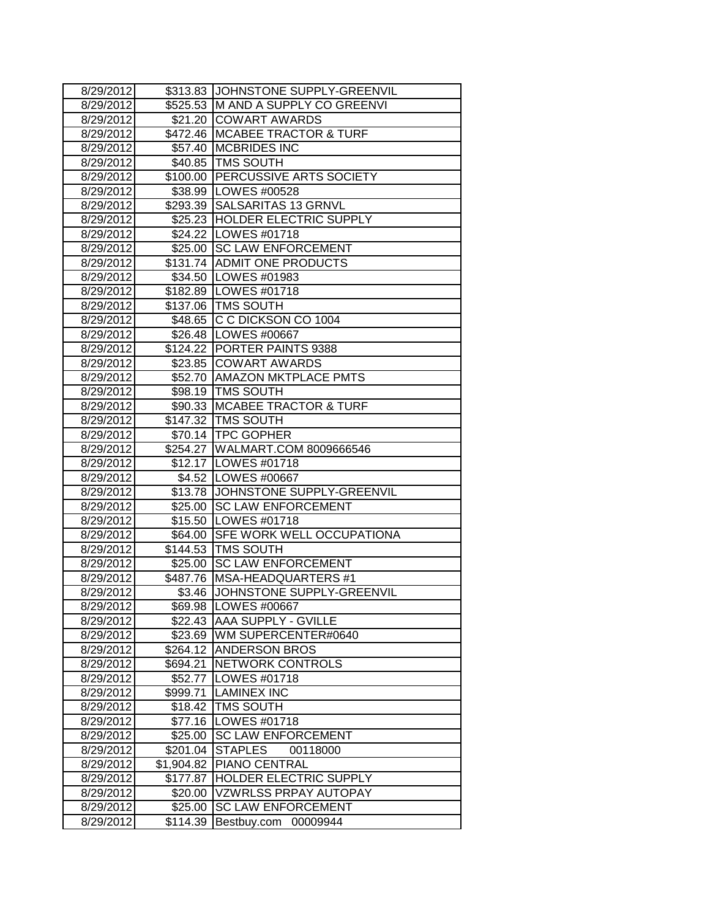| 8/29/2012 |            | \$313.83 JJOHNSTONE SUPPLY-GREENVIL |
|-----------|------------|-------------------------------------|
| 8/29/2012 | \$525.53   | M AND A SUPPLY CO GREENVI           |
| 8/29/2012 | \$21.20    | <b>COWART AWARDS</b>                |
| 8/29/2012 | \$472.46   | <b>MCABEE TRACTOR &amp; TURF</b>    |
| 8/29/2012 | \$57.40    | <b>MCBRIDES INC</b>                 |
| 8/29/2012 |            | \$40.85   TMS SOUTH                 |
| 8/29/2012 |            | \$100.00 PERCUSSIVE ARTS SOCIETY    |
| 8/29/2012 |            | \$38.99 LOWES #00528                |
| 8/29/2012 |            | \$293.39 SALSARITAS 13 GRNVL        |
| 8/29/2012 |            | \$25.23 HOLDER ELECTRIC SUPPLY      |
| 8/29/2012 |            | \$24.22   LOWES #01718              |
| 8/29/2012 | \$25.00    | <b>SC LAW ENFORCEMENT</b>           |
| 8/29/2012 |            | \$131.74 ADMIT ONE PRODUCTS         |
| 8/29/2012 |            | \$34.50 LOWES #01983                |
| 8/29/2012 |            | \$182.89 LOWES #01718               |
| 8/29/2012 |            | \$137.06   TMS SOUTH                |
| 8/29/2012 |            | \$48.65 C C DICKSON CO 1004         |
| 8/29/2012 |            | \$26.48   LOWES #00667              |
| 8/29/2012 | \$124.22   | PORTER PAINTS 9388                  |
| 8/29/2012 | \$23.85    | <b>COWART AWARDS</b>                |
| 8/29/2012 |            | \$52.70   AMAZON MKTPLACE PMTS      |
| 8/29/2012 |            | \$98.19   TMS SOUTH                 |
| 8/29/2012 |            | \$90.33   MCABEE TRACTOR & TURF     |
| 8/29/2012 |            | \$147.32 TMS SOUTH                  |
| 8/29/2012 |            | \$70.14 TPC GOPHER                  |
| 8/29/2012 |            | \$254.27   WALMART.COM 8009666546   |
| 8/29/2012 |            | \$12.17   LOWES #01718              |
| 8/29/2012 |            | \$4.52 LOWES #00667                 |
| 8/29/2012 |            | \$13.78 JOHNSTONE SUPPLY-GREENVIL   |
| 8/29/2012 | \$25.00    | <b>SC LAW ENFORCEMENT</b>           |
| 8/29/2012 |            | \$15.50 LOWES #01718                |
| 8/29/2012 |            | \$64.00 SFE WORK WELL OCCUPATIONA   |
| 8/29/2012 |            | \$144.53 TMS SOUTH                  |
| 8/29/2012 |            | \$25.00 SC LAW ENFORCEMENT          |
| 8/29/2012 |            | \$487.76 MSA-HEADQUARTERS #1        |
| 8/29/2012 | \$3.46     | JOHNSTONE SUPPLY-GREENVIL           |
| 8/29/2012 |            | \$69.98 LOWES #00667                |
| 8/29/2012 | \$22.43    | <b>AAA SUPPLY - GVILLE</b>          |
| 8/29/2012 | \$23.69    | WM SUPERCENTER#0640                 |
| 8/29/2012 | \$264.12   | <b>ANDERSON BROS</b>                |
| 8/29/2012 | \$694.21   | <b>NETWORK CONTROLS</b>             |
| 8/29/2012 | \$52.77    | LOWES #01718                        |
| 8/29/2012 | \$999.71   | <b>LAMINEX INC</b>                  |
| 8/29/2012 | \$18.42    | <b>TMS SOUTH</b>                    |
| 8/29/2012 | \$77.16    | LOWES #01718                        |
| 8/29/2012 | \$25.00    | <b>SC LAW ENFORCEMENT</b>           |
| 8/29/2012 | \$201.04   | <b>STAPLES</b><br>00118000          |
| 8/29/2012 | \$1,904.82 | PIANO CENTRAL                       |
| 8/29/2012 | \$177.87   | HOLDER ELECTRIC SUPPLY              |
| 8/29/2012 | \$20.00    | <b>VZWRLSS PRPAY AUTOPAY</b>        |
| 8/29/2012 | \$25.00    | <b>SC LAW ENFORCEMENT</b>           |
| 8/29/2012 | \$114.39   | Bestbuy.com<br>00009944             |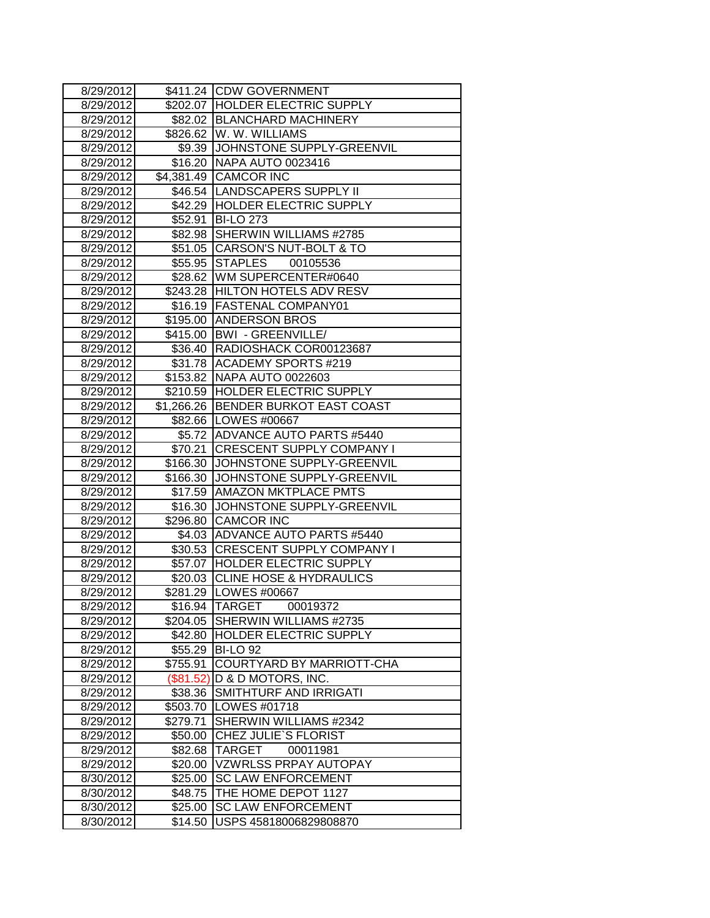| 8/29/2012 |           | \$411.24 CDW GOVERNMENT             |
|-----------|-----------|-------------------------------------|
| 8/29/2012 |           | \$202.07 HOLDER ELECTRIC SUPPLY     |
| 8/29/2012 |           | \$82.02 BLANCHARD MACHINERY         |
| 8/29/2012 |           | \$826.62 W. W. WILLIAMS             |
| 8/29/2012 |           | \$9.39 JJOHNSTONE SUPPLY-GREENVIL   |
| 8/29/2012 |           | \$16.20 NAPA AUTO 0023416           |
| 8/29/2012 |           | \$4,381.49 CAMCOR INC               |
| 8/29/2012 |           | \$46.54  LANDSCAPERS SUPPLY II      |
| 8/29/2012 |           | \$42.29 HOLDER ELECTRIC SUPPLY      |
| 8/29/2012 | \$52.91   | <b>BI-LO 273</b>                    |
| 8/29/2012 |           | \$82.98 SHERWIN WILLIAMS #2785      |
| 8/29/2012 |           | \$51.05 CARSON'S NUT-BOLT & TO      |
| 8/29/2012 | \$55.95   | <b>STAPLES</b><br>00105536          |
| 8/29/2012 |           | \$28.62   WM SUPERCENTER#0640       |
| 8/29/2012 |           | \$243.28 HILTON HOTELS ADV RESV     |
| 8/29/2012 |           | \$16.19 FASTENAL COMPANY01          |
| 8/29/2012 |           | \$195.00 ANDERSON BROS              |
| 8/29/2012 |           | \$415.00   BWI - GREENVILLE/        |
| 8/29/2012 |           | \$36.40   RADIOSHACK COR00123687    |
| 8/29/2012 |           | \$31.78 ACADEMY SPORTS #219         |
| 8/29/2012 |           | \$153.82 NAPA AUTO 0022603          |
| 8/29/2012 |           | \$210.59 HOLDER ELECTRIC SUPPLY     |
| 8/29/2012 |           | \$1,266.26 BENDER BURKOT EAST COAST |
| 8/29/2012 |           | \$82.66 LOWES #00667                |
| 8/29/2012 |           | \$5.72 ADVANCE AUTO PARTS #5440     |
| 8/29/2012 | \$70.21   | <b>CRESCENT SUPPLY COMPANY I</b>    |
| 8/29/2012 |           | \$166.30 JJOHNSTONE SUPPLY-GREENVIL |
| 8/29/2012 | \$166.30  | JOHNSTONE SUPPLY-GREENVIL           |
| 8/29/2012 | \$17.59   | <b>AMAZON MKTPLACE PMTS</b>         |
| 8/29/2012 | \$16.30   | JOHNSTONE SUPPLY-GREENVIL           |
| 8/29/2012 |           | \$296.80 CAMCOR INC                 |
| 8/29/2012 |           | \$4.03 ADVANCE AUTO PARTS #5440     |
| 8/29/2012 |           | \$30.53 CRESCENT SUPPLY COMPANY I   |
| 8/29/2012 |           | \$57.07 HOLDER ELECTRIC SUPPLY      |
| 8/29/2012 | \$20.03   | <b>CLINE HOSE &amp; HYDRAULICS</b>  |
| 8/29/2012 |           | \$281.29   LOWES #00667             |
| 8/29/2012 |           | \$16.94  TARGET<br>00019372         |
| 8/29/2012 | \$204.05  | SHERWIN WILLIAMS #2735              |
| 8/29/2012 |           | \$42.80 HOLDER ELECTRIC SUPPLY      |
| 8/29/2012 | \$55.29   | <b>BI-LO 92</b>                     |
| 8/29/2012 | \$755.91  | COURTYARD BY MARRIOTT-CHA           |
| 8/29/2012 | (\$81.52) | D & D MOTORS, INC.                  |
| 8/29/2012 | \$38.36   | SMITHTURF AND IRRIGATI              |
| 8/29/2012 | \$503.70  | LOWES #01718                        |
| 8/29/2012 | \$279.71  | SHERWIN WILLIAMS #2342              |
| 8/29/2012 | \$50.00   | <b>CHEZ JULIE'S FLORIST</b>         |
| 8/29/2012 | \$82.68   | <b>TARGET</b><br>00011981           |
| 8/29/2012 | \$20.00   | <b>VZWRLSS PRPAY AUTOPAY</b>        |
| 8/30/2012 | \$25.00   | <b>SC LAW ENFORCEMENT</b>           |
| 8/30/2012 | \$48.75   | THE HOME DEPOT 1127                 |
| 8/30/2012 | \$25.00   | <b>SC LAW ENFORCEMENT</b>           |
| 8/30/2012 | \$14.50   | USPS 45818006829808870              |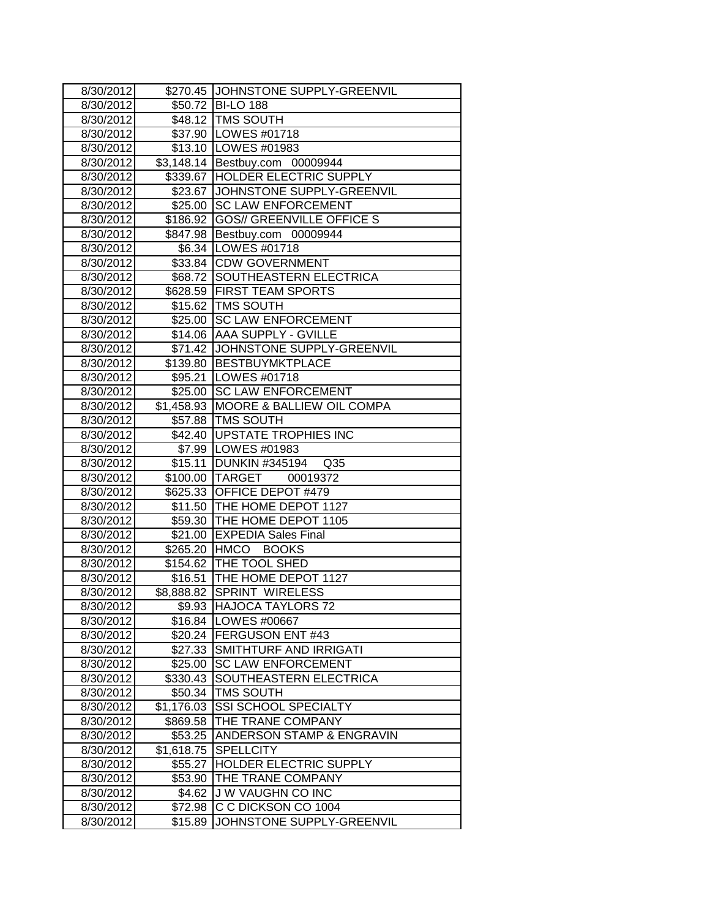| 8/30/2012              |                     | \$270.45 JOHNSTONE SUPPLY-GREENVIL         |
|------------------------|---------------------|--------------------------------------------|
| 8/30/2012              | \$50.72             | <b>BI-LO 188</b>                           |
| 8/30/2012              |                     | \$48.12 TMS SOUTH                          |
| 8/30/2012              |                     | \$37.90   LOWES #01718                     |
| 8/30/2012              |                     | \$13.10   LOWES #01983                     |
| 8/30/2012              |                     | \$3,148.14 Bestbuy.com 00009944            |
| 8/30/2012              |                     | \$339.67 HOLDER ELECTRIC SUPPLY            |
| 8/30/2012              |                     | \$23.67 JOHNSTONE SUPPLY-GREENVIL          |
| 8/30/2012              |                     | \$25.00 SC LAW ENFORCEMENT                 |
| 8/30/2012              |                     | \$186.92 GOS// GREENVILLE OFFICE S         |
| 8/30/2012              |                     | \$847.98 Bestbuy.com 00009944              |
| 8/30/2012              |                     | \$6.34 LOWES #01718                        |
| 8/30/2012              |                     | \$33.84 CDW GOVERNMENT                     |
| 8/30/2012              |                     | \$68.72 SOUTHEASTERN ELECTRICA             |
| 8/30/2012              |                     | \$628.59 FIRST TEAM SPORTS                 |
| 8/30/2012              |                     | \$15.62 TMS SOUTH                          |
| 8/30/2012              |                     | \$25.00 SC LAW ENFORCEMENT                 |
| 8/30/2012              |                     | \$14.06 AAA SUPPLY - GVILLE                |
| 8/30/2012              | \$71.42             | JOHNSTONE SUPPLY-GREENVIL                  |
| 8/30/2012              |                     | \$139.80 BESTBUYMKTPLACE                   |
| 8/30/2012              |                     | \$95.21   LOWES #01718                     |
| 8/30/2012              |                     | \$25.00 SC LAW ENFORCEMENT                 |
| 8/30/2012              |                     | \$1,458.93 MOORE & BALLIEW OIL COMPA       |
| 8/30/2012              |                     | \$57.88 TMS SOUTH                          |
| 8/30/2012              |                     | \$42.40   UPSTATE TROPHIES INC             |
| 8/30/2012              |                     | \$7.99 LOWES #01983                        |
| 8/30/2012              |                     | \$15.11 DUNKIN #345194<br>Q <sub>35</sub>  |
| 8/30/2012              |                     | \$100.00 TARGET<br>00019372                |
| 8/30/2012              |                     | \$625.33 OFFICE DEPOT #479                 |
| 8/30/2012              |                     | \$11.50 THE HOME DEPOT 1127                |
| 8/30/2012              |                     | \$59.30 THE HOME DEPOT 1105                |
| 8/30/2012              |                     | \$21.00 EXPEDIA Sales Final                |
| 8/30/2012              |                     | \$265.20 HMCO<br><b>BOOKS</b>              |
| 8/30/2012              |                     | \$154.62 THE TOOL SHED                     |
| 8/30/2012              | \$16.51             | THE HOME DEPOT 1127                        |
| 8/30/2012              | \$8,888.82          | <b>SPRINT WIRELESS</b>                     |
| 8/30/2012              |                     | \$9.93  HAJOCA TAYLORS 72                  |
| 8/30/2012              | \$16.84             | LOWES #00667                               |
| 8/30/2012              | \$20.24             | FERGUSON ENT #43                           |
| 8/30/2012              | \$27.33             | SMITHTURF AND IRRIGATI                     |
| 8/30/2012              | \$25.00             | <b>SC LAW ENFORCEMENT</b>                  |
| 8/30/2012              | \$330.43<br>\$50.34 | SOUTHEASTERN ELECTRICA<br><b>TMS SOUTH</b> |
| 8/30/2012              | \$1,176.03          | <b>SSI SCHOOL SPECIALTY</b>                |
| 8/30/2012              |                     | THE TRANE COMPANY                          |
| 8/30/2012<br>8/30/2012 | \$869.58<br>\$53.25 | ANDERSON STAMP & ENGRAVIN                  |
| 8/30/2012              | \$1,618.75          | <b>SPELLCITY</b>                           |
| 8/30/2012              | \$55.27             | HOLDER ELECTRIC SUPPLY                     |
| 8/30/2012              | \$53.90             | THE TRANE COMPANY                          |
| 8/30/2012              | \$4.62              | <b>JW VAUGHN CO INC</b>                    |
| 8/30/2012              | \$72.98             | C C DICKSON CO 1004                        |
| 8/30/2012              | \$15.89             | JOHNSTONE SUPPLY-GREENVIL                  |
|                        |                     |                                            |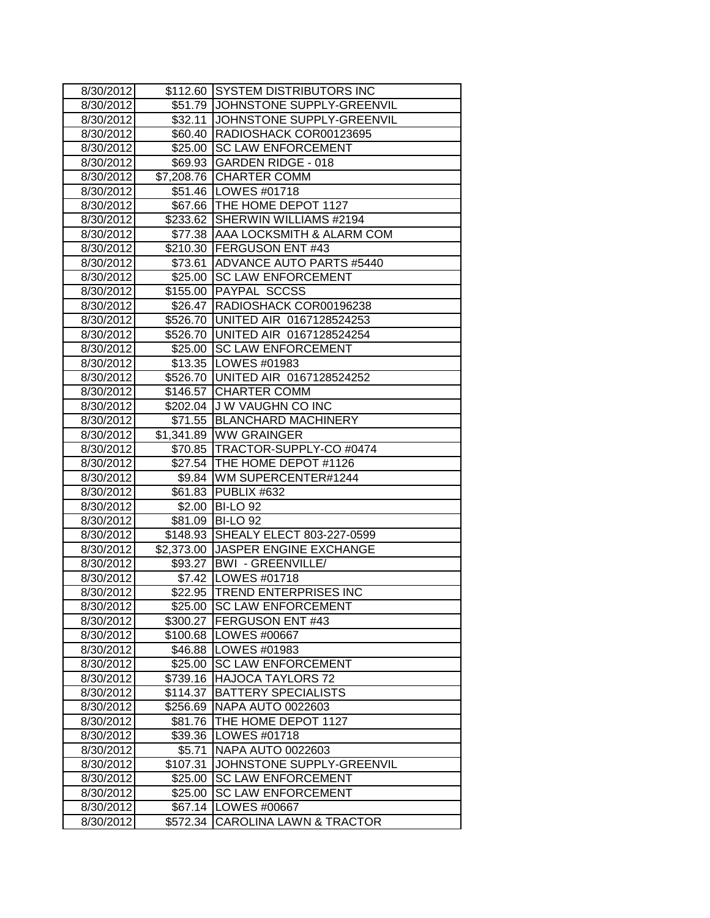| 8/30/2012 |            | \$112.60 SYSTEM DISTRIBUTORS INC  |
|-----------|------------|-----------------------------------|
| 8/30/2012 | \$51.79    | JOHNSTONE SUPPLY-GREENVIL         |
| 8/30/2012 | \$32.11    | JOHNSTONE SUPPLY-GREENVIL         |
| 8/30/2012 | \$60.40    | RADIOSHACK COR00123695            |
| 8/30/2012 | \$25.00    | <b>SC LAW ENFORCEMENT</b>         |
| 8/30/2012 | \$69.93    | <b>GARDEN RIDGE - 018</b>         |
| 8/30/2012 | \$7,208.76 | <b>CHARTER COMM</b>               |
| 8/30/2012 |            | \$51.46   LOWES #01718            |
| 8/30/2012 |            | \$67.66   THE HOME DEPOT 1127     |
| 8/30/2012 | \$233.62   | SHERWIN WILLIAMS #2194            |
| 8/30/2012 |            | \$77.38 AAA LOCKSMITH & ALARM COM |
| 8/30/2012 |            | \$210.30 FERGUSON ENT #43         |
| 8/30/2012 | \$73.61    | <b>ADVANCE AUTO PARTS #5440</b>   |
| 8/30/2012 | \$25.00    | <b>SC LAW ENFORCEMENT</b>         |
| 8/30/2012 |            | \$155.00 PAYPAL SCCSS             |
| 8/30/2012 | \$26.47    | RADIOSHACK COR00196238            |
| 8/30/2012 | \$526.70   | UNITED AIR 0167128524253          |
| 8/30/2012 | \$526.70   | UNITED AIR 0167128524254          |
| 8/30/2012 | \$25.00    | <b>SC LAW ENFORCEMENT</b>         |
| 8/30/2012 |            | \$13.35   LOWES #01983            |
| 8/30/2012 | \$526.70   | UNITED AIR 0167128524252          |
| 8/30/2012 | \$146.57   | <b>CHARTER COMM</b>               |
| 8/30/2012 |            | \$202.04 J W VAUGHN CO INC        |
| 8/30/2012 | \$71.55    | <b>BLANCHARD MACHINERY</b>        |
| 8/30/2012 |            | \$1,341.89 WW GRAINGER            |
| 8/30/2012 |            | \$70.85   TRACTOR-SUPPLY-CO #0474 |
| 8/30/2012 |            | \$27.54 THE HOME DEPOT #1126      |
| 8/30/2012 | \$9.84     | WM SUPERCENTER#1244               |
| 8/30/2012 |            | \$61.83 PUBLIX #632               |
| 8/30/2012 |            | \$2.00 BI-LO 92                   |
| 8/30/2012 |            | \$81.09 BI-LO 92                  |
| 8/30/2012 | \$148.93   | SHEALY ELECT 803-227-0599         |
| 8/30/2012 |            | \$2,373.00 JASPER ENGINE EXCHANGE |
| 8/30/2012 |            | \$93.27   BWI - GREENVILLE/       |
| 8/30/2012 |            | \$7.42   LOWES #01718             |
| 8/30/2012 |            | \$22.95 TREND ENTERPRISES INC     |
| 8/30/2012 |            | \$25.00 SC LAW ENFORCEMENT        |
| 8/30/2012 | \$300.27   | FERGUSON ENT #43                  |
| 8/30/2012 |            | \$100.68   LOWES #00667           |
| 8/30/2012 | \$46.88    | LOWES #01983                      |
| 8/30/2012 | \$25.00    | <b>SC LAW ENFORCEMENT</b>         |
| 8/30/2012 | \$739.16   | <b>HAJOCA TAYLORS 72</b>          |
| 8/30/2012 | \$114.37   | <b>BATTERY SPECIALISTS</b>        |
| 8/30/2012 | \$256.69   | <b>NAPA AUTO 0022603</b>          |
| 8/30/2012 | \$81.76    | THE HOME DEPOT 1127               |
| 8/30/2012 | \$39.36    | LOWES #01718                      |
| 8/30/2012 | \$5.71     | NAPA AUTO 0022603                 |
| 8/30/2012 | \$107.31   | JOHNSTONE SUPPLY-GREENVIL         |
| 8/30/2012 | \$25.00    | <b>SC LAW ENFORCEMENT</b>         |
| 8/30/2012 | \$25.00    | <b>SC LAW ENFORCEMENT</b>         |
| 8/30/2012 | \$67.14    | LOWES #00667                      |
| 8/30/2012 | \$572.34   | CAROLINA LAWN & TRACTOR           |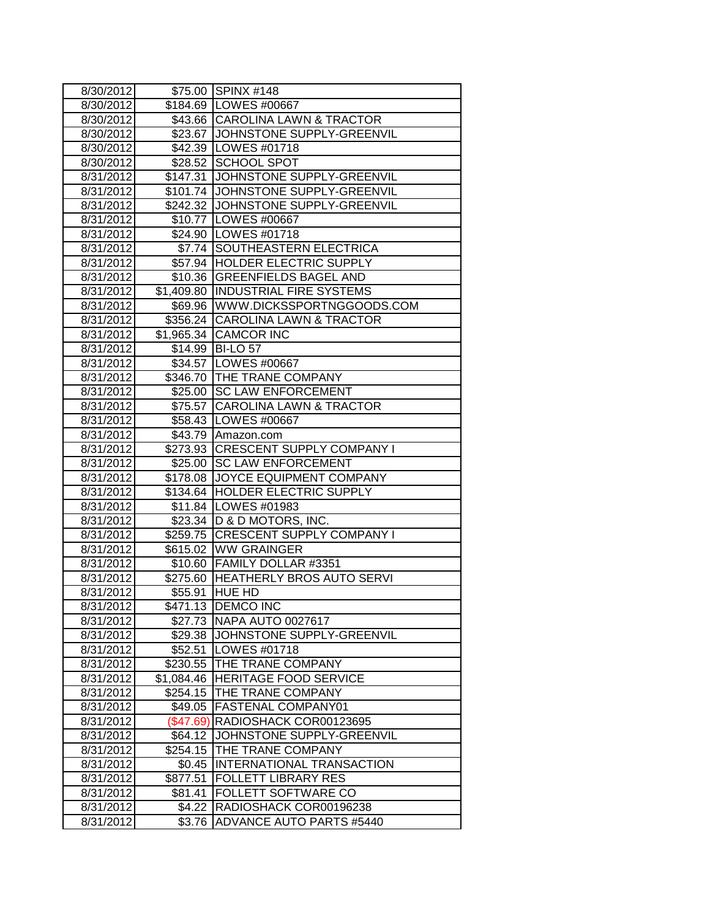| 8/30/2012 |            | \$75.00 SPINX #148                  |
|-----------|------------|-------------------------------------|
| 8/30/2012 |            | \$184.69 LOWES #00667               |
| 8/30/2012 |            | \$43.66 CAROLINA LAWN & TRACTOR     |
| 8/30/2012 |            | \$23.67 JOHNSTONE SUPPLY-GREENVIL   |
| 8/30/2012 |            | \$42.39   LOWES #01718              |
| 8/30/2012 |            | \$28.52 SCHOOL SPOT                 |
| 8/31/2012 |            | \$147.31 JOHNSTONE SUPPLY-GREENVIL  |
| 8/31/2012 |            | \$101.74 JOHNSTONE SUPPLY-GREENVIL  |
| 8/31/2012 |            | \$242.32 JJOHNSTONE SUPPLY-GREENVIL |
| 8/31/2012 |            | \$10.77   LOWES #00667              |
| 8/31/2012 |            | \$24.90 LOWES #01718                |
| 8/31/2012 | \$7.74     | <b>SOUTHEASTERN ELECTRICA</b>       |
| 8/31/2012 |            | \$57.94 HOLDER ELECTRIC SUPPLY      |
| 8/31/2012 |            | \$10.36 GREENFIELDS BAGEL AND       |
| 8/31/2012 |            | \$1,409.80  INDUSTRIAL FIRE SYSTEMS |
| 8/31/2012 |            | \$69.96   WWW.DICKSSPORTNGGOODS.COM |
| 8/31/2012 | \$356.24   | <b>CAROLINA LAWN &amp; TRACTOR</b>  |
| 8/31/2012 |            | \$1,965.34 CAMCOR INC               |
| 8/31/2012 |            | \$14.99 BI-LO 57                    |
| 8/31/2012 |            | \$34.57   LOWES #00667              |
| 8/31/2012 |            | \$346.70 THE TRANE COMPANY          |
| 8/31/2012 |            | \$25.00 SC LAW ENFORCEMENT          |
| 8/31/2012 |            | \$75.57 CAROLINA LAWN & TRACTOR     |
| 8/31/2012 |            | \$58.43 LOWES #00667                |
| 8/31/2012 | \$43.79    | Amazon.com                          |
| 8/31/2012 | \$273.93   | <b>CRESCENT SUPPLY COMPANY I</b>    |
| 8/31/2012 | \$25.00    | <b>SC LAW ENFORCEMENT</b>           |
| 8/31/2012 | \$178.08   | JOYCE EQUIPMENT COMPANY             |
| 8/31/2012 |            | \$134.64 HOLDER ELECTRIC SUPPLY     |
| 8/31/2012 |            | \$11.84 LOWES #01983                |
| 8/31/2012 |            | \$23.34   D & D MOTORS, INC.        |
| 8/31/2012 | \$259.75   | <b>CRESCENT SUPPLY COMPANY I</b>    |
| 8/31/2012 |            | \$615.02 WW GRAINGER                |
| 8/31/2012 | \$10.60    | <b>FAMILY DOLLAR #3351</b>          |
| 8/31/2012 |            | \$275.60 HEATHERLY BROS AUTO SERVI  |
| 8/31/2012 | \$55.91    | <b>HUE HD</b>                       |
| 8/31/2012 |            | \$471.13   DEMCO INC                |
| 8/31/2012 | \$27.73    | <b>NAPA AUTO 0027617</b>            |
| 8/31/2012 | \$29.38    | JOHNSTONE SUPPLY-GREENVIL           |
| 8/31/2012 | \$52.51    | LOWES #01718                        |
| 8/31/2012 | \$230.55   | THE TRANE COMPANY                   |
| 8/31/2012 | \$1,084.46 | HERITAGE FOOD SERVICE               |
| 8/31/2012 | \$254.15   | THE TRANE COMPANY                   |
| 8/31/2012 | \$49.05    | FASTENAL COMPANY01                  |
| 8/31/2012 | (\$47.69)  | RADIOSHACK COR00123695              |
| 8/31/2012 | \$64.12    | JOHNSTONE SUPPLY-GREENVIL           |
| 8/31/2012 | \$254.15   | THE TRANE COMPANY                   |
| 8/31/2012 | \$0.45     | <b>INTERNATIONAL TRANSACTION</b>    |
| 8/31/2012 | \$877.51   | <b>FOLLETT LIBRARY RES</b>          |
| 8/31/2012 | \$81.41    | FOLLETT SOFTWARE CO                 |
| 8/31/2012 | \$4.22     | RADIOSHACK COR00196238              |
| 8/31/2012 | \$3.76     | <b>ADVANCE AUTO PARTS #5440</b>     |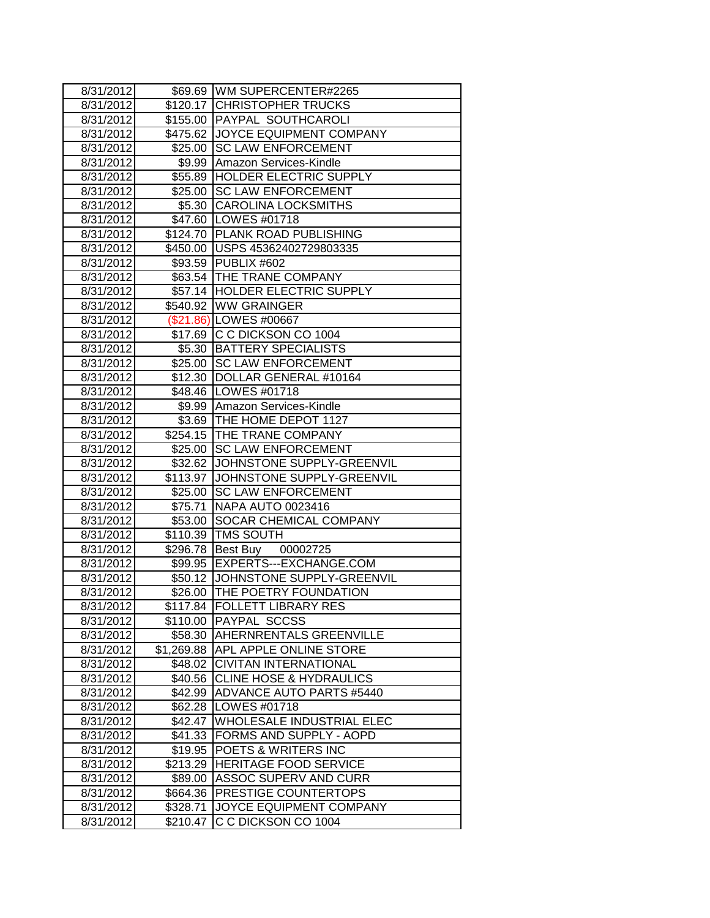| 8/31/2012 |                 | \$69.69 WM SUPERCENTER#2265        |
|-----------|-----------------|------------------------------------|
| 8/31/2012 |                 | \$120.17 CHRISTOPHER TRUCKS        |
| 8/31/2012 |                 | \$155.00 PAYPAL SOUTHCAROLI        |
| 8/31/2012 |                 | \$475.62 JOYCE EQUIPMENT COMPANY   |
| 8/31/2012 |                 | \$25.00 SC LAW ENFORCEMENT         |
| 8/31/2012 |                 | \$9.99 Amazon Services-Kindle      |
| 8/31/2012 |                 | \$55.89 HOLDER ELECTRIC SUPPLY     |
| 8/31/2012 |                 | \$25.00 SC LAW ENFORCEMENT         |
| 8/31/2012 |                 | \$5.30 CAROLINA LOCKSMITHS         |
| 8/31/2012 |                 | \$47.60   LOWES #01718             |
| 8/31/2012 |                 | \$124.70 PLANK ROAD PUBLISHING     |
| 8/31/2012 |                 | \$450.00 USPS 45362402729803335    |
| 8/31/2012 |                 | \$93.59 PUBLIX #602                |
| 8/31/2012 |                 | \$63.54   THE TRANE COMPANY        |
| 8/31/2012 |                 | \$57.14  HOLDER ELECTRIC SUPPLY    |
| 8/31/2012 |                 | \$540.92 WW GRAINGER               |
| 8/31/2012 |                 | (\$21.86) LOWES #00667             |
| 8/31/2012 |                 | \$17.69 C C DICKSON CO 1004        |
| 8/31/2012 |                 | \$5.30 BATTERY SPECIALISTS         |
| 8/31/2012 |                 | \$25.00 SC LAW ENFORCEMENT         |
| 8/31/2012 |                 | \$12.30 DOLLAR GENERAL #10164      |
| 8/31/2012 |                 | \$48.46   LOWES #01718             |
| 8/31/2012 |                 | \$9.99 Amazon Services-Kindle      |
| 8/31/2012 |                 | \$3.69 THE HOME DEPOT 1127         |
| 8/31/2012 |                 | \$254.15 THE TRANE COMPANY         |
| 8/31/2012 |                 | \$25.00 SC LAW ENFORCEMENT         |
| 8/31/2012 |                 | \$32.62 JOHNSTONE SUPPLY-GREENVIL  |
| 8/31/2012 |                 | \$113.97 JOHNSTONE SUPPLY-GREENVIL |
| 8/31/2012 | $\sqrt{$25.00}$ | <b>SC LAW ENFORCEMENT</b>          |
| 8/31/2012 | \$75.71         | NAPA AUTO 0023416                  |
| 8/31/2012 |                 | \$53.00 SOCAR CHEMICAL COMPANY     |
| 8/31/2012 |                 | \$110.39 TMS SOUTH                 |
| 8/31/2012 |                 | \$296.78 Best Buy<br>00002725      |
| 8/31/2012 |                 | \$99.95  EXPERTS---EXCHANGE.COM    |
| 8/31/2012 |                 | \$50.12 JOHNSTONE SUPPLY-GREENVIL  |
| 8/31/2012 | \$26.00         | <b>THE POETRY FOUNDATION</b>       |
| 8/31/2012 |                 | \$117.84  FOLLETT LIBRARY RES      |
| 8/31/2012 |                 | \$110.00 PAYPAL SCCSS              |
| 8/31/2012 |                 | \$58.30 AHERNRENTALS GREENVILLE    |
| 8/31/2012 |                 | \$1,269.88 APL APPLE ONLINE STORE  |
| 8/31/2012 |                 | \$48.02 CIVITAN INTERNATIONAL      |
| 8/31/2012 |                 | \$40.56 CLINE HOSE & HYDRAULICS    |
| 8/31/2012 | \$42.99         | ADVANCE AUTO PARTS #5440           |
| 8/31/2012 | \$62.28         | LOWES #01718                       |
| 8/31/2012 | \$42.47         | WHOLESALE INDUSTRIAL ELEC          |
| 8/31/2012 | \$41.33         | FORMS AND SUPPLY - AOPD            |
| 8/31/2012 | \$19.95         | POETS & WRITERS INC                |
| 8/31/2012 | \$213.29        | <b>HERITAGE FOOD SERVICE</b>       |
| 8/31/2012 | \$89.00         | <b>ASSOC SUPERV AND CURR</b>       |
| 8/31/2012 | \$664.36        | PRESTIGE COUNTERTOPS               |
| 8/31/2012 | \$328.71        | JOYCE EQUIPMENT COMPANY            |
| 8/31/2012 | \$210.47        | C C DICKSON CO 1004                |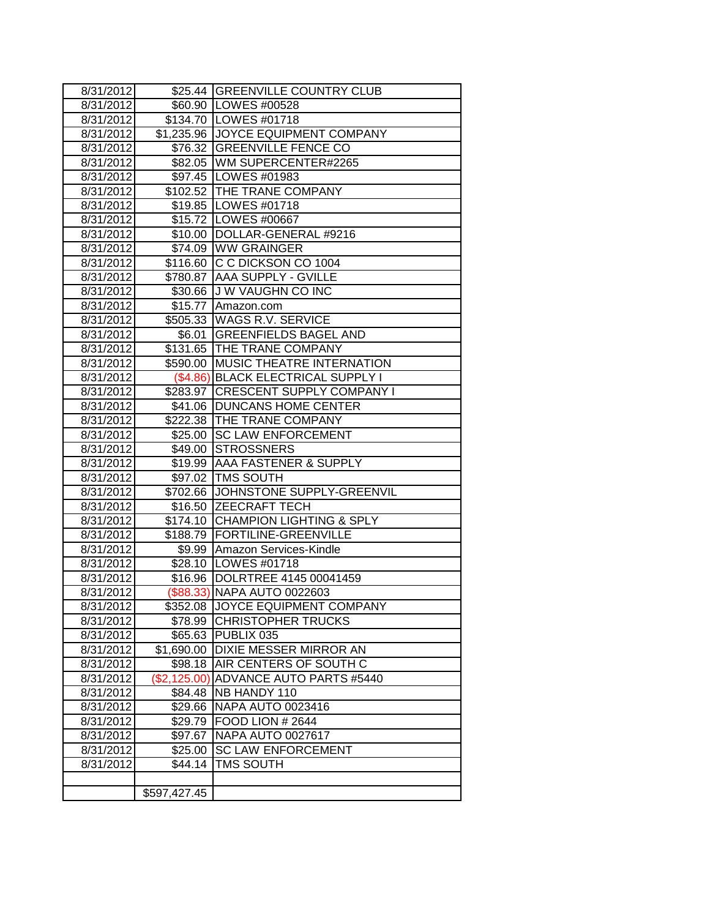| 8/31/2012 |              | \$25.44 GREENVILLE COUNTRY CLUB    |  |
|-----------|--------------|------------------------------------|--|
| 8/31/2012 |              | \$60.90   LOWES #00528             |  |
| 8/31/2012 |              | \$134.70 LOWES #01718              |  |
| 8/31/2012 |              | \$1,235.96 JOYCE EQUIPMENT COMPANY |  |
| 8/31/2012 |              | \$76.32 GREENVILLE FENCE CO        |  |
| 8/31/2012 |              | \$82.05   WM SUPERCENTER#2265      |  |
| 8/31/2012 |              | \$97.45   LOWES #01983             |  |
| 8/31/2012 |              | \$102.52 THE TRANE COMPANY         |  |
| 8/31/2012 |              | \$19.85   LOWES #01718             |  |
| 8/31/2012 |              | \$15.72 LOWES #00667               |  |
| 8/31/2012 |              | \$10.00   DOLLAR-GENERAL #9216     |  |
| 8/31/2012 |              | \$74.09 WW GRAINGER                |  |
| 8/31/2012 |              | \$116.60 C C DICKSON CO 1004       |  |
| 8/31/2012 | \$780.87     | <b>AAA SUPPLY - GVILLE</b>         |  |
| 8/31/2012 | \$30.66      | <b>JW VAUGHN CO INC</b>            |  |
| 8/31/2012 | \$15.77      | Amazon.com                         |  |
| 8/31/2012 | \$505.33     | WAGS R.V. SERVICE                  |  |
| 8/31/2012 | \$6.01       | <b>GREENFIELDS BAGEL AND</b>       |  |
| 8/31/2012 |              | \$131.65 THE TRANE COMPANY         |  |
| 8/31/2012 | \$590.00     | MUSIC THEATRE INTERNATION          |  |
| 8/31/2012 |              | (\$4.86) BLACK ELECTRICAL SUPPLY I |  |
| 8/31/2012 |              | \$283.97 CRESCENT SUPPLY COMPANY I |  |
| 8/31/2012 |              | \$41.06 DUNCANS HOME CENTER        |  |
| 8/31/2012 |              | \$222.38 THE TRANE COMPANY         |  |
| 8/31/2012 | \$25.00      | <b>SC LAW ENFORCEMENT</b>          |  |
|           |              |                                    |  |
| 8/31/2012 | \$49.00      | <b>STROSSNERS</b>                  |  |
| 8/31/2012 | \$19.99      | AAA FASTENER & SUPPLY              |  |
| 8/31/2012 |              | \$97.02 TMS SOUTH                  |  |
| 8/31/2012 |              | \$702.66 JOHNSTONE SUPPLY-GREENVIL |  |
| 8/31/2012 |              | \$16.50 ZEECRAFT TECH              |  |
| 8/31/2012 |              | \$174.10 CHAMPION LIGHTING & SPLY  |  |
| 8/31/2012 | \$188.79     | FORTILINE-GREENVILLE               |  |
| 8/31/2012 | \$9.99       | Amazon Services-Kindle             |  |
| 8/31/2012 |              | \$28.10   LOWES #01718             |  |
| 8/31/2012 | \$16.96      | DOLRTREE 4145 00041459             |  |
| 8/31/2012 | (\$88.33)    | <b>NAPA AUTO 0022603</b>           |  |
| 8/31/2012 | \$352.08     | <b>JOYCE EQUIPMENT COMPANY</b>     |  |
| 8/31/2012 | \$78.99      | <b>CHRISTOPHER TRUCKS</b>          |  |
| 8/31/2012 | \$65.63      | PUBLIX 035                         |  |
| 8/31/2012 | \$1,690.00   | <b>DIXIE MESSER MIRROR AN</b>      |  |
| 8/31/2012 | \$98.18      | AIR CENTERS OF SOUTH C             |  |
| 8/31/2012 | (\$2,125.00) | <b>ADVANCE AUTO PARTS #5440</b>    |  |
| 8/31/2012 | \$84.48      | NB HANDY 110                       |  |
| 8/31/2012 | \$29.66      | <b>NAPA AUTO 0023416</b>           |  |
| 8/31/2012 | \$29.79      | FOOD LION # 2644                   |  |
| 8/31/2012 | \$97.67      | <b>NAPA AUTO 0027617</b>           |  |
| 8/31/2012 | \$25.00      | <b>SC LAW ENFORCEMENT</b>          |  |
| 8/31/2012 | \$44.14      | TMS SOUTH                          |  |
|           | \$597,427.45 |                                    |  |